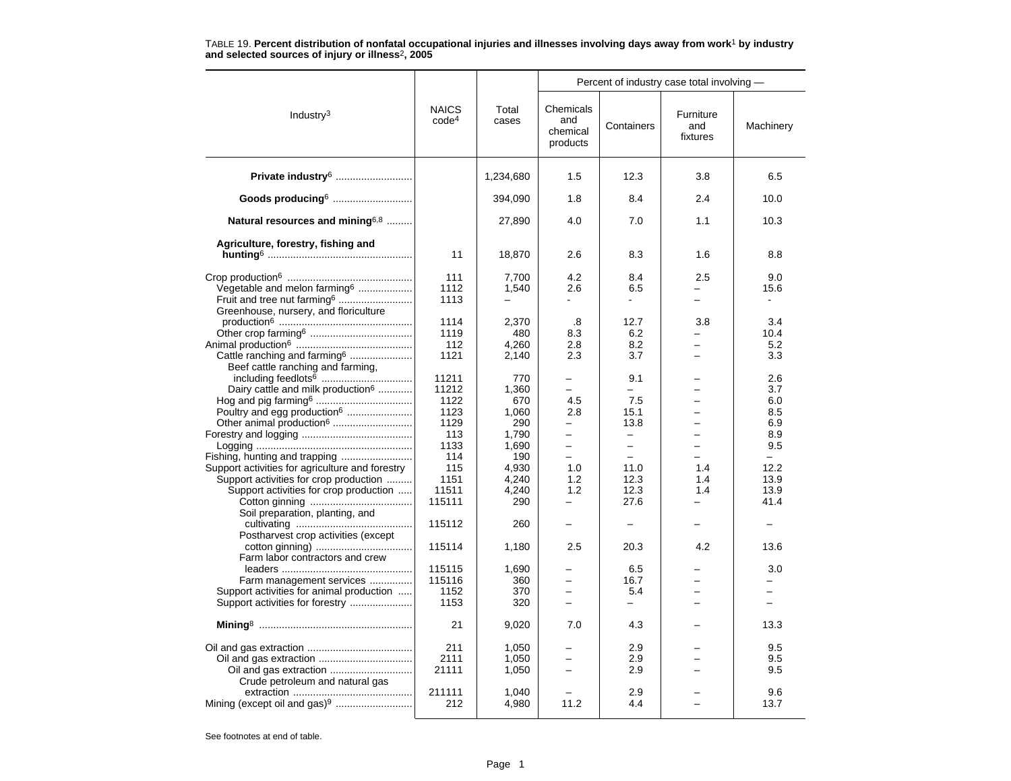|                                                                                                                                                                       |                                        |                                     |                                                                         | Percent of industry case total involving -                                        |                                                      |                                         |  |
|-----------------------------------------------------------------------------------------------------------------------------------------------------------------------|----------------------------------------|-------------------------------------|-------------------------------------------------------------------------|-----------------------------------------------------------------------------------|------------------------------------------------------|-----------------------------------------|--|
| Industry <sup>3</sup>                                                                                                                                                 | <b>NAICS</b><br>code <sup>4</sup>      | Total<br>cases                      | Chemicals<br>and<br>chemical<br>products                                | Containers                                                                        | Furniture<br>and<br>fixtures                         | Machinery                               |  |
| Private industry <sup>6</sup>                                                                                                                                         |                                        | 1,234,680                           | 1.5                                                                     | 12.3                                                                              | 3.8                                                  | 6.5                                     |  |
| Goods producing <sup>6</sup>                                                                                                                                          |                                        | 394.090                             | 1.8                                                                     | 8.4                                                                               | 2.4                                                  | 10.0                                    |  |
| Natural resources and mining <sup>6,8</sup>                                                                                                                           |                                        | 27,890                              | 4.0                                                                     | 7.0                                                                               | 1.1                                                  | 10.3                                    |  |
| Agriculture, forestry, fishing and                                                                                                                                    | 11                                     | 18,870                              | 2.6                                                                     | 8.3                                                                               | 1.6                                                  | 8.8                                     |  |
| Vegetable and melon farming <sup>6</sup><br>Fruit and tree nut farming <sup>6</sup><br>Greenhouse, nursery, and floriculture                                          | 111<br>1112<br>1113                    | 7,700<br>1,540                      | 4.2<br>2.6                                                              | 8.4<br>6.5<br>$\blacksquare$                                                      | 2.5<br>$\overline{a}$                                | 9.0<br>15.6<br>$\overline{\phantom{a}}$ |  |
| Cattle ranching and farming <sup>6</sup>                                                                                                                              | 1114<br>1119<br>112<br>1121            | 2,370<br>480<br>4,260<br>2,140      | .8<br>8.3<br>2.8<br>2.3                                                 | 12.7<br>6.2<br>8.2<br>3.7                                                         | 3.8<br>$\overline{\phantom{0}}$                      | 3.4<br>10.4<br>5.2<br>3.3               |  |
| Beef cattle ranching and farming,<br>Dairy cattle and milk production <sup>6</sup><br>Poultry and egg production <sup>6</sup><br>Other animal production <sup>6</sup> | 11211<br>11212<br>1122<br>1123<br>1129 | 770<br>1,360<br>670<br>1,060<br>290 | -<br>$\overline{\phantom{0}}$<br>4.5<br>2.8<br>$\overline{\phantom{0}}$ | 9.1<br>$\equiv$<br>7.5<br>15.1<br>13.8                                            | $\overline{\phantom{0}}$<br>$\overline{\phantom{0}}$ | 2.6<br>3.7<br>6.0<br>8.5<br>6.9         |  |
| Support activities for agriculture and forestry                                                                                                                       | 113<br>1133<br>114<br>115              | 1,790<br>1,690<br>190<br>4,930      | $\overline{\phantom{0}}$<br>$\overline{\phantom{0}}$<br>$\equiv$<br>1.0 | $\qquad \qquad -$<br>$\overline{\phantom{m}}$<br>$\overline{\phantom{0}}$<br>11.0 | L.<br>1.4                                            | 8.9<br>9.5<br>$-$<br>12.2               |  |
| Support activities for crop production<br>Support activities for crop production<br>Soil preparation, planting, and                                                   | 1151<br>11511<br>115111                | 4,240<br>4,240<br>290               | 1.2<br>1.2<br>$\equiv$                                                  | 12.3<br>12.3<br>27.6                                                              | 1.4<br>1.4<br>$\overline{\phantom{0}}$               | 13.9<br>13.9<br>41.4                    |  |
| Postharvest crop activities (except                                                                                                                                   | 115112<br>115114                       | 260                                 | 2.5                                                                     | 20.3                                                                              | 4.2                                                  | 13.6                                    |  |
| Farm labor contractors and crew<br>Farm management services<br>Support activities for animal production<br>Support activities for forestry                            | 115115<br>115116<br>1152<br>1153       | 1,180<br>1,690<br>360<br>370<br>320 | -                                                                       | 6.5<br>16.7<br>5.4<br>$-$                                                         |                                                      | 3.0<br>-                                |  |
|                                                                                                                                                                       | 21                                     | 9,020                               | 7.0                                                                     | 4.3                                                                               |                                                      | 13.3                                    |  |
| Crude petroleum and natural gas                                                                                                                                       | 211<br>2111<br>21111                   | 1,050<br>1,050<br>1,050             |                                                                         | 2.9<br>2.9<br>2.9                                                                 |                                                      | 9.5<br>9.5<br>9.5                       |  |
|                                                                                                                                                                       | 211111<br>212                          | 1.040<br>4,980                      | 11.2                                                                    | 2.9<br>4.4                                                                        |                                                      | 9.6<br>13.7                             |  |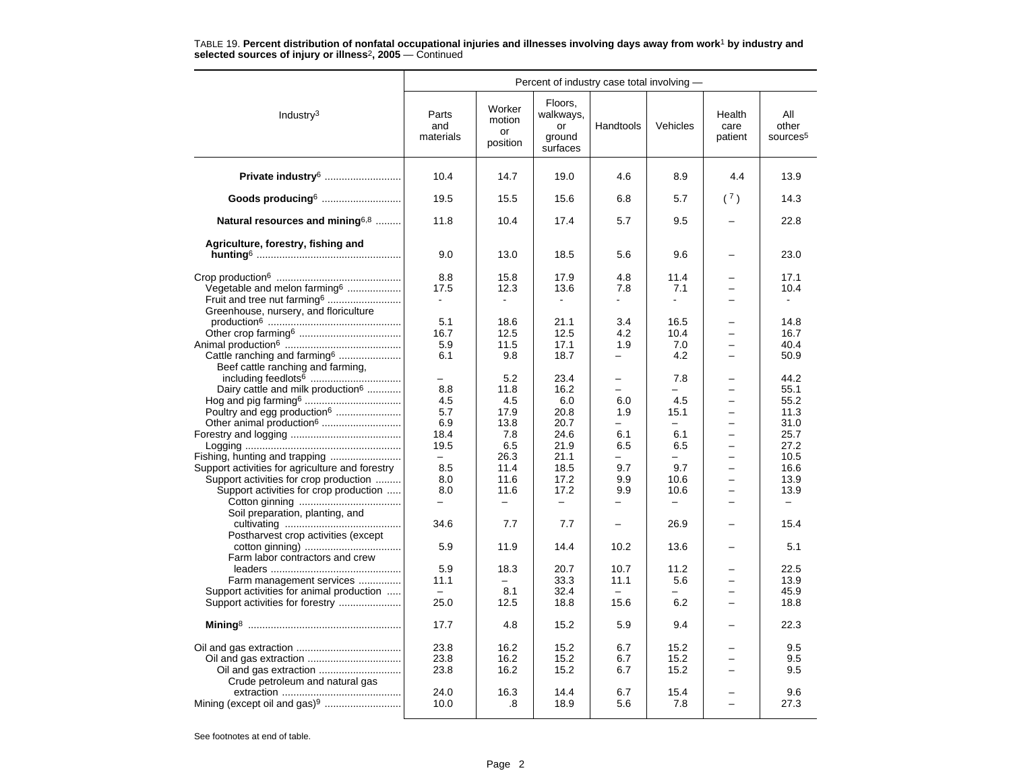|                                                                                                                                     |                                                 |                                    |                                                  | Percent of industry case total involving -         |                                                 |                                                      |                                      |
|-------------------------------------------------------------------------------------------------------------------------------------|-------------------------------------------------|------------------------------------|--------------------------------------------------|----------------------------------------------------|-------------------------------------------------|------------------------------------------------------|--------------------------------------|
| Industry $3$                                                                                                                        | Parts<br>and<br>materials                       | Worker<br>motion<br>or<br>position | Floors,<br>walkways,<br>or<br>ground<br>surfaces | Handtools                                          | Vehicles                                        | Health<br>care<br>patient                            | All<br>other<br>sources <sup>5</sup> |
| Private industry <sup>6</sup>                                                                                                       | 10.4                                            | 14.7                               | 19.0                                             | 4.6                                                | 8.9                                             | 4.4                                                  | 13.9                                 |
| Goods producing <sup>6</sup>                                                                                                        | 19.5                                            | 15.5                               | 15.6                                             | 6.8                                                | 5.7                                             | (7)                                                  | 14.3                                 |
| Natural resources and mining6,8                                                                                                     | 11.8                                            | 10.4                               | 17.4                                             | 5.7                                                | 9.5                                             |                                                      | 22.8                                 |
| Agriculture, forestry, fishing and                                                                                                  |                                                 |                                    |                                                  |                                                    |                                                 |                                                      |                                      |
|                                                                                                                                     | 9.0                                             | 13.0                               | 18.5                                             | 5.6                                                | 9.6                                             |                                                      | 23.0                                 |
| Vegetable and melon farming <sup>6</sup><br>Fruit and tree nut farming <sup>6</sup><br>Greenhouse, nursery, and floriculture        | 8.8<br>17.5<br>$\sim$                           | 15.8<br>12.3<br>$\blacksquare$     | 17.9<br>13.6                                     | 4.8<br>7.8                                         | 11.4<br>7.1<br>$\blacksquare$                   | $\equiv$                                             | 17.1<br>10.4                         |
| Cattle ranching and farming <sup>6</sup>                                                                                            | 5.1<br>16.7<br>5.9<br>6.1                       | 18.6<br>12.5<br>11.5<br>9.8        | 21.1<br>12.5<br>17.1<br>18.7                     | 3.4<br>4.2<br>1.9                                  | 16.5<br>10.4<br>7.0<br>4.2                      | $\equiv$                                             | 14.8<br>16.7<br>40.4<br>50.9         |
| Beef cattle ranching and farming,<br>Dairy cattle and milk production <sup>6</sup><br>Poultry and egg production <sup>6</sup>       | 8.8<br>4.5<br>5.7                               | 5.2<br>11.8<br>4.5<br>17.9         | 23.4<br>16.2<br>6.0<br>20.8                      | $\overline{\phantom{0}}$<br>6.0<br>1.9             | 7.8<br>4.5<br>15.1                              |                                                      | 44.2<br>55.1<br>55.2<br>11.3         |
| Other animal production <sup>6</sup>                                                                                                | 6.9<br>18.4<br>19.5<br>$\overline{\phantom{0}}$ | 13.8<br>7.8<br>6.5<br>26.3         | 20.7<br>24.6<br>21.9<br>21.1                     | $\equiv$<br>6.1<br>6.5<br>$\overline{\phantom{0}}$ | $\equiv$<br>6.1<br>6.5<br>-                     | $\overline{\phantom{0}}$<br>$\overline{\phantom{0}}$ | 31.0<br>25.7<br>27.2<br>10.5         |
| Support activities for agriculture and forestry<br>Support activities for crop production<br>Support activities for crop production | 8.5<br>8.0<br>8.0                               | 11.4<br>11.6<br>11.6               | 18.5<br>17.2<br>17.2                             | 9.7<br>9.9<br>9.9                                  | 9.7<br>10.6<br>10.6<br>$\overline{\phantom{0}}$ | $\overline{\phantom{0}}$<br>$\overline{\phantom{0}}$ | 16.6<br>13.9<br>13.9                 |
| Soil preparation, planting, and                                                                                                     | 34.6                                            | 7.7                                | 7.7                                              |                                                    | 26.9                                            |                                                      | 15.4                                 |
| Postharvest crop activities (except<br>Farm labor contractors and crew                                                              | 5.9                                             | 11.9                               | 14.4                                             | 10.2                                               | 13.6                                            | -                                                    | 5.1                                  |
| Farm management services<br>Support activities for animal production<br>Support activities for forestry                             | 5.9<br>11.1<br>$\equiv$<br>25.0                 | 18.3<br>8.1<br>12.5                | 20.7<br>33.3<br>32.4<br>18.8                     | 10.7<br>11.1<br>$\equiv$<br>15.6                   | 11.2<br>5.6<br>-<br>6.2                         | $\equiv$                                             | 22.5<br>13.9<br>45.9<br>18.8         |
|                                                                                                                                     | 17.7                                            | 4.8                                | 15.2                                             | 5.9                                                | 9.4                                             |                                                      | 22.3                                 |
| Crude petroleum and natural gas                                                                                                     | 23.8<br>23.8<br>23.8                            | 16.2<br>16.2<br>16.2               | 15.2<br>15.2<br>15.2                             | 6.7<br>6.7<br>6.7                                  | 15.2<br>15.2<br>15.2                            |                                                      | 9.5<br>9.5<br>9.5                    |
| Mining (except oil and gas) <sup>9</sup>                                                                                            | 24.0<br>10.0                                    | 16.3<br>.8                         | 14.4<br>18.9                                     | 6.7<br>5.6                                         | 15.4<br>7.8                                     |                                                      | 9.6<br>27.3                          |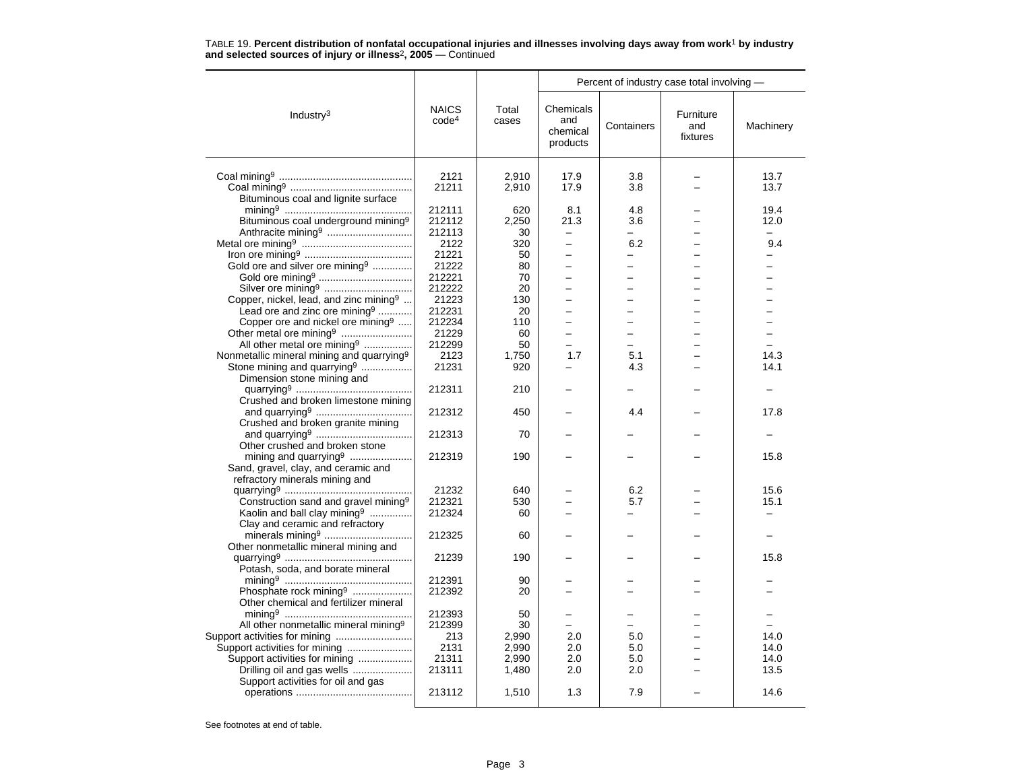| Percent of industry case total involving -                                                 |                                   |                |                                                      |                          |                               |              |
|--------------------------------------------------------------------------------------------|-----------------------------------|----------------|------------------------------------------------------|--------------------------|-------------------------------|--------------|
| Industry $3$                                                                               | <b>NAICS</b><br>code <sup>4</sup> | Total<br>cases | Chemicals<br>and<br>chemical<br>products             | Containers               | Furniture<br>and<br>fixtures  | Machinery    |
|                                                                                            |                                   |                |                                                      |                          |                               |              |
|                                                                                            | 2121<br>21211                     | 2,910<br>2,910 | 17.9<br>17.9                                         | 3.8<br>3.8               |                               | 13.7<br>13.7 |
| Bituminous coal and lignite surface                                                        |                                   |                |                                                      |                          |                               |              |
|                                                                                            | 212111                            | 620            | 8.1                                                  | 4.8                      |                               | 19.4         |
| Bituminous coal underground mining <sup>9</sup>                                            | 212112                            | 2,250          | 21.3                                                 | 3.6                      |                               | 12.0         |
|                                                                                            | 212113                            | 30             | $\equiv$                                             | $\overline{\phantom{0}}$ |                               | $\equiv$     |
|                                                                                            | 2122                              | 320            | $\overline{\phantom{0}}$                             | 6.2                      |                               | 9.4          |
|                                                                                            | 21221                             | 50             |                                                      |                          |                               |              |
| Gold ore and silver ore mining <sup>9</sup>                                                | 21222                             | 80             | $\equiv$                                             | $\overline{a}$           |                               |              |
|                                                                                            | 212221                            | 70             | $\overline{\phantom{0}}$                             | -                        | -                             | ÷.           |
| Silver ore mining <sup>9</sup>                                                             | 212222                            | 20             |                                                      |                          |                               |              |
| Copper, nickel, lead, and zinc mining <sup>9</sup>                                         | 21223                             | 130            |                                                      |                          |                               |              |
| Lead ore and zinc ore mining <sup>9</sup><br>Copper ore and nickel ore mining <sup>9</sup> | 212231<br>212234                  | 20<br>110      | $\overline{\phantom{0}}$<br>$\overline{\phantom{0}}$ | -<br>$=$                 | $\overline{\phantom{0}}$<br>÷ |              |
|                                                                                            | 21229                             | 60             | $\overline{\phantom{0}}$                             | L.                       |                               |              |
| Other metal ore mining <sup>9</sup><br>All other metal ore mining <sup>9</sup>             | 212299                            | 50             | $\overline{\phantom{0}}$                             | -                        |                               |              |
| Nonmetallic mineral mining and quarrying <sup>9</sup>                                      | 2123                              | 1,750          | 1.7                                                  | 5.1                      |                               | 14.3         |
| Stone mining and quarrying <sup>9</sup>                                                    | 21231                             | 920            |                                                      | 4.3                      |                               | 14.1         |
| Dimension stone mining and                                                                 |                                   |                |                                                      |                          |                               |              |
|                                                                                            | 212311                            | 210            |                                                      |                          |                               |              |
| Crushed and broken limestone mining                                                        |                                   |                |                                                      |                          |                               |              |
|                                                                                            | 212312                            | 450            |                                                      | 4.4                      |                               | 17.8         |
| Crushed and broken granite mining                                                          |                                   |                |                                                      |                          |                               |              |
|                                                                                            | 212313                            | 70             |                                                      |                          |                               |              |
| Other crushed and broken stone                                                             |                                   |                |                                                      |                          |                               |              |
| mining and quarrying <sup>9</sup>                                                          | 212319                            | 190            |                                                      |                          |                               | 15.8         |
| Sand, gravel, clay, and ceramic and                                                        |                                   |                |                                                      |                          |                               |              |
| refractory minerals mining and                                                             |                                   |                |                                                      |                          |                               |              |
|                                                                                            | 21232                             | 640            |                                                      | 6.2                      |                               | 15.6         |
| Construction sand and gravel mining <sup>9</sup>                                           | 212321                            | 530            |                                                      | 5.7                      |                               | 15.1         |
| Kaolin and ball clay mining <sup>9</sup><br>Clay and ceramic and refractory                | 212324                            | 60             |                                                      |                          |                               |              |
|                                                                                            | 212325                            | 60             |                                                      |                          |                               |              |
| Other nonmetallic mineral mining and                                                       |                                   |                |                                                      |                          |                               |              |
|                                                                                            | 21239                             | 190            |                                                      |                          |                               | 15.8         |
| Potash, soda, and borate mineral                                                           |                                   |                |                                                      |                          |                               |              |
|                                                                                            | 212391                            | 90             |                                                      |                          |                               |              |
| Phosphate rock mining <sup>9</sup>                                                         | 212392                            | 20             |                                                      |                          |                               |              |
| Other chemical and fertilizer mineral                                                      |                                   |                |                                                      |                          |                               |              |
|                                                                                            | 212393                            | 50             |                                                      |                          |                               |              |
| All other nonmetallic mineral mining <sup>9</sup>                                          | 212399                            | 30             | $\equiv$                                             | L.                       |                               |              |
| Support activities for mining                                                              | 213                               | 2,990          | 2.0                                                  | 5.0                      |                               | 14.0         |
| Support activities for mining                                                              | 2131                              | 2,990          | 2.0                                                  | 5.0                      |                               | 14.0         |
| Support activities for mining                                                              | 21311                             | 2,990          | 2.0                                                  | 5.0                      |                               | 14.0         |
| Drilling oil and gas wells                                                                 | 213111                            | 1,480          | 2.0                                                  | 2.0                      |                               | 13.5         |
| Support activities for oil and gas                                                         |                                   |                |                                                      |                          |                               |              |
|                                                                                            | 213112                            | 1,510          | 1.3                                                  | 7.9                      |                               | 14.6         |
|                                                                                            |                                   |                |                                                      |                          |                               |              |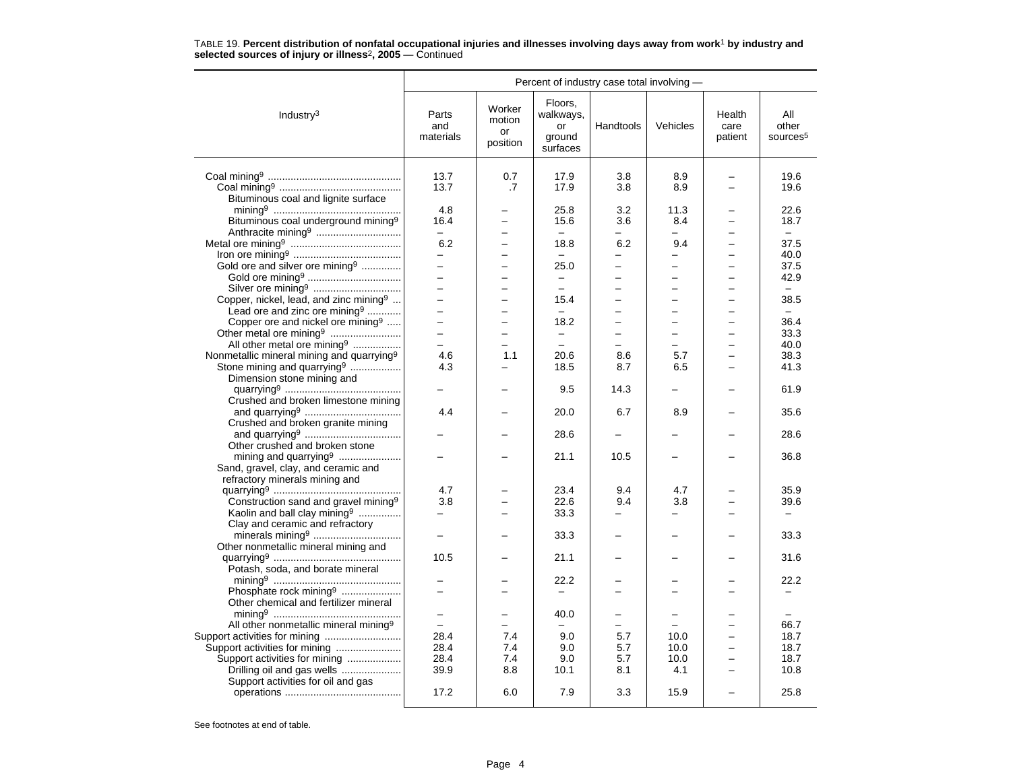|                                                       | Percent of industry case total involving - |                                    |                                                  |                          |                          |                           |                                      |  |  |
|-------------------------------------------------------|--------------------------------------------|------------------------------------|--------------------------------------------------|--------------------------|--------------------------|---------------------------|--------------------------------------|--|--|
| Industry <sup>3</sup>                                 | Parts<br>and<br>materials                  | Worker<br>motion<br>or<br>position | Floors,<br>walkways,<br>or<br>ground<br>surfaces | Handtools                | Vehicles                 | Health<br>care<br>patient | All<br>other<br>sources <sup>5</sup> |  |  |
|                                                       |                                            |                                    |                                                  |                          |                          |                           |                                      |  |  |
|                                                       | 13.7<br>13.7                               | 0.7<br>.7                          | 17.9<br>17.9                                     | 3.8<br>3.8               | 8.9<br>8.9               | $\overline{\phantom{0}}$  | 19.6<br>19.6                         |  |  |
| Bituminous coal and lignite surface                   |                                            |                                    |                                                  |                          |                          |                           |                                      |  |  |
|                                                       | 4.8                                        |                                    | 25.8                                             | 3.2                      | 11.3                     |                           | 22.6                                 |  |  |
| Bituminous coal underground mining <sup>9</sup>       | 16.4                                       |                                    | 15.6                                             | 3.6                      | 8.4                      | —                         | 18.7                                 |  |  |
|                                                       | $-$                                        |                                    | $-$                                              |                          | $\equiv$                 |                           | $-$                                  |  |  |
|                                                       | 6.2                                        | -                                  | 18.8                                             | 6.2                      | 9.4                      | -                         | 37.5                                 |  |  |
|                                                       | $\overline{\phantom{0}}$                   |                                    | $\equiv$                                         |                          |                          |                           | 40.0                                 |  |  |
| Gold ore and silver ore mining <sup>9</sup>           | $\overline{a}$                             |                                    | 25.0                                             |                          | $\equiv$                 |                           | 37.5                                 |  |  |
|                                                       | $\equiv$                                   | $\overline{\phantom{0}}$           | $\overline{\phantom{m}}$                         | -                        | $\overline{\phantom{0}}$ | $\overline{\phantom{0}}$  | 42.9                                 |  |  |
|                                                       | $\overline{a}$                             | ÷                                  | $\overline{a}$                                   | L.                       | $\equiv$                 | $\equiv$                  | $\equiv$                             |  |  |
| Copper, nickel, lead, and zinc mining <sup>9</sup>    | $-$                                        | -                                  | 15.4                                             | $\overline{\phantom{0}}$ | -                        |                           | 38.5                                 |  |  |
| Lead ore and zinc ore mining <sup>9</sup>             |                                            | $\overline{a}$                     |                                                  |                          |                          | $\overline{\phantom{0}}$  | $\equiv$                             |  |  |
| Copper ore and nickel ore mining <sup>9</sup>         | $\overline{a}$                             | $\overline{\phantom{0}}$           | 18.2                                             | $\overline{\phantom{0}}$ | $\overline{\phantom{0}}$ | $\overline{\phantom{0}}$  | 36.4                                 |  |  |
|                                                       | $\overline{\phantom{0}}$                   | $\overline{\phantom{0}}$           | $\equiv$                                         | -                        | -                        | -                         | 33.3                                 |  |  |
| All other metal ore mining <sup>9</sup>               |                                            |                                    |                                                  |                          |                          |                           | 40.0                                 |  |  |
| Nonmetallic mineral mining and quarrying <sup>9</sup> | 4.6                                        | 1.1                                | 20.6                                             | 8.6                      | 5.7                      | $\overline{\phantom{0}}$  | 38.3                                 |  |  |
| Stone mining and quarrying <sup>9</sup>               | 4.3                                        |                                    | 18.5                                             | 8.7                      | 6.5                      | -                         | 41.3                                 |  |  |
| Dimension stone mining and                            |                                            |                                    |                                                  |                          |                          |                           |                                      |  |  |
|                                                       |                                            |                                    | 9.5                                              | 14.3                     |                          |                           | 61.9                                 |  |  |
| Crushed and broken limestone mining                   |                                            |                                    |                                                  |                          |                          |                           |                                      |  |  |
|                                                       | 4.4                                        |                                    | 20.0                                             | 6.7                      | 8.9                      |                           | 35.6                                 |  |  |
| Crushed and broken granite mining                     |                                            |                                    |                                                  |                          |                          |                           |                                      |  |  |
|                                                       |                                            |                                    | 28.6                                             |                          |                          |                           | 28.6                                 |  |  |
| Other crushed and broken stone                        |                                            |                                    |                                                  |                          |                          |                           |                                      |  |  |
|                                                       |                                            |                                    | 21.1                                             | 10.5                     |                          |                           | 36.8                                 |  |  |
| Sand, gravel, clay, and ceramic and                   |                                            |                                    |                                                  |                          |                          |                           |                                      |  |  |
| refractory minerals mining and                        | 4.7                                        |                                    | 23.4                                             | 9.4                      | 4.7                      |                           | 35.9                                 |  |  |
| Construction sand and gravel mining <sup>9</sup>      | 3.8                                        |                                    | 22.6                                             | 9.4                      | 3.8                      |                           | 39.6                                 |  |  |
| Kaolin and ball clay mining <sup>9</sup>              | $\equiv$                                   |                                    | 33.3                                             |                          | $\overline{\phantom{0}}$ |                           |                                      |  |  |
| Clay and ceramic and refractory                       |                                            |                                    |                                                  |                          |                          |                           |                                      |  |  |
|                                                       | $\equiv$                                   |                                    | 33.3                                             |                          |                          |                           | 33.3                                 |  |  |
| Other nonmetallic mineral mining and                  |                                            |                                    |                                                  |                          |                          |                           |                                      |  |  |
|                                                       | 10.5                                       |                                    | 21.1                                             |                          |                          |                           | 31.6                                 |  |  |
| Potash, soda, and borate mineral                      |                                            |                                    |                                                  |                          |                          |                           |                                      |  |  |
|                                                       |                                            |                                    | 22.2                                             |                          |                          |                           | 22.2                                 |  |  |
| Phosphate rock mining <sup>9</sup>                    |                                            |                                    |                                                  |                          |                          |                           |                                      |  |  |
| Other chemical and fertilizer mineral                 |                                            |                                    |                                                  |                          |                          |                           |                                      |  |  |
|                                                       | $\qquad \qquad -$                          | -                                  | 40.0                                             |                          | $\equiv$                 |                           |                                      |  |  |
| All other nonmetallic mineral mining <sup>9</sup>     |                                            |                                    |                                                  |                          |                          |                           | 66.7                                 |  |  |
|                                                       | 28.4                                       | 7.4                                | 9.0                                              | 5.7                      | 10.0                     | $\overline{\phantom{0}}$  | 18.7                                 |  |  |
| Support activities for mining                         | 28.4                                       | 7.4                                | 9.0                                              | 5.7                      | 10.0                     | $\overline{\phantom{0}}$  | 18.7                                 |  |  |
| Support activities for mining                         | 28.4                                       | 7.4                                | 9.0                                              | 5.7                      | 10.0                     |                           | 18.7                                 |  |  |
| Drilling oil and gas wells                            | 39.9                                       | 8.8                                | 10.1                                             | 8.1                      | 4.1                      |                           | 10.8                                 |  |  |
| Support activities for oil and gas                    |                                            |                                    |                                                  |                          |                          |                           |                                      |  |  |
|                                                       | 17.2                                       | 6.0                                | 7.9                                              | 3.3                      | 15.9                     |                           | 25.8                                 |  |  |
|                                                       |                                            |                                    |                                                  |                          |                          |                           |                                      |  |  |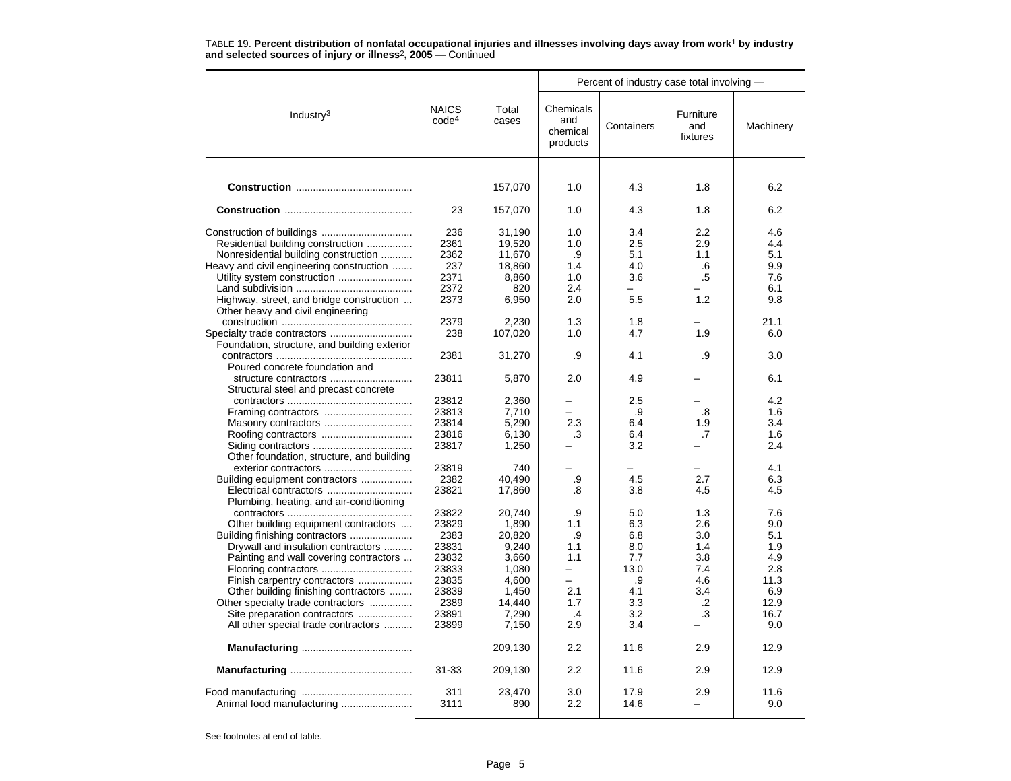|                                                                                                                                                                                                                                                                                                                                                                                           |                                                                                                               |                                                                                                                                 | Percent of industry case total involving -                                                  |                                                                                                                    |                                                                              |                                                                                                 |  |  |
|-------------------------------------------------------------------------------------------------------------------------------------------------------------------------------------------------------------------------------------------------------------------------------------------------------------------------------------------------------------------------------------------|---------------------------------------------------------------------------------------------------------------|---------------------------------------------------------------------------------------------------------------------------------|---------------------------------------------------------------------------------------------|--------------------------------------------------------------------------------------------------------------------|------------------------------------------------------------------------------|-------------------------------------------------------------------------------------------------|--|--|
| Industry <sup>3</sup>                                                                                                                                                                                                                                                                                                                                                                     | <b>NAICS</b><br>code <sup>4</sup>                                                                             | Total<br>cases                                                                                                                  | Chemicals<br>and<br>chemical<br>products                                                    | Containers                                                                                                         | Furniture<br>and<br>fixtures                                                 | Machinery                                                                                       |  |  |
|                                                                                                                                                                                                                                                                                                                                                                                           |                                                                                                               |                                                                                                                                 |                                                                                             |                                                                                                                    |                                                                              |                                                                                                 |  |  |
|                                                                                                                                                                                                                                                                                                                                                                                           |                                                                                                               | 157,070                                                                                                                         | 1.0                                                                                         | 4.3                                                                                                                | 1.8                                                                          | 6.2                                                                                             |  |  |
|                                                                                                                                                                                                                                                                                                                                                                                           | 23                                                                                                            | 157,070                                                                                                                         | 1.0                                                                                         | 4.3                                                                                                                | 1.8                                                                          | 6.2                                                                                             |  |  |
| Residential building construction<br>Nonresidential building construction<br>Heavy and civil engineering construction<br>Utility system construction<br>Highway, street, and bridge construction<br>Other heavy and civil engineering<br>Foundation, structure, and building exterior<br>Poured concrete foundation and<br>structure contractors<br>Structural steel and precast concrete | 236<br>2361<br>2362<br>237<br>2371<br>2372<br>2373<br>2379<br>238<br>2381<br>23811<br>23812<br>23813<br>23814 | 31,190<br>19,520<br>11.670<br>18,860<br>8,860<br>820<br>6,950<br>2,230<br>107,020<br>31,270<br>5,870<br>2,360<br>7,710<br>5,290 | 1.0<br>1.0<br>.9<br>1.4<br>1.0<br>2.4<br>2.0<br>1.3<br>1.0<br>.9<br>2.0<br>2.3              | 3.4<br>2.5<br>5.1<br>4.0<br>3.6<br>$\overline{\phantom{0}}$<br>5.5<br>1.8<br>4.7<br>4.1<br>4.9<br>2.5<br>.9<br>6.4 | 2.2<br>2.9<br>1.1<br>.6<br>.5<br>1.2<br>1.9<br>.9<br>.8<br>1.9               | 4.6<br>4.4<br>5.1<br>9.9<br>7.6<br>6.1<br>9.8<br>21.1<br>6.0<br>3.0<br>6.1<br>4.2<br>1.6<br>3.4 |  |  |
| Other foundation, structure, and building                                                                                                                                                                                                                                                                                                                                                 | 23816<br>23817                                                                                                | 6,130<br>1,250                                                                                                                  | .3                                                                                          | 6.4<br>3.2                                                                                                         | .7                                                                           | 1.6<br>2.4                                                                                      |  |  |
| exterior contractors<br>Building equipment contractors<br>Plumbing, heating, and air-conditioning                                                                                                                                                                                                                                                                                         | 23819<br>2382<br>23821                                                                                        | 740<br>40,490<br>17,860                                                                                                         | .9<br>.8                                                                                    | 4.5<br>3.8                                                                                                         | 2.7<br>4.5                                                                   | 4.1<br>6.3<br>4.5                                                                               |  |  |
| Other building equipment contractors<br>Building finishing contractors<br>Drywall and insulation contractors<br>Painting and wall covering contractors<br>Finish carpentry contractors<br>Other building finishing contractors<br>Other specialty trade contractors<br>Site preparation contractors<br>All other special trade contractors                                                | 23822<br>23829<br>2383<br>23831<br>23832<br>23833<br>23835<br>23839<br>2389<br>23891<br>23899                 | 20,740<br>1,890<br>20,820<br>9.240<br>3,660<br>1,080<br>4,600<br>1,450<br>14,440<br>7,290<br>7,150<br>209,130                   | .9<br>1.1<br>.9<br>1.1<br>1.1<br>$\overline{\phantom{0}}$<br>2.1<br>1.7<br>.4<br>2.9<br>2.2 | 5.0<br>6.3<br>6.8<br>8.0<br>7.7<br>13.0<br>.9<br>4.1<br>3.3<br>3.2<br>3.4<br>11.6                                  | 1.3<br>2.6<br>3.0<br>1.4<br>3.8<br>7.4<br>4.6<br>3.4<br>$\cdot$<br>.3<br>2.9 | 7.6<br>9.0<br>5.1<br>1.9<br>4.9<br>2.8<br>11.3<br>6.9<br>12.9<br>16.7<br>9.0<br>12.9            |  |  |
|                                                                                                                                                                                                                                                                                                                                                                                           | $31 - 33$                                                                                                     | 209,130                                                                                                                         | 2.2                                                                                         | 11.6                                                                                                               | 2.9                                                                          | 12.9                                                                                            |  |  |
|                                                                                                                                                                                                                                                                                                                                                                                           | 311<br>3111                                                                                                   | 23,470<br>890                                                                                                                   | 3.0<br>2.2                                                                                  | 17.9<br>14.6                                                                                                       | 2.9                                                                          | 11.6<br>9.0                                                                                     |  |  |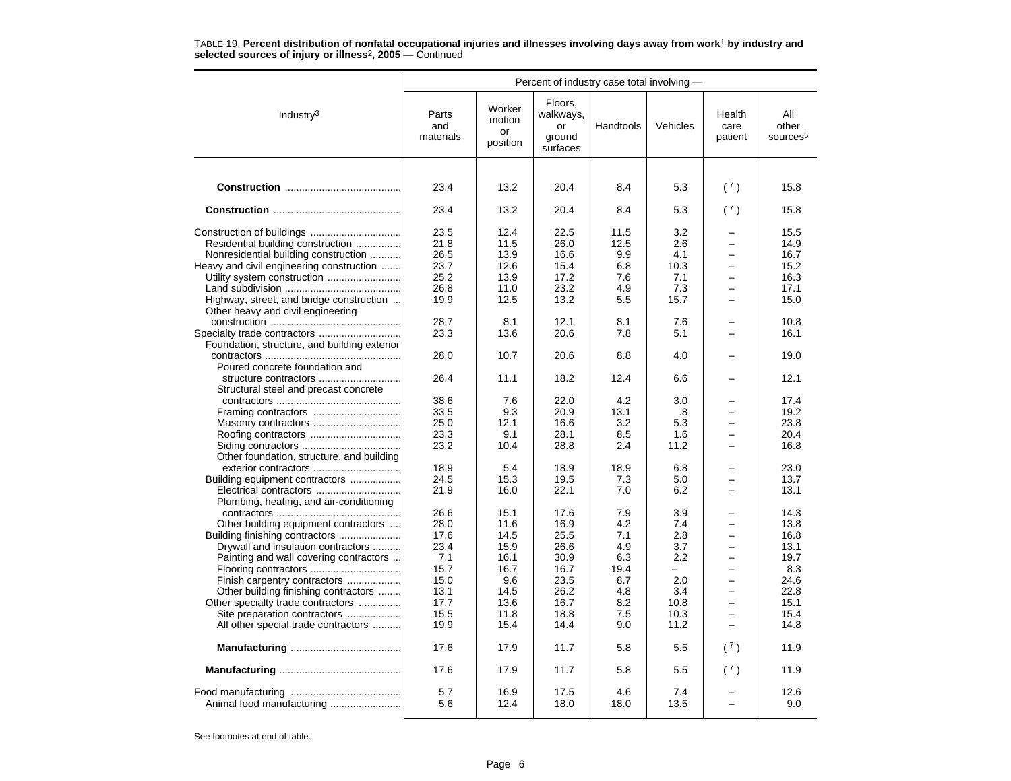|                                                                                                                                                                                                                                                                                                                                                                                           | Percent of industry case total involving -                                                   |                                                                                             |                                                                                              |                                                                                     |                                                                                                          |                                                                                         |                                                                                              |  |
|-------------------------------------------------------------------------------------------------------------------------------------------------------------------------------------------------------------------------------------------------------------------------------------------------------------------------------------------------------------------------------------------|----------------------------------------------------------------------------------------------|---------------------------------------------------------------------------------------------|----------------------------------------------------------------------------------------------|-------------------------------------------------------------------------------------|----------------------------------------------------------------------------------------------------------|-----------------------------------------------------------------------------------------|----------------------------------------------------------------------------------------------|--|
| Industry $3$                                                                                                                                                                                                                                                                                                                                                                              | Parts<br>and<br>materials                                                                    | Worker<br>motion<br>or<br>position                                                          | Floors,<br>walkways,<br>or<br>ground<br>surfaces                                             | Handtools                                                                           | Vehicles                                                                                                 | Health<br>care<br>patient                                                               | All<br>other<br>sources <sup>5</sup>                                                         |  |
|                                                                                                                                                                                                                                                                                                                                                                                           |                                                                                              |                                                                                             |                                                                                              |                                                                                     |                                                                                                          |                                                                                         |                                                                                              |  |
|                                                                                                                                                                                                                                                                                                                                                                                           | 23.4                                                                                         | 13.2                                                                                        | 20.4                                                                                         | 8.4                                                                                 | 5.3                                                                                                      | (7)                                                                                     | 15.8                                                                                         |  |
|                                                                                                                                                                                                                                                                                                                                                                                           | 23.4                                                                                         | 13.2                                                                                        | 20.4                                                                                         | 8.4                                                                                 | 5.3                                                                                                      | (7)                                                                                     | 15.8                                                                                         |  |
| Residential building construction<br>Nonresidential building construction<br>Heavy and civil engineering construction<br>Utility system construction<br>Highway, street, and bridge construction<br>Other heavy and civil engineering<br>Foundation, structure, and building exterior<br>Poured concrete foundation and<br>structure contractors<br>Structural steel and precast concrete | 23.5<br>21.8<br>26.5<br>23.7<br>25.2<br>26.8<br>19.9<br>28.7<br>23.3<br>28.0<br>26.4<br>38.6 | 12.4<br>11.5<br>13.9<br>12.6<br>13.9<br>11.0<br>12.5<br>8.1<br>13.6<br>10.7<br>11.1<br>7.6  | 22.5<br>26.0<br>16.6<br>15.4<br>17.2<br>23.2<br>13.2<br>12.1<br>20.6<br>20.6<br>18.2<br>22.0 | 11.5<br>12.5<br>9.9<br>6.8<br>7.6<br>4.9<br>5.5<br>8.1<br>7.8<br>8.8<br>12.4<br>4.2 | 3.2<br>2.6<br>4.1<br>10.3<br>7.1<br>7.3<br>15.7<br>7.6<br>5.1<br>4.0<br>6.6<br>3.0                       | $\overline{\phantom{0}}$<br>$\overline{\phantom{0}}$                                    | 15.5<br>14.9<br>16.7<br>15.2<br>16.3<br>17.1<br>15.0<br>10.8<br>16.1<br>19.0<br>12.1<br>17.4 |  |
| Masonry contractors<br>Other foundation, structure, and building                                                                                                                                                                                                                                                                                                                          | 33.5<br>25.0<br>23.3<br>23.2                                                                 | 9.3<br>12.1<br>9.1<br>10.4                                                                  | 20.9<br>16.6<br>28.1<br>28.8                                                                 | 13.1<br>3.2<br>8.5<br>2.4                                                           | .8<br>5.3<br>1.6<br>11.2                                                                                 | $\overline{\phantom{0}}$                                                                | 19.2<br>23.8<br>20.4<br>16.8                                                                 |  |
| Building equipment contractors<br>Plumbing, heating, and air-conditioning                                                                                                                                                                                                                                                                                                                 | 18.9<br>24.5<br>21.9                                                                         | 5.4<br>15.3<br>16.0                                                                         | 18.9<br>19.5<br>22.1                                                                         | 18.9<br>7.3<br>7.0                                                                  | 6.8<br>5.0<br>6.2                                                                                        | -<br>$\overline{\phantom{0}}$                                                           | 23.0<br>13.7<br>13.1                                                                         |  |
| Other building equipment contractors<br>Drywall and insulation contractors<br>Painting and wall covering contractors<br>Finish carpentry contractors<br>Other building finishing contractors<br>Other specialty trade contractors<br>Site preparation contractors<br>All other special trade contractors                                                                                  | 26.6<br>28.0<br>17.6<br>23.4<br>7.1<br>15.7<br>15.0<br>13.1<br>17.7<br>15.5<br>19.9<br>17.6  | 15.1<br>11.6<br>14.5<br>15.9<br>16.1<br>16.7<br>9.6<br>14.5<br>13.6<br>11.8<br>15.4<br>17.9 | 17.6<br>16.9<br>25.5<br>26.6<br>30.9<br>16.7<br>23.5<br>26.2<br>16.7<br>18.8<br>14.4<br>11.7 | 7.9<br>4.2<br>7.1<br>4.9<br>6.3<br>19.4<br>8.7<br>4.8<br>8.2<br>7.5<br>9.0<br>5.8   | 3.9<br>7.4<br>2.8<br>3.7<br>2.2<br>$\overline{\phantom{0}}$<br>2.0<br>3.4<br>10.8<br>10.3<br>11.2<br>5.5 | $\overline{\phantom{0}}$<br>$\overline{\phantom{0}}$<br>$\overline{\phantom{0}}$<br>(7) | 14.3<br>13.8<br>16.8<br>13.1<br>19.7<br>8.3<br>24.6<br>22.8<br>15.1<br>15.4<br>14.8<br>11.9  |  |
|                                                                                                                                                                                                                                                                                                                                                                                           |                                                                                              |                                                                                             |                                                                                              |                                                                                     |                                                                                                          |                                                                                         |                                                                                              |  |
|                                                                                                                                                                                                                                                                                                                                                                                           | 17.6                                                                                         | 17.9                                                                                        | 11.7                                                                                         | 5.8                                                                                 | 5.5                                                                                                      | (7)                                                                                     | 11.9                                                                                         |  |
| Animal food manufacturing                                                                                                                                                                                                                                                                                                                                                                 | 5.7<br>5.6                                                                                   | 16.9<br>12.4                                                                                | 17.5<br>18.0                                                                                 | 4.6<br>18.0                                                                         | 7.4<br>13.5                                                                                              |                                                                                         | 12.6<br>9.0                                                                                  |  |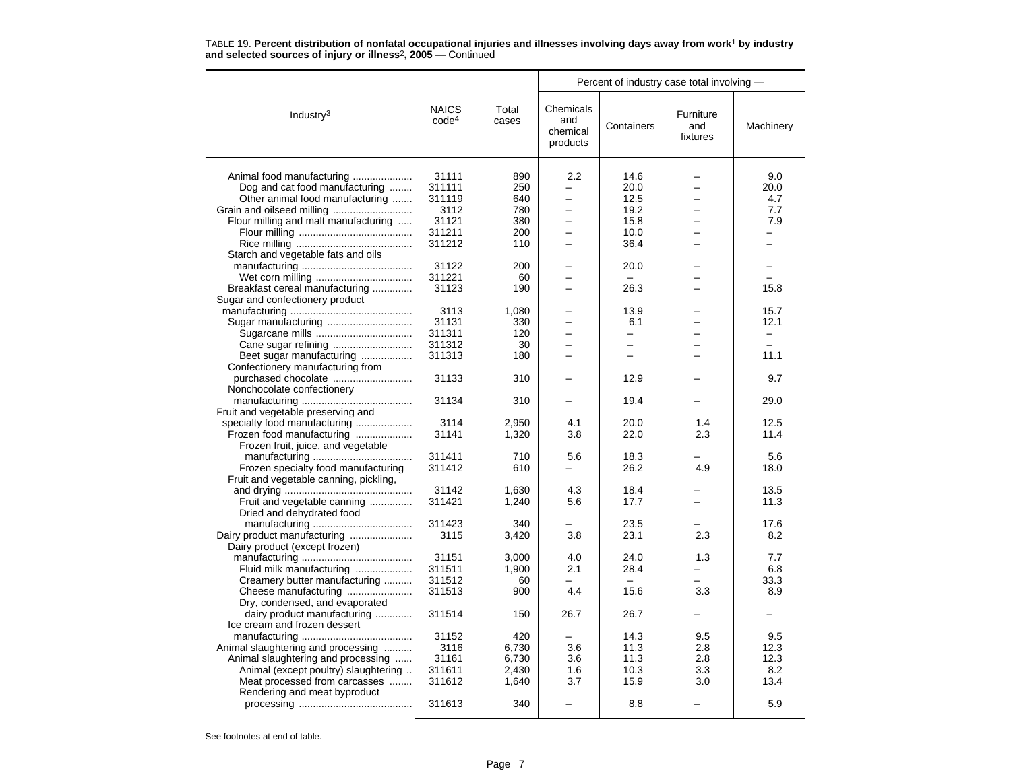|                                                   |                                   |                | Percent of industry case total involving -           |                          |                              |                          |  |  |
|---------------------------------------------------|-----------------------------------|----------------|------------------------------------------------------|--------------------------|------------------------------|--------------------------|--|--|
| Industry $3$                                      | <b>NAICS</b><br>code <sup>4</sup> | Total<br>cases | Chemicals<br>and<br>chemical<br>products             | Containers               | Furniture<br>and<br>fixtures | Machinery                |  |  |
| Animal food manufacturing                         | 31111                             | 890            | 2.2                                                  | 14.6                     |                              | 9.0                      |  |  |
|                                                   |                                   |                | $\overline{\phantom{0}}$                             |                          | $\overline{\phantom{0}}$     |                          |  |  |
| Dog and cat food manufacturing                    | 311111                            | 250            |                                                      | 20.0                     | $\overline{\phantom{0}}$     | 20.0                     |  |  |
| Other animal food manufacturing                   | 311119                            | 640            | $\overline{\phantom{0}}$<br>$\overline{\phantom{0}}$ | 12.5                     |                              | 4.7                      |  |  |
|                                                   | 3112                              | 780            |                                                      | 19.2                     | $\overline{\phantom{0}}$     | 7.7                      |  |  |
| Flour milling and malt manufacturing              | 31121                             | 380            | -                                                    | 15.8                     | -                            | 7.9                      |  |  |
|                                                   | 311211                            | 200            |                                                      | 10.0                     |                              |                          |  |  |
|                                                   | 311212                            | 110            | $\overline{\phantom{0}}$                             | 36.4                     |                              |                          |  |  |
| Starch and vegetable fats and oils                |                                   |                |                                                      |                          |                              |                          |  |  |
|                                                   | 31122                             | 200            |                                                      | 20.0                     |                              |                          |  |  |
|                                                   | 311221                            | 60             | −                                                    |                          |                              |                          |  |  |
| Breakfast cereal manufacturing                    | 31123                             | 190            |                                                      | 26.3                     |                              | 15.8                     |  |  |
| Sugar and confectionery product                   |                                   |                |                                                      |                          |                              |                          |  |  |
|                                                   | 3113                              | 1,080          |                                                      | 13.9                     |                              | 15.7                     |  |  |
| Sugar manufacturing                               | 31131                             | 330            | $\overline{\phantom{0}}$                             | 6.1                      |                              | 12.1                     |  |  |
|                                                   | 311311                            | 120            | -                                                    | $\overline{\phantom{0}}$ | L,                           | $\overline{\phantom{0}}$ |  |  |
|                                                   | 311312                            | 30             |                                                      |                          |                              |                          |  |  |
| Beet sugar manufacturing                          | 311313                            | 180            |                                                      |                          |                              | 11.1                     |  |  |
| Confectionery manufacturing from                  |                                   |                |                                                      |                          |                              |                          |  |  |
| purchased chocolate<br>Nonchocolate confectionery | 31133                             | 310            |                                                      | 12.9                     |                              | 9.7                      |  |  |
|                                                   | 31134                             | 310            |                                                      | 19.4                     |                              | 29.0                     |  |  |
| Fruit and vegetable preserving and                |                                   |                |                                                      |                          |                              |                          |  |  |
| specialty food manufacturing                      | 3114                              | 2,950          | 4.1                                                  | 20.0                     | 1.4                          | 12.5                     |  |  |
| Frozen food manufacturing                         | 31141                             | 1,320          | 3.8                                                  | 22.0                     | 2.3                          | 11.4                     |  |  |
| Frozen fruit, juice, and vegetable                |                                   |                |                                                      |                          |                              |                          |  |  |
|                                                   | 311411                            | 710            | 5.6                                                  | 18.3                     |                              | 5.6                      |  |  |
| Frozen specialty food manufacturing               | 311412                            | 610            |                                                      | 26.2                     | 4.9                          | 18.0                     |  |  |
| Fruit and vegetable canning, pickling,            |                                   |                |                                                      |                          |                              |                          |  |  |
|                                                   | 31142                             | 1.630          | 4.3                                                  | 18.4                     |                              | 13.5                     |  |  |
| Fruit and vegetable canning                       | 311421                            | 1,240          | 5.6                                                  | 17.7                     |                              | 11.3                     |  |  |
| Dried and dehydrated food                         |                                   |                |                                                      |                          |                              |                          |  |  |
|                                                   | 311423                            | 340            |                                                      | 23.5                     |                              | 17.6                     |  |  |
| Dairy product manufacturing                       | 3115                              | 3,420          | 3.8                                                  | 23.1                     | 2.3                          | 8.2                      |  |  |
| Dairy product (except frozen)                     |                                   |                |                                                      |                          |                              |                          |  |  |
|                                                   | 31151                             | 3,000          | 4.0                                                  | 24.0                     | 1.3                          | 7.7                      |  |  |
| Fluid milk manufacturing                          | 311511                            | 1,900          | 2.1                                                  | 28.4                     |                              | 6.8                      |  |  |
| Creamery butter manufacturing                     | 311512                            | 60             |                                                      |                          | L.                           | 33.3                     |  |  |
| Cheese manufacturing                              | 311513                            | 900            | 4.4                                                  | 15.6                     | 3.3                          | 8.9                      |  |  |
| Dry, condensed, and evaporated                    |                                   |                |                                                      |                          |                              |                          |  |  |
| dairy product manufacturing                       | 311514                            | 150            | 26.7                                                 | 26.7                     |                              |                          |  |  |
| Ice cream and frozen dessert                      |                                   |                |                                                      |                          |                              |                          |  |  |
|                                                   | 31152                             | 420            |                                                      | 14.3                     | 9.5                          | 9.5                      |  |  |
| Animal slaughtering and processing                | 3116                              | 6,730          | 3.6                                                  | 11.3                     | 2.8                          | 12.3                     |  |  |
| Animal slaughtering and processing                | 31161                             | 6,730          | 3.6                                                  | 11.3                     | 2.8                          | 12.3                     |  |  |
| Animal (except poultry) slaughtering              | 311611                            | 2,430          | 1.6                                                  | 10.3                     | 3.3                          | 8.2                      |  |  |
| Meat processed from carcasses                     | 311612                            | 1,640          | 3.7                                                  | 15.9                     | 3.0                          | 13.4                     |  |  |
| Rendering and meat byproduct                      |                                   |                |                                                      |                          |                              |                          |  |  |
|                                                   | 311613                            | 340            |                                                      | 8.8                      |                              | 5.9                      |  |  |
|                                                   |                                   |                |                                                      |                          |                              |                          |  |  |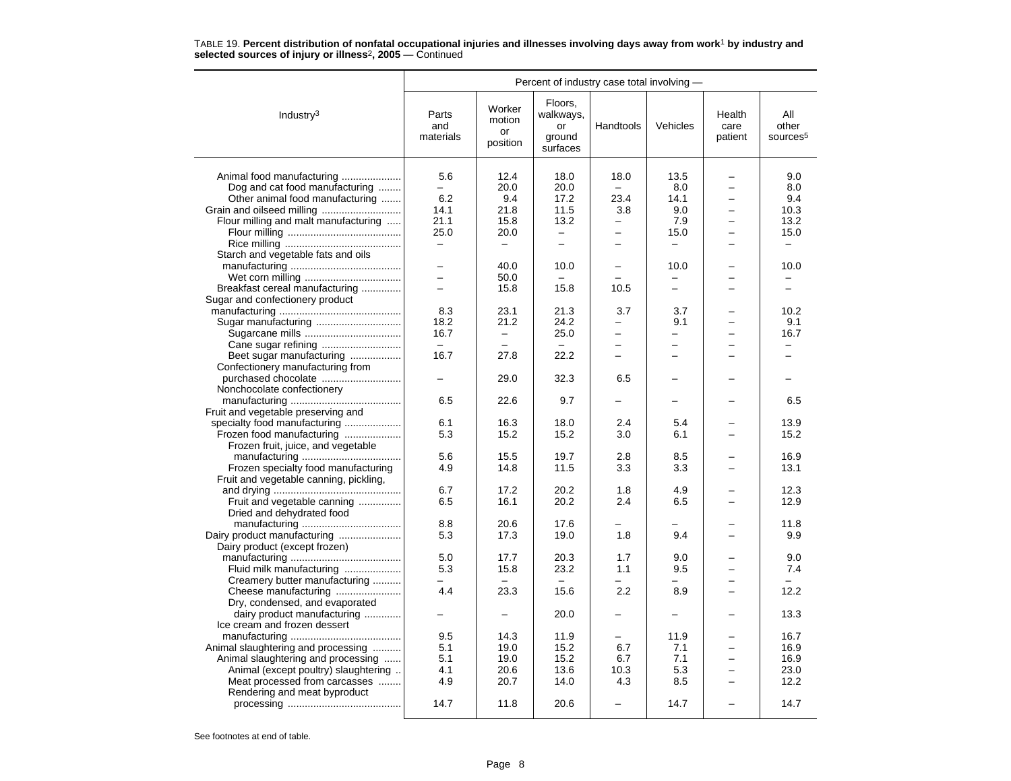|                                                           | Percent of industry case total involving - |                                    |                                                  |                          |                          |                           |                                      |  |
|-----------------------------------------------------------|--------------------------------------------|------------------------------------|--------------------------------------------------|--------------------------|--------------------------|---------------------------|--------------------------------------|--|
| Industry $3$                                              | Parts<br>and<br>materials                  | Worker<br>motion<br>or<br>position | Floors,<br>walkways,<br>or<br>ground<br>surfaces | Handtools                | Vehicles                 | Health<br>care<br>patient | All<br>other<br>sources <sup>5</sup> |  |
| Animal food manufacturing                                 | 5.6                                        | 12.4                               | 18.0                                             | 18.0                     | 13.5                     |                           | 9.0                                  |  |
| Dog and cat food manufacturing                            |                                            | 20.0                               | 20.0                                             |                          | 8.0                      | -                         | 8.0                                  |  |
| Other animal food manufacturing                           | 6.2                                        | 9.4                                | 17.2                                             | 23.4                     | 14.1                     | -                         | 9.4                                  |  |
|                                                           | 14.1                                       | 21.8                               | 11.5                                             | 3.8                      | 9.0                      |                           | 10.3                                 |  |
| Flour milling and malt manufacturing                      | 21.1                                       | 15.8                               | 13.2                                             | $\overline{\phantom{0}}$ | 7.9                      | -                         | 13.2                                 |  |
|                                                           | 25.0                                       | 20.0                               | $\overline{\phantom{m}}$                         | -                        | 15.0                     | $\overline{\phantom{0}}$  | 15.0                                 |  |
|                                                           | $\overline{\phantom{0}}$                   | $\overline{\phantom{0}}$           | $\equiv$                                         | ÷                        | $\qquad \qquad$          | -                         | $\qquad \qquad -$                    |  |
| Starch and vegetable fats and oils                        |                                            |                                    |                                                  |                          |                          |                           |                                      |  |
|                                                           | $\qquad \qquad -$                          | 40.0                               | 10.0                                             |                          | 10.0                     |                           | 10.0                                 |  |
|                                                           | L.                                         | 50.0                               |                                                  |                          |                          |                           |                                      |  |
| Breakfast cereal manufacturing                            | $\overline{\phantom{0}}$                   | 15.8                               | 15.8                                             | 10.5                     | $\overline{\phantom{m}}$ |                           | $\overline{\phantom{0}}$             |  |
| Sugar and confectionery product                           |                                            |                                    |                                                  |                          |                          |                           |                                      |  |
|                                                           | 8.3                                        | 23.1                               | 21.3                                             | 3.7                      | 3.7                      |                           | 10.2                                 |  |
| Sugar manufacturing                                       | 18.2                                       | 21.2                               | 24.2                                             |                          | 9.1                      |                           | 9.1                                  |  |
|                                                           | 16.7                                       | $\overline{\phantom{0}}$           | 25.0                                             | $\overline{\phantom{0}}$ | $\overline{\phantom{0}}$ |                           | 16.7                                 |  |
|                                                           | $\equiv$                                   |                                    |                                                  | $\overline{\phantom{0}}$ |                          |                           |                                      |  |
| Beet sugar manufacturing                                  | 16.7                                       | 27.8                               | 22.2                                             |                          |                          |                           |                                      |  |
| Confectionery manufacturing from                          |                                            |                                    |                                                  |                          |                          |                           |                                      |  |
|                                                           | $\overline{\phantom{0}}$                   | 29.0                               | 32.3                                             | 6.5                      |                          |                           |                                      |  |
| Nonchocolate confectionery                                |                                            |                                    |                                                  |                          |                          |                           |                                      |  |
|                                                           | 6.5                                        | 22.6                               | 9.7                                              | $\overline{\phantom{0}}$ | $\equiv$                 |                           | 6.5                                  |  |
| Fruit and vegetable preserving and                        |                                            |                                    |                                                  |                          |                          |                           |                                      |  |
| specialty food manufacturing                              | 6.1                                        | 16.3                               | 18.0                                             | 2.4                      | 5.4                      |                           | 13.9                                 |  |
| Frozen food manufacturing                                 | 5.3                                        | 15.2                               | 15.2                                             | 3.0                      | 6.1                      |                           | 15.2                                 |  |
| Frozen fruit, juice, and vegetable                        |                                            |                                    |                                                  |                          |                          |                           |                                      |  |
|                                                           | 5.6                                        | 15.5                               | 19.7                                             | 2.8                      | 8.5                      |                           | 16.9                                 |  |
| Frozen specialty food manufacturing                       | 4.9                                        | 14.8                               | 11.5                                             | 3.3                      | 3.3                      |                           | 13.1                                 |  |
| Fruit and vegetable canning, pickling,                    |                                            |                                    |                                                  |                          |                          |                           |                                      |  |
|                                                           | 6.7                                        | 17.2                               | 20.2                                             | 1.8                      | 4.9                      |                           | 12.3                                 |  |
| Fruit and vegetable canning                               | 6.5                                        | 16.1                               | 20.2                                             | 2.4                      | 6.5                      |                           | 12.9                                 |  |
| Dried and dehydrated food                                 |                                            |                                    |                                                  |                          |                          |                           |                                      |  |
|                                                           | 8.8                                        | 20.6                               | 17.6                                             |                          |                          |                           | 11.8                                 |  |
|                                                           | 5.3                                        | 17.3                               | 19.0                                             | 1.8                      | 9.4                      |                           | 9.9                                  |  |
| Dairy product (except frozen)                             | 5.0                                        | 17.7                               | 20.3                                             | 1.7                      | 9.0                      |                           | 9.0                                  |  |
|                                                           | 5.3                                        | 15.8                               | 23.2                                             | 1.1                      | 9.5                      |                           | 7.4                                  |  |
| Fluid milk manufacturing<br>Creamery butter manufacturing |                                            |                                    |                                                  |                          |                          |                           |                                      |  |
| Cheese manufacturing                                      | 4.4                                        | 23.3                               | 15.6                                             | 2.2                      | 8.9                      |                           | 12.2                                 |  |
| Dry, condensed, and evaporated                            |                                            |                                    |                                                  |                          |                          |                           |                                      |  |
| dairy product manufacturing                               |                                            |                                    | 20.0                                             |                          |                          |                           | 13.3                                 |  |
| Ice cream and frozen dessert                              |                                            |                                    |                                                  |                          |                          |                           |                                      |  |
|                                                           | 9.5                                        | 14.3                               | 11.9                                             |                          | 11.9                     |                           | 16.7                                 |  |
| Animal slaughtering and processing                        | 5.1                                        | 19.0                               | 15.2                                             | 6.7                      | 7.1                      |                           | 16.9                                 |  |
| Animal slaughtering and processing                        | 5.1                                        | 19.0                               | 15.2                                             | 6.7                      | 7.1                      | -                         | 16.9                                 |  |
| Animal (except poultry) slaughtering                      | 4.1                                        | 20.6                               | 13.6                                             | 10.3                     | 5.3                      |                           | 23.0                                 |  |
| Meat processed from carcasses                             | 4.9                                        | 20.7                               | 14.0                                             | 4.3                      | 8.5                      |                           | 12.2                                 |  |
| Rendering and meat byproduct                              |                                            |                                    |                                                  |                          |                          |                           |                                      |  |
|                                                           | 14.7                                       | 11.8                               | 20.6                                             |                          | 14.7                     |                           | 14.7                                 |  |
|                                                           |                                            |                                    |                                                  |                          |                          |                           |                                      |  |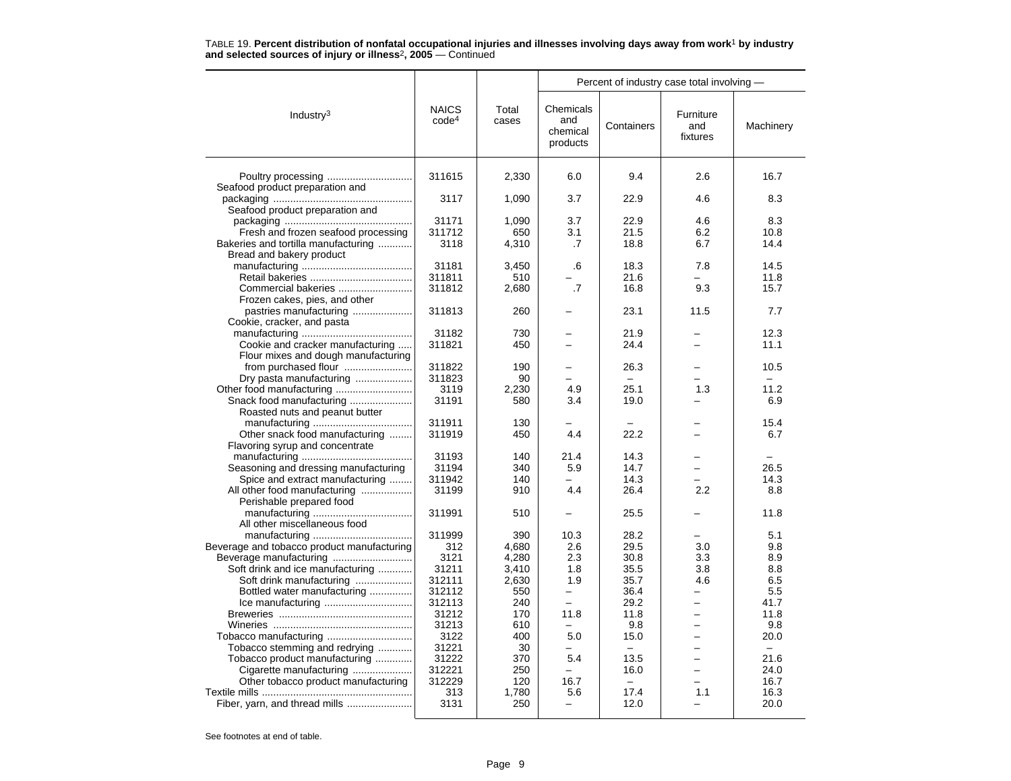|                                                      |                                   |                | Percent of industry case total involving - |              |                              |              |  |  |
|------------------------------------------------------|-----------------------------------|----------------|--------------------------------------------|--------------|------------------------------|--------------|--|--|
| Industry <sup>3</sup>                                | <b>NAICS</b><br>code <sup>4</sup> | Total<br>cases | Chemicals<br>and<br>chemical<br>products   | Containers   | Furniture<br>and<br>fixtures | Machinery    |  |  |
|                                                      | 311615                            | 2,330          | 6.0                                        | 9.4          | 2.6                          | 16.7         |  |  |
| Seafood product preparation and                      |                                   |                |                                            |              |                              |              |  |  |
|                                                      | 3117                              | 1,090          | 3.7                                        | 22.9         | 4.6                          | 8.3          |  |  |
| Seafood product preparation and                      |                                   |                |                                            |              |                              |              |  |  |
|                                                      | 31171                             | 1,090          | 3.7                                        | 22.9         | 4.6                          | 8.3          |  |  |
| Fresh and frozen seafood processing                  | 311712                            | 650            | 3.1                                        | 21.5         | 6.2                          | 10.8         |  |  |
| Bakeries and tortilla manufacturing                  | 3118                              | 4,310          | .7                                         | 18.8         | 6.7                          | 14.4         |  |  |
| Bread and bakery product                             |                                   |                |                                            |              |                              |              |  |  |
|                                                      | 31181                             | 3,450          | .6                                         | 18.3         | 7.8                          | 14.5         |  |  |
|                                                      | 311811<br>311812                  | 510            | $\cdot$ 7                                  | 21.6<br>16.8 | 9.3                          | 11.8<br>15.7 |  |  |
| Commercial bakeries<br>Frozen cakes, pies, and other |                                   | 2,680          |                                            |              |                              |              |  |  |
| pastries manufacturing                               | 311813                            | 260            |                                            | 23.1         | 11.5                         | 7.7          |  |  |
| Cookie, cracker, and pasta                           |                                   |                |                                            |              |                              |              |  |  |
|                                                      | 31182                             | 730            |                                            | 21.9         |                              | 12.3         |  |  |
| Cookie and cracker manufacturing                     | 311821                            | 450            |                                            | 24.4         |                              | 11.1         |  |  |
| Flour mixes and dough manufacturing                  |                                   |                |                                            |              |                              |              |  |  |
| from purchased flour                                 | 311822                            | 190            | $\overline{\phantom{0}}$                   | 26.3         |                              | 10.5         |  |  |
| Dry pasta manufacturing                              | 311823                            | 90             | $\equiv$                                   | $\equiv$     |                              |              |  |  |
|                                                      | 3119                              | 2,230          | 4.9                                        | 25.1         | 1.3                          | 11.2         |  |  |
| Snack food manufacturing                             | 31191                             | 580            | 3.4                                        | 19.0         |                              | 6.9          |  |  |
| Roasted nuts and peanut butter                       |                                   |                |                                            |              |                              |              |  |  |
|                                                      | 311911                            | 130            |                                            |              |                              | 15.4         |  |  |
| Other snack food manufacturing                       | 311919                            | 450            | 4.4                                        | 22.2         |                              | 6.7          |  |  |
| Flavoring syrup and concentrate                      |                                   |                |                                            |              |                              |              |  |  |
|                                                      | 31193                             | 140            | 21.4                                       | 14.3         |                              |              |  |  |
| Seasoning and dressing manufacturing                 | 31194                             | 340            | 5.9                                        | 14.7         |                              | 26.5         |  |  |
| Spice and extract manufacturing                      | 311942                            | 140            |                                            | 14.3         |                              | 14.3         |  |  |
| All other food manufacturing                         | 31199                             | 910            | 4.4                                        | 26.4         | 2.2                          | 8.8          |  |  |
| Perishable prepared food                             |                                   |                |                                            |              |                              |              |  |  |
| All other miscellaneous food                         | 311991                            | 510            |                                            | 25.5         |                              | 11.8         |  |  |
|                                                      | 311999                            | 390            | 10.3                                       | 28.2         |                              | 5.1          |  |  |
| Beverage and tobacco product manufacturing           | 312                               | 4,680          | 2.6                                        | 29.5         | 3.0                          | 9.8          |  |  |
|                                                      | 3121                              | 4,280          | 2.3                                        | 30.8         | 3.3                          | 8.9          |  |  |
| Soft drink and ice manufacturing                     | 31211                             | 3,410          | 1.8                                        | 35.5         | 3.8                          | 8.8          |  |  |
| Soft drink manufacturing                             | 312111                            | 2,630          | 1.9                                        | 35.7         | 4.6                          | 6.5          |  |  |
| Bottled water manufacturing                          | 312112                            | 550            | $\overline{\phantom{0}}$                   | 36.4         |                              | 5.5          |  |  |
|                                                      | 312113                            | 240            | $\equiv$                                   | 29.2         | $\overline{\phantom{0}}$     | 41.7         |  |  |
|                                                      | 31212                             | 170            | 11.8                                       | 11.8         | $\equiv$                     | 11.8         |  |  |
|                                                      | 31213                             | 610            |                                            | 9.8          |                              | 9.8          |  |  |
|                                                      | 3122                              | 400            | 5.0                                        | 15.0         |                              | 20.0         |  |  |
| Tobacco stemming and redrying                        | 31221                             | 30             | -                                          | $\equiv$     |                              | $\equiv$     |  |  |
| Tobacco product manufacturing                        | 31222                             | 370            | 5.4                                        | 13.5         |                              | 21.6         |  |  |
| Cigarette manufacturing                              | 312221                            | 250            | -                                          | 16.0         | $\overline{\phantom{0}}$     | 24.0         |  |  |
| Other tobacco product manufacturing                  | 312229                            | 120            | 16.7                                       | $-$          |                              | 16.7         |  |  |
|                                                      | 313                               | 1,780          | 5.6                                        | 17.4         | 1.1                          | 16.3         |  |  |
|                                                      | 3131                              | 250            |                                            | 12.0         |                              | 20.0         |  |  |
|                                                      |                                   |                |                                            |              |                              |              |  |  |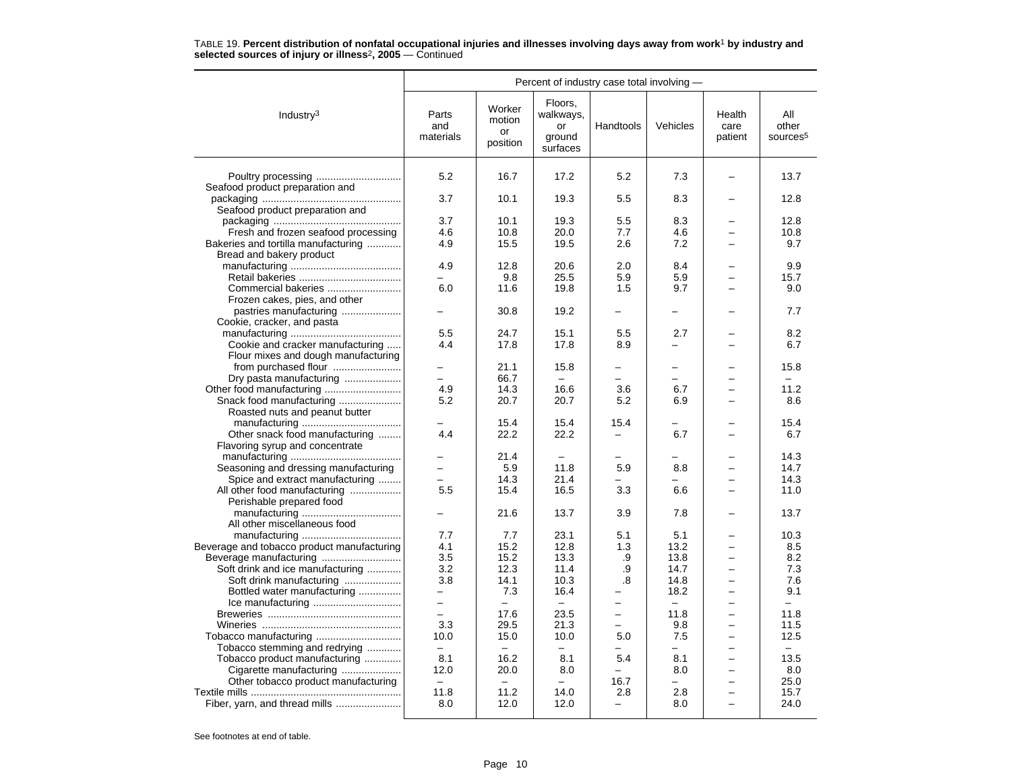|                                            | Percent of industry case total involving - |                                           |                                                  |                          |                          |                           |                                      |  |
|--------------------------------------------|--------------------------------------------|-------------------------------------------|--------------------------------------------------|--------------------------|--------------------------|---------------------------|--------------------------------------|--|
| Industry $3$                               | Parts<br>and<br>materials                  | Worker<br>motion<br><b>or</b><br>position | Floors.<br>walkways,<br>or<br>ground<br>surfaces | Handtools                | Vehicles                 | Health<br>care<br>patient | All<br>other<br>sources <sup>5</sup> |  |
| Poultry processing                         | 5.2                                        | 16.7                                      | 17.2                                             | 5.2                      | 7.3                      |                           | 13.7                                 |  |
| Seafood product preparation and            |                                            |                                           |                                                  |                          |                          |                           |                                      |  |
|                                            | 3.7                                        | 10.1                                      | 19.3                                             | 5.5                      | 8.3                      |                           | 12.8                                 |  |
| Seafood product preparation and            | 3.7                                        |                                           |                                                  |                          |                          |                           |                                      |  |
|                                            |                                            | 10.1                                      | 19.3                                             | 5.5                      | 8.3                      |                           | 12.8                                 |  |
| Fresh and frozen seafood processing        | 4.6                                        | 10.8                                      | 20.0                                             | 7.7                      | 4.6                      | $\equiv$                  | 10.8                                 |  |
| Bakeries and tortilla manufacturing        | 4.9                                        | 15.5                                      | 19.5                                             | 2.6                      | 7.2                      |                           | 9.7                                  |  |
| Bread and bakery product                   |                                            |                                           |                                                  |                          |                          |                           |                                      |  |
|                                            | 4.9                                        | 12.8                                      | 20.6                                             | 2.0                      | 8.4                      |                           | 9.9                                  |  |
|                                            |                                            | 9.8                                       | 25.5                                             | 5.9                      | 5.9                      |                           | 15.7                                 |  |
| Commercial bakeries                        | 6.0                                        | 11.6                                      | 19.8                                             | 1.5                      | 9.7                      | $=$                       | 9.0                                  |  |
| Frozen cakes, pies, and other              |                                            |                                           |                                                  |                          |                          |                           |                                      |  |
| pastries manufacturing                     |                                            | 30.8                                      | 19.2                                             |                          | $\overline{a}$           |                           | 7.7                                  |  |
| Cookie, cracker, and pasta                 |                                            |                                           |                                                  |                          |                          |                           |                                      |  |
|                                            | 5.5                                        | 24.7                                      | 15.1                                             | 5.5                      | 2.7                      |                           | 8.2                                  |  |
| Cookie and cracker manufacturing           | 4.4                                        | 17.8                                      | 17.8                                             | 8.9                      | -                        |                           | 6.7                                  |  |
| Flour mixes and dough manufacturing        |                                            |                                           |                                                  |                          |                          |                           |                                      |  |
|                                            | $\overline{\phantom{0}}$                   | 21.1                                      | 15.8                                             |                          | $\overline{\phantom{0}}$ |                           | 15.8                                 |  |
| Dry pasta manufacturing                    | $\overline{\phantom{0}}$                   | 66.7                                      |                                                  | ÷                        | $\overline{\phantom{0}}$ |                           | $\equiv$                             |  |
| Other food manufacturing                   | 4.9                                        | 14.3                                      | 16.6                                             | 3.6                      | 6.7                      |                           | 11.2                                 |  |
| Snack food manufacturing                   | 5.2                                        | 20.7                                      | 20.7                                             | 5.2                      | 6.9                      |                           | 8.6                                  |  |
| Roasted nuts and peanut butter             |                                            |                                           |                                                  |                          |                          |                           |                                      |  |
|                                            |                                            | 15.4                                      | 15.4                                             | 15.4                     |                          |                           | 15.4                                 |  |
| Other snack food manufacturing             | 4.4                                        | 22.2                                      | 22.2                                             | $\overline{\phantom{0}}$ | 6.7                      | -                         | 6.7                                  |  |
|                                            |                                            |                                           |                                                  |                          |                          |                           |                                      |  |
| Flavoring syrup and concentrate            |                                            |                                           |                                                  |                          |                          |                           |                                      |  |
|                                            |                                            | 21.4                                      |                                                  |                          |                          |                           | 14.3                                 |  |
| Seasoning and dressing manufacturing       |                                            | 5.9                                       | 11.8                                             | 5.9                      | 8.8                      |                           | 14.7                                 |  |
| Spice and extract manufacturing            | $\equiv$                                   | 14.3                                      | 21.4                                             |                          |                          |                           | 14.3                                 |  |
| All other food manufacturing               | 5.5                                        | 15.4                                      | 16.5                                             | 3.3                      | 6.6                      | $\equiv$                  | 11.0                                 |  |
| Perishable prepared food                   |                                            |                                           |                                                  |                          |                          |                           |                                      |  |
|                                            |                                            | 21.6                                      | 13.7                                             | 3.9                      | 7.8                      |                           | 13.7                                 |  |
| All other miscellaneous food               |                                            |                                           |                                                  |                          |                          |                           |                                      |  |
|                                            | 7.7                                        | 7.7                                       | 23.1                                             | 5.1                      | 5.1                      |                           | 10.3                                 |  |
| Beverage and tobacco product manufacturing | 4.1                                        | 15.2                                      | 12.8                                             | 1.3                      | 13.2                     |                           | 8.5                                  |  |
|                                            | 3.5                                        | 15.2                                      | 13.3                                             | .9                       | 13.8                     |                           | 8.2                                  |  |
| Soft drink and ice manufacturing           | 3.2                                        | 12.3                                      | 11.4                                             | .9                       | 14.7                     |                           | 7.3                                  |  |
| Soft drink manufacturing                   | 3.8                                        | 14.1                                      | 10.3                                             | .8                       | 14.8                     | $\overline{\phantom{0}}$  | 7.6                                  |  |
| Bottled water manufacturing                |                                            | 7.3                                       | 16.4                                             |                          | 18.2                     |                           | 9.1                                  |  |
|                                            | $\overline{\phantom{0}}$                   | $\overline{\phantom{0}}$                  |                                                  |                          | $\overline{\phantom{0}}$ |                           | $\equiv$                             |  |
|                                            |                                            | 17.6                                      | 23.5                                             | $\overline{\phantom{0}}$ | 11.8                     |                           | 11.8                                 |  |
|                                            | 3.3                                        | 29.5                                      | 21.3                                             | $\equiv$                 | 9.8                      | $\overline{a}$            | 11.5                                 |  |
| Tobacco manufacturing                      | 10.0                                       | 15.0                                      | 10.0                                             | 5.0                      | 7.5                      | ÷                         | 12.5                                 |  |
| Tobacco stemming and redrying              |                                            |                                           |                                                  |                          |                          |                           |                                      |  |
| Tobacco product manufacturing              | 8.1                                        | 16.2                                      | 8.1                                              | 5.4                      | 8.1                      | $\overline{\phantom{0}}$  | 13.5                                 |  |
|                                            | 12.0                                       | 20.0                                      | 8.0                                              |                          | 8.0                      | $\overline{\phantom{0}}$  | 8.0                                  |  |
| Cigarette manufacturing                    | $\equiv$                                   |                                           |                                                  |                          | $\overline{a}$           |                           | 25.0                                 |  |
| Other tobacco product manufacturing        |                                            |                                           |                                                  | 16.7                     |                          |                           |                                      |  |
|                                            | 11.8                                       | 11.2                                      | 14.0                                             | 2.8                      | 2.8                      | $\overline{\phantom{0}}$  | 15.7                                 |  |
| Fiber, yarn, and thread mills              | 8.0                                        | 12.0                                      | 12.0                                             |                          | 8.0                      |                           | 24.0                                 |  |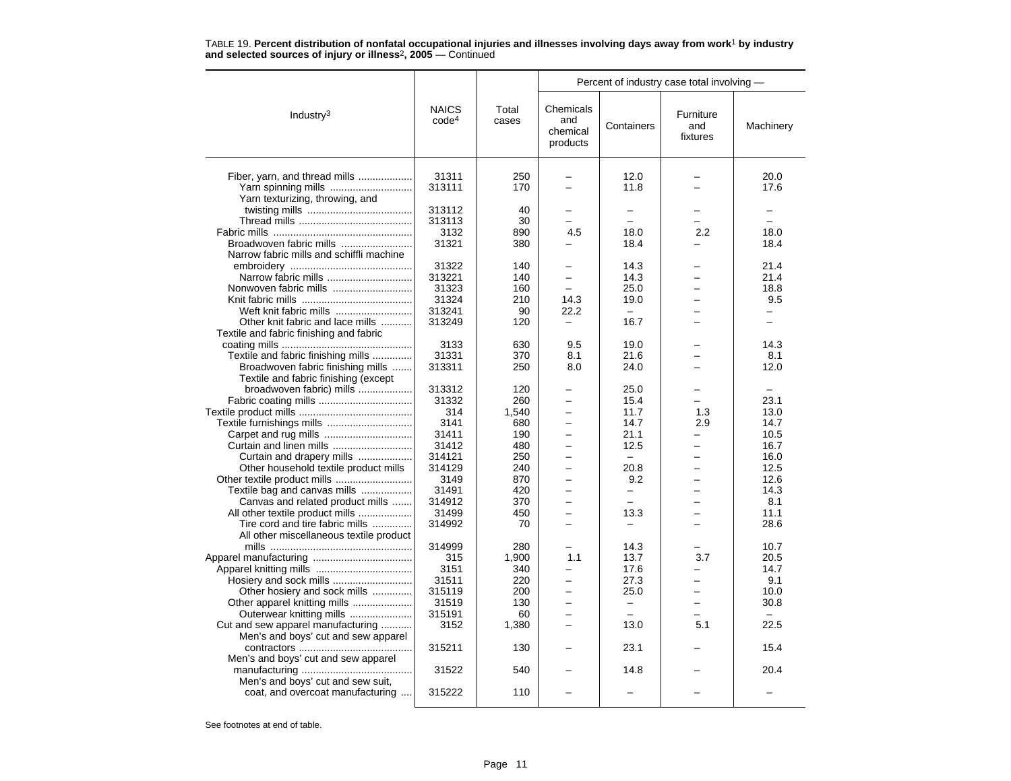|                                                                          |                                   |                | Percent of industry case total involving -           |                          |                              |           |  |  |
|--------------------------------------------------------------------------|-----------------------------------|----------------|------------------------------------------------------|--------------------------|------------------------------|-----------|--|--|
| Industry $3$                                                             | <b>NAICS</b><br>code <sup>4</sup> | Total<br>cases | Chemicals<br>and<br>chemical<br>products             | Containers               | Furniture<br>and<br>fixtures | Machinery |  |  |
|                                                                          |                                   |                |                                                      |                          |                              |           |  |  |
| Fiber, yarn, and thread mills                                            | 31311                             | 250            |                                                      | 12.0                     |                              | 20.0      |  |  |
| Yarn spinning mills                                                      | 313111                            | 170            |                                                      | 11.8                     |                              | 17.6      |  |  |
| Yarn texturizing, throwing, and                                          | 313112                            | 40             |                                                      | $\overline{\phantom{0}}$ |                              |           |  |  |
|                                                                          | 313113                            | 30             |                                                      | $\overline{a}$           |                              |           |  |  |
|                                                                          | 3132                              | 890            | 4.5                                                  | 18.0                     | 2.2                          | 18.0      |  |  |
| Broadwoven fabric mills                                                  | 31321                             | 380            |                                                      | 18.4                     |                              | 18.4      |  |  |
| Narrow fabric mills and schiffli machine                                 |                                   |                |                                                      |                          |                              |           |  |  |
|                                                                          | 31322                             | 140            |                                                      | 14.3                     |                              | 21.4      |  |  |
| Narrow fabric mills                                                      | 313221                            | 140            | -                                                    | 14.3                     |                              | 21.4      |  |  |
| Nonwoven fabric mills                                                    | 31323                             | 160            |                                                      | 25.0                     |                              | 18.8      |  |  |
|                                                                          | 31324                             | 210            | 14.3                                                 | 19.0                     |                              | 9.5       |  |  |
| Weft knit fabric mills                                                   | 313241                            | 90             | 22.2                                                 |                          |                              |           |  |  |
| Other knit fabric and lace mills                                         | 313249                            | 120            | $\overline{\phantom{0}}$                             | 16.7                     |                              |           |  |  |
| Textile and fabric finishing and fabric                                  |                                   |                |                                                      |                          |                              |           |  |  |
|                                                                          | 3133                              | 630            | 9.5                                                  | 19.0                     |                              | 14.3      |  |  |
| Textile and fabric finishing mills                                       | 31331                             | 370            | 8.1                                                  | 21.6                     |                              | 8.1       |  |  |
| Broadwoven fabric finishing mills                                        | 313311                            | 250            | 8.0                                                  | 24.0                     |                              | 12.0      |  |  |
| Textile and fabric finishing (except                                     |                                   |                |                                                      |                          |                              |           |  |  |
| broadwoven fabric) mills                                                 | 313312                            | 120            |                                                      | 25.0                     |                              |           |  |  |
|                                                                          | 31332                             | 260            | ▃                                                    | 15.4                     |                              | 23.1      |  |  |
|                                                                          | 314                               | 1,540          |                                                      | 11.7                     | 1.3                          | 13.0      |  |  |
|                                                                          | 3141                              | 680            | $\equiv$                                             | 14.7                     | 2.9                          | 14.7      |  |  |
|                                                                          | 31411                             | 190            | $\overline{\phantom{0}}$                             | 21.1                     | $\overline{\phantom{0}}$     | 10.5      |  |  |
| Curtain and linen mills                                                  | 31412                             | 480            |                                                      | 12.5                     |                              | 16.7      |  |  |
| Curtain and drapery mills                                                | 314121                            | 250            | $\equiv$                                             | $\overline{\phantom{0}}$ | $\overline{\phantom{0}}$     | 16.0      |  |  |
| Other household textile product mills                                    | 314129                            | 240            | $\equiv$                                             | 20.8                     | $\equiv$                     | 12.5      |  |  |
|                                                                          | 3149                              | 870            |                                                      | 9.2                      |                              | 12.6      |  |  |
| Textile bag and canvas mills                                             | 31491                             | 420            | $\equiv$                                             | $\overline{\phantom{0}}$ |                              | 14.3      |  |  |
| Canvas and related product mills                                         | 314912                            | 370            | $\overline{\phantom{0}}$                             | $\overline{\phantom{0}}$ | $\equiv$                     | 8.1       |  |  |
| All other textile product mills                                          | 31499                             | 450            |                                                      | 13.3                     |                              | 11.1      |  |  |
| Tire cord and tire fabric mills                                          | 314992                            | 70             |                                                      | $\overline{a}$           |                              | 28.6      |  |  |
| All other miscellaneous textile product                                  |                                   |                |                                                      |                          |                              |           |  |  |
|                                                                          | 314999                            | 280            |                                                      | 14.3                     |                              | 10.7      |  |  |
|                                                                          | 315                               | 1,900          | 1.1                                                  | 13.7                     | 3.7                          | 20.5      |  |  |
|                                                                          | 3151                              | 340            | $\overline{\phantom{0}}$<br>$\overline{\phantom{0}}$ | 17.6                     | $\overline{\phantom{0}}$     | 14.7      |  |  |
| Hosiery and sock mills                                                   | 31511                             | 220            |                                                      | 27.3                     |                              | 9.1       |  |  |
| Other hosiery and sock mills                                             | 315119                            | 200            | $\equiv$                                             | 25.0                     |                              | 10.0      |  |  |
| Other apparel knitting mills                                             | 31519                             | 130            | ▃                                                    | $\qquad \qquad -$        | $\overline{\phantom{0}}$     | 30.8      |  |  |
| Outerwear knitting mills                                                 | 315191                            | 60             |                                                      |                          |                              | 22.5      |  |  |
| Cut and sew apparel manufacturing<br>Men's and boys' cut and sew apparel | 3152                              | 1,380          | -                                                    | 13.0                     | 5.1                          |           |  |  |
|                                                                          | 315211                            | 130            |                                                      | 23.1                     |                              | 15.4      |  |  |
| Men's and boys' cut and sew apparel                                      |                                   |                |                                                      |                          |                              |           |  |  |
|                                                                          | 31522                             | 540            |                                                      | 14.8                     |                              | 20.4      |  |  |
| Men's and boys' cut and sew suit,                                        |                                   |                |                                                      |                          |                              |           |  |  |
| coat, and overcoat manufacturing                                         | 315222                            | 110            |                                                      |                          |                              |           |  |  |
|                                                                          |                                   |                |                                                      |                          |                              |           |  |  |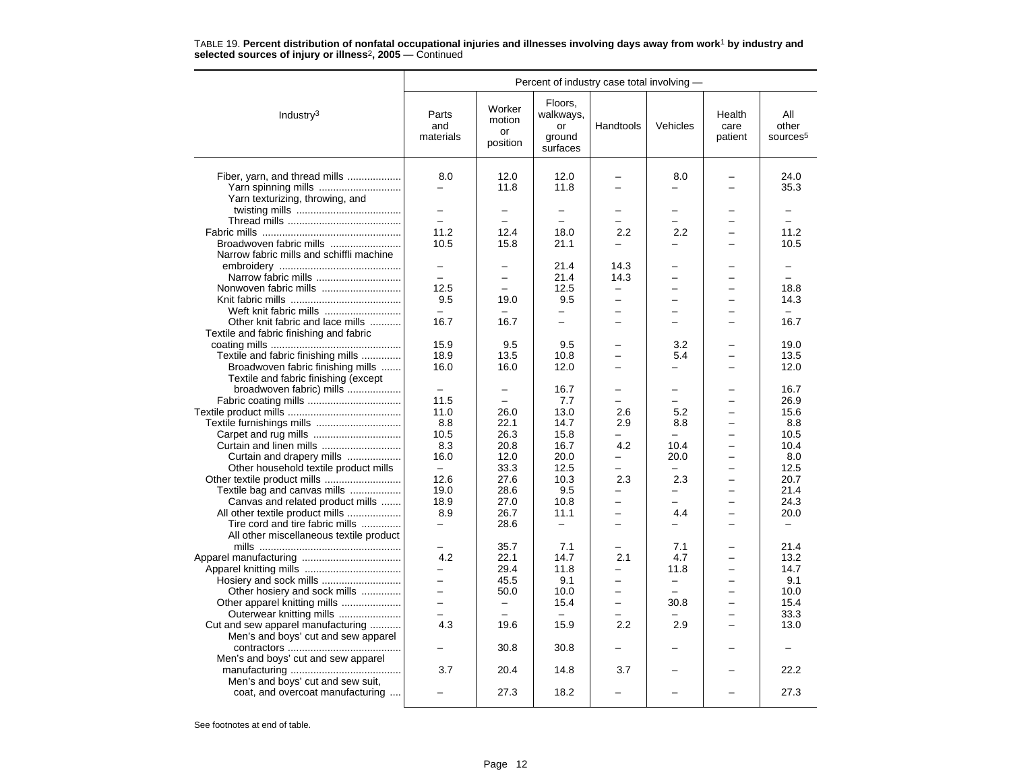|                                                               | Percent of industry case total involving -           |                                    |                                                  |                          |                               |                           |                                      |  |  |
|---------------------------------------------------------------|------------------------------------------------------|------------------------------------|--------------------------------------------------|--------------------------|-------------------------------|---------------------------|--------------------------------------|--|--|
| Industry <sup>3</sup>                                         | Parts<br>and<br>materials                            | Worker<br>motion<br>or<br>position | Floors.<br>walkways,<br>or<br>ground<br>surfaces | Handtools                | Vehicles                      | Health<br>care<br>patient | All<br>other<br>sources <sup>5</sup> |  |  |
|                                                               | 8.0                                                  | 12.0                               | 12.0                                             |                          | 8.0                           |                           | 24.0                                 |  |  |
| Fiber, yarn, and thread mills                                 | $\overline{\phantom{0}}$                             | 11.8                               | 11.8                                             | $\equiv$                 | $\overline{\phantom{0}}$      | $\overline{\phantom{0}}$  | 35.3                                 |  |  |
| Yarn spinning mills<br>Yarn texturizing, throwing, and        |                                                      |                                    |                                                  |                          |                               |                           |                                      |  |  |
|                                                               | $\overline{a}$                                       |                                    | $\overline{\phantom{0}}$                         |                          | $\equiv$                      |                           |                                      |  |  |
|                                                               | $\equiv$                                             | $\equiv$                           | $\equiv$                                         |                          | $\equiv$                      | $\equiv$                  | $\equiv$                             |  |  |
|                                                               | 11.2                                                 | 12.4                               | 18.0                                             | 2.2                      | 2.2                           |                           | 11.2                                 |  |  |
| Broadwoven fabric mills                                       | 10.5                                                 | 15.8                               | 21.1                                             |                          |                               |                           | 10.5                                 |  |  |
| Narrow fabric mills and schiffli machine                      |                                                      |                                    |                                                  |                          |                               |                           |                                      |  |  |
|                                                               |                                                      |                                    | 21.4                                             | 14.3                     |                               |                           |                                      |  |  |
|                                                               | $\equiv$                                             | $\equiv$                           | 21.4                                             | 14.3                     | $\equiv$                      |                           | $\equiv$                             |  |  |
|                                                               | 12.5                                                 |                                    | 12.5                                             | $\overline{\phantom{0}}$ | $\overline{\phantom{0}}$      |                           | 18.8                                 |  |  |
|                                                               | 9.5                                                  | 19.0                               | 9.5                                              |                          | $\overline{\phantom{0}}$      |                           | 14.3                                 |  |  |
| Weft knit fabric mills                                        | $\equiv$                                             |                                    | $\overline{\phantom{0}}$                         |                          | $\equiv$                      |                           | $\equiv$                             |  |  |
| Other knit fabric and lace mills                              | 16.7                                                 | 16.7                               | $\overline{\phantom{0}}$                         |                          | L.                            |                           | 16.7                                 |  |  |
| Textile and fabric finishing and fabric                       |                                                      |                                    |                                                  |                          |                               |                           |                                      |  |  |
|                                                               | 15.9                                                 | 9.5                                | 9.5                                              |                          | 3.2                           |                           | 19.0                                 |  |  |
| Textile and fabric finishing mills                            | 18.9                                                 | 13.5                               | 10.8                                             |                          | 5.4                           |                           | 13.5                                 |  |  |
| Broadwoven fabric finishing mills                             | 16.0                                                 | 16.0                               | 12.0                                             |                          | $\equiv$                      |                           | 12.0                                 |  |  |
| Textile and fabric finishing (except                          |                                                      |                                    |                                                  |                          |                               |                           |                                      |  |  |
| broadwoven fabric) mills                                      | $\qquad \qquad -$                                    | $\overline{\phantom{0}}$           | 16.7                                             |                          | $\overline{\phantom{0}}$      |                           | 16.7                                 |  |  |
|                                                               | 11.5                                                 | $\overline{\phantom{0}}$           | 7.7                                              |                          | $\equiv$                      |                           | 26.9                                 |  |  |
|                                                               | 11.0                                                 | 26.0                               | 13.0                                             | 2.6                      | 5.2                           |                           | 15.6                                 |  |  |
|                                                               | 8.8                                                  | 22.1                               | 14.7                                             | 2.9                      | 8.8                           |                           | 8.8                                  |  |  |
|                                                               | 10.5                                                 | 26.3                               | 15.8                                             |                          | $\equiv$                      | $\overline{\phantom{0}}$  | 10.5                                 |  |  |
|                                                               | 8.3                                                  | 20.8                               | 16.7                                             | 4.2                      | 10.4                          |                           | 10.4                                 |  |  |
| Curtain and drapery mills                                     | 16.0                                                 | 12.0                               | 20.0                                             |                          | 20.0                          |                           | 8.0                                  |  |  |
| Other household textile product mills                         | $\equiv$                                             | 33.3                               | 12.5                                             | $\overline{\phantom{0}}$ | $\equiv$                      |                           | 12.5                                 |  |  |
|                                                               | 12.6                                                 | 27.6                               | 10.3                                             | 2.3                      | 2.3                           | $\overline{\phantom{0}}$  | 20.7                                 |  |  |
| Textile bag and canvas mills                                  | 19.0                                                 | 28.6                               | 9.5                                              |                          | -                             |                           | 21.4                                 |  |  |
| Canvas and related product mills                              | 18.9                                                 | 27.0                               | 10.8                                             |                          | ÷                             |                           | 24.3                                 |  |  |
| All other textile product mills                               | 8.9                                                  | 26.7                               | 11.1                                             | $\equiv$                 | 4.4                           | $\equiv$                  | 20.0                                 |  |  |
| Tire cord and tire fabric mills                               |                                                      | 28.6                               | $\overline{\phantom{0}}$                         |                          |                               |                           | $\overline{\phantom{0}}$             |  |  |
| All other miscellaneous textile product                       |                                                      |                                    |                                                  |                          |                               |                           |                                      |  |  |
|                                                               |                                                      | 35.7                               | 7.1                                              |                          | 7.1                           |                           | 21.4                                 |  |  |
|                                                               | 4.2                                                  | 22.1                               | 14.7                                             | 2.1                      | 4.7                           |                           | 13.2                                 |  |  |
|                                                               | $\overline{\phantom{0}}$<br>$\overline{\phantom{0}}$ | 29.4                               | 11.8                                             | $\equiv$                 | 11.8                          |                           | 14.7                                 |  |  |
|                                                               | $\overline{\phantom{0}}$                             | 45.5                               | 9.1<br>10.0                                      | $\overline{\phantom{0}}$ | $\qquad \qquad -$<br>$\equiv$ | $\overline{\phantom{0}}$  | 9.1<br>10.0                          |  |  |
| Other hosiery and sock mills                                  | $\overline{\phantom{0}}$                             | 50.0<br>$\qquad \qquad -$          | 15.4                                             |                          | 30.8                          |                           | 15.4                                 |  |  |
| Other apparel knitting mills                                  |                                                      | $\overline{\phantom{m}}$           | $\overline{\phantom{0}}$                         |                          |                               | $\overline{\phantom{0}}$  | 33.3                                 |  |  |
| Outerwear knitting mills<br>Cut and sew apparel manufacturing | 4.3                                                  | 19.6                               | 15.9                                             | 2.2                      | 2.9                           | $\equiv$                  | 13.0                                 |  |  |
| Men's and boys' cut and sew apparel                           |                                                      |                                    |                                                  |                          |                               |                           |                                      |  |  |
|                                                               |                                                      | 30.8                               | 30.8                                             |                          |                               |                           |                                      |  |  |
| Men's and boys' cut and sew apparel                           |                                                      |                                    |                                                  |                          |                               |                           |                                      |  |  |
|                                                               | 3.7                                                  | 20.4                               | 14.8                                             | 3.7                      |                               |                           | 22.2                                 |  |  |
| Men's and boys' cut and sew suit,                             |                                                      |                                    |                                                  |                          |                               |                           |                                      |  |  |
| coat, and overcoat manufacturing                              |                                                      | 27.3                               | 18.2                                             |                          |                               |                           | 27.3                                 |  |  |
|                                                               |                                                      |                                    |                                                  |                          |                               |                           |                                      |  |  |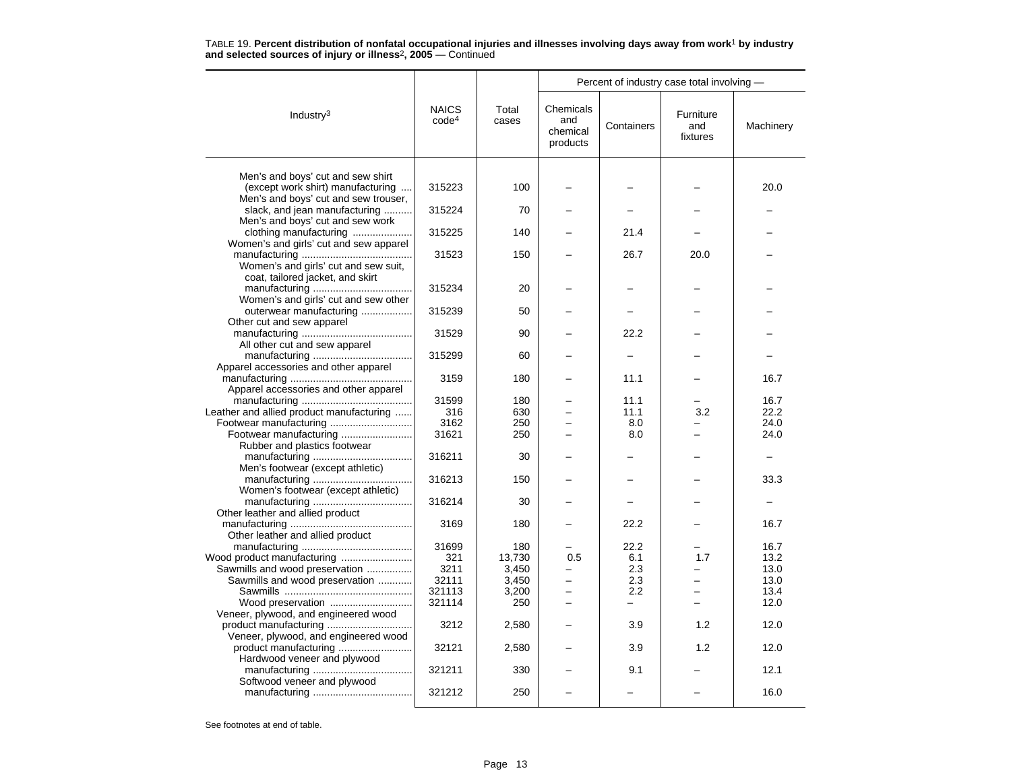|                                                                        |                                   |                |                                          |            |                              | Percent of industry case total involving - |  |  |  |  |
|------------------------------------------------------------------------|-----------------------------------|----------------|------------------------------------------|------------|------------------------------|--------------------------------------------|--|--|--|--|
| Industry <sup>3</sup>                                                  | <b>NAICS</b><br>code <sup>4</sup> | Total<br>cases | Chemicals<br>and<br>chemical<br>products | Containers | Furniture<br>and<br>fixtures | Machinery                                  |  |  |  |  |
|                                                                        |                                   |                |                                          |            |                              |                                            |  |  |  |  |
| Men's and boys' cut and sew shirt<br>(except work shirt) manufacturing | 315223                            | 100            |                                          |            |                              | 20.0                                       |  |  |  |  |
| Men's and boys' cut and sew trouser,                                   |                                   |                |                                          |            |                              |                                            |  |  |  |  |
| slack, and jean manufacturing<br>Men's and boys' cut and sew work      | 315224                            | 70             |                                          |            |                              |                                            |  |  |  |  |
| clothing manufacturing                                                 | 315225                            | 140            |                                          | 21.4       |                              |                                            |  |  |  |  |
| Women's and girls' cut and sew apparel                                 |                                   |                |                                          |            |                              |                                            |  |  |  |  |
|                                                                        | 31523                             | 150            |                                          | 26.7       | 20.0                         |                                            |  |  |  |  |
| Women's and girls' cut and sew suit,                                   |                                   |                |                                          |            |                              |                                            |  |  |  |  |
| coat, tailored jacket, and skirt                                       |                                   |                |                                          |            |                              |                                            |  |  |  |  |
|                                                                        | 315234                            | 20             |                                          | -          |                              |                                            |  |  |  |  |
| Women's and girls' cut and sew other                                   |                                   |                |                                          |            |                              |                                            |  |  |  |  |
| outerwear manufacturing<br>Other cut and sew apparel                   | 315239                            | 50             |                                          |            |                              |                                            |  |  |  |  |
|                                                                        | 31529                             | 90             |                                          | 22.2       |                              |                                            |  |  |  |  |
| All other cut and sew apparel                                          |                                   |                |                                          |            |                              |                                            |  |  |  |  |
|                                                                        | 315299                            | 60             |                                          |            |                              |                                            |  |  |  |  |
| Apparel accessories and other apparel                                  |                                   |                |                                          |            |                              |                                            |  |  |  |  |
|                                                                        | 3159                              | 180            |                                          | 11.1       |                              | 16.7                                       |  |  |  |  |
| Apparel accessories and other apparel                                  |                                   |                |                                          |            |                              |                                            |  |  |  |  |
|                                                                        | 31599                             | 180            |                                          | 11.1       |                              | 16.7                                       |  |  |  |  |
| Leather and allied product manufacturing                               | 316                               | 630            |                                          | 11.1       | 3.2                          | 22.2                                       |  |  |  |  |
|                                                                        | 3162                              | 250            |                                          | 8.0        |                              | 24.0                                       |  |  |  |  |
|                                                                        | 31621                             | 250            |                                          | 8.0        |                              | 24.0                                       |  |  |  |  |
| Rubber and plastics footwear                                           | 316211                            | 30             |                                          |            |                              |                                            |  |  |  |  |
| Men's footwear (except athletic)                                       |                                   |                |                                          |            |                              |                                            |  |  |  |  |
|                                                                        | 316213                            | 150            |                                          |            |                              | 33.3                                       |  |  |  |  |
| Women's footwear (except athletic)                                     |                                   |                |                                          |            |                              |                                            |  |  |  |  |
|                                                                        | 316214                            | 30             |                                          |            |                              |                                            |  |  |  |  |
| Other leather and allied product                                       |                                   |                |                                          |            |                              |                                            |  |  |  |  |
|                                                                        | 3169                              | 180            |                                          | 22.2       |                              | 16.7                                       |  |  |  |  |
| Other leather and allied product                                       |                                   |                |                                          |            |                              |                                            |  |  |  |  |
|                                                                        | 31699                             | 180            |                                          | 22.2       |                              | 16.7                                       |  |  |  |  |
| Wood product manufacturing                                             | 321                               | 13,730         | 0.5                                      | 6.1        | 1.7                          | 13.2                                       |  |  |  |  |
| Sawmills and wood preservation                                         | 3211                              | 3,450          |                                          | 2.3        |                              | 13.0                                       |  |  |  |  |
| Sawmills and wood preservation                                         | 32111                             | 3,450          |                                          | 2.3        |                              | 13.0                                       |  |  |  |  |
|                                                                        | 321113                            | 3,200          | ÷                                        | 2.2        | $\equiv$                     | 13.4                                       |  |  |  |  |
| Wood preservation                                                      | 321114                            | 250            |                                          | $\equiv$   | ÷                            | 12.0                                       |  |  |  |  |
| Veneer, plywood, and engineered wood                                   |                                   |                |                                          |            |                              |                                            |  |  |  |  |
| Veneer, plywood, and engineered wood                                   | 3212                              | 2,580          |                                          | 3.9        | 1.2                          | 12.0                                       |  |  |  |  |
|                                                                        | 32121                             | 2,580          |                                          | 3.9        | 1.2                          | 12.0                                       |  |  |  |  |
| Hardwood veneer and plywood                                            |                                   |                |                                          |            |                              |                                            |  |  |  |  |
|                                                                        | 321211                            | 330            |                                          | 9.1        |                              | 12.1                                       |  |  |  |  |
| Softwood veneer and plywood                                            |                                   |                |                                          |            |                              |                                            |  |  |  |  |
|                                                                        | 321212                            | 250            |                                          |            |                              | 16.0                                       |  |  |  |  |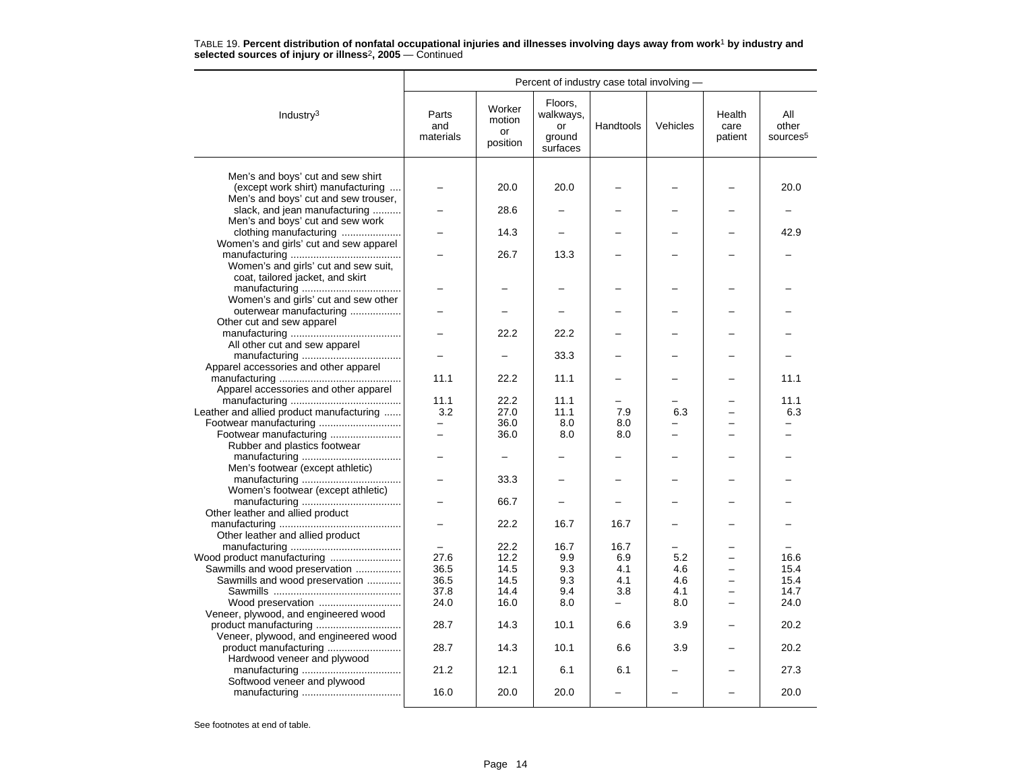|                                          | Percent of industry case total involving - |                                    |                                                  |                |          |                           |                                      |  |  |
|------------------------------------------|--------------------------------------------|------------------------------------|--------------------------------------------------|----------------|----------|---------------------------|--------------------------------------|--|--|
| Industry <sup>3</sup>                    | Parts<br>and<br>materials                  | Worker<br>motion<br>or<br>position | Floors.<br>walkways,<br>or<br>ground<br>surfaces | Handtools      | Vehicles | Health<br>care<br>patient | All<br>other<br>sources <sup>5</sup> |  |  |
|                                          |                                            |                                    |                                                  |                |          |                           |                                      |  |  |
| Men's and boys' cut and sew shirt        |                                            |                                    |                                                  |                |          |                           |                                      |  |  |
| (except work shirt) manufacturing        |                                            | 20.0                               | 20.0                                             |                |          |                           | 20.0                                 |  |  |
| Men's and boys' cut and sew trouser,     |                                            |                                    |                                                  |                |          |                           |                                      |  |  |
| slack, and jean manufacturing            |                                            | 28.6                               |                                                  |                |          |                           |                                      |  |  |
| Men's and boys' cut and sew work         |                                            |                                    |                                                  |                |          |                           |                                      |  |  |
| clothing manufacturing                   |                                            | 14.3                               |                                                  |                |          |                           | 42.9                                 |  |  |
| Women's and girls' cut and sew apparel   |                                            | 26.7                               | 13.3                                             |                |          |                           |                                      |  |  |
| Women's and girls' cut and sew suit,     |                                            |                                    |                                                  |                |          |                           |                                      |  |  |
| coat, tailored jacket, and skirt         |                                            |                                    |                                                  |                |          |                           |                                      |  |  |
|                                          |                                            |                                    |                                                  |                |          |                           |                                      |  |  |
| Women's and girls' cut and sew other     |                                            |                                    |                                                  |                |          |                           |                                      |  |  |
| outerwear manufacturing                  |                                            |                                    |                                                  |                |          |                           |                                      |  |  |
| Other cut and sew apparel                |                                            |                                    |                                                  |                |          |                           |                                      |  |  |
|                                          |                                            | 22.2                               | 22.2                                             |                |          |                           |                                      |  |  |
| All other cut and sew apparel            |                                            |                                    |                                                  |                |          |                           |                                      |  |  |
|                                          |                                            |                                    | 33.3                                             |                |          |                           |                                      |  |  |
| Apparel accessories and other apparel    |                                            |                                    |                                                  |                |          |                           |                                      |  |  |
|                                          | 11.1                                       | 22.2                               | 11.1                                             |                |          |                           | 11.1                                 |  |  |
| Apparel accessories and other apparel    |                                            |                                    |                                                  |                |          |                           |                                      |  |  |
|                                          | 11.1                                       | 22.2                               | 11.1                                             |                |          |                           | 11.1                                 |  |  |
| Leather and allied product manufacturing | 3.2                                        | 27.0                               | 11.1                                             | 7.9            | 6.3      |                           | 6.3                                  |  |  |
| Footwear manufacturing                   | -                                          | 36.0                               | 8.0                                              | 8.0            |          |                           |                                      |  |  |
| Footwear manufacturing                   | -                                          | 36.0                               | 8.0                                              | 8.0            |          |                           |                                      |  |  |
| Rubber and plastics footwear             |                                            |                                    |                                                  |                |          |                           |                                      |  |  |
|                                          |                                            | $\overline{\phantom{0}}$           |                                                  |                |          |                           |                                      |  |  |
| Men's footwear (except athletic)         |                                            |                                    |                                                  |                |          |                           |                                      |  |  |
|                                          |                                            | 33.3                               |                                                  |                |          |                           |                                      |  |  |
| Women's footwear (except athletic)       |                                            |                                    |                                                  |                |          |                           |                                      |  |  |
|                                          |                                            | 66.7                               |                                                  |                |          |                           |                                      |  |  |
| Other leather and allied product         |                                            | 22.2                               | 16.7                                             | 16.7           |          |                           |                                      |  |  |
| Other leather and allied product         |                                            |                                    |                                                  |                |          |                           |                                      |  |  |
|                                          | $\equiv$                                   | 22.2                               | 16.7                                             | 16.7           |          |                           |                                      |  |  |
|                                          | 27.6                                       | 12.2                               | 9.9                                              | 6.9            | 5.2      |                           | 16.6                                 |  |  |
| Sawmills and wood preservation           | 36.5                                       | 14.5                               | 9.3                                              | 4.1            | 4.6      |                           | 15.4                                 |  |  |
| Sawmills and wood preservation           | 36.5                                       | 14.5                               | 9.3                                              | 4.1            | 4.6      |                           | 15.4                                 |  |  |
|                                          |                                            |                                    |                                                  |                |          |                           |                                      |  |  |
|                                          | 37.8                                       | 14.4                               | 9.4                                              | 3.8            | 4.1      |                           | 14.7                                 |  |  |
| Wood preservation                        | 24.0                                       | 16.0                               | 8.0                                              | $\overline{a}$ | 8.0      |                           | 24.0                                 |  |  |
| Veneer, plywood, and engineered wood     | 28.7                                       | 14.3                               | 10.1                                             | 6.6            | 3.9      |                           | 20.2                                 |  |  |
| Veneer, plywood, and engineered wood     |                                            |                                    |                                                  |                |          |                           |                                      |  |  |
| product manufacturing                    | 28.7                                       | 14.3                               | 10.1                                             | 6.6            | 3.9      |                           | 20.2                                 |  |  |
| Hardwood veneer and plywood              |                                            |                                    |                                                  |                |          |                           |                                      |  |  |
|                                          | 21.2                                       | 12.1                               | 6.1                                              | 6.1            |          |                           | 27.3                                 |  |  |
| Softwood veneer and plywood              |                                            |                                    |                                                  |                |          |                           |                                      |  |  |
|                                          | 16.0                                       | 20.0                               | 20.0                                             |                |          |                           | 20.0                                 |  |  |
|                                          |                                            |                                    |                                                  |                |          |                           |                                      |  |  |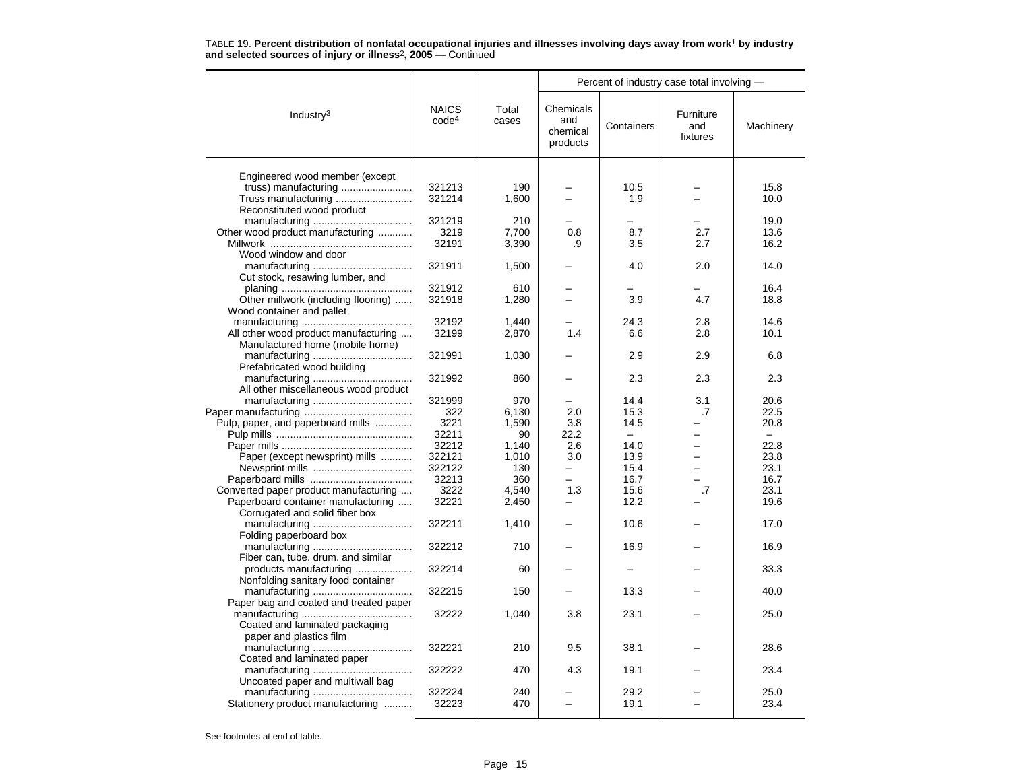|                                        |                                   |                |                                          | Percent of industry case total involving - |                              |           |  |
|----------------------------------------|-----------------------------------|----------------|------------------------------------------|--------------------------------------------|------------------------------|-----------|--|
| Industry $3$                           | <b>NAICS</b><br>code <sup>4</sup> | Total<br>cases | Chemicals<br>and<br>chemical<br>products | Containers                                 | Furniture<br>and<br>fixtures | Machinery |  |
|                                        |                                   |                |                                          |                                            |                              |           |  |
| Engineered wood member (except         |                                   |                |                                          |                                            |                              |           |  |
|                                        | 321213                            | 190            |                                          | 10.5                                       |                              | 15.8      |  |
|                                        | 321214                            | 1,600          |                                          | 1.9                                        |                              | 10.0      |  |
| Reconstituted wood product             | 321219                            | 210            |                                          |                                            |                              | 19.0      |  |
|                                        |                                   |                |                                          |                                            |                              |           |  |
| Other wood product manufacturing       | 3219                              | 7,700          | 0.8                                      | 8.7                                        | 2.7                          | 13.6      |  |
|                                        | 32191                             | 3,390          | .9                                       | 3.5                                        | 2.7                          | 16.2      |  |
| Wood window and door                   |                                   |                |                                          |                                            |                              |           |  |
|                                        | 321911                            | 1,500          |                                          | 4.0                                        | 2.0                          | 14.0      |  |
| Cut stock, resawing lumber, and        |                                   |                |                                          |                                            |                              |           |  |
|                                        | 321912                            | 610            |                                          |                                            |                              | 16.4      |  |
| Other millwork (including flooring)    | 321918                            | 1,280          |                                          | 3.9                                        | 4.7                          | 18.8      |  |
| Wood container and pallet              |                                   |                |                                          |                                            |                              |           |  |
|                                        | 32192                             | 1.440          |                                          | 24.3                                       | 2.8                          | 14.6      |  |
| All other wood product manufacturing   | 32199                             | 2,870          | 1.4                                      | 6.6                                        | 2.8                          | 10.1      |  |
| Manufactured home (mobile home)        |                                   |                |                                          |                                            |                              |           |  |
|                                        | 321991                            | 1,030          |                                          | 2.9                                        | 2.9                          | 6.8       |  |
| Prefabricated wood building            |                                   |                |                                          |                                            |                              |           |  |
|                                        | 321992                            | 860            |                                          | 2.3                                        | 2.3                          | 2.3       |  |
| All other miscellaneous wood product   |                                   |                |                                          |                                            |                              |           |  |
|                                        | 321999                            | 970            |                                          | 14.4                                       | 3.1                          | 20.6      |  |
|                                        | 322                               | 6,130          | 2.0                                      | 15.3                                       | .7                           | 22.5      |  |
| Pulp, paper, and paperboard mills      | 3221                              | 1,590          | 3.8                                      | 14.5                                       |                              | 20.8      |  |
|                                        | 32211                             | 90             | 22.2                                     |                                            |                              |           |  |
|                                        | 32212                             | 1,140          | 2.6                                      | 14.0                                       | $\overline{\phantom{0}}$     | 22.8      |  |
| Paper (except newsprint) mills         | 322121                            | 1,010          | 3.0                                      | 13.9                                       | $\overline{\phantom{0}}$     | 23.8      |  |
|                                        | 322122                            | 130            | ▃                                        | 15.4                                       |                              | 23.1      |  |
|                                        | 32213                             | 360            | $\overline{\phantom{0}}$                 | 16.7                                       |                              | 16.7      |  |
| Converted paper product manufacturing  | 3222                              | 4,540          | 1.3                                      | 15.6                                       | $\overline{.7}$              | 23.1      |  |
| Paperboard container manufacturing     | 32221                             | 2,450          | $\overline{\phantom{0}}$                 | 12.2                                       |                              | 19.6      |  |
| Corrugated and solid fiber box         |                                   |                |                                          |                                            |                              |           |  |
|                                        | 322211                            | 1,410          |                                          | 10.6                                       |                              | 17.0      |  |
| Folding paperboard box                 |                                   |                |                                          |                                            |                              |           |  |
|                                        | 322212                            | 710            |                                          | 16.9                                       |                              | 16.9      |  |
| Fiber can, tube, drum, and similar     |                                   |                |                                          |                                            |                              |           |  |
| products manufacturing                 | 322214                            | 60             |                                          |                                            |                              | 33.3      |  |
| Nonfolding sanitary food container     |                                   |                |                                          |                                            |                              |           |  |
|                                        | 322215                            | 150            |                                          | 13.3                                       |                              | 40.0      |  |
| Paper bag and coated and treated paper |                                   |                |                                          |                                            |                              |           |  |
|                                        | 32222                             | 1,040          | 3.8                                      | 23.1                                       |                              | 25.0      |  |
| Coated and laminated packaging         |                                   |                |                                          |                                            |                              |           |  |
| paper and plastics film                |                                   |                |                                          |                                            |                              |           |  |
|                                        | 322221                            | 210            | 9.5                                      | 38.1                                       |                              | 28.6      |  |
| Coated and laminated paper             |                                   |                |                                          |                                            |                              |           |  |
|                                        | 322222                            | 470            | 4.3                                      | 19.1                                       |                              | 23.4      |  |
| Uncoated paper and multiwall bag       |                                   |                |                                          |                                            |                              |           |  |
|                                        | 322224                            | 240            |                                          | 29.2                                       |                              | 25.0      |  |
| Stationery product manufacturing       | 32223                             | 470            |                                          | 19.1                                       |                              | 23.4      |  |
|                                        |                                   |                |                                          |                                            |                              |           |  |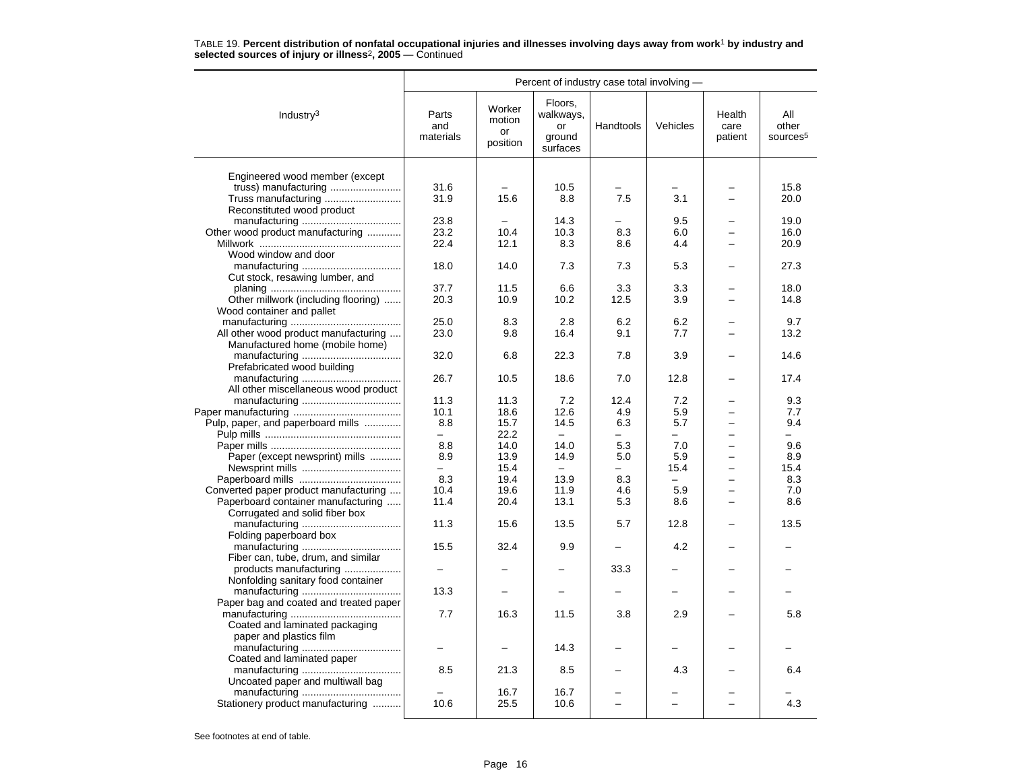|                                        | Percent of industry case total involving - |                                    |                                                  |           |          |                           |                                      |  |  |
|----------------------------------------|--------------------------------------------|------------------------------------|--------------------------------------------------|-----------|----------|---------------------------|--------------------------------------|--|--|
| Industry $3$                           | Parts<br>and<br>materials                  | Worker<br>motion<br>or<br>position | Floors,<br>walkways,<br>or<br>ground<br>surfaces | Handtools | Vehicles | Health<br>care<br>patient | All<br>other<br>sources <sup>5</sup> |  |  |
|                                        |                                            |                                    |                                                  |           |          |                           |                                      |  |  |
| Engineered wood member (except         |                                            |                                    |                                                  |           |          |                           |                                      |  |  |
|                                        | 31.6                                       |                                    | 10.5                                             |           |          |                           | 15.8                                 |  |  |
| Truss manufacturing                    | 31.9                                       | 15.6                               | 8.8                                              | 7.5       | 3.1      |                           | 20.0                                 |  |  |
| Reconstituted wood product             |                                            |                                    |                                                  |           |          |                           |                                      |  |  |
|                                        | 23.8                                       |                                    | 14.3                                             |           | 9.5      |                           | 19.0                                 |  |  |
| Other wood product manufacturing       | 23.2                                       | 10.4                               | 10.3                                             | 8.3       | 6.0      |                           | 16.0                                 |  |  |
|                                        | 22.4                                       | 12.1                               | 8.3                                              | 8.6       | 4.4      |                           | 20.9                                 |  |  |
| Wood window and door                   |                                            |                                    |                                                  |           |          |                           |                                      |  |  |
|                                        | 18.0                                       | 14.0                               | 7.3                                              | 7.3       | 5.3      |                           | 27.3                                 |  |  |
| Cut stock, resawing lumber, and        |                                            |                                    |                                                  |           |          |                           |                                      |  |  |
|                                        | 37.7                                       | 11.5                               | 6.6                                              | 3.3       | 3.3      |                           | 18.0                                 |  |  |
| Other millwork (including flooring)    | 20.3                                       | 10.9                               | 10.2                                             | 12.5      | 3.9      |                           | 14.8                                 |  |  |
| Wood container and pallet              |                                            |                                    |                                                  |           |          |                           |                                      |  |  |
|                                        | 25.0                                       | 8.3                                | 2.8                                              | 6.2       | 6.2      |                           | 9.7                                  |  |  |
| All other wood product manufacturing   | 23.0                                       | 9.8                                | 16.4                                             | 9.1       | 7.7      |                           | 13.2                                 |  |  |
| Manufactured home (mobile home)        |                                            |                                    |                                                  |           |          |                           |                                      |  |  |
|                                        | 32.0                                       | 6.8                                | 22.3                                             | 7.8       | 3.9      |                           | 14.6                                 |  |  |
| Prefabricated wood building            |                                            |                                    |                                                  |           |          |                           |                                      |  |  |
|                                        | 26.7                                       | 10.5                               | 18.6                                             | 7.0       | 12.8     |                           | 17.4                                 |  |  |
| All other miscellaneous wood product   |                                            |                                    |                                                  |           |          |                           |                                      |  |  |
|                                        | 11.3                                       | 11.3                               | 7.2                                              | 12.4      | 7.2      |                           | 9.3                                  |  |  |
|                                        | 10.1                                       | 18.6                               | 12.6                                             | 4.9       | 5.9      |                           | 7.7                                  |  |  |
| Pulp, paper, and paperboard mills      | 8.8                                        | 15.7                               | 14.5                                             | 6.3       | 5.7      |                           | 9.4                                  |  |  |
|                                        | $\overline{\phantom{0}}$                   | 22.2                               | $\overline{\phantom{0}}$                         |           | -        | $\overline{\phantom{0}}$  | $\overline{\phantom{0}}$             |  |  |
|                                        | 8.8                                        | 14.0                               | 14.0                                             | 5.3       | 7.0      |                           | 9.6                                  |  |  |
| Paper (except newsprint) mills         | 8.9                                        | 13.9                               | 14.9                                             | 5.0       | 5.9      |                           | 8.9                                  |  |  |
|                                        |                                            | 15.4                               |                                                  |           | 15.4     |                           | 15.4                                 |  |  |
|                                        | 8.3                                        | 19.4                               | 13.9                                             | 8.3       | $\equiv$ | $\overline{\phantom{0}}$  | 8.3                                  |  |  |
|                                        | 10.4                                       | 19.6                               | 11.9                                             | 4.6       | 5.9      | $\equiv$                  | 7.0                                  |  |  |
| Converted paper product manufacturing  |                                            |                                    |                                                  |           |          |                           |                                      |  |  |
| Paperboard container manufacturing     | 11.4                                       | 20.4                               | 13.1                                             | 5.3       | 8.6      |                           | 8.6                                  |  |  |
| Corrugated and solid fiber box         |                                            |                                    |                                                  |           |          |                           |                                      |  |  |
|                                        | 11.3                                       | 15.6                               | 13.5                                             | 5.7       | 12.8     |                           | 13.5                                 |  |  |
| Folding paperboard box                 |                                            |                                    |                                                  |           |          |                           |                                      |  |  |
|                                        | 15.5                                       | 32.4                               | 9.9                                              |           | 4.2      |                           |                                      |  |  |
| Fiber can, tube, drum, and similar     |                                            |                                    |                                                  |           |          |                           |                                      |  |  |
| products manufacturing                 |                                            |                                    |                                                  | 33.3      |          |                           |                                      |  |  |
| Nonfolding sanitary food container     |                                            |                                    |                                                  |           |          |                           |                                      |  |  |
|                                        | 13.3                                       |                                    |                                                  |           |          |                           |                                      |  |  |
| Paper bag and coated and treated paper |                                            |                                    |                                                  |           |          |                           |                                      |  |  |
|                                        | 7.7                                        | 16.3                               | 11.5                                             | 3.8       | 2.9      |                           | 5.8                                  |  |  |
| Coated and laminated packaging         |                                            |                                    |                                                  |           |          |                           |                                      |  |  |
| paper and plastics film                |                                            |                                    |                                                  |           |          |                           |                                      |  |  |
|                                        |                                            |                                    | 14.3                                             |           |          |                           |                                      |  |  |
| Coated and laminated paper             |                                            |                                    |                                                  |           |          |                           |                                      |  |  |
|                                        | 8.5                                        | 21.3                               | 8.5                                              |           | 4.3      |                           | 6.4                                  |  |  |
| Uncoated paper and multiwall bag       |                                            |                                    |                                                  |           |          |                           |                                      |  |  |
|                                        |                                            | 16.7                               | 16.7                                             |           |          |                           |                                      |  |  |
| Stationery product manufacturing       | 10.6                                       | 25.5                               | 10.6                                             |           |          |                           | 4.3                                  |  |  |
|                                        |                                            |                                    |                                                  |           |          |                           |                                      |  |  |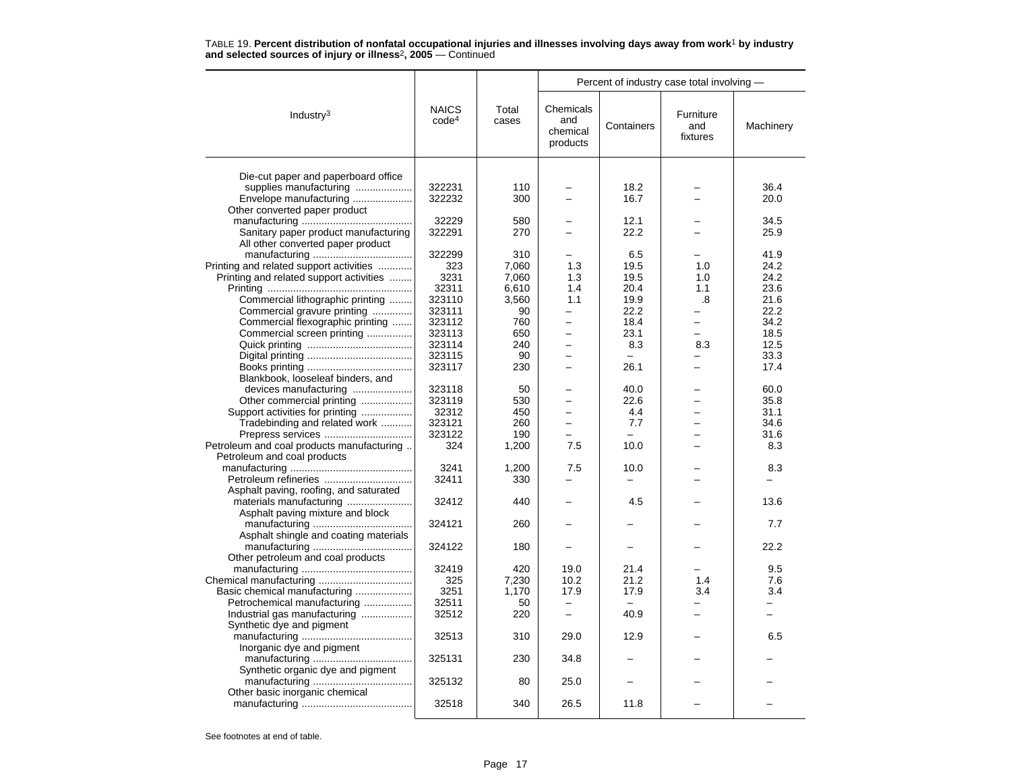|                                           |                                   |                | Percent of industry case total involving - |            |                              |           |  |
|-------------------------------------------|-----------------------------------|----------------|--------------------------------------------|------------|------------------------------|-----------|--|
| Industry <sup>3</sup>                     | <b>NAICS</b><br>code <sup>4</sup> | Total<br>cases | Chemicals<br>and<br>chemical<br>products   | Containers | Furniture<br>and<br>fixtures | Machinery |  |
|                                           |                                   |                |                                            |            |                              |           |  |
| Die-cut paper and paperboard office       |                                   |                |                                            |            |                              |           |  |
| supplies manufacturing                    | 322231                            | 110            |                                            | 18.2       |                              | 36.4      |  |
| Envelope manufacturing                    | 322232                            | 300            |                                            | 16.7       |                              | 20.0      |  |
| Other converted paper product             | 32229                             |                |                                            | 12.1       |                              | 34.5      |  |
|                                           |                                   | 580            | $\equiv$                                   |            |                              |           |  |
| Sanitary paper product manufacturing      | 322291                            | 270            |                                            | 22.2       |                              | 25.9      |  |
| All other converted paper product         | 322299                            | 310            |                                            | 6.5        |                              | 41.9      |  |
| Printing and related support activities   | 323                               | 7,060          | 1.3                                        | 19.5       | 1.0                          | 24.2      |  |
| Printing and related support activities   | 3231                              | 7,060          | 1.3                                        | 19.5       | 1.0                          | 24.2      |  |
|                                           | 32311                             | 6,610          | 1.4                                        | 20.4       | 1.1                          | 23.6      |  |
| Commercial lithographic printing          | 323110                            | 3,560          | 1.1                                        | 19.9       | .8                           | 21.6      |  |
| Commercial gravure printing               | 323111                            | 90             | $\overline{\phantom{0}}$                   | 22.2       |                              | 22.2      |  |
| Commercial flexographic printing          | 323112                            | 760            | $\overline{\phantom{0}}$                   | 18.4       |                              | 34.2      |  |
| Commercial screen printing                | 323113                            | 650            | $\overline{\phantom{0}}$                   | 23.1       |                              | 18.5      |  |
|                                           | 323114                            | 240            |                                            | 8.3        | 8.3                          | 12.5      |  |
|                                           | 323115                            | 90             | $\overline{\phantom{0}}$                   |            |                              | 33.3      |  |
|                                           | 323117                            | 230            | $\overline{\phantom{0}}$                   | 26.1       |                              | 17.4      |  |
| Blankbook, looseleaf binders, and         |                                   |                |                                            |            |                              |           |  |
| devices manufacturing                     | 323118                            | 50             |                                            | 40.0       |                              | 60.0      |  |
| Other commercial printing                 | 323119                            | 530            |                                            | 22.6       |                              | 35.8      |  |
| Support activities for printing           | 32312                             | 450            | $\overline{\phantom{0}}$                   | 4.4        |                              | 31.1      |  |
| Tradebinding and related work             | 323121                            | 260            | $\overline{\phantom{0}}$                   | 7.7        |                              | 34.6      |  |
| Prepress services                         | 323122                            | 190            | $\overline{a}$                             |            |                              | 31.6      |  |
| Petroleum and coal products manufacturing | 324                               | 1,200          | 7.5                                        | 10.0       |                              | 8.3       |  |
| Petroleum and coal products               |                                   |                |                                            |            |                              |           |  |
|                                           | 3241                              | 1,200          | 7.5                                        | 10.0       |                              | 8.3       |  |
| Petroleum refineries                      | 32411                             | 330            |                                            |            |                              |           |  |
| Asphalt paving, roofing, and saturated    |                                   |                |                                            |            |                              |           |  |
| materials manufacturing                   | 32412                             | 440            |                                            | 4.5        |                              | 13.6      |  |
| Asphalt paving mixture and block          |                                   |                |                                            |            |                              |           |  |
|                                           | 324121                            | 260            |                                            |            |                              | 7.7       |  |
| Asphalt shingle and coating materials     |                                   |                |                                            |            |                              |           |  |
|                                           | 324122                            | 180            |                                            |            |                              | 22.2      |  |
| Other petroleum and coal products         |                                   |                |                                            |            |                              |           |  |
|                                           | 32419                             | 420            | 19.0                                       | 21.4       |                              | 9.5       |  |
|                                           | 325                               | 7,230          | 10.2                                       | 21.2       | 1.4                          | 7.6       |  |
| Basic chemical manufacturing              | 3251                              | 1,170          | 17.9                                       | 17.9       | 3.4                          | 3.4       |  |
| Petrochemical manufacturing               | 32511                             | 50             |                                            |            |                              |           |  |
| Industrial gas manufacturing              | 32512                             | 220            | $\equiv$                                   | 40.9       | $\equiv$                     | $\equiv$  |  |
| Synthetic dye and pigment                 |                                   |                |                                            |            |                              |           |  |
|                                           | 32513                             | 310            | 29.0                                       | 12.9       |                              | 6.5       |  |
| Inorganic dye and pigment                 |                                   |                |                                            |            |                              |           |  |
|                                           | 325131                            | 230            | 34.8                                       |            |                              |           |  |
| Synthetic organic dye and pigment         |                                   |                |                                            |            |                              |           |  |
|                                           | 325132                            | 80             | 25.0                                       |            |                              |           |  |
| Other basic inorganic chemical            |                                   |                |                                            |            |                              |           |  |
|                                           | 32518                             | 340            | 26.5                                       | 11.8       |                              |           |  |
|                                           |                                   |                |                                            |            |                              |           |  |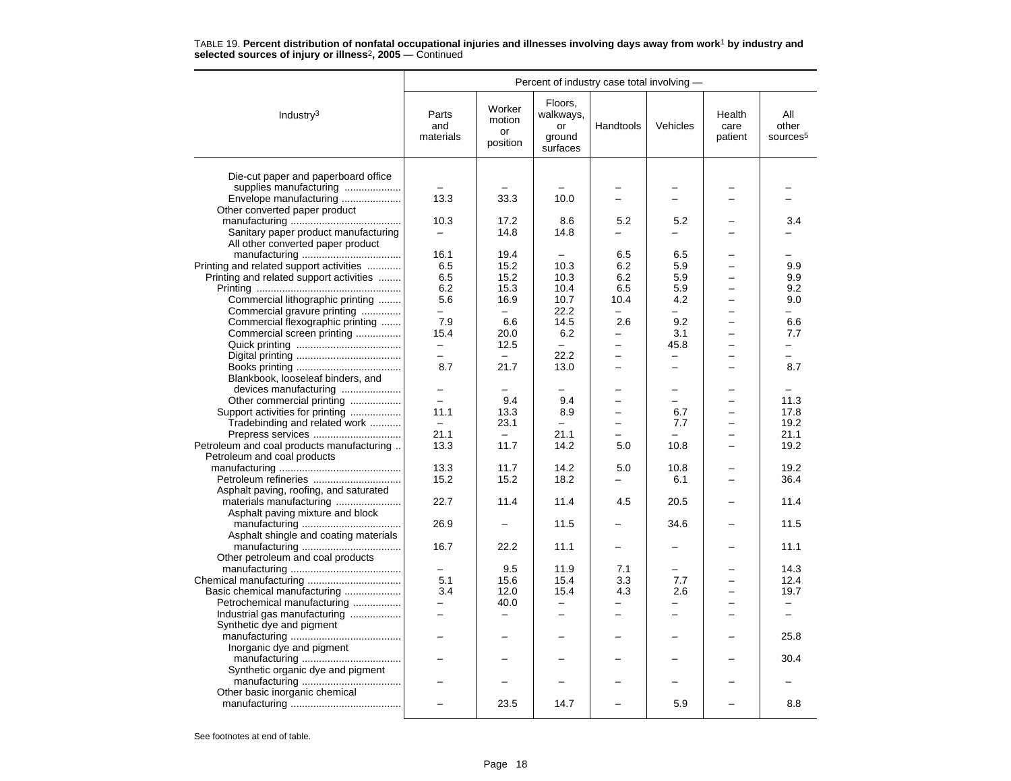|                                           | Percent of industry case total involving - |                                    |                                                  |                          |                          |                           |                                      |  |
|-------------------------------------------|--------------------------------------------|------------------------------------|--------------------------------------------------|--------------------------|--------------------------|---------------------------|--------------------------------------|--|
| Industry <sup>3</sup>                     | Parts<br>and<br>materials                  | Worker<br>motion<br>or<br>position | Floors,<br>walkways,<br>or<br>ground<br>surfaces | Handtools                | Vehicles                 | Health<br>care<br>patient | All<br>other<br>sources <sup>5</sup> |  |
|                                           |                                            |                                    |                                                  |                          |                          |                           |                                      |  |
| Die-cut paper and paperboard office       |                                            |                                    |                                                  |                          |                          |                           |                                      |  |
| supplies manufacturing                    |                                            |                                    |                                                  |                          |                          |                           |                                      |  |
| Envelope manufacturing                    | 13.3                                       | 33.3                               | 10.0                                             | $\equiv$                 | $\overline{ }$           |                           |                                      |  |
| Other converted paper product             |                                            | 17.2                               |                                                  |                          |                          |                           |                                      |  |
|                                           | 10.3                                       |                                    | 8.6                                              | 5.2<br>$\equiv$          | 5.2                      |                           | 3.4                                  |  |
| Sanitary paper product manufacturing      | —                                          | 14.8                               | 14.8                                             |                          |                          |                           |                                      |  |
| All other converted paper product         | 16.1                                       | 19.4                               |                                                  | 6.5                      | 6.5                      |                           |                                      |  |
| Printing and related support activities   | 6.5                                        | 15.2                               | 10.3                                             | 6.2                      | 5.9                      |                           | 9.9                                  |  |
| Printing and related support activities   | 6.5                                        | 15.2                               | 10.3                                             | 6.2                      | 5.9                      |                           | 9.9                                  |  |
|                                           | 6.2                                        | 15.3                               | 10.4                                             | 6.5                      | 5.9                      |                           | 9.2                                  |  |
| Commercial lithographic printing          | 5.6                                        | 16.9                               | 10.7                                             | 10.4                     | 4.2                      |                           | 9.0                                  |  |
| Commercial gravure printing               | $\overline{\phantom{0}}$                   | $\overline{\phantom{0}}$           | 22.2                                             |                          | $\overline{\phantom{0}}$ |                           | $\overline{\phantom{0}}$             |  |
| Commercial flexographic printing          | 7.9                                        | 6.6                                | 14.5                                             | 2.6                      | 9.2                      |                           | 6.6                                  |  |
| Commercial screen printing                | 15.4                                       | 20.0                               | 6.2                                              | $\overline{\phantom{0}}$ | 3.1                      | $\overline{\phantom{0}}$  | 7.7                                  |  |
|                                           | -                                          | 12.5                               | $\overline{\phantom{0}}$                         | $\overline{\phantom{0}}$ | 45.8                     | ÷                         | —                                    |  |
|                                           |                                            |                                    | 22.2                                             |                          |                          |                           |                                      |  |
|                                           | 8.7                                        | 21.7                               | 13.0                                             | $\overline{\phantom{0}}$ | $\overline{\phantom{0}}$ |                           | 8.7                                  |  |
| Blankbook, looseleaf binders, and         |                                            |                                    |                                                  |                          |                          |                           |                                      |  |
| devices manufacturing                     | $\overline{a}$                             |                                    |                                                  |                          | $\overline{\phantom{0}}$ |                           |                                      |  |
| Other commercial printing                 | $\overline{a}$                             | 9.4                                | 9.4                                              |                          | $\overline{a}$           |                           | 11.3                                 |  |
| Support activities for printing           | 11.1                                       | 13.3                               | 8.9                                              |                          | 6.7                      |                           | 17.8                                 |  |
| Tradebinding and related work             | $\equiv$                                   | 23.1                               | $\overline{\phantom{0}}$                         |                          | 7.7                      |                           | 19.2                                 |  |
| Prepress services                         | 21.1                                       | $\qquad \qquad -$                  | 21.1                                             |                          |                          |                           | 21.1                                 |  |
| Petroleum and coal products manufacturing | 13.3                                       | 11.7                               | 14.2                                             | 5.0                      | 10.8                     |                           | 19.2                                 |  |
| Petroleum and coal products               |                                            |                                    |                                                  |                          |                          |                           |                                      |  |
|                                           | 13.3                                       | 11.7                               | 14.2                                             | 5.0                      | 10.8                     |                           | 19.2                                 |  |
|                                           | 15.2                                       | 15.2                               | 18.2                                             |                          | 6.1                      |                           | 36.4                                 |  |
| Asphalt paving, roofing, and saturated    |                                            |                                    |                                                  |                          |                          |                           |                                      |  |
| materials manufacturing                   | 22.7                                       | 11.4                               | 11.4                                             | 4.5                      | 20.5                     |                           | 11.4                                 |  |
| Asphalt paving mixture and block          |                                            |                                    |                                                  |                          |                          |                           |                                      |  |
|                                           | 26.9                                       |                                    | 11.5                                             |                          | 34.6                     |                           | 11.5                                 |  |
| Asphalt shingle and coating materials     |                                            |                                    |                                                  |                          |                          |                           |                                      |  |
|                                           | 16.7                                       | 22.2                               | 11.1                                             |                          |                          |                           | 11.1                                 |  |
| Other petroleum and coal products         |                                            |                                    |                                                  |                          |                          |                           |                                      |  |
|                                           |                                            | 9.5                                | 11.9                                             | 7.1                      |                          |                           | 14.3                                 |  |
|                                           | 5.1                                        | 15.6                               | 15.4                                             | 3.3                      | 7.7                      |                           | 12.4                                 |  |
| Basic chemical manufacturing              | 3.4                                        | 12.0                               | 15.4                                             | 4.3                      | 2.6                      |                           | 19.7                                 |  |
| Petrochemical manufacturing               | -                                          | 40.0                               | $\overline{\phantom{0}}$                         | $\overline{\phantom{0}}$ | -                        |                           | -                                    |  |
| Industrial gas manufacturing              |                                            |                                    |                                                  |                          |                          |                           |                                      |  |
| Synthetic dye and pigment                 |                                            |                                    |                                                  |                          |                          |                           |                                      |  |
|                                           |                                            |                                    |                                                  |                          |                          |                           | 25.8                                 |  |
| Inorganic dye and pigment                 |                                            |                                    |                                                  |                          |                          |                           |                                      |  |
|                                           | -                                          |                                    |                                                  |                          |                          |                           | 30.4                                 |  |
| Synthetic organic dye and pigment         |                                            |                                    |                                                  |                          |                          |                           |                                      |  |
|                                           |                                            |                                    |                                                  |                          |                          |                           |                                      |  |
| Other basic inorganic chemical            |                                            |                                    |                                                  |                          |                          |                           |                                      |  |
|                                           |                                            | 23.5                               | 14.7                                             |                          | 5.9                      |                           | 8.8                                  |  |
|                                           |                                            |                                    |                                                  |                          |                          |                           |                                      |  |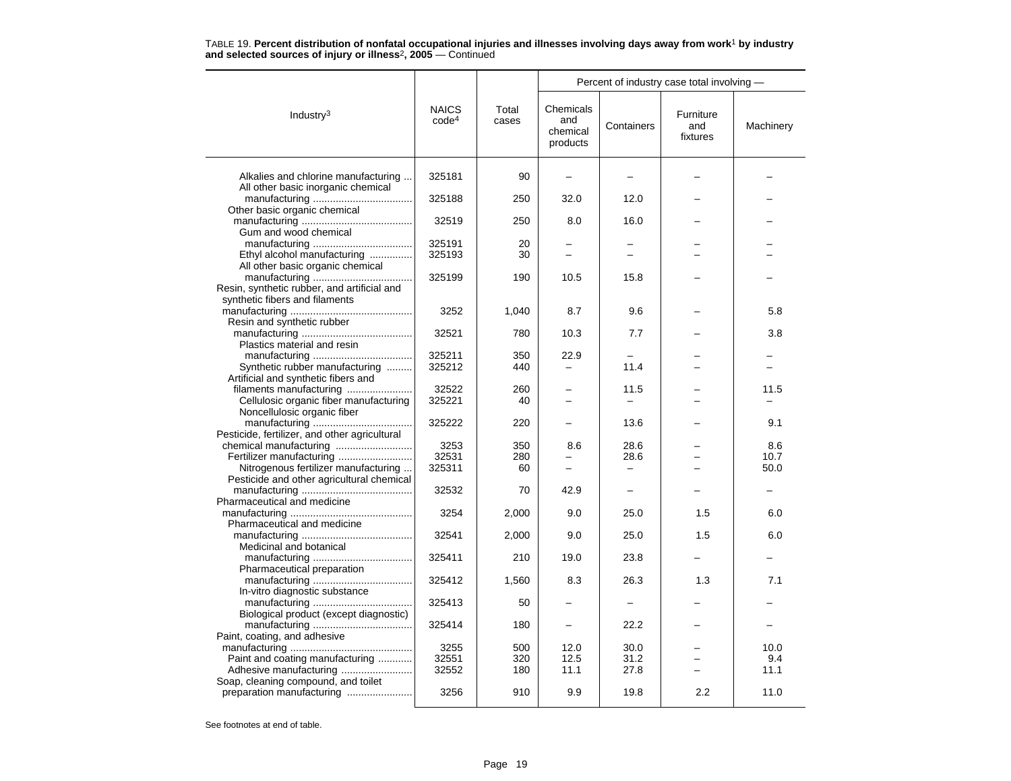|                                                                               |                                   |                | Percent of industry case total involving - |            |                              |           |  |  |
|-------------------------------------------------------------------------------|-----------------------------------|----------------|--------------------------------------------|------------|------------------------------|-----------|--|--|
| Industry $3$                                                                  | <b>NAICS</b><br>code <sup>4</sup> | Total<br>cases | Chemicals<br>and<br>chemical<br>products   | Containers | Furniture<br>and<br>fixtures | Machinery |  |  |
| Alkalies and chlorine manufacturing<br>All other basic inorganic chemical     | 325181                            | 90             |                                            |            |                              |           |  |  |
|                                                                               | 325188                            | 250            | 32.0                                       | 12.0       |                              |           |  |  |
| Other basic organic chemical                                                  | 32519                             | 250            | 8.0                                        | 16.0       |                              |           |  |  |
| Gum and wood chemical                                                         | 325191                            | 20             |                                            |            |                              |           |  |  |
| Ethyl alcohol manufacturing                                                   | 325193                            | 30             |                                            |            |                              |           |  |  |
| All other basic organic chemical                                              |                                   |                |                                            |            |                              |           |  |  |
| Resin, synthetic rubber, and artificial and<br>synthetic fibers and filaments | 325199                            | 190            | 10.5                                       | 15.8       |                              |           |  |  |
| Resin and synthetic rubber                                                    | 3252                              | 1,040          | 8.7                                        | 9.6        |                              | 5.8       |  |  |
| Plastics material and resin                                                   | 32521                             | 780            | 10.3                                       | 7.7        |                              | 3.8       |  |  |
|                                                                               | 325211                            | 350            | 22.9                                       |            |                              |           |  |  |
| Synthetic rubber manufacturing                                                | 325212                            | 440            |                                            | 11.4       |                              |           |  |  |
| Artificial and synthetic fibers and                                           |                                   |                |                                            |            |                              |           |  |  |
| filaments manufacturing                                                       | 32522                             | 260            |                                            | 11.5       |                              | 11.5      |  |  |
| Cellulosic organic fiber manufacturing<br>Noncellulosic organic fiber         | 325221                            | 40             |                                            |            |                              |           |  |  |
| Pesticide, fertilizer, and other agricultural                                 | 325222                            | 220            |                                            | 13.6       |                              | 9.1       |  |  |
|                                                                               | 3253                              | 350            | 8.6                                        | 28.6       |                              | 8.6       |  |  |
| Fertilizer manufacturing                                                      | 32531                             | 280            |                                            | 28.6       |                              | 10.7      |  |  |
| Nitrogenous fertilizer manufacturing                                          | 325311                            | 60             |                                            |            |                              | 50.0      |  |  |
| Pesticide and other agricultural chemical                                     |                                   |                |                                            |            |                              |           |  |  |
|                                                                               | 32532                             | 70             | 42.9                                       |            |                              |           |  |  |
| Pharmaceutical and medicine                                                   | 3254                              | 2,000          | 9.0                                        | 25.0       | 1.5                          | 6.0       |  |  |
| Pharmaceutical and medicine                                                   |                                   |                |                                            |            |                              |           |  |  |
| Medicinal and botanical                                                       | 32541                             | 2,000          | 9.0                                        | 25.0       | 1.5                          | 6.0       |  |  |
| Pharmaceutical preparation                                                    | 325411                            | 210            | 19.0                                       | 23.8       |                              |           |  |  |
|                                                                               | 325412                            | 1,560          | 8.3                                        | 26.3       | 1.3                          | 7.1       |  |  |
| In-vitro diagnostic substance                                                 | 325413                            | 50             |                                            |            |                              |           |  |  |
| Biological product (except diagnostic)                                        | 325414                            | 180            |                                            | 22.2       |                              |           |  |  |
| Paint, coating, and adhesive                                                  |                                   |                |                                            |            |                              |           |  |  |
|                                                                               | 3255                              | 500            | 12.0                                       | 30.0       |                              | 10.0      |  |  |
| Paint and coating manufacturing                                               | 32551                             | 320            | 12.5                                       | 31.2       |                              | 9.4       |  |  |
| Adhesive manufacturing                                                        | 32552                             | 180            | 11.1                                       | 27.8       |                              | 11.1      |  |  |
| Soap, cleaning compound, and toilet<br>preparation manufacturing              | 3256                              | 910            | 9.9                                        | 19.8       | 2.2                          | 11.0      |  |  |
|                                                                               |                                   |                |                                            |            |                              |           |  |  |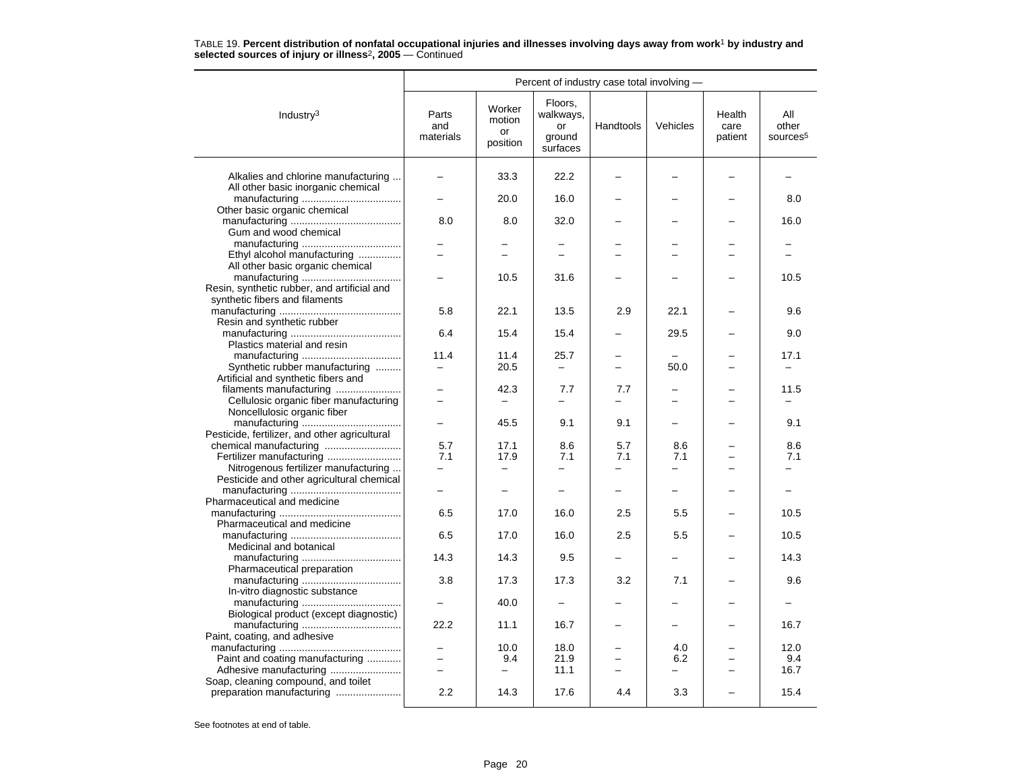|                                                                                                          | Percent of industry case total involving -           |                                    |                                                  |                                 |                          |                           |                                      |  |  |
|----------------------------------------------------------------------------------------------------------|------------------------------------------------------|------------------------------------|--------------------------------------------------|---------------------------------|--------------------------|---------------------------|--------------------------------------|--|--|
| Industry <sup>3</sup>                                                                                    | Parts<br>and<br>materials                            | Worker<br>motion<br>or<br>position | Floors,<br>walkways,<br>or<br>ground<br>surfaces | Handtools                       | Vehicles                 | Health<br>care<br>patient | All<br>other<br>sources <sup>5</sup> |  |  |
| Alkalies and chlorine manufacturing<br>All other basic inorganic chemical                                |                                                      | 33.3                               | 22.2                                             |                                 |                          |                           |                                      |  |  |
| Other basic organic chemical                                                                             |                                                      | 20.0                               | 16.0                                             |                                 |                          |                           | 8.0                                  |  |  |
| Gum and wood chemical                                                                                    | 8.0                                                  | 8.0                                | 32.0                                             |                                 |                          |                           | 16.0                                 |  |  |
| Ethyl alcohol manufacturing                                                                              | -                                                    | $\equiv$                           | $\equiv$                                         |                                 |                          |                           |                                      |  |  |
| All other basic organic chemical<br>Resin, synthetic rubber, and artificial and                          |                                                      | 10.5                               | 31.6                                             |                                 |                          |                           | 10.5                                 |  |  |
| synthetic fibers and filaments                                                                           | 5.8                                                  | 22.1                               | 13.5                                             | 2.9                             | 22.1                     |                           | 9.6                                  |  |  |
| Resin and synthetic rubber<br>Plastics material and resin                                                | 6.4                                                  | 15.4                               | 15.4                                             |                                 | 29.5                     |                           | 9.0                                  |  |  |
| Synthetic rubber manufacturing                                                                           | 11.4                                                 | 11.4<br>20.5                       | 25.7                                             | $\overline{\phantom{0}}$        | 50.0                     |                           | 17.1                                 |  |  |
| Artificial and synthetic fibers and<br>filaments manufacturing<br>Cellulosic organic fiber manufacturing |                                                      | 42.3                               | 7.7                                              | 7.7                             |                          |                           | 11.5                                 |  |  |
| Noncellulosic organic fiber                                                                              | -                                                    | 45.5                               | 9.1                                              | 9.1                             |                          |                           | 9.1                                  |  |  |
| Pesticide, fertilizer, and other agricultural                                                            | 5.7                                                  | 17.1                               | 8.6                                              | 5.7                             | 8.6                      |                           | 8.6                                  |  |  |
| Nitrogenous fertilizer manufacturing                                                                     | 7.1<br>$\equiv$                                      | 17.9<br>$\overline{\phantom{0}}$   | 7.1                                              | 7.1<br>$\overline{\phantom{0}}$ | 7.1                      |                           | 7.1                                  |  |  |
| Pesticide and other agricultural chemical                                                                | $\overline{\phantom{0}}$                             | $\overline{\phantom{0}}$           |                                                  |                                 |                          |                           |                                      |  |  |
| Pharmaceutical and medicine<br>Pharmaceutical and medicine                                               | 6.5                                                  | 17.0                               | 16.0                                             | 2.5                             | 5.5                      |                           | 10.5                                 |  |  |
| Medicinal and botanical                                                                                  | 6.5                                                  | 17.0                               | 16.0                                             | 2.5                             | 5.5                      |                           | 10.5                                 |  |  |
| Pharmaceutical preparation                                                                               | 14.3                                                 | 14.3                               | 9.5                                              |                                 |                          |                           | 14.3                                 |  |  |
| In-vitro diagnostic substance                                                                            | 3.8                                                  | 17.3                               | 17.3                                             | 3.2                             | 7.1                      |                           | 9.6                                  |  |  |
| Biological product (except diagnostic)                                                                   | 22.2                                                 | 40.0<br>11.1                       | 16.7                                             |                                 | $\overline{\phantom{m}}$ |                           | 16.7                                 |  |  |
| Paint, coating, and adhesive                                                                             |                                                      | 10.0                               | 18.0                                             |                                 | 4.0                      |                           | 12.0                                 |  |  |
| Paint and coating manufacturing<br>Adhesive manufacturing                                                | $\overline{\phantom{0}}$<br>$\overline{\phantom{0}}$ | 9.4<br>$-$                         | 21.9<br>11.1                                     | $\overline{\phantom{0}}$        | 6.2<br>$=$               | $\overline{\phantom{0}}$  | 9.4<br>16.7                          |  |  |
| Soap, cleaning compound, and toilet<br>preparation manufacturing                                         | 2.2                                                  | 14.3                               | 17.6                                             | 4.4                             | 3.3                      |                           | 15.4                                 |  |  |
|                                                                                                          |                                                      |                                    |                                                  |                                 |                          |                           |                                      |  |  |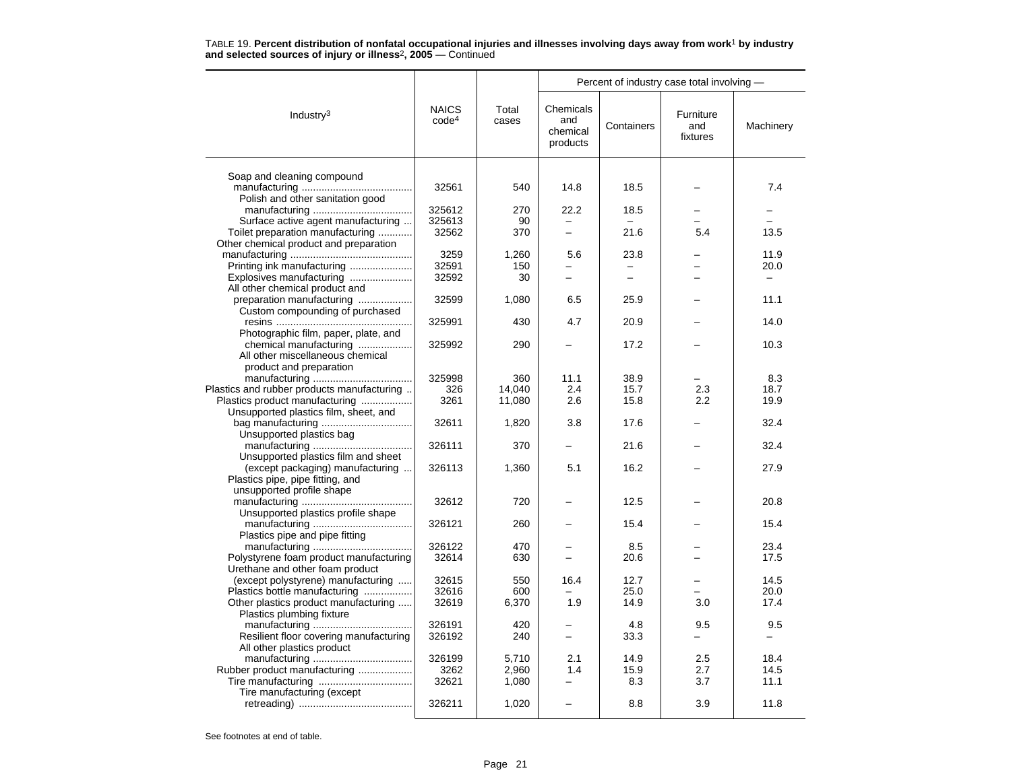|                                                                |                                   |                | Percent of industry case total involving - |                          |                              |           |  |  |
|----------------------------------------------------------------|-----------------------------------|----------------|--------------------------------------------|--------------------------|------------------------------|-----------|--|--|
| Industry $3$                                                   | <b>NAICS</b><br>code <sup>4</sup> | Total<br>cases | Chemicals<br>and<br>chemical<br>products   | Containers               | Furniture<br>and<br>fixtures | Machinery |  |  |
|                                                                |                                   |                |                                            |                          |                              |           |  |  |
| Soap and cleaning compound                                     | 32561                             | 540            | 14.8                                       | 18.5                     |                              | 7.4       |  |  |
| Polish and other sanitation good                               |                                   |                |                                            |                          |                              |           |  |  |
|                                                                | 325612                            | 270            | 22.2                                       | 18.5                     |                              |           |  |  |
| Surface active agent manufacturing                             | 325613                            | 90             | $\equiv$                                   |                          |                              |           |  |  |
| Toilet preparation manufacturing                               | 32562                             | 370            | $\overline{\phantom{0}}$                   | 21.6                     | 5.4                          | 13.5      |  |  |
| Other chemical product and preparation                         |                                   |                |                                            |                          |                              |           |  |  |
|                                                                | 3259                              | 1,260          | 5.6                                        | 23.8                     |                              | 11.9      |  |  |
| Printing ink manufacturing                                     | 32591                             | 150            |                                            |                          |                              | 20.0      |  |  |
| Explosives manufacturing                                       | 32592                             | 30             | $\overline{\phantom{0}}$                   | $\overline{\phantom{0}}$ |                              |           |  |  |
| All other chemical product and                                 |                                   |                |                                            |                          |                              |           |  |  |
| preparation manufacturing                                      | 32599                             | 1,080          | 6.5                                        | 25.9                     |                              | 11.1      |  |  |
| Custom compounding of purchased                                |                                   |                |                                            |                          |                              |           |  |  |
|                                                                | 325991                            | 430            | 4.7                                        | 20.9                     |                              | 14.0      |  |  |
| Photographic film, paper, plate, and<br>chemical manufacturing | 325992                            | 290            |                                            | 17.2                     |                              | 10.3      |  |  |
| All other miscellaneous chemical                               |                                   |                |                                            |                          |                              |           |  |  |
| product and preparation                                        |                                   |                |                                            |                          |                              |           |  |  |
|                                                                | 325998                            | 360            | 11.1                                       | 38.9                     |                              | 8.3       |  |  |
| Plastics and rubber products manufacturing                     | 326                               | 14,040         | 2.4                                        | 15.7                     | 2.3                          | 18.7      |  |  |
| Plastics product manufacturing                                 | 3261                              | 11,080         | 2.6                                        | 15.8                     | 2.2                          | 19.9      |  |  |
| Unsupported plastics film, sheet, and                          |                                   |                |                                            |                          |                              |           |  |  |
|                                                                | 32611                             | 1,820          | 3.8                                        | 17.6                     |                              | 32.4      |  |  |
| Unsupported plastics bag                                       |                                   |                |                                            |                          |                              |           |  |  |
|                                                                | 326111                            | 370            |                                            | 21.6                     |                              | 32.4      |  |  |
| Unsupported plastics film and sheet                            |                                   |                |                                            |                          |                              |           |  |  |
| (except packaging) manufacturing                               | 326113                            | 1,360          | 5.1                                        | 16.2                     |                              | 27.9      |  |  |
| Plastics pipe, pipe fitting, and                               |                                   |                |                                            |                          |                              |           |  |  |
| unsupported profile shape                                      |                                   |                |                                            |                          |                              |           |  |  |
|                                                                | 32612                             | 720            |                                            | 12.5                     |                              | 20.8      |  |  |
| Unsupported plastics profile shape                             |                                   |                |                                            |                          |                              |           |  |  |
|                                                                | 326121                            | 260            |                                            | 15.4                     |                              | 15.4      |  |  |
| Plastics pipe and pipe fitting                                 | 326122                            | 470            |                                            | 8.5                      |                              | 23.4      |  |  |
| Polystyrene foam product manufacturing                         | 32614                             | 630            |                                            | 20.6                     |                              | 17.5      |  |  |
| Urethane and other foam product                                |                                   |                |                                            |                          |                              |           |  |  |
| (except polystyrene) manufacturing                             | 32615                             | 550            | 16.4                                       | 12.7                     |                              | 14.5      |  |  |
| Plastics bottle manufacturing                                  | 32616                             | 600            |                                            | 25.0                     |                              | 20.0      |  |  |
| Other plastics product manufacturing                           | 32619                             | 6,370          | 1.9                                        | 14.9                     | 3.0                          | 17.4      |  |  |
| Plastics plumbing fixture                                      |                                   |                |                                            |                          |                              |           |  |  |
|                                                                | 326191                            | 420            |                                            | 4.8                      | 9.5                          | 9.5       |  |  |
| Resilient floor covering manufacturing                         | 326192                            | 240            | $\overline{\phantom{0}}$                   | 33.3                     |                              |           |  |  |
| All other plastics product                                     |                                   |                |                                            |                          |                              |           |  |  |
|                                                                | 326199                            | 5,710          | 2.1                                        | 14.9                     | 2.5                          | 18.4      |  |  |
| Rubber product manufacturing                                   | 3262                              | 2.960          | 1.4                                        | 15.9                     | 2.7                          | 14.5      |  |  |
|                                                                | 32621                             | 1,080          |                                            | 8.3                      | 3.7                          | 11.1      |  |  |
| Tire manufacturing (except                                     |                                   |                |                                            |                          |                              |           |  |  |
|                                                                | 326211                            | 1,020          |                                            | 8.8                      | 3.9                          | 11.8      |  |  |
|                                                                |                                   |                |                                            |                          |                              |           |  |  |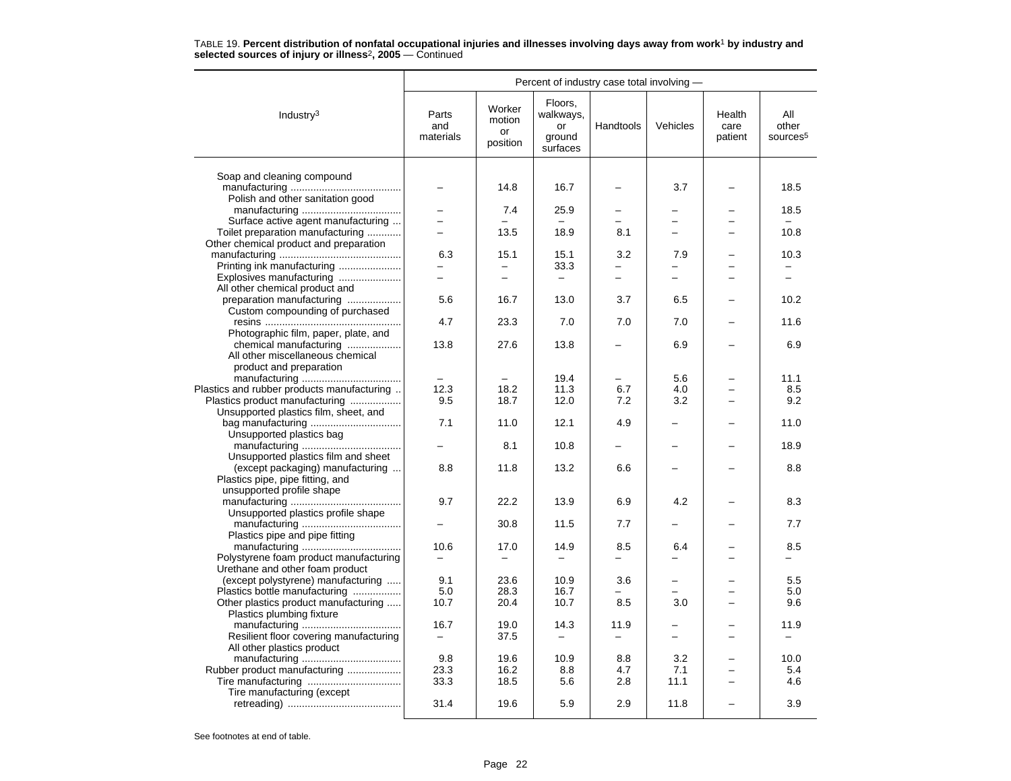|                                                             | Percent of industry case total involving - |                                    |                                                  |                          |                          |                           |                                      |  |
|-------------------------------------------------------------|--------------------------------------------|------------------------------------|--------------------------------------------------|--------------------------|--------------------------|---------------------------|--------------------------------------|--|
| Industry <sup>3</sup>                                       | Parts<br>and<br>materials                  | Worker<br>motion<br>or<br>position | Floors.<br>walkways,<br>or<br>ground<br>surfaces | Handtools                | Vehicles                 | Health<br>care<br>patient | All<br>other<br>sources <sup>5</sup> |  |
|                                                             |                                            |                                    |                                                  |                          |                          |                           |                                      |  |
| Soap and cleaning compound                                  |                                            | 14.8                               | 16.7                                             |                          | 3.7                      |                           | 18.5                                 |  |
| Polish and other sanitation good                            |                                            |                                    |                                                  |                          |                          |                           |                                      |  |
|                                                             |                                            | 7.4                                | 25.9                                             |                          |                          |                           | 18.5<br>L.                           |  |
| Surface active agent manufacturing                          | $\overline{\phantom{0}}$                   |                                    |                                                  | $\overline{\phantom{0}}$ | $\equiv$                 |                           |                                      |  |
| Toilet preparation manufacturing                            | $\equiv$                                   | 13.5                               | 18.9                                             | 8.1                      | $\equiv$                 |                           | 10.8                                 |  |
| Other chemical product and preparation                      |                                            |                                    |                                                  |                          |                          |                           |                                      |  |
|                                                             | 6.3                                        | 15.1                               | 15.1                                             | 3.2                      | 7.9                      |                           | 10.3                                 |  |
| Printing ink manufacturing                                  | $\overline{a}$                             | $\overline{\phantom{0}}$           | 33.3                                             | $\overline{\phantom{0}}$ | $\overline{\phantom{0}}$ |                           | $\equiv$                             |  |
| Explosives manufacturing                                    |                                            |                                    | $\overline{\phantom{0}}$                         |                          |                          |                           |                                      |  |
| All other chemical product and<br>preparation manufacturing | 5.6                                        | 16.7                               | 13.0                                             | 3.7                      | 6.5                      |                           | 10.2                                 |  |
| Custom compounding of purchased                             |                                            |                                    |                                                  |                          |                          |                           |                                      |  |
|                                                             | 4.7                                        | 23.3                               | 7.0                                              | 7.0                      | 7.0                      |                           | 11.6                                 |  |
| Photographic film, paper, plate, and                        |                                            |                                    |                                                  |                          |                          |                           |                                      |  |
| chemical manufacturing                                      | 13.8                                       | 27.6                               | 13.8                                             |                          | 6.9                      |                           | 6.9                                  |  |
| All other miscellaneous chemical                            |                                            |                                    |                                                  |                          |                          |                           |                                      |  |
| product and preparation                                     |                                            |                                    |                                                  |                          |                          |                           |                                      |  |
|                                                             |                                            |                                    | 19.4                                             |                          | 5.6                      |                           | 11.1                                 |  |
| Plastics and rubber products manufacturing                  | 12.3                                       | 18.2                               | 11.3                                             | 6.7                      | 4.0                      |                           | 8.5                                  |  |
| Plastics product manufacturing                              | 9.5                                        | 18.7                               | 12.0                                             | 7.2                      | 3.2                      |                           | 9.2                                  |  |
| Unsupported plastics film, sheet, and                       |                                            |                                    |                                                  |                          |                          |                           |                                      |  |
|                                                             | 7.1                                        | 11.0                               | 12.1                                             | 4.9                      |                          |                           | 11.0                                 |  |
| Unsupported plastics bag                                    |                                            |                                    |                                                  |                          |                          |                           |                                      |  |
|                                                             |                                            | 8.1                                | 10.8                                             |                          |                          |                           | 18.9                                 |  |
| Unsupported plastics film and sheet                         |                                            |                                    |                                                  |                          |                          |                           |                                      |  |
| (except packaging) manufacturing                            | 8.8                                        | 11.8                               | 13.2                                             | 6.6                      |                          |                           | 8.8                                  |  |
| Plastics pipe, pipe fitting, and                            |                                            |                                    |                                                  |                          |                          |                           |                                      |  |
| unsupported profile shape                                   |                                            |                                    |                                                  |                          |                          |                           |                                      |  |
|                                                             | 9.7                                        | 22.2                               | 13.9                                             | 6.9                      | 4.2                      |                           | 8.3                                  |  |
| Unsupported plastics profile shape                          |                                            |                                    |                                                  |                          |                          |                           |                                      |  |
|                                                             |                                            | 30.8                               | 11.5                                             | 7.7                      |                          |                           | 7.7                                  |  |
| Plastics pipe and pipe fitting                              |                                            |                                    |                                                  |                          |                          |                           |                                      |  |
|                                                             | 10.6                                       | 17.0                               | 14.9                                             | 8.5                      | 6.4                      |                           | 8.5                                  |  |
| Polystyrene foam product manufacturing                      |                                            | $\overline{\phantom{0}}$           |                                                  |                          | $\equiv$                 |                           |                                      |  |
| Urethane and other foam product                             |                                            |                                    |                                                  |                          |                          |                           |                                      |  |
| (except polystyrene) manufacturing                          | 9.1                                        | 23.6                               | 10.9                                             | 3.6                      |                          |                           | 5.5                                  |  |
| Plastics bottle manufacturing                               | 5.0                                        | 28.3                               | 16.7                                             |                          |                          |                           | 5.0                                  |  |
| Other plastics product manufacturing                        | 10.7                                       | 20.4                               | 10.7                                             | 8.5                      | 3.0                      |                           | 9.6                                  |  |
| Plastics plumbing fixture                                   |                                            |                                    |                                                  |                          |                          |                           |                                      |  |
|                                                             | 16.7                                       | 19.0                               | 14.3                                             | 11.9                     | -                        |                           | 11.9                                 |  |
| Resilient floor covering manufacturing                      | $\overline{\phantom{0}}$                   | 37.5                               | $\overline{\phantom{0}}$                         | —                        |                          |                           | -                                    |  |
| All other plastics product                                  | 9.8                                        | 19.6                               | 10.9                                             | 8.8                      | 3.2                      |                           | 10.0                                 |  |
| Rubber product manufacturing                                | 23.3                                       | 16.2                               | 8.8                                              | 4.7                      | 7.1                      |                           | 5.4                                  |  |
|                                                             | 33.3                                       | 18.5                               | 5.6                                              | 2.8                      | 11.1                     |                           | 4.6                                  |  |
| Tire manufacturing (except                                  |                                            |                                    |                                                  |                          |                          |                           |                                      |  |
|                                                             | 31.4                                       | 19.6                               | 5.9                                              | 2.9                      | 11.8                     |                           | 3.9                                  |  |
|                                                             |                                            |                                    |                                                  |                          |                          |                           |                                      |  |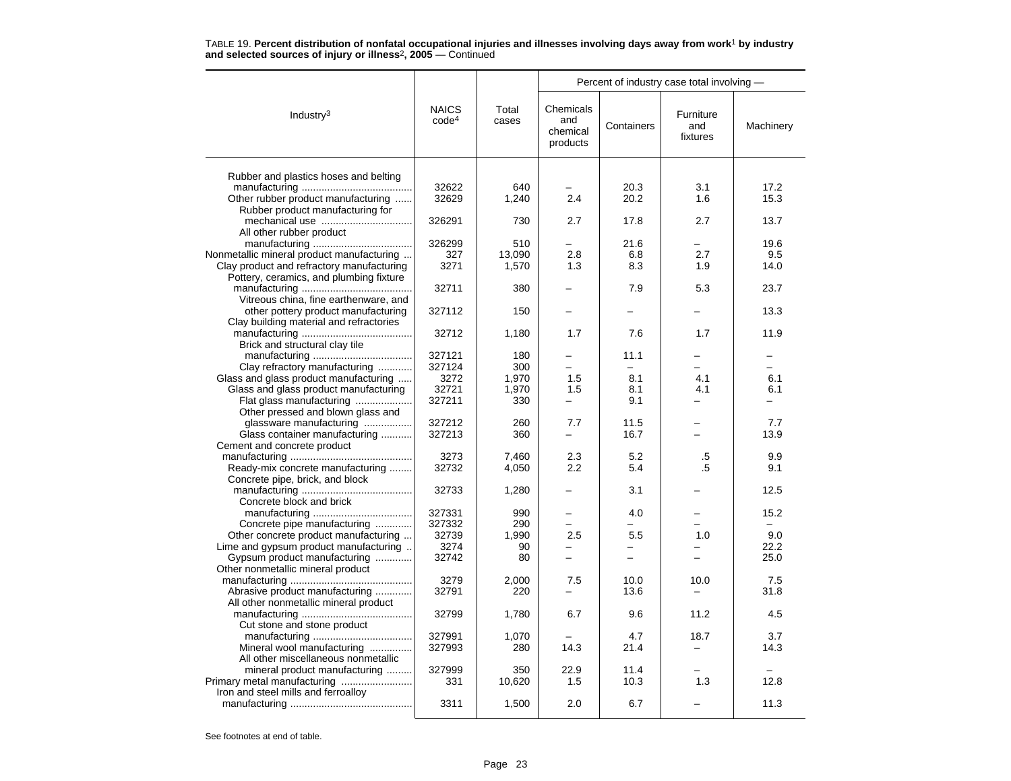|                                                                   |                                   |                | Percent of industry case total involving - |            |                              |                          |  |
|-------------------------------------------------------------------|-----------------------------------|----------------|--------------------------------------------|------------|------------------------------|--------------------------|--|
| Industry <sup>3</sup>                                             | <b>NAICS</b><br>code <sup>4</sup> | Total<br>cases | Chemicals<br>and<br>chemical<br>products   | Containers | Furniture<br>and<br>fixtures | Machinery                |  |
| Rubber and plastics hoses and belting                             |                                   |                |                                            |            |                              |                          |  |
|                                                                   | 32622                             | 640            |                                            | 20.3       | 3.1                          | 17.2                     |  |
| Other rubber product manufacturing                                | 32629                             | 1,240          | 2.4                                        | 20.2       | 1.6                          | 15.3                     |  |
| Rubber product manufacturing for                                  |                                   |                |                                            |            |                              |                          |  |
|                                                                   | 326291                            | 730            | 2.7                                        | 17.8       | 2.7                          | 13.7                     |  |
| All other rubber product                                          |                                   |                |                                            |            |                              |                          |  |
|                                                                   | 326299                            | 510            |                                            | 21.6       |                              | 19.6                     |  |
| Nonmetallic mineral product manufacturing                         | 327                               | 13,090         | 2.8                                        | 6.8        | 2.7                          | 9.5                      |  |
| Clay product and refractory manufacturing                         | 3271                              | 1,570          | 1.3                                        | 8.3        | 1.9                          | 14.0                     |  |
| Pottery, ceramics, and plumbing fixture                           |                                   |                |                                            |            |                              |                          |  |
|                                                                   | 32711                             | 380            |                                            | 7.9        | 5.3                          | 23.7                     |  |
| Vitreous china, fine earthenware, and                             |                                   |                |                                            |            |                              |                          |  |
| other pottery product manufacturing                               | 327112                            | 150            |                                            |            |                              | 13.3                     |  |
| Clay building material and refractories                           |                                   |                |                                            |            |                              |                          |  |
|                                                                   | 32712                             | 1,180          | 1.7                                        | 7.6        | 1.7                          | 11.9                     |  |
| Brick and structural clay tile                                    |                                   |                |                                            |            |                              |                          |  |
|                                                                   | 327121                            | 180            | -                                          | 11.1       |                              |                          |  |
| Clay refractory manufacturing                                     | 327124                            | 300            |                                            |            |                              |                          |  |
| Glass and glass product manufacturing                             | 3272                              | 1,970          | 1.5                                        | 8.1        | 4.1                          | 6.1                      |  |
| Glass and glass product manufacturing                             | 32721                             | 1,970          | 1.5                                        | 8.1        | 4.1                          | 6.1                      |  |
| Flat glass manufacturing                                          | 327211                            | 330            |                                            | 9.1        |                              |                          |  |
| Other pressed and blown glass and                                 |                                   |                |                                            |            |                              |                          |  |
| glassware manufacturing                                           | 327212                            | 260            | 7.7                                        | 11.5       |                              | 7.7                      |  |
| Glass container manufacturing                                     | 327213                            | 360            | ÷                                          | 16.7       |                              | 13.9                     |  |
| Cement and concrete product                                       |                                   |                |                                            |            |                              |                          |  |
|                                                                   | 3273                              | 7.460          | 2.3                                        | 5.2        | .5                           | 9.9                      |  |
| Ready-mix concrete manufacturing                                  | 32732                             | 4,050          | 2.2                                        | 5.4        | .5                           | 9.1                      |  |
| Concrete pipe, brick, and block                                   |                                   |                |                                            |            |                              |                          |  |
|                                                                   | 32733                             | 1,280          |                                            | 3.1        |                              | 12.5                     |  |
| Concrete block and brick                                          |                                   |                |                                            |            |                              |                          |  |
|                                                                   | 327331                            | 990            |                                            | 4.0        |                              | 15.2                     |  |
| Concrete pipe manufacturing                                       | 327332                            | 290            |                                            |            |                              | $\overline{\phantom{0}}$ |  |
| Other concrete product manufacturing                              | 32739                             | 1,990          | 2.5                                        | 5.5        | 1.0                          | 9.0                      |  |
| Lime and gypsum product manufacturing                             | 3274<br>32742                     | 90             | $\overline{\phantom{0}}$                   |            |                              | 22.2                     |  |
| Gypsum product manufacturing<br>Other nonmetallic mineral product |                                   | 80             |                                            |            |                              | 25.0                     |  |
|                                                                   | 3279                              | 2,000          | 7.5                                        | 10.0       | 10.0                         | 7.5                      |  |
| Abrasive product manufacturing                                    | 32791                             | 220            |                                            |            |                              | 31.8                     |  |
| All other nonmetallic mineral product                             |                                   |                |                                            | 13.6       |                              |                          |  |
|                                                                   | 32799                             | 1,780          | 6.7                                        | 9.6        | 11.2                         | 4.5                      |  |
| Cut stone and stone product                                       |                                   |                |                                            |            |                              |                          |  |
|                                                                   | 327991                            | 1,070          |                                            | 4.7        | 18.7                         | 3.7                      |  |
| Mineral wool manufacturing                                        | 327993                            | 280            | 14.3                                       | 21.4       |                              | 14.3                     |  |
| All other miscellaneous nonmetallic                               |                                   |                |                                            |            |                              |                          |  |
| mineral product manufacturing                                     | 327999                            | 350            | 22.9                                       | 11.4       |                              |                          |  |
| Primary metal manufacturing                                       | 331                               | 10,620         | 1.5                                        | 10.3       | 1.3                          | 12.8                     |  |
| Iron and steel mills and ferroalloy                               |                                   |                |                                            |            |                              |                          |  |
|                                                                   | 3311                              | 1,500          | 2.0                                        | 6.7        |                              | 11.3                     |  |
|                                                                   |                                   |                |                                            |            |                              |                          |  |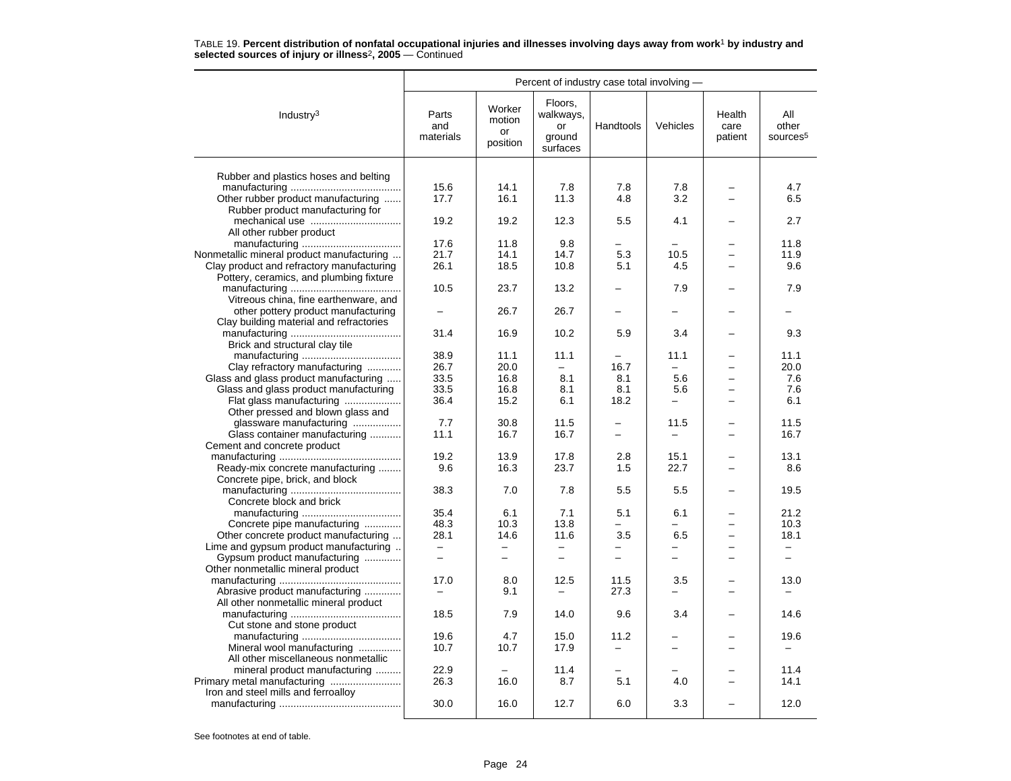|                                                                        | Percent of industry case total involving - |                                    |                                                  |                          |                          |                           |                                      |  |
|------------------------------------------------------------------------|--------------------------------------------|------------------------------------|--------------------------------------------------|--------------------------|--------------------------|---------------------------|--------------------------------------|--|
| Industry <sup>3</sup>                                                  | Parts<br>and<br>materials                  | Worker<br>motion<br>or<br>position | Floors,<br>walkways,<br>or<br>ground<br>surfaces | Handtools                | Vehicles                 | Health<br>care<br>patient | All<br>other<br>sources <sup>5</sup> |  |
|                                                                        |                                            |                                    |                                                  |                          |                          |                           |                                      |  |
| Rubber and plastics hoses and belting                                  |                                            |                                    |                                                  |                          |                          |                           |                                      |  |
|                                                                        | 15.6<br>17.7                               | 14.1<br>16.1                       | 7.8<br>11.3                                      | 7.8<br>4.8               | 7.8<br>3.2               |                           | 4.7<br>6.5                           |  |
| Other rubber product manufacturing<br>Rubber product manufacturing for |                                            |                                    |                                                  |                          |                          |                           |                                      |  |
|                                                                        | 19.2                                       | 19.2                               | 12.3                                             | 5.5                      | 4.1                      |                           | 2.7                                  |  |
| All other rubber product                                               |                                            |                                    |                                                  |                          |                          |                           |                                      |  |
|                                                                        | 17.6                                       | 11.8                               | 9.8                                              |                          |                          |                           | 11.8                                 |  |
| Nonmetallic mineral product manufacturing                              | 21.7                                       | 14.1                               | 14.7                                             | 5.3                      | 10.5                     |                           | 11.9                                 |  |
| Clay product and refractory manufacturing                              | 26.1                                       | 18.5                               | 10.8                                             | 5.1                      | 4.5                      |                           | 9.6                                  |  |
| Pottery, ceramics, and plumbing fixture                                |                                            |                                    |                                                  |                          |                          |                           |                                      |  |
|                                                                        | 10.5                                       | 23.7                               | 13.2                                             |                          | 7.9                      |                           | 7.9                                  |  |
| Vitreous china, fine earthenware, and                                  |                                            |                                    |                                                  |                          |                          |                           |                                      |  |
| other pottery product manufacturing                                    |                                            | 26.7                               | 26.7                                             |                          |                          |                           |                                      |  |
| Clay building material and refractories                                |                                            |                                    |                                                  |                          |                          |                           |                                      |  |
|                                                                        | 31.4                                       | 16.9                               | 10.2                                             | 5.9                      | 3.4                      |                           | 9.3                                  |  |
| Brick and structural clay tile                                         |                                            |                                    |                                                  |                          |                          |                           |                                      |  |
|                                                                        | 38.9                                       | 11.1                               | 11.1                                             |                          | 11.1                     |                           | 11.1                                 |  |
| Clay refractory manufacturing                                          | 26.7                                       | 20.0                               | $\equiv$                                         | 16.7                     | $\overline{\phantom{0}}$ |                           | 20.0                                 |  |
| Glass and glass product manufacturing                                  | 33.5                                       | 16.8                               | 8.1                                              | 8.1                      | 5.6                      |                           | 7.6                                  |  |
| Glass and glass product manufacturing                                  | 33.5                                       | 16.8                               | 8.1                                              | 8.1                      | 5.6                      |                           | 7.6                                  |  |
| Flat glass manufacturing                                               | 36.4                                       | 15.2                               | 6.1                                              | 18.2                     | $\overline{\phantom{0}}$ |                           | 6.1                                  |  |
| Other pressed and blown glass and                                      |                                            |                                    |                                                  |                          |                          |                           |                                      |  |
| glassware manufacturing                                                | 7.7                                        | 30.8                               | 11.5                                             |                          | 11.5                     |                           | 11.5                                 |  |
| Glass container manufacturing                                          | 11.1                                       | 16.7                               | 16.7                                             | $\overline{\phantom{0}}$ |                          |                           | 16.7                                 |  |
| Cement and concrete product                                            |                                            |                                    |                                                  |                          |                          |                           |                                      |  |
|                                                                        | 19.2                                       | 13.9<br>16.3                       | 17.8                                             | 2.8                      | 15.1                     |                           | 13.1                                 |  |
| Ready-mix concrete manufacturing                                       | 9.6                                        |                                    | 23.7                                             | 1.5                      | 22.7                     |                           | 8.6                                  |  |
| Concrete pipe, brick, and block                                        | 38.3                                       | 7.0                                | 7.8                                              | 5.5                      | 5.5                      |                           | 19.5                                 |  |
| Concrete block and brick                                               |                                            |                                    |                                                  |                          |                          |                           |                                      |  |
|                                                                        | 35.4                                       | 6.1                                | 7.1                                              | 5.1                      | 6.1                      |                           | 21.2                                 |  |
| Concrete pipe manufacturing                                            | 48.3                                       | 10.3                               | 13.8                                             | $\overline{\phantom{0}}$ | L.                       |                           | 10.3                                 |  |
| Other concrete product manufacturing                                   | 28.1                                       | 14.6                               | 11.6                                             | 3.5                      | 6.5                      |                           | 18.1                                 |  |
| Lime and gypsum product manufacturing                                  | $\overline{\phantom{a}}$                   | $\qquad \qquad -$                  | $\overline{\phantom{0}}$                         | -                        | $\overline{\phantom{0}}$ | -                         | $\overline{\phantom{0}}$             |  |
| Gypsum product manufacturing                                           |                                            | $\overline{\phantom{0}}$           |                                                  | $\overline{\phantom{0}}$ |                          |                           | -                                    |  |
| Other nonmetallic mineral product                                      |                                            |                                    |                                                  |                          |                          |                           |                                      |  |
|                                                                        | 17.0                                       | 8.0                                | 12.5                                             | 11.5                     | 3.5                      |                           | 13.0                                 |  |
| Abrasive product manufacturing                                         |                                            | 9.1                                |                                                  | 27.3                     | $\equiv$                 |                           |                                      |  |
| All other nonmetallic mineral product                                  |                                            |                                    |                                                  |                          |                          |                           |                                      |  |
|                                                                        | 18.5                                       | 7.9                                | 14.0                                             | 9.6                      | 3.4                      |                           | 14.6                                 |  |
| Cut stone and stone product                                            |                                            |                                    |                                                  |                          |                          |                           |                                      |  |
|                                                                        | 19.6                                       | 4.7                                | 15.0                                             | 11.2                     |                          |                           | 19.6                                 |  |
| Mineral wool manufacturing                                             | 10.7                                       | 10.7                               | 17.9                                             |                          |                          |                           |                                      |  |
| All other miscellaneous nonmetallic                                    |                                            |                                    |                                                  |                          |                          |                           |                                      |  |
| mineral product manufacturing                                          | 22.9                                       |                                    | 11.4                                             |                          |                          |                           | 11.4                                 |  |
|                                                                        | 26.3                                       | 16.0                               | 8.7                                              | 5.1                      | 4.0                      |                           | 14.1                                 |  |
| Iron and steel mills and ferroalloy                                    |                                            |                                    |                                                  |                          |                          |                           |                                      |  |
|                                                                        | 30.0                                       | 16.0                               | 12.7                                             | 6.0                      | 3.3                      |                           | 12.0                                 |  |
|                                                                        |                                            |                                    |                                                  |                          |                          |                           |                                      |  |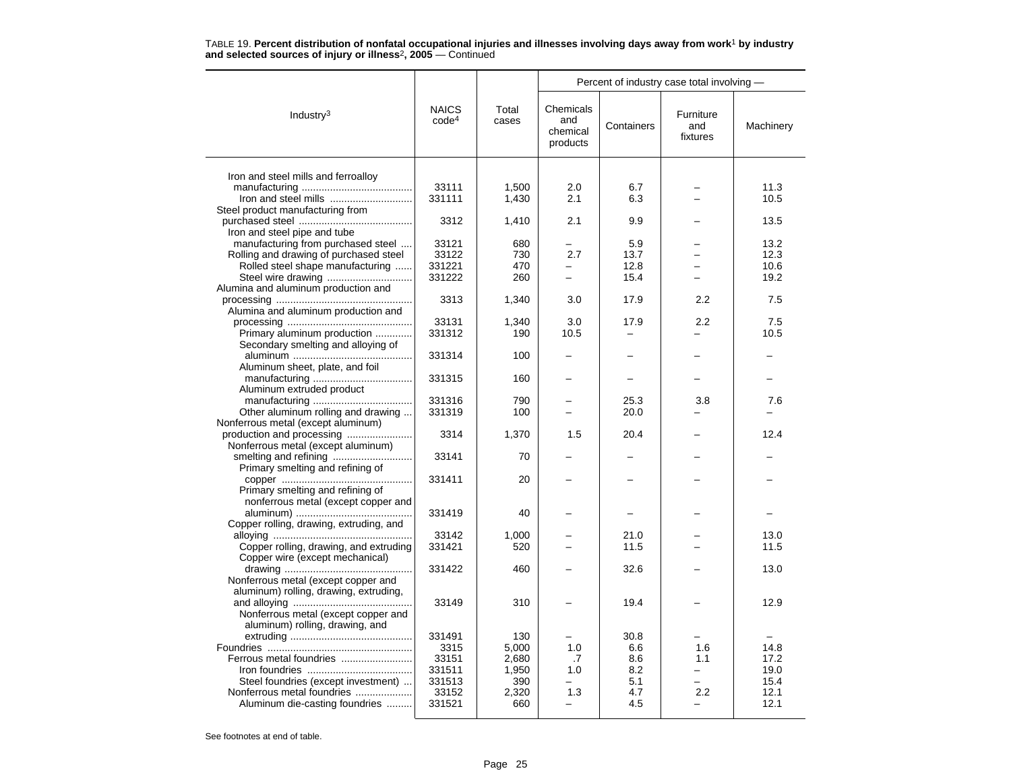|                                         |                                   |                | Percent of industry case total involving - |            |                              |           |  |
|-----------------------------------------|-----------------------------------|----------------|--------------------------------------------|------------|------------------------------|-----------|--|
| Industry $3$                            | <b>NAICS</b><br>code <sup>4</sup> | Total<br>cases | Chemicals<br>and<br>chemical<br>products   | Containers | Furniture<br>and<br>fixtures | Machinery |  |
| Iron and steel mills and ferroalloy     |                                   |                |                                            |            |                              |           |  |
|                                         | 33111                             | 1,500          | 2.0                                        | 6.7        |                              | 11.3      |  |
| Iron and steel mills                    | 331111                            | 1,430          | 2.1                                        | 6.3        |                              | 10.5      |  |
| Steel product manufacturing from        |                                   |                |                                            |            |                              |           |  |
|                                         | 3312                              | 1,410          | 2.1                                        | 9.9        |                              | 13.5      |  |
| Iron and steel pipe and tube            |                                   |                |                                            |            |                              |           |  |
| manufacturing from purchased steel      | 33121                             | 680            |                                            | 5.9        |                              | 13.2      |  |
| Rolling and drawing of purchased steel  | 33122                             | 730            | 2.7                                        | 13.7       |                              | 12.3      |  |
| Rolled steel shape manufacturing        | 331221                            | 470            |                                            | 12.8       |                              | 10.6      |  |
| Steel wire drawing                      | 331222                            | 260            | $\overline{\phantom{0}}$                   | 15.4       |                              | 19.2      |  |
| Alumina and aluminum production and     |                                   |                |                                            |            |                              |           |  |
|                                         | 3313                              | 1,340          | 3.0                                        | 17.9       | 2.2                          | 7.5       |  |
| Alumina and aluminum production and     |                                   |                |                                            |            |                              |           |  |
|                                         | 33131                             | 1,340          | 3.0                                        | 17.9       | 2.2                          | 7.5       |  |
| Primary aluminum production             | 331312                            | 190            | 10.5                                       | -          |                              | 10.5      |  |
| Secondary smelting and alloying of      |                                   |                |                                            |            |                              |           |  |
|                                         | 331314                            | 100            |                                            |            |                              |           |  |
| Aluminum sheet, plate, and foil         |                                   |                |                                            |            |                              |           |  |
|                                         | 331315                            | 160            |                                            |            |                              |           |  |
| Aluminum extruded product               |                                   |                |                                            |            |                              |           |  |
|                                         | 331316                            | 790            |                                            | 25.3       | 3.8                          | 7.6       |  |
| Other aluminum rolling and drawing      | 331319                            | 100            |                                            | 20.0       |                              |           |  |
| Nonferrous metal (except aluminum)      |                                   |                |                                            |            |                              |           |  |
| production and processing               | 3314                              | 1,370          | 1.5                                        | 20.4       |                              | 12.4      |  |
| Nonferrous metal (except aluminum)      |                                   |                |                                            |            |                              |           |  |
| Primary smelting and refining of        | 33141                             | 70             |                                            |            |                              |           |  |
|                                         | 331411                            | 20             |                                            |            |                              |           |  |
| Primary smelting and refining of        |                                   |                |                                            |            |                              |           |  |
| nonferrous metal (except copper and     |                                   |                |                                            |            |                              |           |  |
|                                         | 331419                            | 40             |                                            |            |                              |           |  |
| Copper rolling, drawing, extruding, and |                                   |                |                                            |            |                              |           |  |
|                                         | 33142                             | 1,000          |                                            | 21.0       |                              | 13.0      |  |
| Copper rolling, drawing, and extruding  | 331421                            | 520            |                                            | 11.5       |                              | 11.5      |  |
| Copper wire (except mechanical)         |                                   |                |                                            |            |                              |           |  |
|                                         | 331422                            | 460            |                                            | 32.6       |                              | 13.0      |  |
| Nonferrous metal (except copper and     |                                   |                |                                            |            |                              |           |  |
| aluminum) rolling, drawing, extruding,  |                                   |                |                                            |            |                              |           |  |
|                                         | 33149                             | 310            |                                            | 19.4       |                              | 12.9      |  |
| Nonferrous metal (except copper and     |                                   |                |                                            |            |                              |           |  |
| aluminum) rolling, drawing, and         |                                   |                |                                            |            |                              |           |  |
|                                         | 331491                            | 130            |                                            | 30.8       |                              |           |  |
|                                         | 3315                              | 5,000          | 1.0                                        | 6.6        | 1.6                          | 14.8      |  |
| Ferrous metal foundries                 | 33151                             | 2,680          | .7                                         | 8.6        | 1.1                          | 17.2      |  |
|                                         | 331511                            | 1,950          | 1.0                                        | 8.2        |                              | 19.0      |  |
| Steel foundries (except investment)     | 331513                            | 390            |                                            | 5.1        |                              | 15.4      |  |
| Nonferrous metal foundries              | 33152                             | 2,320          | 1.3                                        | 4.7        | 2.2                          | 12.1      |  |
| Aluminum die-casting foundries          | 331521                            | 660            |                                            | 4.5        |                              | 12.1      |  |
|                                         |                                   |                |                                            |            |                              |           |  |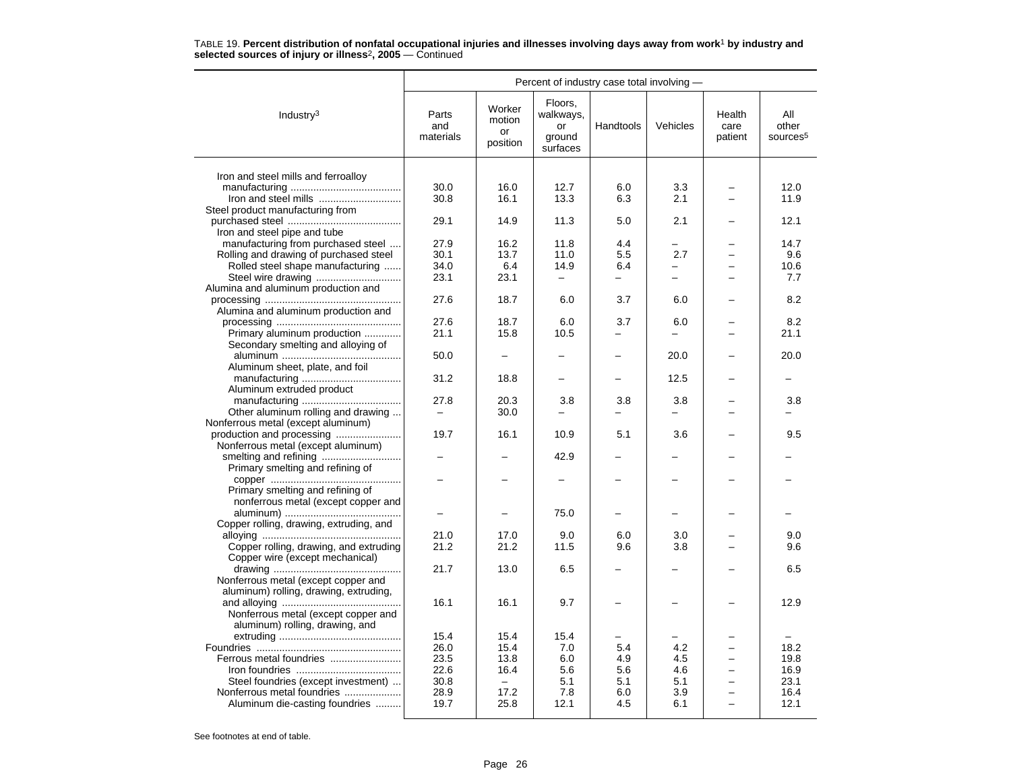|                                         | Percent of industry case total involving - |                                           |                                                  |           |                                 |                           |                                      |  |
|-----------------------------------------|--------------------------------------------|-------------------------------------------|--------------------------------------------------|-----------|---------------------------------|---------------------------|--------------------------------------|--|
| Industry $3$                            | Parts<br>and<br>materials                  | Worker<br>motion<br><b>or</b><br>position | Floors,<br>walkways,<br>or<br>ground<br>surfaces | Handtools | Vehicles                        | Health<br>care<br>patient | All<br>other<br>sources <sup>5</sup> |  |
|                                         |                                            |                                           |                                                  |           |                                 |                           |                                      |  |
| Iron and steel mills and ferroalloy     | 30.0                                       | 16.0                                      | 12.7                                             | 6.0       | 3.3                             |                           | 12.0                                 |  |
|                                         | 30.8                                       | 16.1                                      | 13.3                                             | 6.3       | 2.1                             |                           | 11.9                                 |  |
| Steel product manufacturing from        |                                            |                                           |                                                  |           |                                 |                           |                                      |  |
|                                         | 29.1                                       | 14.9                                      | 11.3                                             | 5.0       | 2.1                             |                           | 12.1                                 |  |
| Iron and steel pipe and tube            |                                            |                                           |                                                  |           |                                 |                           |                                      |  |
| manufacturing from purchased steel      | 27.9                                       | 16.2                                      | 11.8                                             | 4.4       |                                 |                           | 14.7                                 |  |
| Rolling and drawing of purchased steel  | 30.1                                       | 13.7                                      | 11.0                                             | 5.5       | 2.7                             |                           | 9.6                                  |  |
| Rolled steel shape manufacturing        | 34.0                                       | 6.4                                       | 14.9                                             | 6.4       |                                 |                           | 10.6                                 |  |
|                                         | 23.1                                       | 23.1                                      | $\overline{\phantom{0}}$                         |           | $\equiv$                        | -                         | 7.7                                  |  |
| Alumina and aluminum production and     |                                            |                                           |                                                  |           |                                 |                           |                                      |  |
|                                         | 27.6                                       | 18.7                                      | 6.0                                              | 3.7       | 6.0                             |                           | 8.2                                  |  |
| Alumina and aluminum production and     |                                            |                                           |                                                  |           |                                 |                           |                                      |  |
|                                         | 27.6                                       | 18.7                                      | 6.0                                              | 3.7       | 6.0                             |                           | 8.2                                  |  |
| Primary aluminum production             | 21.1                                       | 15.8                                      | 10.5                                             |           | -                               |                           | 21.1                                 |  |
| Secondary smelting and alloying of      |                                            |                                           |                                                  |           |                                 |                           |                                      |  |
|                                         | 50.0                                       |                                           |                                                  |           | 20.0                            |                           | 20.0                                 |  |
| Aluminum sheet, plate, and foil         |                                            |                                           |                                                  |           |                                 |                           |                                      |  |
|                                         | 31.2                                       | 18.8                                      |                                                  |           | 12.5                            |                           |                                      |  |
| Aluminum extruded product               |                                            |                                           |                                                  |           |                                 |                           |                                      |  |
| Other aluminum rolling and drawing      | 27.8<br>$\qquad \qquad -$                  | 20.3<br>30.0                              | 3.8                                              | 3.8       | 3.8<br>$\overline{\phantom{0}}$ |                           | 3.8                                  |  |
| Nonferrous metal (except aluminum)      |                                            |                                           |                                                  |           |                                 |                           |                                      |  |
| production and processing               | 19.7                                       | 16.1                                      | 10.9                                             | 5.1       | 3.6                             |                           | 9.5                                  |  |
| Nonferrous metal (except aluminum)      |                                            |                                           |                                                  |           |                                 |                           |                                      |  |
|                                         |                                            |                                           | 42.9                                             |           |                                 |                           |                                      |  |
| Primary smelting and refining of        |                                            |                                           |                                                  |           |                                 |                           |                                      |  |
|                                         |                                            |                                           |                                                  |           |                                 |                           |                                      |  |
| Primary smelting and refining of        |                                            |                                           |                                                  |           |                                 |                           |                                      |  |
| nonferrous metal (except copper and     |                                            |                                           |                                                  |           |                                 |                           |                                      |  |
|                                         |                                            |                                           | 75.0                                             |           |                                 |                           |                                      |  |
| Copper rolling, drawing, extruding, and |                                            |                                           |                                                  |           |                                 |                           |                                      |  |
|                                         | 21.0                                       | 17.0                                      | 9.0                                              | 6.0       | 3.0                             |                           | 9.0                                  |  |
| Copper rolling, drawing, and extruding  | 21.2                                       | 21.2                                      | 11.5                                             | 9.6       | 3.8                             | $\overline{\phantom{0}}$  | 9.6                                  |  |
| Copper wire (except mechanical)         |                                            |                                           |                                                  |           |                                 |                           |                                      |  |
|                                         | 21.7                                       | 13.0                                      | 6.5                                              |           |                                 |                           | 6.5                                  |  |
| Nonferrous metal (except copper and     |                                            |                                           |                                                  |           |                                 |                           |                                      |  |
| aluminum) rolling, drawing, extruding,  |                                            |                                           |                                                  |           |                                 |                           |                                      |  |
|                                         | 16.1                                       | 16.1                                      | 9.7                                              |           |                                 |                           | 12.9                                 |  |
| Nonferrous metal (except copper and     |                                            |                                           |                                                  |           |                                 |                           |                                      |  |
| aluminum) rolling, drawing, and         | 15.4                                       | 15.4                                      | 15.4                                             |           |                                 |                           |                                      |  |
|                                         | 26.0                                       | 15.4                                      | 7.0                                              | 5.4       | 4.2                             |                           | 18.2                                 |  |
| Ferrous metal foundries                 | 23.5                                       | 13.8                                      | 6.0                                              | 4.9       | 4.5                             | $\overline{\phantom{0}}$  | 19.8                                 |  |
|                                         | 22.6                                       | 16.4                                      | 5.6                                              | 5.6       | 4.6                             |                           | 16.9                                 |  |
| Steel foundries (except investment)     | 30.8                                       | $\overline{\phantom{0}}$                  | 5.1                                              | 5.1       | 5.1                             |                           | 23.1                                 |  |
| Nonferrous metal foundries              | 28.9                                       | 17.2                                      | 7.8                                              | 6.0       | 3.9                             | $\overline{\phantom{0}}$  | 16.4                                 |  |
| Aluminum die-casting foundries          | 19.7                                       | 25.8                                      | 12.1                                             | 4.5       | 6.1                             | $\overline{\phantom{0}}$  | 12.1                                 |  |
|                                         |                                            |                                           |                                                  |           |                                 |                           |                                      |  |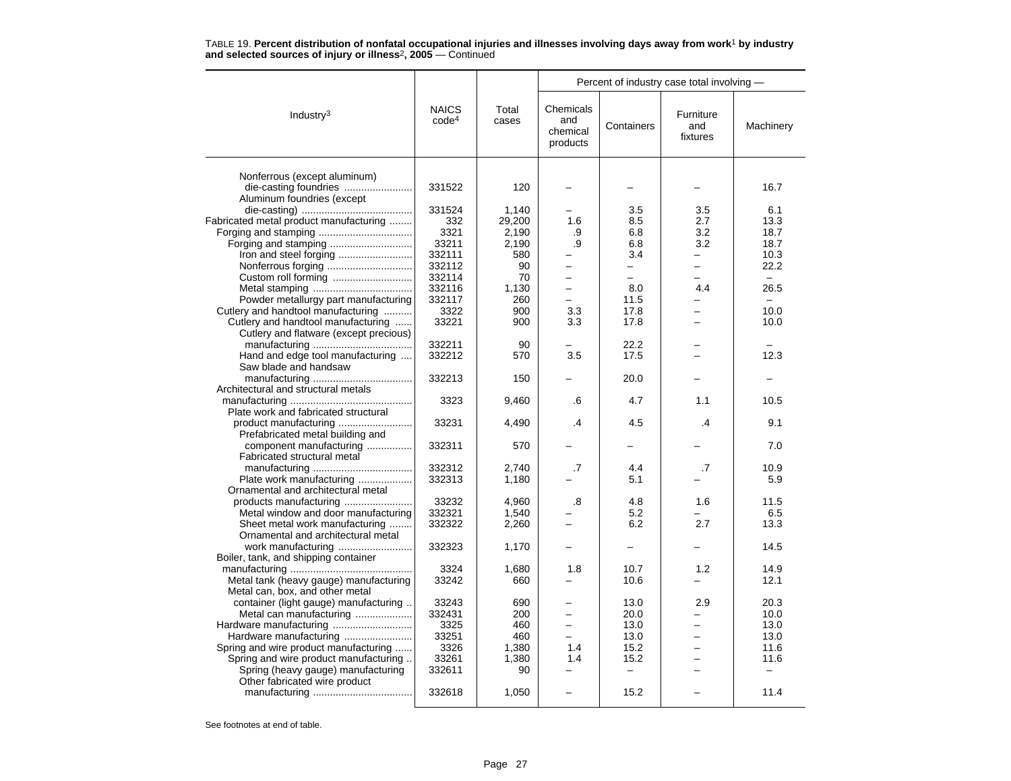|                                                       |                                   |                | Percent of industry case total involving - |                          |                              |              |
|-------------------------------------------------------|-----------------------------------|----------------|--------------------------------------------|--------------------------|------------------------------|--------------|
| Industry $3$                                          | <b>NAICS</b><br>code <sup>4</sup> | Total<br>cases | Chemicals<br>and<br>chemical<br>products   | Containers               | Furniture<br>and<br>fixtures | Machinery    |
|                                                       |                                   |                |                                            |                          |                              |              |
| Nonferrous (except aluminum)<br>die-casting foundries | 331522                            | 120            |                                            |                          |                              | 16.7         |
| Aluminum foundries (except                            |                                   |                |                                            |                          |                              |              |
|                                                       | 331524                            | 1,140          |                                            | 3.5                      | 3.5                          | 6.1          |
| Fabricated metal product manufacturing                | 332                               | 29,200         | 1.6                                        | 8.5                      | 2.7                          | 13.3         |
|                                                       | 3321                              | 2,190          | .9                                         | 6.8                      | 3.2                          | 18.7         |
| Forging and stamping                                  | 33211                             | 2,190          | .9                                         | 6.8                      | 3.2                          | 18.7         |
| Iron and steel forging                                | 332111                            | 580            |                                            | 3.4                      |                              | 10.3         |
|                                                       | 332112                            | 90             |                                            | $\equiv$                 | $\overline{\phantom{0}}$     | 22.2         |
|                                                       | 332114                            | 70             | $\overline{\phantom{0}}$                   | $\overline{\phantom{0}}$ | $\overline{\phantom{0}}$     | $\equiv$     |
|                                                       | 332116                            | 1,130          |                                            | 8.0                      | 4.4                          | 26.5         |
| Powder metallurgy part manufacturing                  | 332117                            | 260            |                                            | 11.5                     |                              | $\equiv$     |
| Cutlery and handtool manufacturing                    | 3322                              | 900            | 3.3                                        | 17.8                     |                              | 10.0         |
| Cutlery and handtool manufacturing                    | 33221                             | 900            | 3.3                                        | 17.8                     |                              | 10.0         |
| Cutlery and flatware (except precious)                |                                   |                |                                            |                          |                              |              |
|                                                       | 332211                            | 90             |                                            | 22.2                     |                              |              |
| Hand and edge tool manufacturing                      | 332212                            | 570            | 3.5                                        | 17.5                     |                              | 12.3         |
| Saw blade and handsaw                                 |                                   |                |                                            |                          |                              |              |
|                                                       | 332213                            | 150            |                                            | 20.0                     |                              |              |
| Architectural and structural metals                   |                                   |                |                                            |                          |                              |              |
|                                                       | 3323                              | 9,460          | .6                                         | 4.7                      | 1.1                          | 10.5         |
| Plate work and fabricated structural                  |                                   |                |                                            |                          |                              |              |
|                                                       | 33231                             | 4,490          | .4                                         | 4.5                      | $\overline{A}$               | 9.1          |
| Prefabricated metal building and                      |                                   |                |                                            |                          |                              |              |
| component manufacturing                               | 332311                            | 570            |                                            |                          |                              | 7.0          |
| Fabricated structural metal                           |                                   |                |                                            |                          |                              |              |
|                                                       | 332312                            | 2.740          | .7                                         | 4.4                      | .7                           | 10.9         |
| Plate work manufacturing                              | 332313                            | 1,180          |                                            | 5.1                      |                              | 5.9          |
| Ornamental and architectural metal                    |                                   |                |                                            |                          |                              |              |
| products manufacturing                                | 33232                             | 4.960          | .8                                         | 4.8                      | 1.6                          | 11.5         |
| Metal window and door manufacturing                   | 332321                            | 1,540          |                                            | 5.2                      |                              | 6.5          |
| Sheet metal work manufacturing                        | 332322                            | 2,260          |                                            | 6.2                      | 2.7                          | 13.3         |
| Ornamental and architectural metal                    |                                   |                |                                            |                          |                              |              |
| work manufacturing                                    | 332323                            | 1,170          |                                            |                          |                              | 14.5         |
| Boiler, tank, and shipping container                  |                                   |                |                                            |                          |                              |              |
|                                                       | 3324                              | 1,680          | 1.8                                        | 10.7<br>10.6             | 1.2                          | 14.9<br>12.1 |
| Metal tank (heavy gauge) manufacturing                | 33242                             | 660            |                                            |                          |                              |              |
| Metal can, box, and other metal                       | 33243                             | 690            |                                            | 13.0                     | 2.9                          | 20.3         |
| container (light gauge) manufacturing                 | 332431                            | 200            |                                            | 20.0                     |                              | 10.0         |
| Metal can manufacturing                               | 3325                              | 460            | $\equiv$                                   |                          | $\overline{\phantom{0}}$     | 13.0         |
| Hardware manufacturing                                | 33251                             | 460            |                                            | 13.0<br>13.0             |                              | 13.0         |
| Spring and wire product manufacturing                 | 3326                              | 1,380          | 1.4                                        | 15.2                     | $\equiv$                     | 11.6         |
| Spring and wire product manufacturing                 | 33261                             | 1,380          | 1.4                                        | 15.2                     |                              | 11.6         |
| Spring (heavy gauge) manufacturing                    | 332611                            | 90             |                                            |                          |                              |              |
| Other fabricated wire product                         |                                   |                |                                            |                          |                              |              |
|                                                       | 332618                            | 1,050          |                                            | 15.2                     |                              | 11.4         |
|                                                       |                                   |                |                                            |                          |                              |              |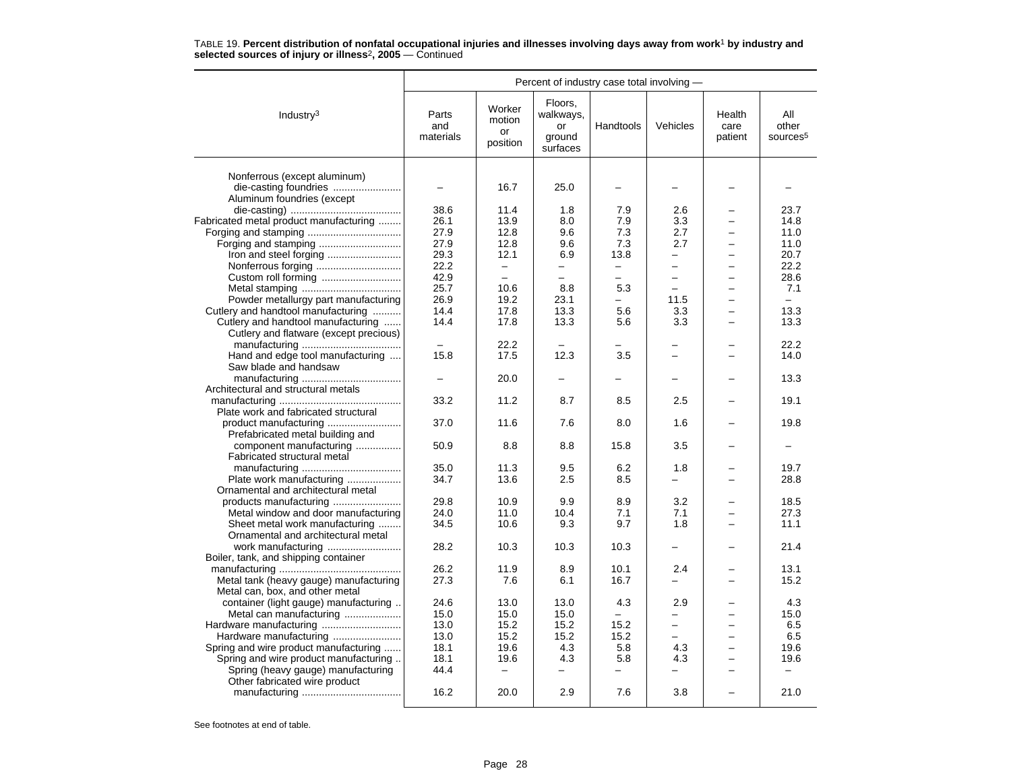| Percent of industry case total involving -                |                           |                                    |                                                  |                          |                                      |                           |                                      |
|-----------------------------------------------------------|---------------------------|------------------------------------|--------------------------------------------------|--------------------------|--------------------------------------|---------------------------|--------------------------------------|
| Industry $3$                                              | Parts<br>and<br>materials | Worker<br>motion<br>or<br>position | Floors,<br>walkways,<br>or<br>ground<br>surfaces | Handtools                | Vehicles                             | Health<br>care<br>patient | All<br>other<br>sources <sup>5</sup> |
|                                                           |                           |                                    |                                                  |                          |                                      |                           |                                      |
| Nonferrous (except aluminum)                              |                           |                                    |                                                  |                          |                                      |                           |                                      |
| Aluminum foundries (except                                | $\overline{\phantom{0}}$  | 16.7                               | 25.0                                             | $\overline{\phantom{0}}$ |                                      |                           |                                      |
|                                                           |                           |                                    |                                                  |                          |                                      |                           | 23.7                                 |
|                                                           | 38.6<br>26.1              | 11.4<br>13.9                       | 1.8<br>8.0                                       | 7.9<br>7.9               | 2.6<br>3.3                           | $\overline{\phantom{0}}$  | 14.8                                 |
| Fabricated metal product manufacturing                    |                           |                                    |                                                  |                          |                                      |                           |                                      |
|                                                           | 27.9                      | 12.8                               | 9.6                                              | 7.3                      | 2.7                                  |                           | 11.0                                 |
|                                                           | 27.9                      | 12.8                               | 9.6                                              | 7.3                      | 2.7                                  |                           | 11.0                                 |
|                                                           | 29.3                      | 12.1                               | 6.9                                              | 13.8                     | $\overline{\phantom{0}}$<br>$\equiv$ |                           | 20.7                                 |
|                                                           | 22.2                      | $\overline{\phantom{0}}$           |                                                  |                          |                                      |                           | 22.2                                 |
|                                                           | 42.9                      | $\equiv$                           |                                                  |                          | $\equiv$                             | $\overline{\phantom{0}}$  | 28.6                                 |
|                                                           | 25.7                      | 10.6                               | 8.8                                              | 5.3                      |                                      |                           | 7.1                                  |
| Powder metallurgy part manufacturing                      | 26.9                      | 19.2                               | 23.1                                             | $\overline{a}$           | 11.5                                 |                           | $\overline{\phantom{0}}$             |
| Cutlery and handtool manufacturing                        | 14.4                      | 17.8                               | 13.3                                             | 5.6                      | 3.3                                  |                           | 13.3                                 |
| Cutlery and handtool manufacturing                        | 14.4                      | 17.8                               | 13.3                                             | 5.6                      | 3.3                                  |                           | 13.3                                 |
| Cutlery and flatware (except precious)                    |                           |                                    |                                                  |                          |                                      |                           |                                      |
|                                                           |                           | 22.2                               |                                                  |                          | ÷                                    |                           | 22.2                                 |
| Hand and edge tool manufacturing<br>Saw blade and handsaw | 15.8                      | 17.5                               | 12.3                                             | 3.5                      |                                      |                           | 14.0                                 |
|                                                           |                           | 20.0                               |                                                  |                          |                                      |                           | 13.3                                 |
| Architectural and structural metals                       |                           |                                    |                                                  |                          |                                      |                           |                                      |
|                                                           | 33.2                      | 11.2                               | 8.7                                              | 8.5                      | 2.5                                  |                           | 19.1                                 |
| Plate work and fabricated structural                      |                           |                                    |                                                  |                          |                                      |                           |                                      |
| Prefabricated metal building and                          | 37.0                      | 11.6                               | 7.6                                              | 8.0                      | 1.6                                  |                           | 19.8                                 |
| component manufacturing                                   | 50.9                      | 8.8                                | 8.8                                              | 15.8                     | 3.5                                  |                           |                                      |
| Fabricated structural metal                               |                           |                                    |                                                  |                          |                                      |                           |                                      |
|                                                           | 35.0                      | 11.3                               | 9.5                                              | 6.2                      | 1.8                                  |                           | 19.7                                 |
| Plate work manufacturing                                  | 34.7                      | 13.6                               | 2.5                                              | 8.5                      |                                      |                           | 28.8                                 |
| Ornamental and architectural metal                        |                           |                                    |                                                  |                          |                                      |                           |                                      |
| products manufacturing                                    | 29.8                      | 10.9                               | 9.9                                              | 8.9                      | 3.2                                  |                           | 18.5                                 |
| Metal window and door manufacturing                       | 24.0                      | 11.0                               | 10.4                                             | 7.1                      | 7.1                                  |                           | 27.3                                 |
| Sheet metal work manufacturing                            | 34.5                      | 10.6                               | 9.3                                              | 9.7                      | 1.8                                  | -                         | 11.1                                 |
| Ornamental and architectural metal                        |                           |                                    |                                                  |                          |                                      |                           |                                      |
|                                                           | 28.2                      | 10.3                               | 10.3                                             | 10.3                     |                                      |                           | 21.4                                 |
| Boiler, tank, and shipping container                      |                           |                                    |                                                  |                          |                                      |                           |                                      |
|                                                           | 26.2                      | 11.9                               | 8.9                                              | 10.1                     | 2.4                                  |                           | 13.1                                 |
| Metal tank (heavy gauge) manufacturing                    | 27.3                      | 7.6                                | 6.1                                              | 16.7                     |                                      |                           | 15.2                                 |
| Metal can, box, and other metal                           |                           |                                    |                                                  |                          |                                      |                           |                                      |
| container (light gauge) manufacturing                     | 24.6                      | 13.0                               | 13.0                                             | 4.3                      | 2.9                                  |                           | 4.3                                  |
| Metal can manufacturing                                   | 15.0                      | 15.0                               | 15.0                                             |                          |                                      |                           | 15.0                                 |
|                                                           | 13.0                      | 15.2                               | 15.2                                             | 15.2                     | $\overline{\phantom{0}}$             | ÷                         | 6.5                                  |
| Hardware manufacturing                                    | 13.0                      | 15.2                               | 15.2                                             | 15.2                     | $\overline{\phantom{0}}$             | $\overline{\phantom{0}}$  | 6.5                                  |
| Spring and wire product manufacturing                     | 18.1                      | 19.6                               | 4.3                                              | 5.8                      | 4.3                                  |                           | 19.6                                 |
| Spring and wire product manufacturing                     | 18.1                      | 19.6                               | 4.3                                              | 5.8                      | 4.3                                  | -                         | 19.6                                 |
| Spring (heavy gauge) manufacturing                        | 44.4                      | $\qquad \qquad -$                  |                                                  | $\equiv$                 |                                      | -                         |                                      |
| Other fabricated wire product                             |                           |                                    |                                                  |                          |                                      |                           |                                      |
|                                                           | 16.2                      | 20.0                               | 2.9                                              | 7.6                      | 3.8                                  |                           | 21.0                                 |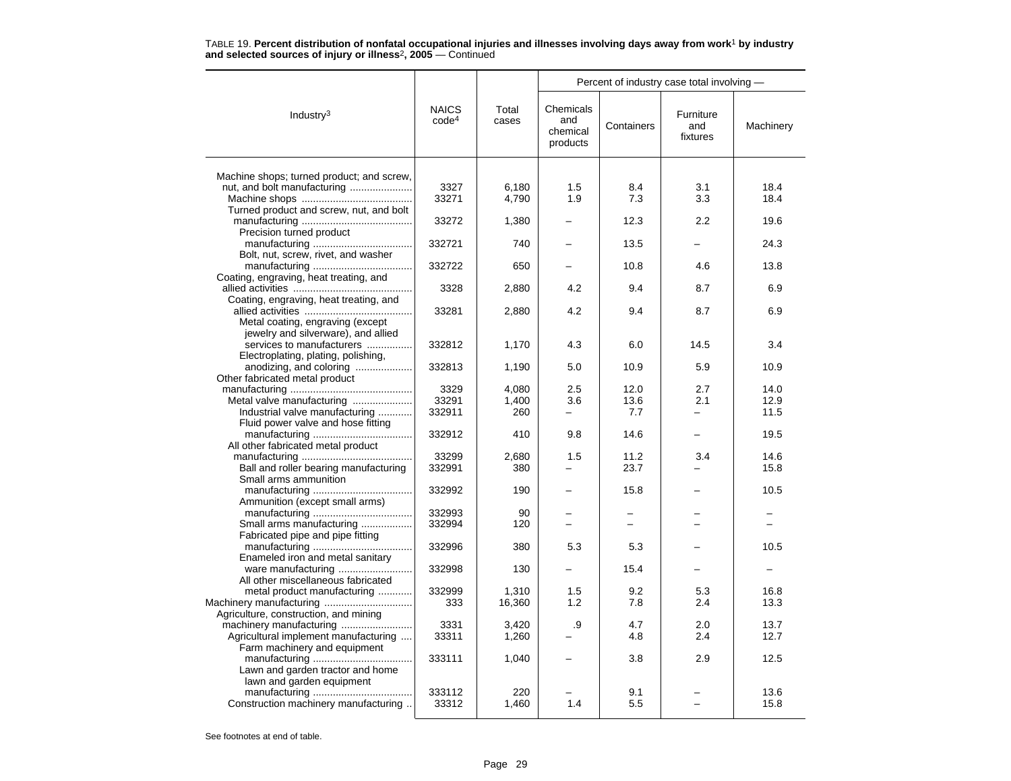|                                                                          |                                   |                | Percent of industry case total involving - |                          |                              |           |  |
|--------------------------------------------------------------------------|-----------------------------------|----------------|--------------------------------------------|--------------------------|------------------------------|-----------|--|
| Industry $3$                                                             | <b>NAICS</b><br>code <sup>4</sup> | Total<br>cases | Chemicals<br>and<br>chemical<br>products   | Containers               | Furniture<br>and<br>fixtures | Machinery |  |
|                                                                          |                                   |                |                                            |                          |                              |           |  |
| Machine shops; turned product; and screw,<br>nut, and bolt manufacturing | 3327                              | 6,180          | 1.5                                        | 8.4                      | 3.1                          | 18.4      |  |
|                                                                          | 33271                             | 4,790          | 1.9                                        | 7.3                      | 3.3                          | 18.4      |  |
| Turned product and screw, nut, and bolt                                  |                                   |                |                                            |                          |                              |           |  |
|                                                                          | 33272                             | 1,380          |                                            | 12.3                     | 2.2                          | 19.6      |  |
| Precision turned product                                                 |                                   |                |                                            |                          |                              |           |  |
|                                                                          | 332721                            | 740            |                                            | 13.5                     |                              | 24.3      |  |
| Bolt, nut, screw, rivet, and washer                                      |                                   |                |                                            |                          |                              |           |  |
| Coating, engraving, heat treating, and                                   | 332722                            | 650            |                                            | 10.8                     | 4.6                          | 13.8      |  |
|                                                                          | 3328                              | 2,880          | 4.2                                        | 9.4                      | 8.7                          | 6.9       |  |
| Coating, engraving, heat treating, and                                   |                                   |                |                                            |                          |                              |           |  |
|                                                                          | 33281                             | 2,880          | 4.2                                        | 9.4                      | 8.7                          | 6.9       |  |
| Metal coating, engraving (except                                         |                                   |                |                                            |                          |                              |           |  |
| jewelry and silverware), and allied                                      |                                   |                |                                            |                          |                              |           |  |
| services to manufacturers<br>Electroplating, plating, polishing,         | 332812                            | 1,170          | 4.3                                        | 6.0                      | 14.5                         | 3.4       |  |
| anodizing, and coloring                                                  | 332813                            | 1,190          | 5.0                                        | 10.9                     | 5.9                          | 10.9      |  |
| Other fabricated metal product                                           |                                   |                |                                            |                          |                              |           |  |
|                                                                          | 3329                              | 4.080          | 2.5                                        | 12.0                     | 2.7                          | 14.0      |  |
| Metal valve manufacturing                                                | 33291                             | 1,400          | 3.6                                        | 13.6                     | 2.1                          | 12.9      |  |
| Industrial valve manufacturing                                           | 332911                            | 260            | ÷.                                         | 7.7                      |                              | 11.5      |  |
| Fluid power valve and hose fitting                                       |                                   |                |                                            |                          |                              |           |  |
| All other fabricated metal product                                       | 332912                            | 410            | 9.8                                        | 14.6                     |                              | 19.5      |  |
|                                                                          | 33299                             | 2,680          | 1.5                                        | 11.2                     | 3.4                          | 14.6      |  |
| Ball and roller bearing manufacturing                                    | 332991                            | 380            |                                            | 23.7                     |                              | 15.8      |  |
| Small arms ammunition                                                    |                                   |                |                                            |                          |                              |           |  |
|                                                                          | 332992                            | 190            |                                            | 15.8                     |                              | 10.5      |  |
| Ammunition (except small arms)                                           |                                   |                |                                            |                          |                              |           |  |
| Small arms manufacturing                                                 | 332993<br>332994                  | 90<br>120      | $\equiv$                                   | $\overline{\phantom{0}}$ |                              |           |  |
| Fabricated pipe and pipe fitting                                         |                                   |                |                                            |                          |                              |           |  |
|                                                                          | 332996                            | 380            | 5.3                                        | 5.3                      |                              | 10.5      |  |
| Enameled iron and metal sanitary                                         |                                   |                |                                            |                          |                              |           |  |
| ware manufacturing                                                       | 332998                            | 130            |                                            | 15.4                     |                              |           |  |
| All other miscellaneous fabricated                                       |                                   |                |                                            |                          |                              |           |  |
| metal product manufacturing                                              | 332999                            | 1,310          | 1.5                                        | 9.2                      | 5.3                          | 16.8      |  |
| Agriculture, construction, and mining                                    | 333                               | 16,360         | 1.2                                        | 7.8                      | 2.4                          | 13.3      |  |
| machinery manufacturing                                                  | 3331                              | 3.420          | .9                                         | 4.7                      | 2.0                          | 13.7      |  |
| Agricultural implement manufacturing                                     | 33311                             | 1,260          |                                            | 4.8                      | 2.4                          | 12.7      |  |
| Farm machinery and equipment                                             |                                   |                |                                            |                          |                              |           |  |
|                                                                          | 333111                            | 1,040          |                                            | 3.8                      | 2.9                          | 12.5      |  |
| Lawn and garden tractor and home                                         |                                   |                |                                            |                          |                              |           |  |
| lawn and garden equipment                                                | 333112                            | 220            |                                            | 9.1                      |                              | 13.6      |  |
| Construction machinery manufacturing                                     | 33312                             | 1,460          | 1.4                                        | 5.5                      |                              | 15.8      |  |
|                                                                          |                                   |                |                                            |                          |                              |           |  |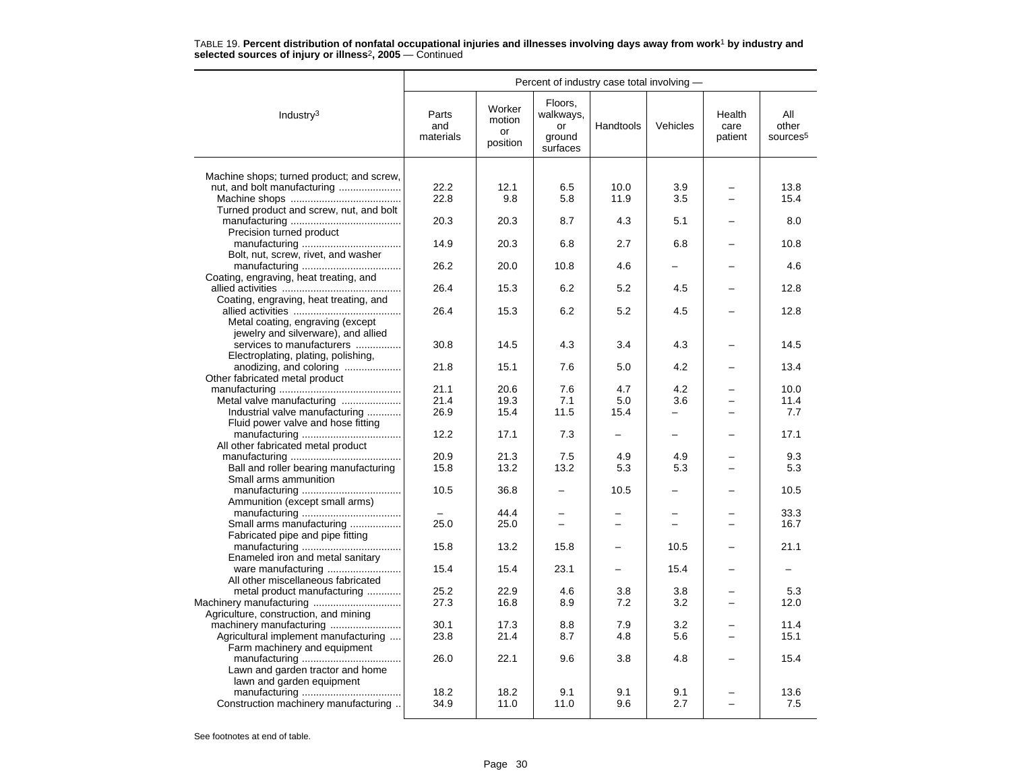|                                                                          | Percent of industry case total involving - |                                    |                                                  |            |            |                           |                                      |  |
|--------------------------------------------------------------------------|--------------------------------------------|------------------------------------|--------------------------------------------------|------------|------------|---------------------------|--------------------------------------|--|
| Industry <sup>3</sup>                                                    | Parts<br>and<br>materials                  | Worker<br>motion<br>or<br>position | Floors,<br>walkways,<br>or<br>ground<br>surfaces | Handtools  | Vehicles   | Health<br>care<br>patient | All<br>other<br>sources <sup>5</sup> |  |
|                                                                          |                                            |                                    |                                                  |            |            |                           |                                      |  |
| Machine shops; turned product; and screw,<br>nut, and bolt manufacturing | 22.2                                       | 12.1                               | 6.5                                              | 10.0       | 3.9        |                           | 13.8                                 |  |
|                                                                          | 22.8                                       | 9.8                                | 5.8                                              | 11.9       | 3.5        |                           | 15.4                                 |  |
| Turned product and screw, nut, and bolt                                  |                                            |                                    |                                                  |            |            |                           |                                      |  |
|                                                                          | 20.3                                       | 20.3                               | 8.7                                              | 4.3        | 5.1        |                           | 8.0                                  |  |
| Precision turned product                                                 |                                            |                                    |                                                  |            |            |                           |                                      |  |
|                                                                          | 14.9                                       | 20.3                               | 6.8                                              | 2.7        | 6.8        |                           | 10.8                                 |  |
| Bolt, nut, screw, rivet, and washer                                      |                                            |                                    |                                                  |            |            |                           |                                      |  |
|                                                                          | 26.2                                       | 20.0                               | 10.8                                             | 4.6        |            |                           | 4.6                                  |  |
| Coating, engraving, heat treating, and                                   |                                            |                                    |                                                  |            |            |                           |                                      |  |
|                                                                          | 26.4                                       | 15.3                               | 6.2                                              | 5.2        | 4.5        |                           | 12.8                                 |  |
| Coating, engraving, heat treating, and                                   | 26.4                                       |                                    | 6.2                                              | 5.2        | 4.5        |                           | 12.8                                 |  |
| Metal coating, engraving (except                                         |                                            | 15.3                               |                                                  |            |            |                           |                                      |  |
| jewelry and silverware), and allied                                      |                                            |                                    |                                                  |            |            |                           |                                      |  |
| services to manufacturers                                                | 30.8                                       | 14.5                               | 4.3                                              | 3.4        | 4.3        |                           | 14.5                                 |  |
| Electroplating, plating, polishing,                                      |                                            |                                    |                                                  |            |            |                           |                                      |  |
| anodizing, and coloring                                                  | 21.8                                       | 15.1                               | 7.6                                              | 5.0        | 4.2        |                           | 13.4                                 |  |
| Other fabricated metal product                                           |                                            |                                    |                                                  |            |            |                           |                                      |  |
|                                                                          | 21.1                                       | 20.6                               | 7.6                                              | 4.7        | 4.2        |                           | 10.0                                 |  |
| Metal valve manufacturing                                                | 21.4                                       | 19.3                               | 7.1                                              | 5.0        | 3.6        |                           | 11.4                                 |  |
| Industrial valve manufacturing                                           | 26.9                                       | 15.4                               | 11.5                                             | 15.4       |            |                           | 7.7                                  |  |
| Fluid power valve and hose fitting                                       |                                            |                                    |                                                  |            |            |                           |                                      |  |
|                                                                          | 12.2                                       | 17.1                               | 7.3                                              |            | -          |                           | 17.1                                 |  |
| All other fabricated metal product                                       |                                            |                                    |                                                  | 4.9        |            |                           |                                      |  |
| Ball and roller bearing manufacturing                                    | 20.9<br>15.8                               | 21.3<br>13.2                       | 7.5<br>13.2                                      | 5.3        | 4.9<br>5.3 |                           | 9.3<br>5.3                           |  |
| Small arms ammunition                                                    |                                            |                                    |                                                  |            |            |                           |                                      |  |
|                                                                          | 10.5                                       | 36.8                               |                                                  | 10.5       |            |                           | 10.5                                 |  |
| Ammunition (except small arms)                                           |                                            |                                    |                                                  |            |            |                           |                                      |  |
|                                                                          |                                            | 44.4                               |                                                  |            |            |                           | 33.3                                 |  |
| Small arms manufacturing                                                 | 25.0                                       | 25.0                               |                                                  |            |            |                           | 16.7                                 |  |
| Fabricated pipe and pipe fitting                                         |                                            |                                    |                                                  |            |            |                           |                                      |  |
|                                                                          | 15.8                                       | 13.2                               | 15.8                                             |            | 10.5       |                           | 21.1                                 |  |
| Enameled iron and metal sanitary                                         |                                            |                                    |                                                  |            |            |                           |                                      |  |
|                                                                          | 15.4                                       | 15.4                               | 23.1                                             |            | 15.4       |                           |                                      |  |
| All other miscellaneous fabricated                                       |                                            |                                    |                                                  |            |            |                           |                                      |  |
| metal product manufacturing                                              | 25.2<br>27.3                               | 22.9<br>16.8                       | 4.6<br>8.9                                       | 3.8<br>7.2 | 3.8<br>3.2 | $\overline{\phantom{0}}$  | 5.3<br>12.0                          |  |
| Agriculture, construction, and mining                                    |                                            |                                    |                                                  |            |            |                           |                                      |  |
|                                                                          | 30.1                                       | 17.3                               | 8.8                                              | 7.9        | 3.2        |                           | 11.4                                 |  |
| Agricultural implement manufacturing                                     | 23.8                                       | 21.4                               | 8.7                                              | 4.8        | 5.6        |                           | 15.1                                 |  |
| Farm machinery and equipment                                             |                                            |                                    |                                                  |            |            |                           |                                      |  |
|                                                                          | 26.0                                       | 22.1                               | 9.6                                              | 3.8        | 4.8        |                           | 15.4                                 |  |
| Lawn and garden tractor and home                                         |                                            |                                    |                                                  |            |            |                           |                                      |  |
| lawn and garden equipment                                                |                                            |                                    |                                                  |            |            |                           |                                      |  |
|                                                                          | 18.2                                       | 18.2                               | 9.1                                              | 9.1        | 9.1        |                           | 13.6                                 |  |
| Construction machinery manufacturing                                     | 34.9                                       | 11.0                               | 11.0                                             | 9.6        | 2.7        |                           | 7.5                                  |  |
|                                                                          |                                            |                                    |                                                  |            |            |                           |                                      |  |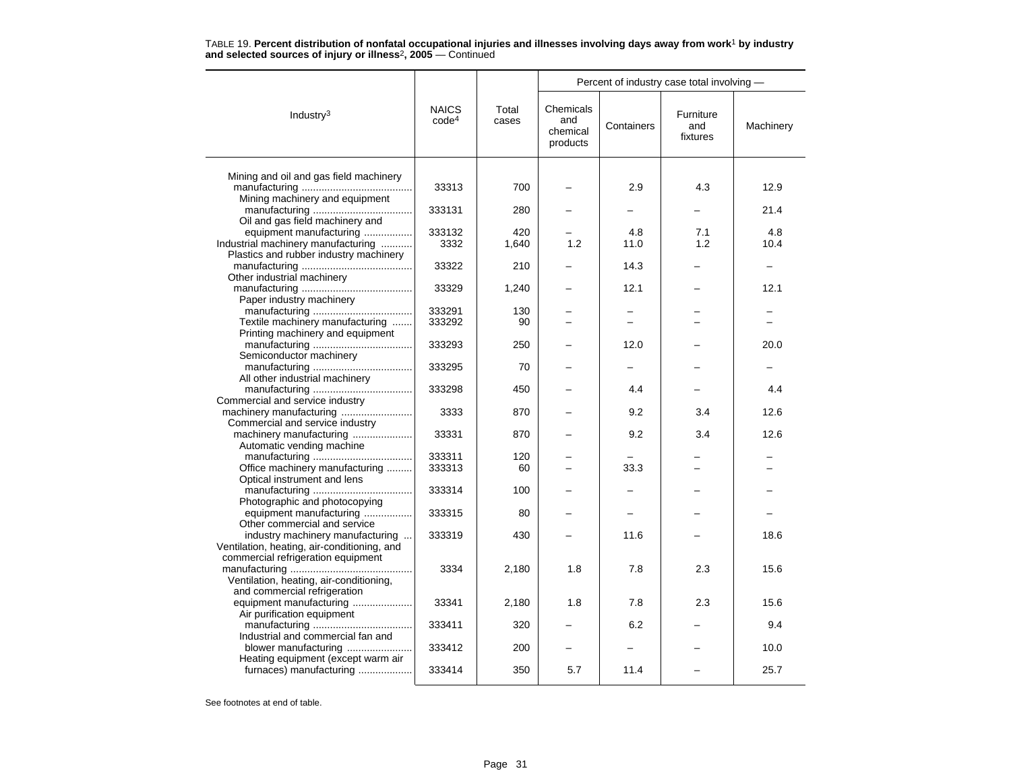|                                                                         |                                   |                | Percent of industry case total involving - |            |                              |           |  |
|-------------------------------------------------------------------------|-----------------------------------|----------------|--------------------------------------------|------------|------------------------------|-----------|--|
| Industry <sup>3</sup>                                                   | <b>NAICS</b><br>code <sup>4</sup> | Total<br>cases | Chemicals<br>and<br>chemical<br>products   | Containers | Furniture<br>and<br>fixtures | Machinery |  |
| Mining and oil and gas field machinery                                  |                                   |                |                                            |            |                              |           |  |
|                                                                         | 33313                             | 700            |                                            | 2.9        | 4.3                          | 12.9      |  |
| Mining machinery and equipment                                          |                                   |                |                                            |            |                              |           |  |
| Oil and gas field machinery and                                         | 333131                            | 280            |                                            |            |                              | 21.4      |  |
| equipment manufacturing                                                 | 333132                            | 420            |                                            | 4.8        | 7.1                          | 4.8       |  |
| Industrial machinery manufacturing                                      | 3332                              | 1,640          | 1.2                                        | 11.0       | 1.2                          | 10.4      |  |
| Plastics and rubber industry machinery                                  |                                   |                |                                            |            |                              |           |  |
| Other industrial machinery                                              | 33322                             | 210            |                                            | 14.3       |                              |           |  |
|                                                                         | 33329                             | 1,240          |                                            | 12.1       |                              | 12.1      |  |
| Paper industry machinery                                                |                                   |                |                                            |            |                              |           |  |
|                                                                         | 333291                            | 130            |                                            | -          |                              |           |  |
| Textile machinery manufacturing                                         | 333292                            | 90             |                                            |            |                              |           |  |
| Printing machinery and equipment                                        |                                   |                |                                            |            |                              |           |  |
| Semiconductor machinery                                                 | 333293                            | 250            |                                            | 12.0       |                              | 20.0      |  |
|                                                                         | 333295                            | 70             |                                            |            |                              |           |  |
| All other industrial machinery                                          |                                   |                |                                            |            |                              |           |  |
|                                                                         | 333298                            | 450            |                                            | 4.4        |                              | 4.4       |  |
| Commercial and service industry                                         |                                   |                |                                            |            |                              |           |  |
| machinery manufacturing                                                 | 3333                              | 870            |                                            | 9.2        | 3.4                          | 12.6      |  |
| Commercial and service industry<br>machinery manufacturing              | 33331                             | 870            |                                            | 9.2        | 3.4                          | 12.6      |  |
| Automatic vending machine                                               |                                   |                |                                            |            |                              |           |  |
|                                                                         | 333311                            | 120            |                                            |            |                              |           |  |
| Office machinery manufacturing                                          | 333313                            | 60             |                                            | 33.3       |                              |           |  |
| Optical instrument and lens                                             |                                   |                |                                            |            |                              |           |  |
|                                                                         | 333314                            | 100            |                                            |            |                              |           |  |
| Photographic and photocopying<br>equipment manufacturing                | 333315                            | 80             |                                            |            |                              |           |  |
| Other commercial and service                                            |                                   |                |                                            |            |                              |           |  |
| industry machinery manufacturing                                        | 333319                            | 430            |                                            | 11.6       |                              | 18.6      |  |
| Ventilation, heating, air-conditioning, and                             |                                   |                |                                            |            |                              |           |  |
| commercial refrigeration equipment                                      |                                   |                |                                            |            |                              |           |  |
|                                                                         | 3334                              | 2,180          | 1.8                                        | 7.8        | 2.3                          | 15.6      |  |
| Ventilation, heating, air-conditioning,<br>and commercial refrigeration |                                   |                |                                            |            |                              |           |  |
| equipment manufacturing                                                 | 33341                             | 2,180          | 1.8                                        | 7.8        | 2.3                          | 15.6      |  |
| Air purification equipment                                              |                                   |                |                                            |            |                              |           |  |
|                                                                         | 333411                            | 320            |                                            | 6.2        |                              | 9.4       |  |
| Industrial and commercial fan and                                       |                                   |                |                                            |            |                              |           |  |
| blower manufacturing                                                    | 333412                            | 200            |                                            |            |                              | 10.0      |  |
| Heating equipment (except warm air<br>furnaces) manufacturing           | 333414                            | 350            | 5.7                                        | 11.4       |                              | 25.7      |  |
|                                                                         |                                   |                |                                            |            |                              |           |  |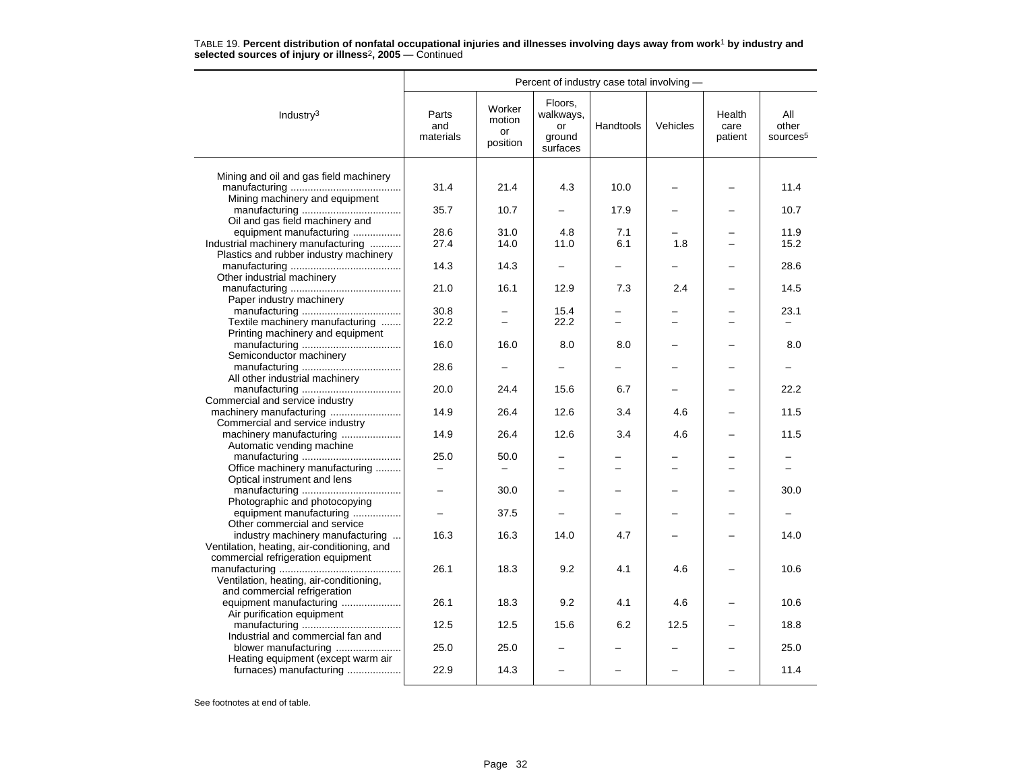|                                                                  | Percent of industry case total involving - |                                    |                                                  |                          |          |                           |                                      |  |  |
|------------------------------------------------------------------|--------------------------------------------|------------------------------------|--------------------------------------------------|--------------------------|----------|---------------------------|--------------------------------------|--|--|
| Industry <sup>3</sup>                                            | Parts<br>and<br>materials                  | Worker<br>motion<br>or<br>position | Floors.<br>walkways,<br>or<br>ground<br>surfaces | Handtools                | Vehicles | Health<br>care<br>patient | All<br>other<br>sources <sup>5</sup> |  |  |
|                                                                  |                                            |                                    |                                                  |                          |          |                           |                                      |  |  |
| Mining and oil and gas field machinery                           | 31.4                                       | 21.4                               | 4.3                                              | 10.0                     |          |                           | 11.4                                 |  |  |
| Mining machinery and equipment                                   |                                            |                                    |                                                  |                          |          |                           |                                      |  |  |
| Oil and gas field machinery and                                  | 35.7                                       | 10.7                               |                                                  | 17.9                     |          |                           | 10.7                                 |  |  |
| equipment manufacturing                                          | 28.6                                       | 31.0                               | 4.8                                              | 7.1                      |          |                           | 11.9                                 |  |  |
| Industrial machinery manufacturing                               | 27.4                                       | 14.0                               | 11.0                                             | 6.1                      | 1.8      |                           | 15.2                                 |  |  |
| Plastics and rubber industry machinery                           |                                            |                                    |                                                  |                          |          |                           |                                      |  |  |
|                                                                  | 14.3                                       | 14.3                               |                                                  |                          |          |                           | 28.6                                 |  |  |
| Other industrial machinery                                       |                                            |                                    |                                                  |                          |          |                           |                                      |  |  |
| Paper industry machinery                                         | 21.0                                       | 16.1                               | 12.9                                             | 7.3                      | 2.4      |                           | 14.5                                 |  |  |
|                                                                  | 30.8                                       |                                    | 15.4                                             |                          |          |                           | 23.1                                 |  |  |
| Textile machinery manufacturing                                  | 22.2                                       | $\overline{\phantom{0}}$           | 22.2                                             | $\overline{\phantom{0}}$ | ▃        |                           |                                      |  |  |
| Printing machinery and equipment                                 |                                            |                                    |                                                  |                          |          |                           |                                      |  |  |
|                                                                  | 16.0                                       | 16.0                               | 8.0                                              | 8.0                      |          |                           | 8.0                                  |  |  |
| Semiconductor machinery                                          |                                            |                                    |                                                  |                          |          |                           |                                      |  |  |
|                                                                  | 28.6                                       |                                    |                                                  |                          |          |                           |                                      |  |  |
| All other industrial machinery                                   |                                            |                                    |                                                  |                          |          |                           |                                      |  |  |
|                                                                  | 20.0                                       | 24.4                               | 15.6                                             | 6.7                      |          |                           | 22.2                                 |  |  |
| Commercial and service industry                                  | 14.9                                       |                                    | 12.6                                             |                          |          |                           |                                      |  |  |
| Commercial and service industry                                  |                                            | 26.4                               |                                                  | 3.4                      | 4.6      |                           | 11.5                                 |  |  |
| machinery manufacturing                                          | 14.9                                       | 26.4                               | 12.6                                             | 3.4                      | 4.6      |                           | 11.5                                 |  |  |
| Automatic vending machine                                        |                                            |                                    |                                                  |                          |          |                           |                                      |  |  |
|                                                                  | 25.0                                       | 50.0                               |                                                  |                          |          |                           |                                      |  |  |
| Office machinery manufacturing                                   |                                            |                                    |                                                  |                          |          |                           |                                      |  |  |
| Optical instrument and lens                                      |                                            |                                    |                                                  |                          |          |                           |                                      |  |  |
|                                                                  | $\overline{\phantom{0}}$                   | 30.0                               |                                                  |                          |          |                           | 30.0                                 |  |  |
| Photographic and photocopying                                    |                                            |                                    |                                                  |                          |          |                           |                                      |  |  |
| equipment manufacturing                                          |                                            | 37.5                               |                                                  |                          |          |                           |                                      |  |  |
| Other commercial and service<br>industry machinery manufacturing | 16.3                                       | 16.3                               | 14.0                                             | 4.7                      |          |                           | 14.0                                 |  |  |
| Ventilation, heating, air-conditioning, and                      |                                            |                                    |                                                  |                          |          |                           |                                      |  |  |
| commercial refrigeration equipment                               |                                            |                                    |                                                  |                          |          |                           |                                      |  |  |
|                                                                  | 26.1                                       | 18.3                               | 9.2                                              | 4.1                      | 4.6      |                           | 10.6                                 |  |  |
| Ventilation, heating, air-conditioning,                          |                                            |                                    |                                                  |                          |          |                           |                                      |  |  |
| and commercial refrigeration                                     |                                            |                                    |                                                  |                          |          |                           |                                      |  |  |
| equipment manufacturing                                          | 26.1                                       | 18.3                               | 9.2                                              | 4.1                      | 4.6      |                           | 10.6                                 |  |  |
| Air purification equipment                                       |                                            |                                    |                                                  |                          |          |                           |                                      |  |  |
|                                                                  | 12.5                                       | 12.5                               | 15.6                                             | 6.2                      | 12.5     |                           | 18.8                                 |  |  |
| Industrial and commercial fan and                                |                                            |                                    |                                                  |                          |          |                           |                                      |  |  |
| blower manufacturing<br>Heating equipment (except warm air       | 25.0                                       | 25.0                               |                                                  |                          |          |                           | 25.0                                 |  |  |
| furnaces) manufacturing                                          | 22.9                                       | 14.3                               |                                                  |                          |          |                           | 11.4                                 |  |  |
|                                                                  |                                            |                                    |                                                  |                          |          |                           |                                      |  |  |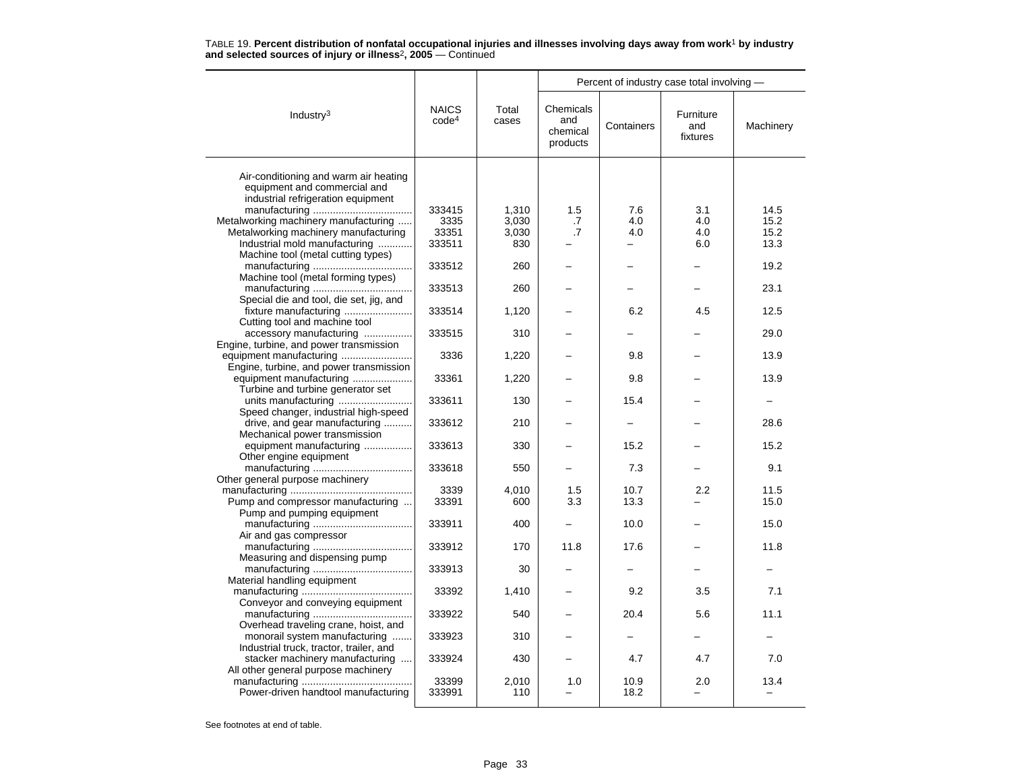|                                                                             | TABLE 19. Percent distribution of nonfatal occupational injuries and illnesses involving days away from work <sup>1</sup> by industry |  |
|-----------------------------------------------------------------------------|---------------------------------------------------------------------------------------------------------------------------------------|--|
| and selected sources of injury or illness <sup>2</sup> , $2005 -$ Continued |                                                                                                                                       |  |

|                                                                        |                                   |                | Percent of industry case total involving - |            |                              |              |  |
|------------------------------------------------------------------------|-----------------------------------|----------------|--------------------------------------------|------------|------------------------------|--------------|--|
| Industry $3$                                                           | <b>NAICS</b><br>code <sup>4</sup> | Total<br>cases | Chemicals<br>and<br>chemical<br>products   | Containers | Furniture<br>and<br>fixtures | Machinery    |  |
| Air-conditioning and warm air heating                                  |                                   |                |                                            |            |                              |              |  |
| equipment and commercial and                                           |                                   |                |                                            |            |                              |              |  |
| industrial refrigeration equipment                                     |                                   |                |                                            |            |                              |              |  |
| Metalworking machinery manufacturing                                   | 333415<br>3335                    | 1,310<br>3,030 | 1.5<br>.7                                  | 7.6<br>4.0 | 3.1<br>4.0                   | 14.5<br>15.2 |  |
| Metalworking machinery manufacturing                                   | 33351                             | 3,030          | .7                                         | 4.0        | 4.0                          | 15.2         |  |
| Industrial mold manufacturing                                          | 333511                            | 830            |                                            |            | 6.0                          | 13.3         |  |
| Machine tool (metal cutting types)                                     |                                   |                |                                            |            |                              |              |  |
|                                                                        | 333512                            | 260            |                                            |            |                              | 19.2         |  |
| Machine tool (metal forming types)                                     |                                   |                |                                            |            |                              |              |  |
|                                                                        | 333513                            | 260            |                                            |            |                              | 23.1         |  |
| Special die and tool, die set, jig, and                                |                                   |                |                                            |            |                              |              |  |
| fixture manufacturing                                                  | 333514                            | 1,120          |                                            | 6.2        | 4.5                          | 12.5         |  |
| Cutting tool and machine tool                                          |                                   |                |                                            |            |                              |              |  |
| accessory manufacturing<br>Engine, turbine, and power transmission     | 333515                            | 310            |                                            |            |                              | 29.0         |  |
|                                                                        | 3336                              | 1,220          |                                            | 9.8        |                              | 13.9         |  |
| Engine, turbine, and power transmission                                |                                   |                |                                            |            |                              |              |  |
| equipment manufacturing                                                | 33361                             | 1,220          |                                            | 9.8        |                              | 13.9         |  |
| Turbine and turbine generator set                                      |                                   |                |                                            |            |                              |              |  |
| units manufacturing                                                    | 333611                            | 130            |                                            | 15.4       |                              |              |  |
| Speed changer, industrial high-speed                                   |                                   |                |                                            |            |                              |              |  |
| drive, and gear manufacturing                                          | 333612                            | 210            |                                            |            |                              | 28.6         |  |
| Mechanical power transmission                                          |                                   |                |                                            |            |                              |              |  |
| equipment manufacturing                                                | 333613                            | 330            |                                            | 15.2       |                              | 15.2         |  |
| Other engine equipment                                                 | 333618                            | 550            |                                            | 7.3        |                              | 9.1          |  |
| Other general purpose machinery                                        |                                   |                |                                            |            |                              |              |  |
|                                                                        | 3339                              | 4,010          | 1.5                                        | 10.7       | 2.2                          | 11.5         |  |
| Pump and compressor manufacturing                                      | 33391                             | 600            | 3.3                                        | 13.3       |                              | 15.0         |  |
| Pump and pumping equipment                                             |                                   |                |                                            |            |                              |              |  |
|                                                                        | 333911                            | 400            |                                            | 10.0       |                              | 15.0         |  |
| Air and gas compressor                                                 |                                   |                |                                            |            |                              |              |  |
|                                                                        | 333912                            | 170            | 11.8                                       | 17.6       |                              | 11.8         |  |
| Measuring and dispensing pump                                          | 333913                            | 30             |                                            |            |                              |              |  |
| Material handling equipment                                            |                                   |                |                                            |            |                              |              |  |
|                                                                        | 33392                             | 1,410          |                                            | 9.2        | 3.5                          | 7.1          |  |
| Conveyor and conveying equipment                                       |                                   |                |                                            |            |                              |              |  |
|                                                                        | 333922                            | 540            |                                            | 20.4       | 5.6                          | 11.1         |  |
| Overhead traveling crane, hoist, and                                   |                                   |                |                                            |            |                              |              |  |
| monorail system manufacturing                                          | 333923                            | 310            |                                            |            |                              |              |  |
| Industrial truck, tractor, trailer, and                                |                                   |                |                                            | 4.7        |                              | 7.0          |  |
| stacker machinery manufacturing<br>All other general purpose machinery | 333924                            | 430            |                                            |            | 4.7                          |              |  |
|                                                                        | 33399                             | 2,010          | 1.0                                        | 10.9       | 2.0                          | 13.4         |  |
| Power-driven handtool manufacturing                                    | 333991                            | 110            |                                            | 18.2       |                              |              |  |
|                                                                        |                                   |                |                                            |            |                              |              |  |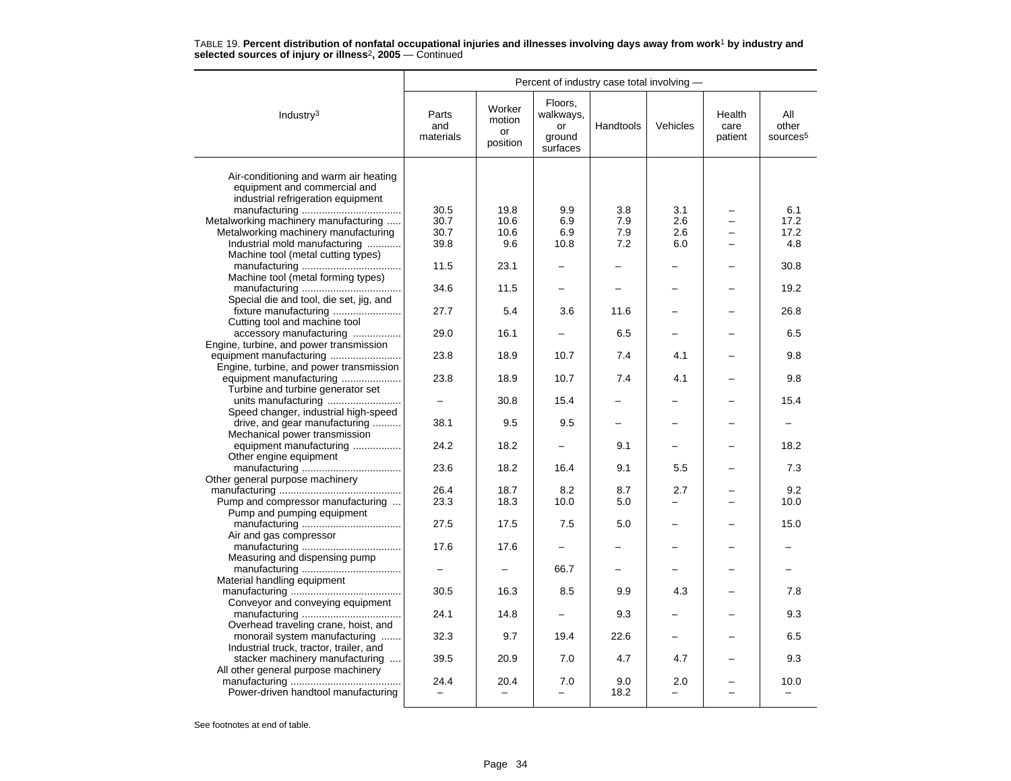|                                                                          | Percent of industry case total involving - |                                    |                                                  |             |            |                           |                                      |  |
|--------------------------------------------------------------------------|--------------------------------------------|------------------------------------|--------------------------------------------------|-------------|------------|---------------------------|--------------------------------------|--|
| Industry <sup>3</sup>                                                    | Parts<br>and<br>materials                  | Worker<br>motion<br>or<br>position | Floors,<br>walkways,<br>or<br>ground<br>surfaces | Handtools   | Vehicles   | Health<br>care<br>patient | All<br>other<br>sources <sup>5</sup> |  |
| Air-conditioning and warm air heating<br>equipment and commercial and    |                                            |                                    |                                                  |             |            |                           |                                      |  |
| industrial refrigeration equipment                                       |                                            |                                    |                                                  |             |            |                           |                                      |  |
| Metalworking machinery manufacturing                                     | 30.5<br>30.7                               | 19.8<br>10.6                       | 9.9<br>6.9                                       | 3.8<br>7.9  | 3.1<br>2.6 |                           | 6.1<br>17.2                          |  |
| Metalworking machinery manufacturing                                     | 30.7                                       | 10.6                               | 6.9                                              | 7.9         | 2.6        |                           | 17.2                                 |  |
| Industrial mold manufacturing                                            | 39.8                                       | 9.6                                | 10.8                                             | 7.2         | 6.0        |                           | 4.8                                  |  |
| Machine tool (metal cutting types)                                       |                                            |                                    |                                                  |             |            |                           |                                      |  |
|                                                                          | 11.5                                       | 23.1                               |                                                  |             |            |                           | 30.8                                 |  |
| Machine tool (metal forming types)                                       |                                            |                                    |                                                  |             |            |                           |                                      |  |
|                                                                          | 34.6                                       | 11.5                               |                                                  |             |            |                           | 19.2                                 |  |
| Special die and tool, die set, jig, and                                  |                                            |                                    |                                                  |             |            |                           |                                      |  |
| fixture manufacturing<br>Cutting tool and machine tool                   | 27.7                                       | 5.4                                | 3.6                                              | 11.6        |            |                           | 26.8                                 |  |
| accessory manufacturing<br>Engine, turbine, and power transmission       | 29.0                                       | 16.1                               |                                                  | 6.5         |            |                           | 6.5                                  |  |
| Engine, turbine, and power transmission                                  | 23.8                                       | 18.9                               | 10.7                                             | 7.4         | 4.1        |                           | 9.8                                  |  |
| equipment manufacturing<br>Turbine and turbine generator set             | 23.8                                       | 18.9                               | 10.7                                             | 7.4         | 4.1        |                           | 9.8                                  |  |
| Speed changer, industrial high-speed                                     |                                            | 30.8                               | 15.4                                             |             |            |                           | 15.4                                 |  |
| drive, and gear manufacturing<br>Mechanical power transmission           | 38.1                                       | 9.5                                | 9.5                                              |             |            |                           |                                      |  |
| equipment manufacturing<br>Other engine equipment                        | 24.2                                       | 18.2                               |                                                  | 9.1         |            |                           | 18.2                                 |  |
|                                                                          | 23.6                                       | 18.2                               | 16.4                                             | 9.1         | 5.5        |                           | 7.3                                  |  |
| Other general purpose machinery                                          | 26.4                                       | 18.7                               | 8.2                                              | 8.7         | 2.7        |                           | 9.2                                  |  |
| Pump and compressor manufacturing<br>Pump and pumping equipment          | 23.3                                       | 18.3                               | 10.0                                             | 5.0         |            |                           | 10.0                                 |  |
| Air and gas compressor                                                   | 27.5                                       | 17.5                               | 7.5                                              | 5.0         |            |                           | 15.0                                 |  |
| Measuring and dispensing pump                                            | 17.6                                       | 17.6                               |                                                  |             |            |                           |                                      |  |
| Material handling equipment                                              |                                            |                                    | 66.7                                             |             |            |                           |                                      |  |
| Conveyor and conveying equipment                                         | 30.5                                       | 16.3                               | 8.5                                              | 9.9         | 4.3        |                           | 7.8                                  |  |
| Overhead traveling crane, hoist, and                                     | 24.1                                       | 14.8                               |                                                  | 9.3         |            |                           | 9.3                                  |  |
| monorail system manufacturing<br>Industrial truck, tractor, trailer, and | 32.3                                       | 9.7                                | 19.4                                             | 22.6        |            |                           | 6.5                                  |  |
| stacker machinery manufacturing<br>All other general purpose machinery   | 39.5                                       | 20.9                               | 7.0                                              | 4.7         | 4.7        |                           | 9.3                                  |  |
| Power-driven handtool manufacturing                                      | 24.4                                       | 20.4<br>$\overline{\phantom{0}}$   | 7.0<br>$\overline{\phantom{0}}$                  | 9.0<br>18.2 | 2.0        | $\equiv$                  | 10.0                                 |  |
|                                                                          |                                            |                                    |                                                  |             |            |                           |                                      |  |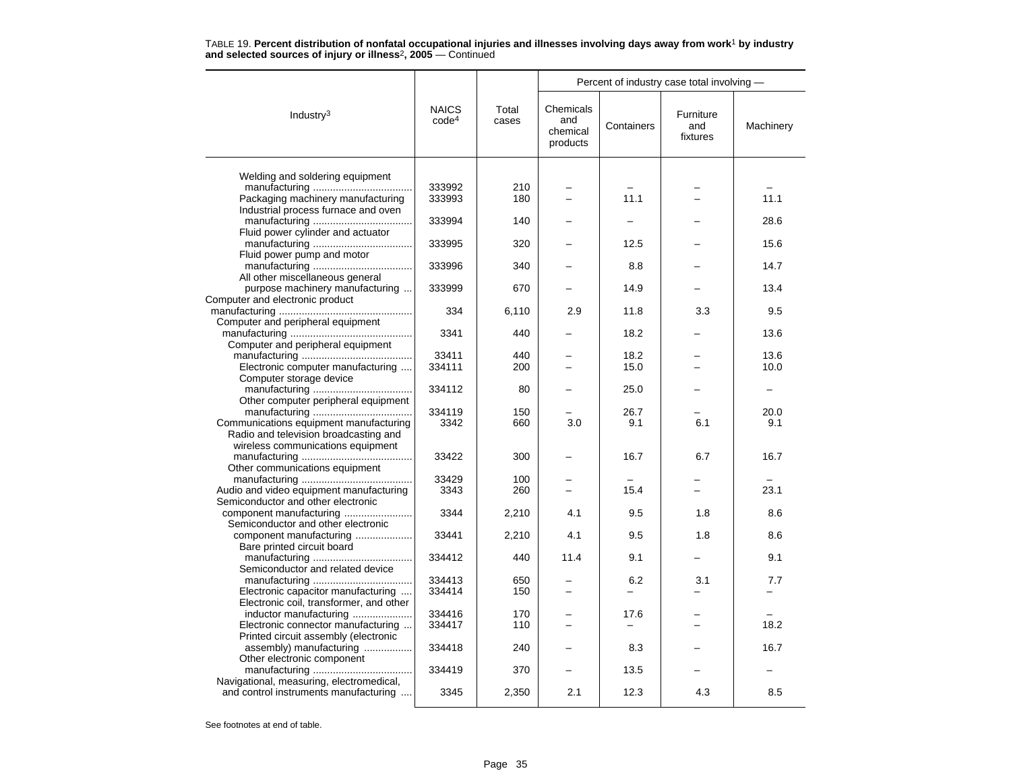|                                                                    |                                   |                | Percent of industry case total involving - |            |                              |           |  |
|--------------------------------------------------------------------|-----------------------------------|----------------|--------------------------------------------|------------|------------------------------|-----------|--|
| Industry $3$                                                       | <b>NAICS</b><br>code <sup>4</sup> | Total<br>cases | Chemicals<br>and<br>chemical<br>products   | Containers | Furniture<br>and<br>fixtures | Machinery |  |
|                                                                    |                                   |                |                                            |            |                              |           |  |
| Welding and soldering equipment                                    |                                   |                |                                            |            |                              |           |  |
|                                                                    | 333992                            | 210            |                                            |            |                              |           |  |
| Packaging machinery manufacturing                                  | 333993                            | 180            |                                            | 11.1       |                              | 11.1      |  |
| Industrial process furnace and oven                                |                                   |                |                                            |            |                              |           |  |
|                                                                    | 333994                            | 140            |                                            |            |                              | 28.6      |  |
| Fluid power cylinder and actuator                                  |                                   | 320            |                                            |            |                              | 15.6      |  |
|                                                                    | 333995                            |                |                                            | 12.5       |                              |           |  |
| Fluid power pump and motor                                         |                                   |                |                                            | 8.8        |                              | 14.7      |  |
|                                                                    | 333996                            | 340            |                                            |            |                              |           |  |
| All other miscellaneous general                                    |                                   |                |                                            |            |                              | 13.4      |  |
| purpose machinery manufacturing<br>Computer and electronic product | 333999                            | 670            |                                            | 14.9       |                              |           |  |
|                                                                    | 334                               |                | 2.9                                        | 11.8       |                              | 9.5       |  |
| Computer and peripheral equipment                                  |                                   | 6,110          |                                            |            | 3.3                          |           |  |
|                                                                    | 3341                              | 440            |                                            | 18.2       |                              | 13.6      |  |
| Computer and peripheral equipment                                  |                                   |                |                                            |            |                              |           |  |
|                                                                    | 33411                             | 440            |                                            | 18.2       |                              | 13.6      |  |
| Electronic computer manufacturing                                  | 334111                            | 200            |                                            | 15.0       |                              | 10.0      |  |
| Computer storage device                                            |                                   |                |                                            |            |                              |           |  |
|                                                                    | 334112                            | 80             |                                            | 25.0       |                              |           |  |
| Other computer peripheral equipment                                |                                   |                |                                            |            |                              |           |  |
|                                                                    | 334119                            | 150            |                                            | 26.7       |                              | 20.0      |  |
| Communications equipment manufacturing                             | 3342                              | 660            | 3.0                                        | 9.1        | 6.1                          | 9.1       |  |
| Radio and television broadcasting and                              |                                   |                |                                            |            |                              |           |  |
| wireless communications equipment                                  |                                   |                |                                            |            |                              |           |  |
|                                                                    | 33422                             | 300            |                                            | 16.7       | 6.7                          | 16.7      |  |
| Other communications equipment                                     |                                   |                |                                            |            |                              |           |  |
|                                                                    | 33429                             | 100            |                                            |            |                              |           |  |
| Audio and video equipment manufacturing                            | 3343                              | 260            |                                            | 15.4       |                              | 23.1      |  |
| Semiconductor and other electronic                                 |                                   |                |                                            |            |                              |           |  |
| component manufacturing                                            | 3344                              | 2,210          | 4.1                                        | 9.5        | 1.8                          | 8.6       |  |
| Semiconductor and other electronic                                 |                                   |                |                                            |            |                              |           |  |
| component manufacturing                                            | 33441                             | 2,210          | 4.1                                        | 9.5        | 1.8                          | 8.6       |  |
| Bare printed circuit board                                         |                                   |                |                                            |            |                              |           |  |
|                                                                    | 334412                            | 440            | 11.4                                       | 9.1        |                              | 9.1       |  |
| Semiconductor and related device                                   |                                   |                |                                            |            |                              |           |  |
|                                                                    | 334413                            | 650            |                                            | 6.2        | 3.1                          | 7.7       |  |
| Electronic capacitor manufacturing                                 | 334414                            | 150            | $\equiv$                                   |            |                              |           |  |
| Electronic coil, transformer, and other                            |                                   |                |                                            |            |                              |           |  |
| inductor manufacturing                                             | 334416                            | 170            |                                            | 17.6       |                              |           |  |
| Electronic connector manufacturing                                 | 334417                            | 110            |                                            |            |                              | 18.2      |  |
| Printed circuit assembly (electronic                               |                                   |                |                                            |            |                              |           |  |
| assembly) manufacturing                                            | 334418                            | 240            |                                            | 8.3        |                              | 16.7      |  |
| Other electronic component                                         |                                   |                |                                            |            |                              |           |  |
|                                                                    | 334419                            | 370            |                                            | 13.5       |                              |           |  |
| Navigational, measuring, electromedical,                           |                                   |                |                                            |            |                              |           |  |
| and control instruments manufacturing                              | 3345                              | 2,350          | 2.1                                        | 12.3       | 4.3                          | 8.5       |  |
|                                                                    |                                   |                |                                            |            |                              |           |  |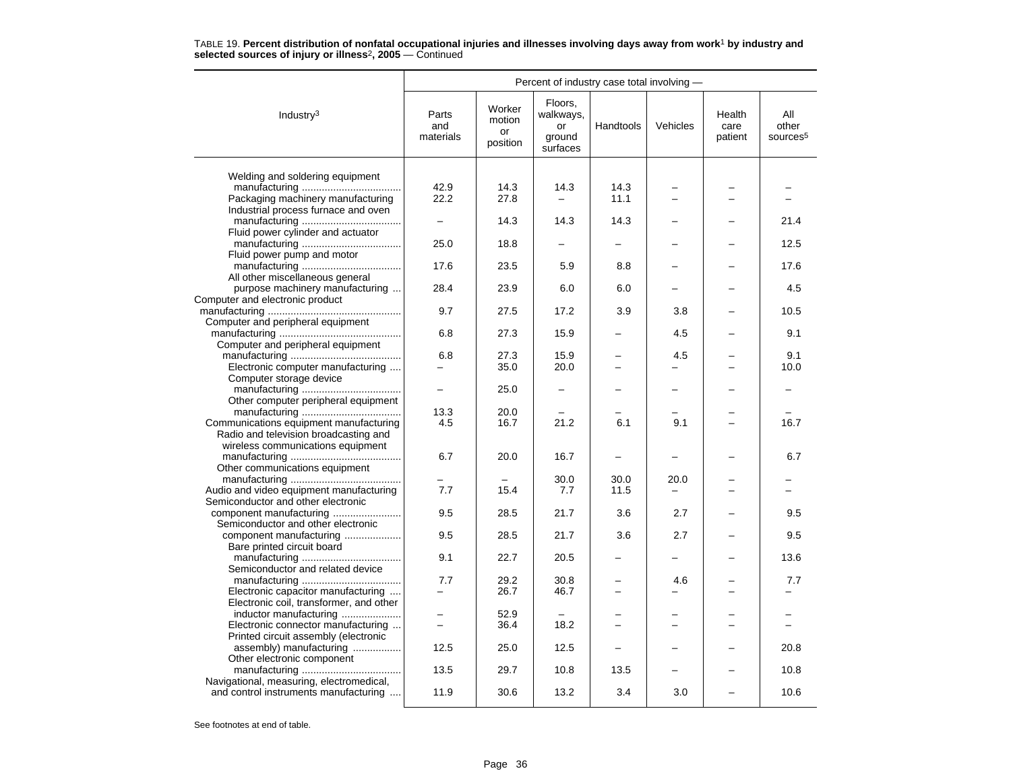|                                                                                   | Percent of industry case total involving - |                                    |                                                  |           |                          |                           |                                      |  |  |
|-----------------------------------------------------------------------------------|--------------------------------------------|------------------------------------|--------------------------------------------------|-----------|--------------------------|---------------------------|--------------------------------------|--|--|
| Industry <sup>3</sup>                                                             | Parts<br>and<br>materials                  | Worker<br>motion<br>or<br>position | Floors,<br>walkways,<br>or<br>ground<br>surfaces | Handtools | Vehicles                 | Health<br>care<br>patient | All<br>other<br>sources <sup>5</sup> |  |  |
|                                                                                   |                                            |                                    |                                                  |           |                          |                           |                                      |  |  |
| Welding and soldering equipment                                                   |                                            |                                    |                                                  |           |                          |                           |                                      |  |  |
|                                                                                   | 42.9<br>22.2                               | 14.3<br>27.8                       | 14.3                                             | 14.3      |                          |                           |                                      |  |  |
| Packaging machinery manufacturing                                                 |                                            |                                    |                                                  | 11.1      |                          |                           |                                      |  |  |
| Industrial process furnace and oven                                               |                                            | 14.3                               | 14.3                                             | 14.3      |                          |                           | 21.4                                 |  |  |
|                                                                                   |                                            |                                    |                                                  |           |                          |                           |                                      |  |  |
| Fluid power cylinder and actuator                                                 | 25.0                                       | 18.8                               |                                                  |           |                          |                           | 12.5                                 |  |  |
| Fluid power pump and motor                                                        |                                            |                                    |                                                  |           |                          |                           |                                      |  |  |
|                                                                                   | 17.6                                       | 23.5                               | 5.9                                              | 8.8       |                          |                           | 17.6                                 |  |  |
| All other miscellaneous general                                                   |                                            |                                    |                                                  |           |                          |                           |                                      |  |  |
| purpose machinery manufacturing                                                   | 28.4                                       | 23.9                               | 6.0                                              | 6.0       |                          |                           | 4.5                                  |  |  |
| Computer and electronic product                                                   |                                            |                                    |                                                  |           |                          |                           |                                      |  |  |
|                                                                                   | 9.7                                        | 27.5                               | 17.2                                             | 3.9       | 3.8                      |                           | 10.5                                 |  |  |
| Computer and peripheral equipment                                                 |                                            |                                    |                                                  |           |                          |                           |                                      |  |  |
|                                                                                   | 6.8                                        | 27.3                               | 15.9                                             |           | 4.5                      |                           | 9.1                                  |  |  |
| Computer and peripheral equipment                                                 |                                            |                                    |                                                  |           |                          |                           |                                      |  |  |
|                                                                                   | 6.8                                        | 27.3                               | 15.9                                             |           | 4.5                      |                           | 9.1                                  |  |  |
| Electronic computer manufacturing                                                 |                                            | 35.0                               | 20.0                                             |           |                          |                           | 10.0                                 |  |  |
| Computer storage device                                                           |                                            |                                    |                                                  |           |                          |                           |                                      |  |  |
|                                                                                   |                                            | 25.0                               |                                                  |           |                          |                           |                                      |  |  |
| Other computer peripheral equipment                                               |                                            |                                    |                                                  |           |                          |                           |                                      |  |  |
|                                                                                   | 13.3                                       | 20.0                               |                                                  |           |                          |                           |                                      |  |  |
| Communications equipment manufacturing                                            | 4.5                                        | 16.7                               | 21.2                                             | 6.1       | 9.1                      |                           | 16.7                                 |  |  |
| Radio and television broadcasting and                                             |                                            |                                    |                                                  |           |                          |                           |                                      |  |  |
| wireless communications equipment                                                 |                                            |                                    |                                                  |           |                          |                           |                                      |  |  |
|                                                                                   | 6.7                                        | 20.0                               | 16.7                                             |           |                          |                           | 6.7                                  |  |  |
| Other communications equipment                                                    |                                            |                                    |                                                  |           |                          |                           |                                      |  |  |
|                                                                                   | 7.7                                        | $\overline{\phantom{0}}$<br>15.4   | 30.0<br>7.7                                      | 30.0      | 20.0                     |                           |                                      |  |  |
| Audio and video equipment manufacturing                                           |                                            |                                    |                                                  | 11.5      |                          |                           |                                      |  |  |
| Semiconductor and other electronic                                                | 9.5                                        | 28.5                               | 21.7                                             | 3.6       | 2.7                      |                           | 9.5                                  |  |  |
| Semiconductor and other electronic                                                |                                            |                                    |                                                  |           |                          |                           |                                      |  |  |
| component manufacturing                                                           | 9.5                                        | 28.5                               | 21.7                                             | 3.6       | 2.7                      |                           | 9.5                                  |  |  |
| Bare printed circuit board                                                        |                                            |                                    |                                                  |           |                          |                           |                                      |  |  |
|                                                                                   | 9.1                                        | 22.7                               | 20.5                                             |           |                          |                           | 13.6                                 |  |  |
| Semiconductor and related device                                                  |                                            |                                    |                                                  |           |                          |                           |                                      |  |  |
|                                                                                   | 7.7                                        | 29.2                               | 30.8                                             |           | 4.6                      |                           | 7.7                                  |  |  |
| Electronic capacitor manufacturing                                                |                                            | 26.7                               | 46.7                                             |           |                          |                           |                                      |  |  |
| Electronic coil, transformer, and other                                           |                                            |                                    |                                                  |           |                          |                           |                                      |  |  |
| inductor manufacturing                                                            |                                            | 52.9                               |                                                  |           |                          |                           |                                      |  |  |
| Electronic connector manufacturing                                                | $\equiv$                                   | 36.4                               | 18.2                                             | ÷         | $\overline{\phantom{0}}$ |                           |                                      |  |  |
| Printed circuit assembly (electronic                                              |                                            |                                    |                                                  |           |                          |                           |                                      |  |  |
| assembly) manufacturing                                                           | 12.5                                       | 25.0                               | 12.5                                             |           |                          |                           | 20.8                                 |  |  |
| Other electronic component                                                        |                                            |                                    |                                                  |           |                          |                           |                                      |  |  |
|                                                                                   | 13.5                                       | 29.7                               | 10.8                                             | 13.5      |                          |                           | 10.8                                 |  |  |
| Navigational, measuring, electromedical,<br>and control instruments manufacturing | 11.9                                       | 30.6                               | 13.2                                             | 3.4       | 3.0                      |                           | 10.6                                 |  |  |
|                                                                                   |                                            |                                    |                                                  |           |                          |                           |                                      |  |  |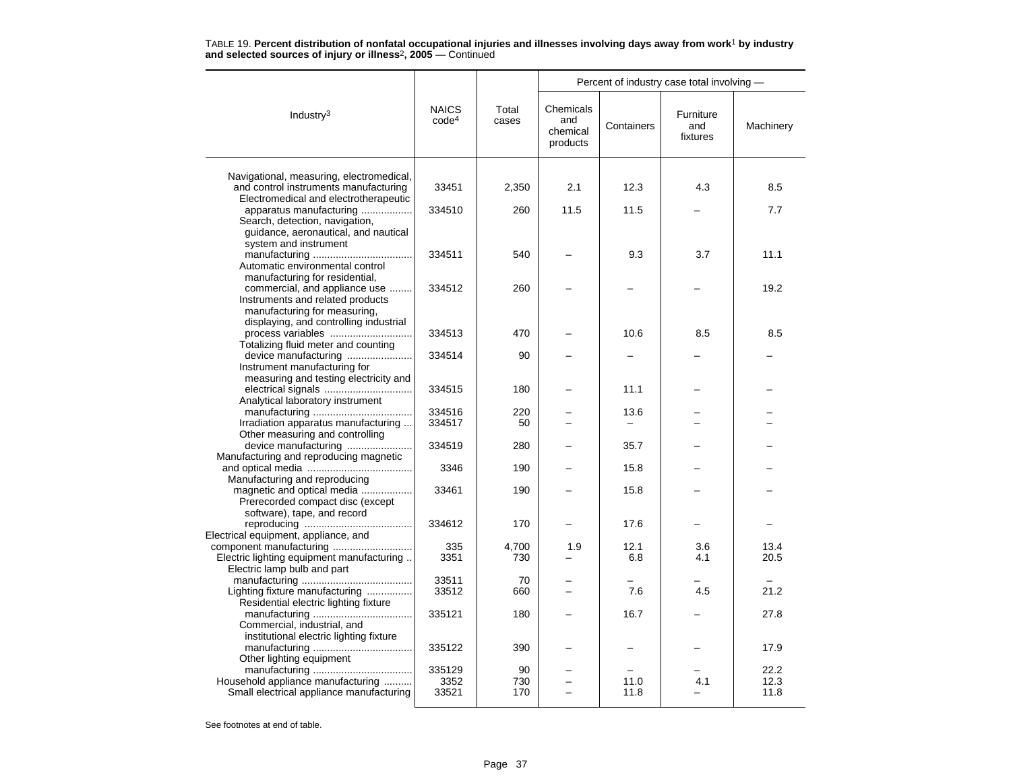|                                                                                   |                                   |                |                                          | Percent of industry case total involving - |                              |           |
|-----------------------------------------------------------------------------------|-----------------------------------|----------------|------------------------------------------|--------------------------------------------|------------------------------|-----------|
| Industry <sup>3</sup>                                                             | <b>NAICS</b><br>code <sup>4</sup> | Total<br>cases | Chemicals<br>and<br>chemical<br>products | Containers                                 | Furniture<br>and<br>fixtures | Machinery |
|                                                                                   |                                   |                |                                          |                                            |                              |           |
| Navigational, measuring, electromedical,<br>and control instruments manufacturing | 33451                             | 2,350          | 2.1                                      | 12.3                                       | 4.3                          | 8.5       |
| Electromedical and electrotherapeutic                                             |                                   |                |                                          |                                            |                              |           |
| apparatus manufacturing<br>Search, detection, navigation,                         | 334510                            | 260            | 11.5                                     | 11.5                                       |                              | 7.7       |
| guidance, aeronautical, and nautical                                              |                                   |                |                                          |                                            |                              |           |
| system and instrument                                                             |                                   |                |                                          |                                            |                              |           |
|                                                                                   | 334511                            | 540            |                                          | 9.3                                        | 3.7                          | 11.1      |
| Automatic environmental control                                                   |                                   |                |                                          |                                            |                              |           |
| manufacturing for residential,                                                    |                                   |                |                                          |                                            |                              |           |
| commercial, and appliance use                                                     | 334512                            | 260            |                                          |                                            |                              | 19.2      |
| Instruments and related products                                                  |                                   |                |                                          |                                            |                              |           |
| manufacturing for measuring,                                                      |                                   |                |                                          |                                            |                              |           |
| displaying, and controlling industrial<br>process variables                       | 334513                            | 470            |                                          | 10.6                                       | 8.5                          | 8.5       |
| Totalizing fluid meter and counting                                               |                                   |                |                                          |                                            |                              |           |
| device manufacturing                                                              | 334514                            | 90             |                                          |                                            |                              |           |
| Instrument manufacturing for                                                      |                                   |                |                                          |                                            |                              |           |
| measuring and testing electricity and                                             |                                   |                |                                          |                                            |                              |           |
|                                                                                   | 334515                            | 180            |                                          | 11.1                                       |                              |           |
| Analytical laboratory instrument                                                  |                                   |                |                                          |                                            |                              |           |
|                                                                                   | 334516                            | 220            |                                          | 13.6                                       |                              |           |
| Irradiation apparatus manufacturing<br>Other measuring and controlling            | 334517                            | 50             |                                          |                                            |                              |           |
| device manufacturing                                                              | 334519                            | 280            |                                          | 35.7                                       |                              |           |
| Manufacturing and reproducing magnetic                                            |                                   |                |                                          |                                            |                              |           |
|                                                                                   | 3346                              | 190            |                                          | 15.8                                       |                              |           |
| Manufacturing and reproducing                                                     |                                   |                |                                          |                                            |                              |           |
| magnetic and optical media                                                        | 33461                             | 190            |                                          | 15.8                                       |                              |           |
| Prerecorded compact disc (except                                                  |                                   |                |                                          |                                            |                              |           |
| software), tape, and record                                                       |                                   |                |                                          |                                            |                              |           |
| Electrical equipment, appliance, and                                              | 334612                            | 170            |                                          | 17.6                                       |                              |           |
|                                                                                   | 335                               | 4,700          | 1.9                                      | 12.1                                       | 3.6                          | 13.4      |
| Electric lighting equipment manufacturing                                         | 3351                              | 730            |                                          | 6.8                                        | 4.1                          | 20.5      |
| Electric lamp bulb and part                                                       |                                   |                |                                          |                                            |                              |           |
|                                                                                   | 33511                             | 70             |                                          |                                            |                              |           |
| Lighting fixture manufacturing                                                    | 33512                             | 660            |                                          | 7.6                                        | 4.5                          | 21.2      |
| Residential electric lighting fixture                                             |                                   |                |                                          |                                            |                              |           |
|                                                                                   | 335121                            | 180            |                                          | 16.7                                       |                              | 27.8      |
| Commercial, industrial, and                                                       |                                   |                |                                          |                                            |                              |           |
| institutional electric lighting fixture                                           | 335122                            | 390            |                                          |                                            |                              | 17.9      |
| Other lighting equipment                                                          |                                   |                |                                          |                                            |                              |           |
|                                                                                   | 335129                            | 90             |                                          |                                            |                              | 22.2      |
| Household appliance manufacturing                                                 | 3352                              | 730            |                                          | 11.0                                       | 4.1                          | 12.3      |
| Small electrical appliance manufacturing                                          | 33521                             | 170            |                                          | 11.8                                       |                              | 11.8      |
|                                                                                   |                                   |                |                                          |                                            |                              |           |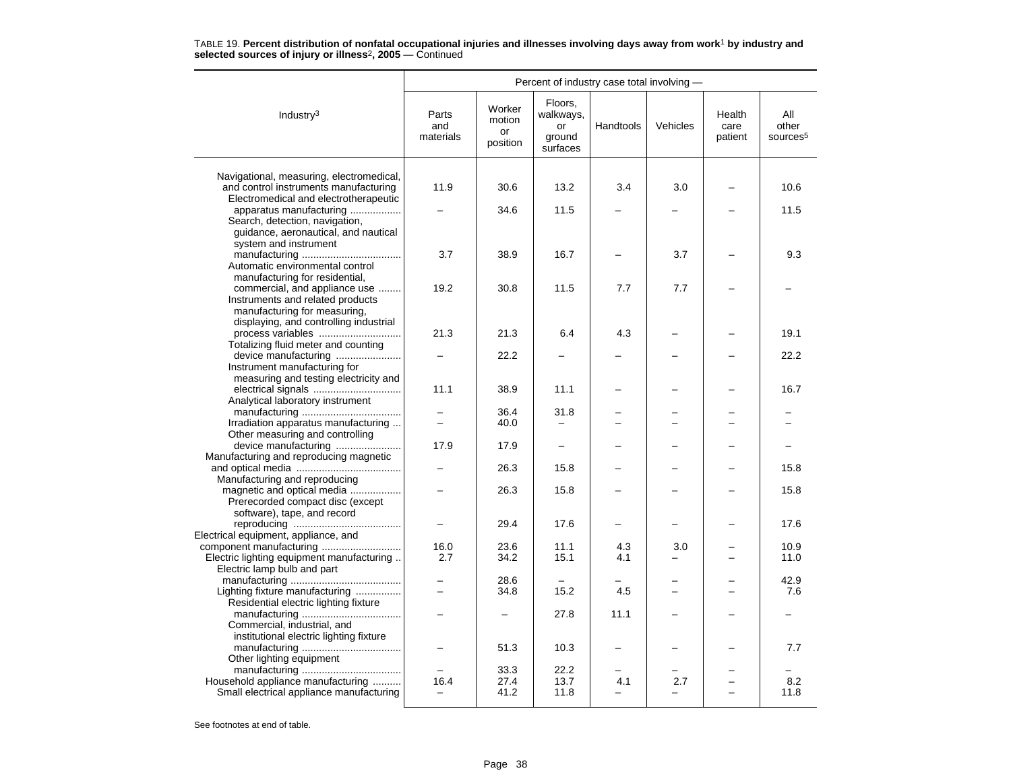|                                                                                                                            | Percent of industry case total involving - |                                    |                                                  |                       |                                      |                           |                                      |  |
|----------------------------------------------------------------------------------------------------------------------------|--------------------------------------------|------------------------------------|--------------------------------------------------|-----------------------|--------------------------------------|---------------------------|--------------------------------------|--|
| Industry $3$                                                                                                               | Parts<br>and<br>materials                  | Worker<br>motion<br>or<br>position | Floors,<br>walkways,<br>or<br>ground<br>surfaces | Handtools             | Vehicles                             | Health<br>care<br>patient | All<br>other<br>sources <sup>5</sup> |  |
|                                                                                                                            |                                            |                                    |                                                  |                       |                                      |                           |                                      |  |
| Navigational, measuring, electromedical,<br>and control instruments manufacturing<br>Electromedical and electrotherapeutic | 11.9                                       | 30.6                               | 13.2                                             | 3.4                   | 3.0                                  |                           | 10.6                                 |  |
| apparatus manufacturing<br>Search, detection, navigation,                                                                  |                                            | 34.6                               | 11.5                                             |                       |                                      |                           | 11.5                                 |  |
| guidance, aeronautical, and nautical<br>system and instrument                                                              | 3.7                                        | 38.9                               | 16.7                                             |                       | 3.7                                  |                           | 9.3                                  |  |
| Automatic environmental control<br>manufacturing for residential,                                                          |                                            |                                    |                                                  |                       |                                      |                           |                                      |  |
| commercial, and appliance use<br>Instruments and related products<br>manufacturing for measuring,                          | 19.2                                       | 30.8                               | 11.5                                             | 7.7                   | 7.7                                  |                           |                                      |  |
| displaying, and controlling industrial<br>process variables<br>Totalizing fluid meter and counting                         | 21.3                                       | 21.3                               | 6.4                                              | 4.3                   |                                      |                           | 19.1                                 |  |
| device manufacturing<br>Instrument manufacturing for                                                                       |                                            | 22.2                               |                                                  |                       |                                      |                           | 22.2                                 |  |
| measuring and testing electricity and<br>Analytical laboratory instrument                                                  | 11.1                                       | 38.9                               | 11.1                                             |                       |                                      |                           | 16.7                                 |  |
|                                                                                                                            | -                                          | 36.4                               | 31.8                                             |                       |                                      |                           |                                      |  |
| Irradiation apparatus manufacturing<br>Other measuring and controlling                                                     |                                            | 40.0                               |                                                  |                       |                                      |                           |                                      |  |
| device manufacturing<br>Manufacturing and reproducing magnetic                                                             | 17.9                                       | 17.9                               |                                                  |                       |                                      |                           |                                      |  |
| Manufacturing and reproducing                                                                                              |                                            | 26.3                               | 15.8                                             |                       |                                      |                           | 15.8                                 |  |
| magnetic and optical media<br>Prerecorded compact disc (except<br>software), tape, and record                              |                                            | 26.3                               | 15.8                                             |                       |                                      |                           | 15.8                                 |  |
| Electrical equipment, appliance, and                                                                                       |                                            | 29.4                               | 17.6                                             |                       |                                      |                           | 17.6                                 |  |
| component manufacturing<br>Electric lighting equipment manufacturing                                                       | 16.0<br>2.7                                | 23.6<br>34.2                       | 11.1<br>15.1                                     | 4.3<br>4.1            | 3.0                                  |                           | 10.9<br>11.0                         |  |
| Electric lamp bulb and part                                                                                                |                                            | 28.6                               |                                                  |                       |                                      |                           | 42.9                                 |  |
| Lighting fixture manufacturing<br>Residential electric lighting fixture                                                    | $\equiv$                                   | 34.8                               | 15.2                                             | 4.5                   | -                                    |                           | 7.6                                  |  |
| Commercial, industrial, and<br>institutional electric lighting fixture                                                     |                                            |                                    | 27.8                                             | 11.1                  |                                      |                           |                                      |  |
| Other lighting equipment                                                                                                   |                                            | 51.3                               | 10.3                                             |                       |                                      |                           | 7.7                                  |  |
| Household appliance manufacturing<br>Small electrical appliance manufacturing                                              | 16.4<br>$\overline{\phantom{0}}$           | 33.3<br>27.4<br>41.2               | 22.2<br>13.7<br>11.8                             | 4.1<br>$\overline{a}$ | ═<br>2.7<br>$\overline{\phantom{0}}$ |                           | 8.2<br>11.8                          |  |
|                                                                                                                            |                                            |                                    |                                                  |                       |                                      |                           |                                      |  |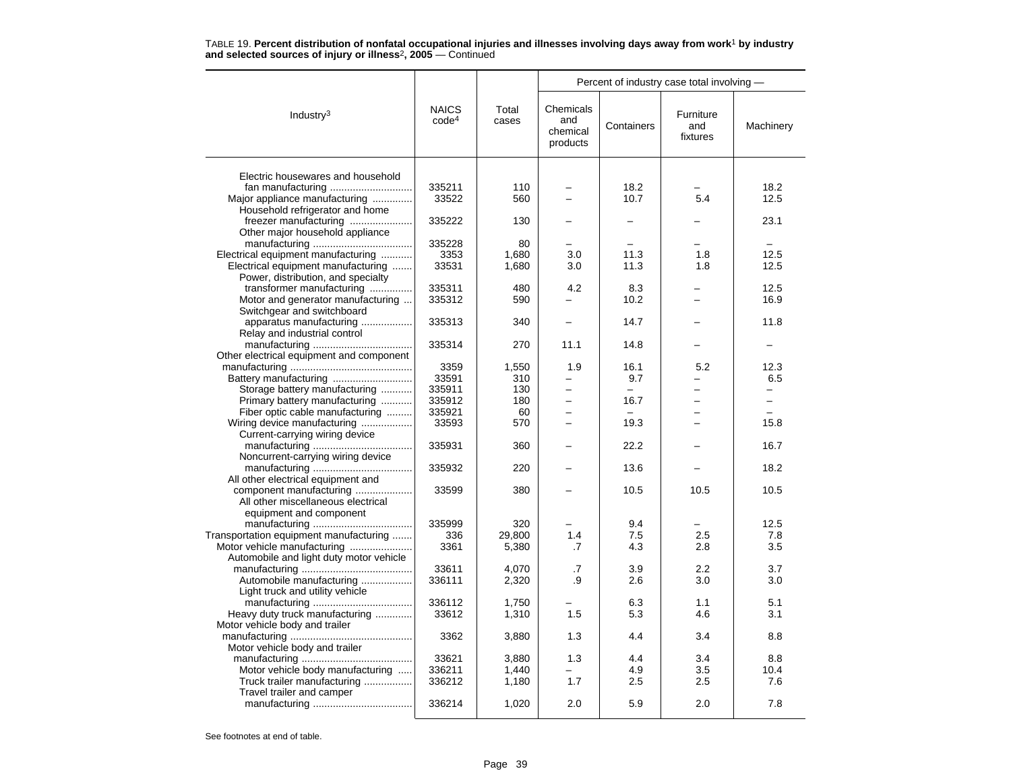|                                          |                                   |                |                                          |              | Percent of industry case total involving - |              |
|------------------------------------------|-----------------------------------|----------------|------------------------------------------|--------------|--------------------------------------------|--------------|
| Industry $3$                             | <b>NAICS</b><br>code <sup>4</sup> | Total<br>cases | Chemicals<br>and<br>chemical<br>products | Containers   | Furniture<br>and<br>fixtures               | Machinery    |
| Electric housewares and household        |                                   |                |                                          |              |                                            |              |
|                                          |                                   |                |                                          |              |                                            |              |
| fan manufacturing                        | 335211<br>33522                   | 110<br>560     | $\equiv$                                 | 18.2<br>10.7 | 5.4                                        | 18.2<br>12.5 |
| Major appliance manufacturing            |                                   |                |                                          |              |                                            |              |
| Household refrigerator and home          |                                   |                |                                          |              |                                            |              |
| freezer manufacturing                    | 335222                            | 130            |                                          |              |                                            | 23.1         |
| Other major household appliance          |                                   |                |                                          |              |                                            |              |
|                                          | 335228                            | 80             |                                          |              |                                            |              |
| Electrical equipment manufacturing       | 3353                              | 1.680          | 3.0                                      | 11.3         | 1.8                                        | 12.5         |
| Electrical equipment manufacturing       | 33531                             | 1,680          | 3.0                                      | 11.3         | 1.8                                        | 12.5         |
| Power, distribution, and specialty       |                                   |                |                                          |              |                                            |              |
| transformer manufacturing                | 335311                            | 480            | 4.2                                      | 8.3          |                                            | 12.5         |
| Motor and generator manufacturing        | 335312                            | 590            |                                          | 10.2         |                                            | 16.9         |
| Switchgear and switchboard               |                                   |                |                                          |              |                                            |              |
| apparatus manufacturing                  | 335313                            | 340            |                                          | 14.7         |                                            | 11.8         |
| Relay and industrial control             |                                   |                |                                          |              |                                            |              |
|                                          | 335314                            | 270            | 11.1                                     | 14.8         |                                            |              |
| Other electrical equipment and component |                                   |                |                                          |              |                                            |              |
|                                          | 3359                              | 1,550          | 1.9                                      | 16.1         | 5.2                                        | 12.3         |
|                                          | 33591                             | 310            |                                          | 9.7          |                                            | 6.5          |
| Storage battery manufacturing            | 335911                            | 130            | $\overline{\phantom{0}}$                 | -            |                                            | -            |
| Primary battery manufacturing            | 335912                            | 180            |                                          | 16.7         |                                            | -            |
| Fiber optic cable manufacturing          | 335921                            | 60             | $\overline{a}$                           |              |                                            | $\equiv$     |
| Wiring device manufacturing              | 33593                             | 570            | -                                        | 19.3         |                                            | 15.8         |
| Current-carrying wiring device           |                                   |                |                                          |              |                                            |              |
|                                          | 335931                            | 360            |                                          | 22.2         |                                            | 16.7         |
| Noncurrent-carrying wiring device        |                                   |                |                                          |              |                                            |              |
|                                          | 335932                            | 220            |                                          | 13.6         |                                            | 18.2         |
| All other electrical equipment and       |                                   |                |                                          |              |                                            |              |
| component manufacturing                  | 33599                             | 380            |                                          | 10.5         | 10.5                                       | 10.5         |
| All other miscellaneous electrical       |                                   |                |                                          |              |                                            |              |
| equipment and component                  |                                   |                |                                          |              |                                            |              |
|                                          | 335999                            | 320            |                                          | 9.4          |                                            | 12.5         |
| Transportation equipment manufacturing   | 336                               | 29,800         | 1.4                                      | 7.5          | 2.5                                        | 7.8          |
| Motor vehicle manufacturing              | 3361                              | 5,380          | .7                                       | 4.3          | 2.8                                        | 3.5          |
| Automobile and light duty motor vehicle  |                                   |                |                                          |              |                                            |              |
|                                          | 33611                             | 4,070          | .7                                       | 3.9          | 2.2                                        | 3.7          |
| Automobile manufacturing                 | 336111                            |                | .9                                       | 2.6          | 3.0                                        | 3.0          |
|                                          |                                   | 2,320          |                                          |              |                                            |              |
| Light truck and utility vehicle          |                                   |                |                                          |              |                                            |              |
|                                          | 336112                            | 1,750          |                                          | 6.3          | 1.1                                        | 5.1          |
| Heavy duty truck manufacturing           | 33612                             | 1,310          | 1.5                                      | 5.3          | 4.6                                        | 3.1          |
| Motor vehicle body and trailer           |                                   |                |                                          |              |                                            |              |
|                                          | 3362                              | 3,880          | 1.3                                      | 4.4          | 3.4                                        | 8.8          |
| Motor vehicle body and trailer           |                                   |                |                                          |              |                                            |              |
|                                          | 33621                             | 3,880          | 1.3                                      | 4.4          | 3.4                                        | 8.8          |
| Motor vehicle body manufacturing         | 336211                            | 1,440          |                                          | 4.9          | 3.5                                        | 10.4         |
| Truck trailer manufacturing              | 336212                            | 1,180          | 1.7                                      | 2.5          | 2.5                                        | 7.6          |
| Travel trailer and camper                |                                   |                |                                          |              |                                            |              |
|                                          | 336214                            | 1,020          | 2.0                                      | 5.9          | 2.0                                        | 7.8          |
|                                          |                                   |                |                                          |              |                                            |              |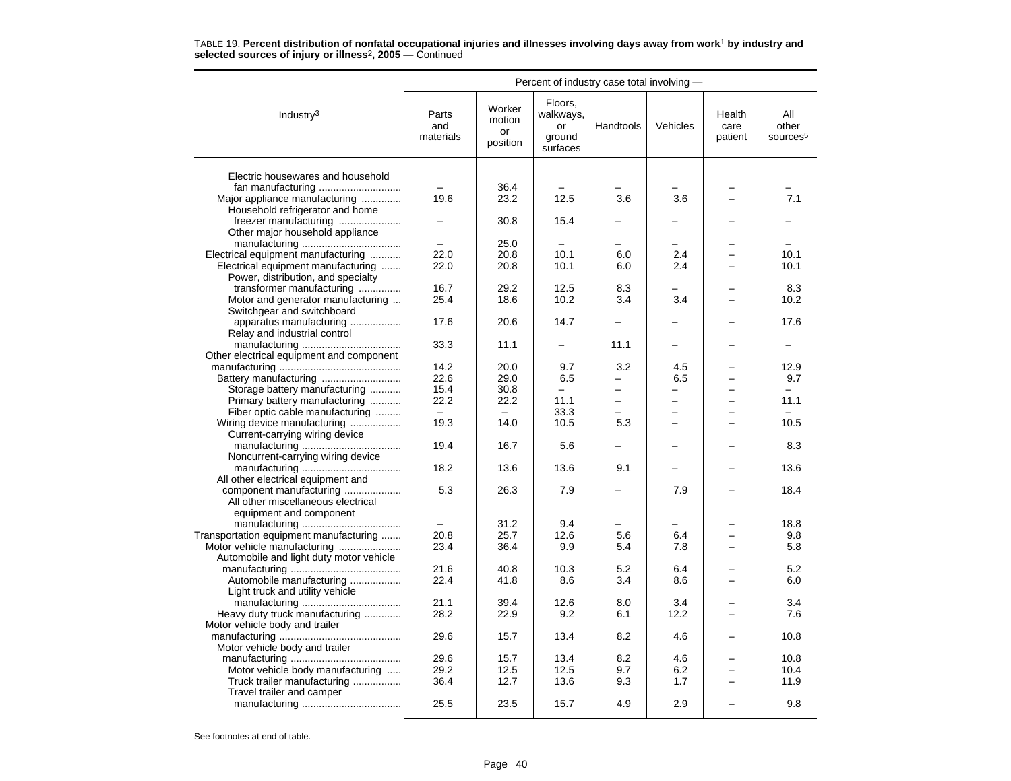|                                          | Percent of industry case total involving - |                                    |                                                  |                          |                          |                           |                                      |  |
|------------------------------------------|--------------------------------------------|------------------------------------|--------------------------------------------------|--------------------------|--------------------------|---------------------------|--------------------------------------|--|
| Industry <sup>3</sup>                    | Parts<br>and<br>materials                  | Worker<br>motion<br>or<br>position | Floors,<br>walkways,<br>or<br>ground<br>surfaces | Handtools                | Vehicles                 | Health<br>care<br>patient | All<br>other<br>sources <sup>5</sup> |  |
| Electric housewares and household        |                                            |                                    |                                                  |                          |                          |                           |                                      |  |
|                                          |                                            | 36.4                               |                                                  |                          |                          |                           |                                      |  |
| Major appliance manufacturing            | 19.6                                       | 23.2                               | 12.5                                             | 3.6                      | 3.6                      |                           | 7.1                                  |  |
| Household refrigerator and home          |                                            |                                    |                                                  |                          |                          |                           |                                      |  |
| freezer manufacturing                    |                                            | 30.8                               | 15.4                                             |                          |                          |                           |                                      |  |
| Other major household appliance          |                                            |                                    |                                                  |                          |                          |                           |                                      |  |
|                                          |                                            | 25.0                               |                                                  |                          |                          |                           |                                      |  |
| Electrical equipment manufacturing       | 22.0                                       | 20.8                               | 10.1                                             | 6.0                      | 2.4                      |                           | 10.1                                 |  |
| Electrical equipment manufacturing       | 22.0                                       | 20.8                               | 10.1                                             | 6.0                      | 2.4                      |                           | 10.1                                 |  |
|                                          |                                            |                                    |                                                  |                          |                          |                           |                                      |  |
| Power, distribution, and specialty       | 16.7                                       | 29.2                               | 12.5                                             | 8.3                      |                          |                           | 8.3                                  |  |
| transformer manufacturing                |                                            |                                    | 10.2                                             | 3.4                      | 3.4                      |                           | 10.2                                 |  |
| Motor and generator manufacturing        | 25.4                                       | 18.6                               |                                                  |                          |                          |                           |                                      |  |
| Switchgear and switchboard               |                                            |                                    |                                                  |                          |                          |                           |                                      |  |
| apparatus manufacturing                  | 17.6                                       | 20.6                               | 14.7                                             |                          |                          |                           | 17.6                                 |  |
| Relay and industrial control             |                                            |                                    |                                                  |                          |                          |                           |                                      |  |
|                                          | 33.3                                       | 11.1                               |                                                  | 11.1                     | -                        |                           |                                      |  |
| Other electrical equipment and component |                                            |                                    |                                                  |                          |                          |                           |                                      |  |
|                                          | 14.2                                       | 20.0                               | 9.7                                              | 3.2                      | 4.5                      |                           | 12.9                                 |  |
|                                          | 22.6                                       | 29.0                               | 6.5                                              |                          | 6.5                      |                           | 9.7                                  |  |
| Storage battery manufacturing            | 15.4                                       | 30.8                               | $\equiv$                                         | $\overline{a}$           | $\overline{\phantom{0}}$ |                           |                                      |  |
| Primary battery manufacturing            | 22.2                                       | 22.2                               | 11.1                                             | $\overline{\phantom{0}}$ | $\overline{\phantom{0}}$ | $\equiv$                  | 11.1                                 |  |
| Fiber optic cable manufacturing          | $\equiv$                                   |                                    | 33.3                                             |                          |                          |                           |                                      |  |
| Wiring device manufacturing              | 19.3                                       | 14.0                               | 10.5                                             | 5.3                      |                          |                           | 10.5                                 |  |
| Current-carrying wiring device           |                                            |                                    |                                                  |                          |                          |                           |                                      |  |
|                                          | 19.4                                       | 16.7                               | 5.6                                              |                          |                          |                           | 8.3                                  |  |
| Noncurrent-carrying wiring device        |                                            |                                    |                                                  |                          |                          |                           |                                      |  |
|                                          | 18.2                                       | 13.6                               | 13.6                                             | 9.1                      |                          |                           | 13.6                                 |  |
| All other electrical equipment and       |                                            |                                    |                                                  |                          |                          |                           |                                      |  |
| component manufacturing                  | 5.3                                        | 26.3                               | 7.9                                              |                          | 7.9                      |                           | 18.4                                 |  |
| All other miscellaneous electrical       |                                            |                                    |                                                  |                          |                          |                           |                                      |  |
| equipment and component                  |                                            |                                    |                                                  |                          |                          |                           |                                      |  |
|                                          |                                            | 31.2                               | 9.4                                              |                          |                          |                           | 18.8                                 |  |
| Transportation equipment manufacturing   | 20.8                                       | 25.7                               | 12.6                                             | 5.6                      | 6.4                      |                           | 9.8                                  |  |
| Motor vehicle manufacturing              | 23.4                                       | 36.4                               | 9.9                                              | 5.4                      | 7.8                      |                           | 5.8                                  |  |
| Automobile and light duty motor vehicle  |                                            |                                    |                                                  |                          |                          |                           |                                      |  |
|                                          | 21.6                                       | 40.8                               | 10.3                                             | 5.2                      | 6.4                      |                           | 5.2                                  |  |
| Automobile manufacturing                 | 22.4                                       | 41.8                               | 8.6                                              | 3.4                      | 8.6                      |                           | 6.0                                  |  |
| Light truck and utility vehicle          |                                            |                                    |                                                  |                          |                          |                           |                                      |  |
|                                          | 21.1                                       | 39.4                               | 12.6                                             | 8.0                      | 3.4                      |                           | 3.4                                  |  |
| Heavy duty truck manufacturing           | 28.2                                       | 22.9                               | 9.2                                              | 6.1                      | 12.2                     |                           | 7.6                                  |  |
| Motor vehicle body and trailer           |                                            |                                    |                                                  |                          |                          |                           |                                      |  |
|                                          | 29.6                                       | 15.7                               | 13.4                                             | 8.2                      | 4.6                      |                           | 10.8                                 |  |
| Motor vehicle body and trailer           |                                            |                                    |                                                  |                          |                          |                           |                                      |  |
|                                          | 29.6                                       | 15.7                               | 13.4                                             | 8.2                      | 4.6                      |                           | 10.8                                 |  |
| Motor vehicle body manufacturing         | 29.2                                       | 12.5                               | 12.5                                             | 9.7                      | 6.2                      |                           | 10.4                                 |  |
| Truck trailer manufacturing              | 36.4                                       | 12.7                               | 13.6                                             | 9.3                      | 1.7                      |                           | 11.9                                 |  |
| Travel trailer and camper                |                                            |                                    |                                                  |                          |                          |                           |                                      |  |
|                                          | 25.5                                       | 23.5                               | 15.7                                             | 4.9                      | 2.9                      |                           | 9.8                                  |  |
|                                          |                                            |                                    |                                                  |                          |                          |                           |                                      |  |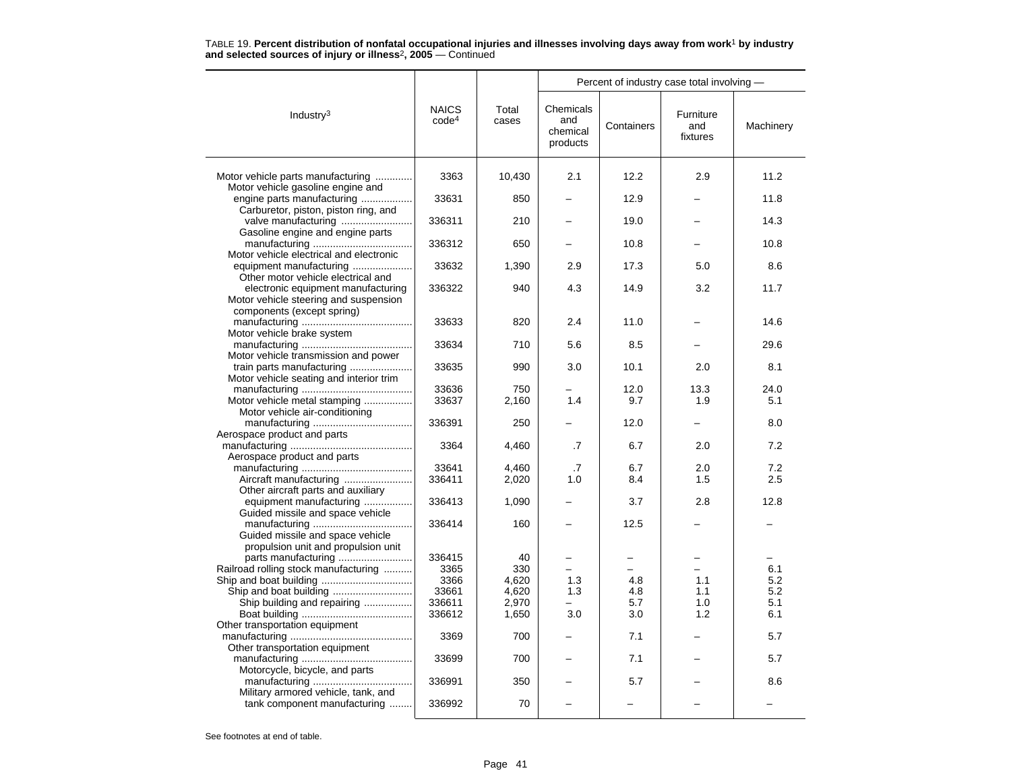| <b>NAICS</b><br>Chemicals<br>Total<br>Industry $3$<br>Furniture<br>code <sup>4</sup><br>and<br>cases<br>Containers<br>and<br>chemical<br>fixtures<br>products<br>3363<br>10,430<br>2.1<br>2.9<br>11.2<br>Motor vehicle parts manufacturing<br>12.2<br>Motor vehicle gasoline engine and<br>engine parts manufacturing<br>33631<br>850<br>12.9<br>11.8<br>Carburetor, piston, piston ring, and<br>valve manufacturing<br>336311<br>210<br>19.0<br>14.3<br>Gasoline engine and engine parts<br>336312<br>650<br>10.8<br>10.8<br>Motor vehicle electrical and electronic<br>equipment manufacturing<br>2.9<br>17.3<br>5.0<br>33632<br>1,390<br>8.6<br>Other motor vehicle electrical and<br>electronic equipment manufacturing<br>336322<br>940<br>4.3<br>14.9<br>3.2<br>11.7<br>Motor vehicle steering and suspension<br>components (except spring)<br>820<br>2.4<br>33633<br>11.0<br>14.6<br>Motor vehicle brake system<br>29.6<br>33634<br>710<br>5.6<br>8.5<br>Motor vehicle transmission and power<br>train parts manufacturing<br>33635<br>990<br>3.0<br>10.1<br>2.0<br>8.1<br>Motor vehicle seating and interior trim<br>33636<br>750<br>12.0<br>13.3<br>24.0<br>1.4<br>Motor vehicle metal stamping<br>33637<br>2,160<br>9.7<br>1.9<br>5.1<br>Motor vehicle air-conditioning<br>336391<br>250<br>12.0<br>8.0<br>$\overline{\phantom{0}}$<br>Aerospace product and parts<br>7.2<br>3364<br>4,460<br>.7<br>6.7<br>2.0<br>Aerospace product and parts<br>33641<br>6.7<br>2.0<br>7.2<br>$\cdot$ 7 |  |       |  | Percent of industry case total involving - |           |
|----------------------------------------------------------------------------------------------------------------------------------------------------------------------------------------------------------------------------------------------------------------------------------------------------------------------------------------------------------------------------------------------------------------------------------------------------------------------------------------------------------------------------------------------------------------------------------------------------------------------------------------------------------------------------------------------------------------------------------------------------------------------------------------------------------------------------------------------------------------------------------------------------------------------------------------------------------------------------------------------------------------------------------------------------------------------------------------------------------------------------------------------------------------------------------------------------------------------------------------------------------------------------------------------------------------------------------------------------------------------------------------------------------------------------------------------------------------------------------------------------|--|-------|--|--------------------------------------------|-----------|
|                                                                                                                                                                                                                                                                                                                                                                                                                                                                                                                                                                                                                                                                                                                                                                                                                                                                                                                                                                                                                                                                                                                                                                                                                                                                                                                                                                                                                                                                                                    |  |       |  |                                            | Machinery |
|                                                                                                                                                                                                                                                                                                                                                                                                                                                                                                                                                                                                                                                                                                                                                                                                                                                                                                                                                                                                                                                                                                                                                                                                                                                                                                                                                                                                                                                                                                    |  |       |  |                                            |           |
|                                                                                                                                                                                                                                                                                                                                                                                                                                                                                                                                                                                                                                                                                                                                                                                                                                                                                                                                                                                                                                                                                                                                                                                                                                                                                                                                                                                                                                                                                                    |  |       |  |                                            |           |
|                                                                                                                                                                                                                                                                                                                                                                                                                                                                                                                                                                                                                                                                                                                                                                                                                                                                                                                                                                                                                                                                                                                                                                                                                                                                                                                                                                                                                                                                                                    |  |       |  |                                            |           |
|                                                                                                                                                                                                                                                                                                                                                                                                                                                                                                                                                                                                                                                                                                                                                                                                                                                                                                                                                                                                                                                                                                                                                                                                                                                                                                                                                                                                                                                                                                    |  |       |  |                                            |           |
|                                                                                                                                                                                                                                                                                                                                                                                                                                                                                                                                                                                                                                                                                                                                                                                                                                                                                                                                                                                                                                                                                                                                                                                                                                                                                                                                                                                                                                                                                                    |  |       |  |                                            |           |
|                                                                                                                                                                                                                                                                                                                                                                                                                                                                                                                                                                                                                                                                                                                                                                                                                                                                                                                                                                                                                                                                                                                                                                                                                                                                                                                                                                                                                                                                                                    |  |       |  |                                            |           |
|                                                                                                                                                                                                                                                                                                                                                                                                                                                                                                                                                                                                                                                                                                                                                                                                                                                                                                                                                                                                                                                                                                                                                                                                                                                                                                                                                                                                                                                                                                    |  |       |  |                                            |           |
|                                                                                                                                                                                                                                                                                                                                                                                                                                                                                                                                                                                                                                                                                                                                                                                                                                                                                                                                                                                                                                                                                                                                                                                                                                                                                                                                                                                                                                                                                                    |  |       |  |                                            |           |
|                                                                                                                                                                                                                                                                                                                                                                                                                                                                                                                                                                                                                                                                                                                                                                                                                                                                                                                                                                                                                                                                                                                                                                                                                                                                                                                                                                                                                                                                                                    |  |       |  |                                            |           |
|                                                                                                                                                                                                                                                                                                                                                                                                                                                                                                                                                                                                                                                                                                                                                                                                                                                                                                                                                                                                                                                                                                                                                                                                                                                                                                                                                                                                                                                                                                    |  |       |  |                                            |           |
|                                                                                                                                                                                                                                                                                                                                                                                                                                                                                                                                                                                                                                                                                                                                                                                                                                                                                                                                                                                                                                                                                                                                                                                                                                                                                                                                                                                                                                                                                                    |  |       |  |                                            |           |
|                                                                                                                                                                                                                                                                                                                                                                                                                                                                                                                                                                                                                                                                                                                                                                                                                                                                                                                                                                                                                                                                                                                                                                                                                                                                                                                                                                                                                                                                                                    |  |       |  |                                            |           |
|                                                                                                                                                                                                                                                                                                                                                                                                                                                                                                                                                                                                                                                                                                                                                                                                                                                                                                                                                                                                                                                                                                                                                                                                                                                                                                                                                                                                                                                                                                    |  |       |  |                                            |           |
|                                                                                                                                                                                                                                                                                                                                                                                                                                                                                                                                                                                                                                                                                                                                                                                                                                                                                                                                                                                                                                                                                                                                                                                                                                                                                                                                                                                                                                                                                                    |  |       |  |                                            |           |
|                                                                                                                                                                                                                                                                                                                                                                                                                                                                                                                                                                                                                                                                                                                                                                                                                                                                                                                                                                                                                                                                                                                                                                                                                                                                                                                                                                                                                                                                                                    |  | 4,460 |  |                                            |           |
| Aircraft manufacturing<br>336411<br>2,020<br>1.5<br>2.5<br>1.0<br>8.4<br>Other aircraft parts and auxiliary                                                                                                                                                                                                                                                                                                                                                                                                                                                                                                                                                                                                                                                                                                                                                                                                                                                                                                                                                                                                                                                                                                                                                                                                                                                                                                                                                                                        |  |       |  |                                            |           |
| equipment manufacturing<br>2.8<br>12.8<br>336413<br>1,090<br>3.7<br>Guided missile and space vehicle                                                                                                                                                                                                                                                                                                                                                                                                                                                                                                                                                                                                                                                                                                                                                                                                                                                                                                                                                                                                                                                                                                                                                                                                                                                                                                                                                                                               |  |       |  |                                            |           |
| 336414<br>160<br>12.5<br>Guided missile and space vehicle<br>propulsion unit and propulsion unit                                                                                                                                                                                                                                                                                                                                                                                                                                                                                                                                                                                                                                                                                                                                                                                                                                                                                                                                                                                                                                                                                                                                                                                                                                                                                                                                                                                                   |  |       |  |                                            |           |
| parts manufacturing<br>336415<br>40                                                                                                                                                                                                                                                                                                                                                                                                                                                                                                                                                                                                                                                                                                                                                                                                                                                                                                                                                                                                                                                                                                                                                                                                                                                                                                                                                                                                                                                                |  |       |  |                                            |           |
| Railroad rolling stock manufacturing<br>330<br>6.1<br>3365                                                                                                                                                                                                                                                                                                                                                                                                                                                                                                                                                                                                                                                                                                                                                                                                                                                                                                                                                                                                                                                                                                                                                                                                                                                                                                                                                                                                                                         |  |       |  |                                            |           |
| 1.3<br>5.2<br>3366<br>4,620<br>4.8<br>1.1<br>Ship and boat building<br>5.2<br>33661<br>4,620<br>1.3<br>4.8<br>1.1                                                                                                                                                                                                                                                                                                                                                                                                                                                                                                                                                                                                                                                                                                                                                                                                                                                                                                                                                                                                                                                                                                                                                                                                                                                                                                                                                                                  |  |       |  |                                            |           |
| Ship building and repairing<br>336611<br>2,970<br>5.7<br>1.0<br>5.1                                                                                                                                                                                                                                                                                                                                                                                                                                                                                                                                                                                                                                                                                                                                                                                                                                                                                                                                                                                                                                                                                                                                                                                                                                                                                                                                                                                                                                |  |       |  |                                            |           |
| 336612<br>3.0<br>1.2<br>1,650<br>3.0<br>6.1                                                                                                                                                                                                                                                                                                                                                                                                                                                                                                                                                                                                                                                                                                                                                                                                                                                                                                                                                                                                                                                                                                                                                                                                                                                                                                                                                                                                                                                        |  |       |  |                                            |           |
| Other transportation equipment<br>700<br>7.1<br>5.7<br>3369                                                                                                                                                                                                                                                                                                                                                                                                                                                                                                                                                                                                                                                                                                                                                                                                                                                                                                                                                                                                                                                                                                                                                                                                                                                                                                                                                                                                                                        |  |       |  |                                            |           |
| Other transportation equipment                                                                                                                                                                                                                                                                                                                                                                                                                                                                                                                                                                                                                                                                                                                                                                                                                                                                                                                                                                                                                                                                                                                                                                                                                                                                                                                                                                                                                                                                     |  |       |  |                                            |           |
| 33699<br>700<br>7.1<br>5.7<br>Motorcycle, bicycle, and parts                                                                                                                                                                                                                                                                                                                                                                                                                                                                                                                                                                                                                                                                                                                                                                                                                                                                                                                                                                                                                                                                                                                                                                                                                                                                                                                                                                                                                                       |  |       |  |                                            |           |
| 336991<br>350<br>5.7<br>8.6<br>Military armored vehicle, tank, and                                                                                                                                                                                                                                                                                                                                                                                                                                                                                                                                                                                                                                                                                                                                                                                                                                                                                                                                                                                                                                                                                                                                                                                                                                                                                                                                                                                                                                 |  |       |  |                                            |           |
| tank component manufacturing<br>70<br>336992                                                                                                                                                                                                                                                                                                                                                                                                                                                                                                                                                                                                                                                                                                                                                                                                                                                                                                                                                                                                                                                                                                                                                                                                                                                                                                                                                                                                                                                       |  |       |  |                                            |           |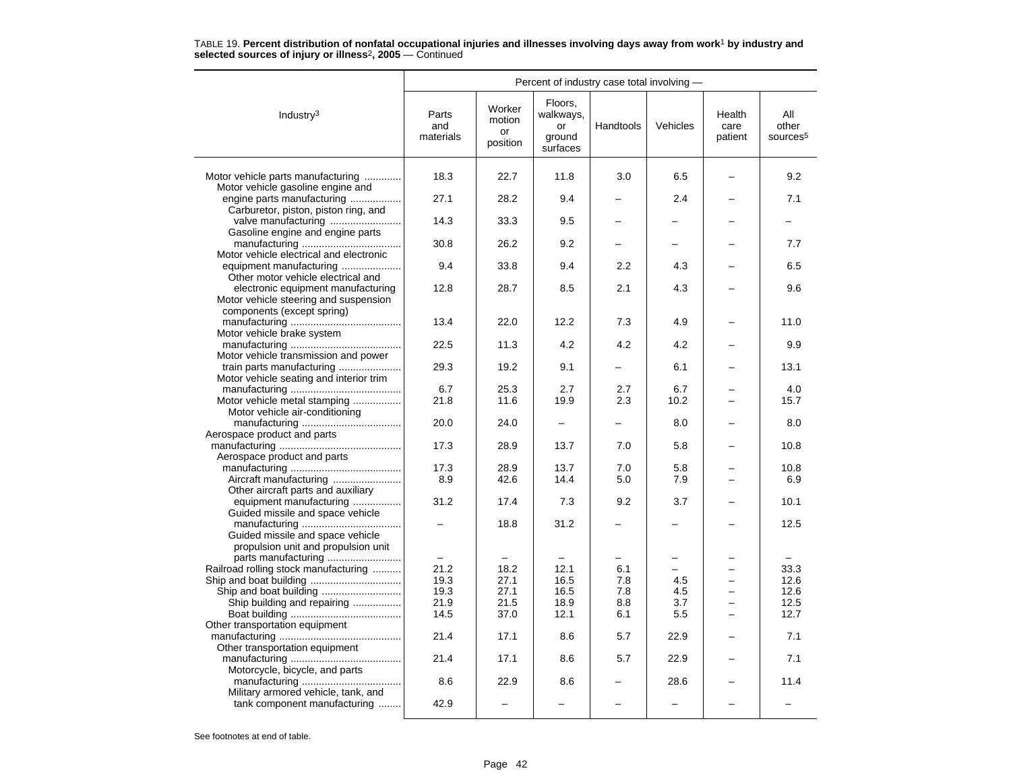|                                                                                                           | Percent of industry case total involving - |                                    |                                                  |                          |             |                           |                                      |  |  |
|-----------------------------------------------------------------------------------------------------------|--------------------------------------------|------------------------------------|--------------------------------------------------|--------------------------|-------------|---------------------------|--------------------------------------|--|--|
| Industry <sup>3</sup>                                                                                     | Parts<br>and<br>materials                  | Worker<br>motion<br>or<br>position | Floors,<br>walkways,<br>or<br>ground<br>surfaces | Handtools                | Vehicles    | Health<br>care<br>patient | All<br>other<br>sources <sup>5</sup> |  |  |
| Motor vehicle parts manufacturing<br>Motor vehicle gasoline engine and                                    | 18.3                                       | 22.7                               | 11.8                                             | 3.0                      | 6.5         |                           | 9.2                                  |  |  |
| engine parts manufacturing                                                                                | 27.1                                       | 28.2                               | 9.4                                              |                          | 2.4         |                           | 7.1                                  |  |  |
| Carburetor, piston, piston ring, and<br>valve manufacturing                                               | 14.3                                       | 33.3                               | 9.5                                              |                          |             |                           |                                      |  |  |
| Gasoline engine and engine parts                                                                          | 30.8                                       | 26.2                               | 9.2                                              |                          |             |                           | 7.7                                  |  |  |
| Motor vehicle electrical and electronic<br>equipment manufacturing                                        | 9.4                                        | 33.8                               | 9.4                                              | $2.2\phantom{0}$         | 4.3         |                           | 6.5                                  |  |  |
| Other motor vehicle electrical and                                                                        |                                            |                                    |                                                  |                          |             |                           |                                      |  |  |
| electronic equipment manufacturing<br>Motor vehicle steering and suspension<br>components (except spring) | 12.8                                       | 28.7                               | 8.5                                              | 2.1                      | 4.3         |                           | 9.6                                  |  |  |
| Motor vehicle brake system                                                                                | 13.4                                       | 22.0                               | 12.2                                             | 7.3                      | 4.9         |                           | 11.0                                 |  |  |
| Motor vehicle transmission and power                                                                      | 22.5                                       | 11.3                               | 4.2                                              | 4.2                      | 4.2         |                           | 9.9                                  |  |  |
| train parts manufacturing<br>Motor vehicle seating and interior trim                                      | 29.3                                       | 19.2                               | 9.1                                              |                          | 6.1         |                           | 13.1                                 |  |  |
|                                                                                                           | 6.7                                        | 25.3                               | 2.7                                              | 2.7                      | 6.7         |                           | 4.0                                  |  |  |
| Motor vehicle metal stamping<br>Motor vehicle air-conditioning                                            | 21.8                                       | 11.6                               | 19.9                                             | 2.3                      | 10.2        |                           | 15.7                                 |  |  |
| Aerospace product and parts                                                                               | 20.0                                       | 24.0                               |                                                  | $\overline{\phantom{0}}$ | 8.0         |                           | 8.0                                  |  |  |
| Aerospace product and parts                                                                               | 17.3                                       | 28.9                               | 13.7                                             | 7.0                      | 5.8         |                           | 10.8                                 |  |  |
|                                                                                                           | 17.3                                       | 28.9                               | 13.7                                             | 7.0                      | 5.8         |                           | 10.8                                 |  |  |
| Other aircraft parts and auxiliary                                                                        | 8.9                                        | 42.6                               | 14.4                                             | 5.0                      | 7.9         |                           | 6.9                                  |  |  |
| equipment manufacturing<br>Guided missile and space vehicle                                               | 31.2                                       | 17.4                               | 7.3                                              | 9.2                      | 3.7         |                           | 10.1                                 |  |  |
| Guided missile and space vehicle<br>propulsion unit and propulsion unit<br>parts manufacturing            | $\overline{\phantom{0}}$                   | 18.8<br>$\overline{\phantom{0}}$   | 31.2                                             |                          |             |                           | 12.5                                 |  |  |
| Railroad rolling stock manufacturing                                                                      | 21.2                                       | 18.2                               | 12.1                                             | 6.1                      |             |                           | 33.3                                 |  |  |
| Ship and boat building                                                                                    | 19.3                                       | 27.1                               | 16.5                                             | 7.8                      | 4.5         |                           | 12.6                                 |  |  |
|                                                                                                           | 19.3                                       | 27.1                               | 16.5                                             | 7.8                      | 4.5         | $\overline{\phantom{0}}$  | 12.6                                 |  |  |
| Ship building and repairing                                                                               | 21.9<br>14.5                               | 21.5<br>37.0                       | 18.9                                             | 8.8                      | 3.7         | $\overline{\phantom{0}}$  | 12.5<br>12.7                         |  |  |
| Other transportation equipment                                                                            | 21.4                                       | 17.1                               | 12.1<br>8.6                                      | 6.1<br>5.7               | 5.5<br>22.9 |                           | 7.1                                  |  |  |
| Other transportation equipment                                                                            |                                            |                                    |                                                  |                          |             |                           |                                      |  |  |
| Motorcycle, bicycle, and parts                                                                            | 21.4                                       | 17.1                               | 8.6                                              | 5.7                      | 22.9        |                           | 7.1                                  |  |  |
| Military armored vehicle, tank, and                                                                       | 8.6                                        | 22.9                               | 8.6                                              |                          | 28.6        |                           | 11.4                                 |  |  |
| tank component manufacturing                                                                              | 42.9                                       |                                    |                                                  |                          |             |                           |                                      |  |  |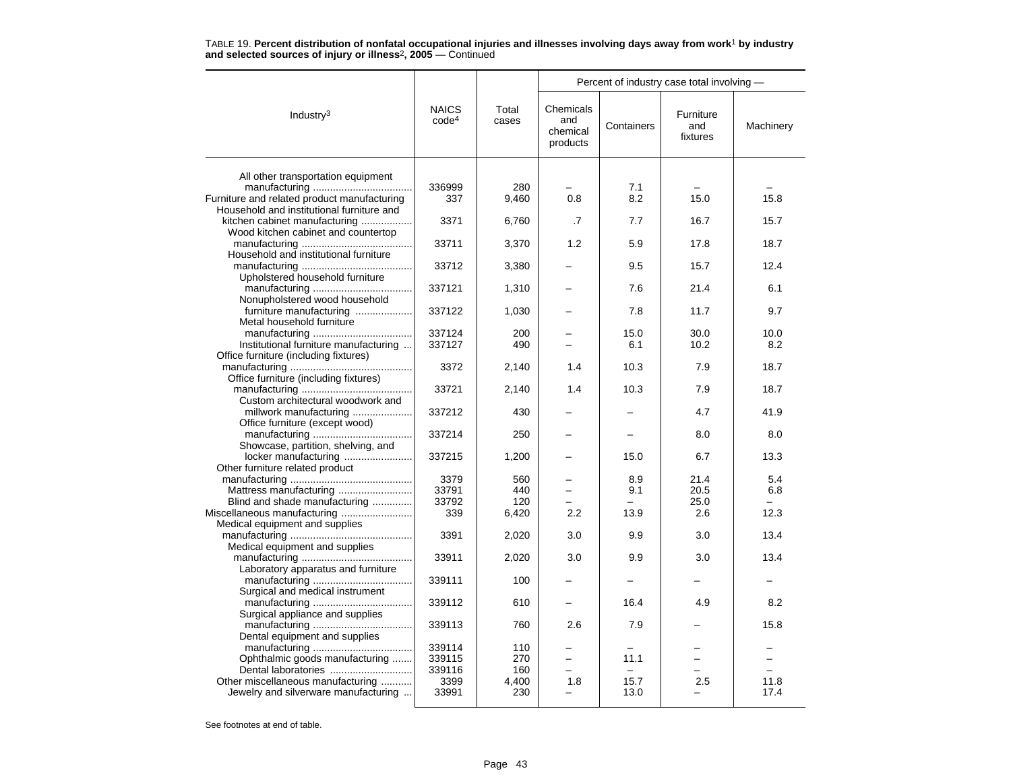|                                                                                |                                   |                |                                          |            | Percent of industry case total involving - |             |
|--------------------------------------------------------------------------------|-----------------------------------|----------------|------------------------------------------|------------|--------------------------------------------|-------------|
| Industry <sup>3</sup>                                                          | <b>NAICS</b><br>code <sup>4</sup> | Total<br>cases | Chemicals<br>and<br>chemical<br>products | Containers | Furniture<br>and<br>fixtures               | Machinery   |
|                                                                                |                                   |                |                                          |            |                                            |             |
| All other transportation equipment                                             |                                   |                |                                          |            |                                            |             |
|                                                                                | 336999                            | 280            |                                          | 7.1        |                                            |             |
| Furniture and related product manufacturing                                    | 337                               | 9,460          | 0.8                                      | 8.2        | 15.0                                       | 15.8        |
| Household and institutional furniture and                                      |                                   |                |                                          |            |                                            |             |
| kitchen cabinet manufacturing                                                  | 3371                              | 6,760          | .7                                       | 7.7        | 16.7                                       | 15.7        |
| Wood kitchen cabinet and countertop                                            |                                   |                |                                          |            |                                            |             |
|                                                                                | 33711                             | 3,370          | 1.2                                      | 5.9        | 17.8                                       | 18.7        |
| Household and institutional furniture                                          |                                   |                |                                          |            |                                            |             |
|                                                                                | 33712                             | 3,380          |                                          | 9.5        | 15.7                                       | 12.4        |
| Upholstered household furniture                                                |                                   |                |                                          |            |                                            |             |
|                                                                                | 337121                            | 1,310          |                                          | 7.6        | 21.4                                       | 6.1         |
| Nonupholstered wood household                                                  |                                   |                |                                          |            |                                            |             |
| furniture manufacturing                                                        | 337122                            | 1,030          |                                          | 7.8        | 11.7                                       | 9.7         |
| Metal household furniture                                                      |                                   |                |                                          |            |                                            |             |
|                                                                                | 337124                            | 200<br>490     |                                          | 15.0       | 30.0                                       | 10.0<br>8.2 |
| Institutional furniture manufacturing<br>Office furniture (including fixtures) | 337127                            |                |                                          | 6.1        | 10.2                                       |             |
|                                                                                | 3372                              |                | 1.4                                      | 10.3       | 7.9                                        | 18.7        |
| Office furniture (including fixtures)                                          |                                   | 2,140          |                                          |            |                                            |             |
|                                                                                | 33721                             | 2,140          | 1.4                                      | 10.3       | 7.9                                        | 18.7        |
| Custom architectural woodwork and                                              |                                   |                |                                          |            |                                            |             |
| millwork manufacturing                                                         | 337212                            | 430            |                                          |            | 4.7                                        | 41.9        |
| Office furniture (except wood)                                                 |                                   |                |                                          |            |                                            |             |
|                                                                                | 337214                            | 250            |                                          |            | 8.0                                        | 8.0         |
| Showcase, partition, shelving, and                                             |                                   |                |                                          |            |                                            |             |
| locker manufacturing                                                           | 337215                            | 1,200          |                                          | 15.0       | 6.7                                        | 13.3        |
| Other furniture related product                                                |                                   |                |                                          |            |                                            |             |
|                                                                                | 3379                              | 560            |                                          | 8.9        | 21.4                                       | 5.4         |
| Mattress manufacturing                                                         | 33791                             | 440            |                                          | 9.1        | 20.5                                       | 6.8         |
| Blind and shade manufacturing                                                  | 33792                             | 120            |                                          |            | 25.0                                       |             |
| Miscellaneous manufacturing                                                    | 339                               | 6,420          | 2.2                                      | 13.9       | 2.6                                        | 12.3        |
| Medical equipment and supplies                                                 |                                   |                |                                          |            |                                            |             |
|                                                                                | 3391                              | 2,020          | 3.0                                      | 9.9        | 3.0                                        | 13.4        |
| Medical equipment and supplies                                                 |                                   |                |                                          |            |                                            |             |
|                                                                                | 33911                             | 2,020          | 3.0                                      | 9.9        | 3.0                                        | 13.4        |
| Laboratory apparatus and furniture                                             |                                   |                |                                          |            |                                            |             |
|                                                                                | 339111                            | 100            |                                          |            |                                            |             |
| Surgical and medical instrument                                                |                                   |                |                                          |            |                                            |             |
|                                                                                | 339112                            | 610            |                                          | 16.4       | 4.9                                        | 8.2         |
| Surgical appliance and supplies                                                |                                   |                |                                          |            |                                            |             |
|                                                                                | 339113                            | 760            | 2.6                                      | 7.9        |                                            | 15.8        |
| Dental equipment and supplies                                                  |                                   |                |                                          |            |                                            |             |
|                                                                                | 339114                            | 110            |                                          |            |                                            |             |
| Ophthalmic goods manufacturing                                                 | 339115                            | 270            |                                          | 11.1       |                                            |             |
| Dental laboratories                                                            | 339116                            | 160            |                                          | $\equiv$   |                                            |             |
| Other miscellaneous manufacturing                                              | 3399                              | 4,400          | 1.8                                      | 15.7       | 2.5                                        | 11.8        |
| Jewelry and silverware manufacturing                                           | 33991                             | 230            |                                          | 13.0       |                                            | 17.4        |
|                                                                                |                                   |                |                                          |            |                                            |             |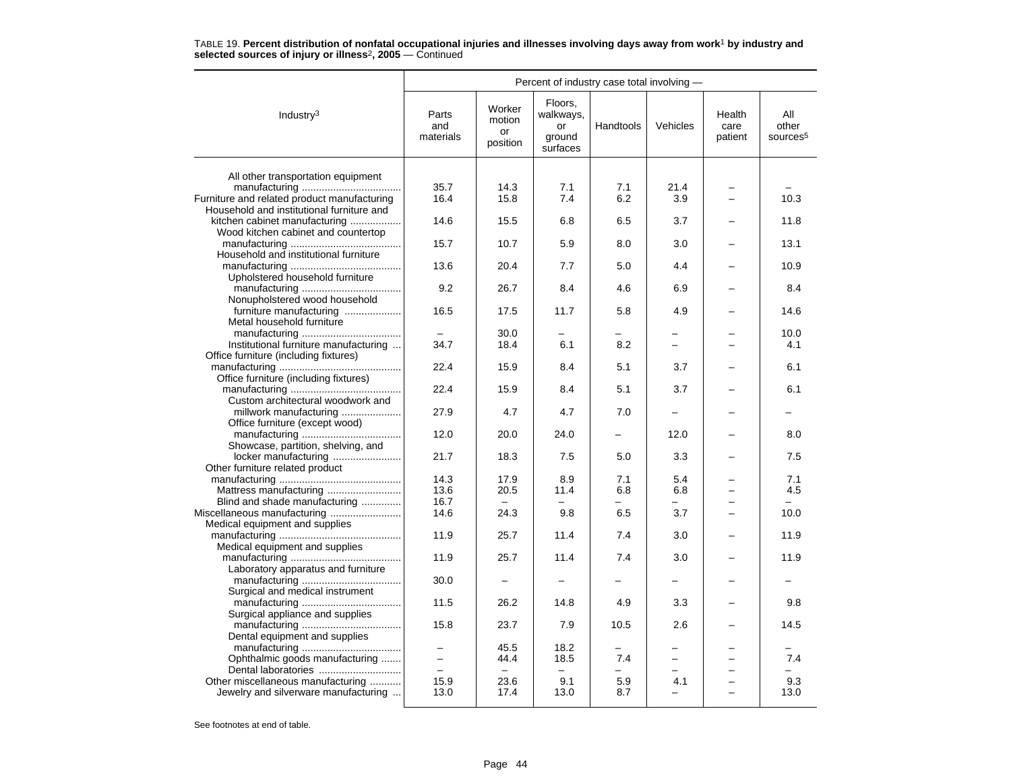|                                                                            | Percent of industry case total involving - |                                    |                                                  |                          |          |                           |                                      |  |
|----------------------------------------------------------------------------|--------------------------------------------|------------------------------------|--------------------------------------------------|--------------------------|----------|---------------------------|--------------------------------------|--|
| Industry <sup>3</sup>                                                      | Parts<br>and<br>materials                  | Worker<br>motion<br>or<br>position | Floors.<br>walkways,<br>or<br>ground<br>surfaces | Handtools                | Vehicles | Health<br>care<br>patient | All<br>other<br>sources <sup>5</sup> |  |
|                                                                            |                                            |                                    |                                                  |                          |          |                           |                                      |  |
| All other transportation equipment                                         |                                            | 14.3                               |                                                  |                          | 21.4     |                           |                                      |  |
| Furniture and related product manufacturing                                | 35.7<br>16.4                               | 15.8                               | 7.1<br>7.4                                       | 7.1<br>6.2               | 3.9      |                           | 10.3                                 |  |
|                                                                            |                                            |                                    |                                                  |                          |          |                           |                                      |  |
| Household and institutional furniture and<br>kitchen cabinet manufacturing | 14.6                                       | 15.5                               | 6.8                                              | 6.5                      | 3.7      |                           | 11.8                                 |  |
|                                                                            |                                            |                                    |                                                  |                          |          |                           |                                      |  |
| Wood kitchen cabinet and countertop                                        | 15.7                                       | 10.7                               | 5.9                                              | 8.0                      | 3.0      |                           | 13.1                                 |  |
|                                                                            |                                            |                                    |                                                  |                          |          |                           |                                      |  |
| Household and institutional furniture                                      | 13.6                                       | 20.4                               | 7.7                                              | 5.0                      | 4.4      |                           | 10.9                                 |  |
|                                                                            |                                            |                                    |                                                  |                          |          |                           |                                      |  |
| Upholstered household furniture                                            |                                            |                                    |                                                  |                          |          |                           |                                      |  |
|                                                                            | 9.2                                        | 26.7                               | 8.4                                              | 4.6                      | 6.9      |                           | 8.4                                  |  |
| Nonupholstered wood household                                              |                                            |                                    |                                                  |                          |          |                           |                                      |  |
| furniture manufacturing                                                    | 16.5                                       | 17.5                               | 11.7                                             | 5.8                      | 4.9      |                           | 14.6                                 |  |
| Metal household furniture                                                  |                                            |                                    |                                                  |                          |          |                           |                                      |  |
|                                                                            |                                            | 30.0                               |                                                  |                          | $\equiv$ |                           | 10.0                                 |  |
| Institutional furniture manufacturing                                      | 34.7                                       | 18.4                               | 6.1                                              | 8.2                      |          |                           | 4.1                                  |  |
| Office furniture (including fixtures)                                      |                                            |                                    |                                                  |                          |          |                           |                                      |  |
|                                                                            | 22.4                                       | 15.9                               | 8.4                                              | 5.1                      | 3.7      |                           | 6.1                                  |  |
| Office furniture (including fixtures)                                      |                                            |                                    |                                                  |                          |          |                           |                                      |  |
|                                                                            | 22.4                                       | 15.9                               | 8.4                                              | 5.1                      | 3.7      |                           | 6.1                                  |  |
| Custom architectural woodwork and                                          |                                            |                                    |                                                  |                          |          |                           |                                      |  |
| millwork manufacturing                                                     | 27.9                                       | 4.7                                | 4.7                                              | 7.0                      |          |                           |                                      |  |
| Office furniture (except wood)                                             |                                            |                                    |                                                  |                          |          |                           |                                      |  |
|                                                                            | 12.0                                       | 20.0                               | 24.0                                             | $\overline{\phantom{0}}$ | 12.0     |                           | 8.0                                  |  |
| Showcase, partition, shelving, and                                         |                                            |                                    |                                                  |                          |          |                           |                                      |  |
| locker manufacturing                                                       | 21.7                                       | 18.3                               | 7.5                                              | 5.0                      | 3.3      |                           | 7.5                                  |  |
| Other furniture related product                                            |                                            |                                    |                                                  |                          |          |                           |                                      |  |
|                                                                            | 14.3                                       | 17.9                               | 8.9                                              | 7.1                      | 5.4      |                           | 7.1                                  |  |
| Mattress manufacturing                                                     | 13.6                                       | 20.5                               | 11.4                                             | 6.8                      | 6.8      |                           | 4.5                                  |  |
| Blind and shade manufacturing                                              | 16.7                                       |                                    |                                                  |                          |          |                           |                                      |  |
|                                                                            | 14.6                                       | 24.3                               | 9.8                                              | 6.5                      | 3.7      | $\overline{\phantom{0}}$  | 10.0                                 |  |
| Medical equipment and supplies                                             |                                            |                                    |                                                  |                          |          |                           |                                      |  |
|                                                                            | 11.9                                       | 25.7                               | 11.4                                             | 7.4                      | 3.0      |                           | 11.9                                 |  |
| Medical equipment and supplies                                             |                                            |                                    |                                                  |                          |          |                           |                                      |  |
|                                                                            | 11.9                                       | 25.7                               | 11.4                                             | 7.4                      | 3.0      |                           | 11.9                                 |  |
| Laboratory apparatus and furniture                                         |                                            |                                    |                                                  |                          |          |                           |                                      |  |
|                                                                            | 30.0                                       |                                    |                                                  |                          |          |                           |                                      |  |
| Surgical and medical instrument                                            |                                            |                                    |                                                  |                          |          |                           |                                      |  |
|                                                                            | 11.5                                       | 26.2                               | 14.8                                             | 4.9                      | 3.3      |                           | 9.8                                  |  |
| Surgical appliance and supplies                                            |                                            |                                    |                                                  |                          |          |                           |                                      |  |
|                                                                            | 15.8                                       | 23.7                               | 7.9                                              | 10.5                     | 2.6      |                           | 14.5                                 |  |
| Dental equipment and supplies                                              |                                            |                                    |                                                  |                          |          |                           |                                      |  |
|                                                                            | $\equiv$                                   | 45.5                               | 18.2                                             |                          | -        |                           |                                      |  |
| Ophthalmic goods manufacturing                                             |                                            | 44.4                               | 18.5                                             | 7.4                      | $=$      |                           | 7.4                                  |  |
| Dental laboratories                                                        | $\equiv$                                   | $\equiv$                           | $\sim$                                           |                          |          |                           |                                      |  |
| Other miscellaneous manufacturing                                          | 15.9                                       | 23.6                               | 9.1                                              | 5.9                      | 4.1      |                           | 9.3                                  |  |
| Jewelry and silverware manufacturing                                       | 13.0                                       | 17.4                               | 13.0                                             | 8.7                      |          |                           | 13.0                                 |  |
|                                                                            |                                            |                                    |                                                  |                          |          |                           |                                      |  |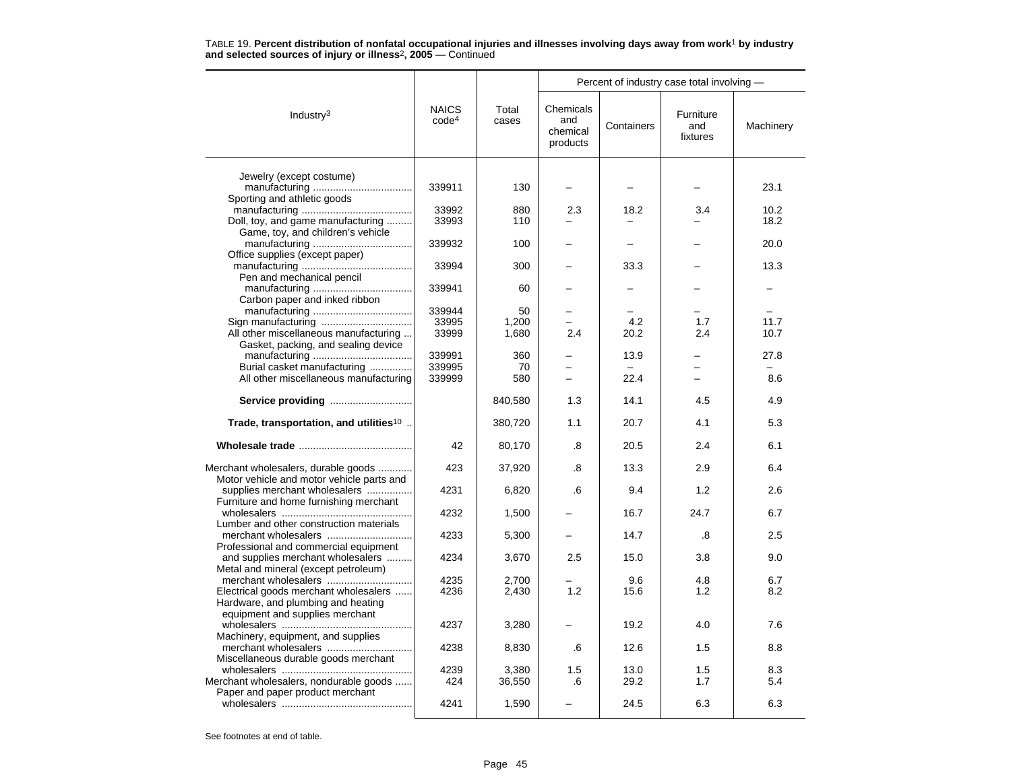|                                                                                  |                                   |                |                                          |            | Percent of industry case total involving - |           |
|----------------------------------------------------------------------------------|-----------------------------------|----------------|------------------------------------------|------------|--------------------------------------------|-----------|
| Industry <sup>3</sup>                                                            | <b>NAICS</b><br>code <sup>4</sup> | Total<br>cases | Chemicals<br>and<br>chemical<br>products | Containers | Furniture<br>and<br>fixtures               | Machinery |
|                                                                                  |                                   |                |                                          |            |                                            |           |
| Jewelry (except costume)                                                         | 339911                            | 130            |                                          |            |                                            | 23.1      |
| Sporting and athletic goods                                                      |                                   |                |                                          |            |                                            |           |
|                                                                                  | 33992                             | 880            | 2.3                                      | 18.2       | 3.4                                        | 10.2      |
| Doll, toy, and game manufacturing                                                | 33993                             | 110            |                                          |            |                                            | 18.2      |
| Game, toy, and children's vehicle                                                |                                   |                |                                          |            |                                            |           |
|                                                                                  | 339932                            | 100            |                                          |            |                                            | 20.0      |
| Office supplies (except paper)                                                   | 33994                             | 300            |                                          | 33.3       |                                            | 13.3      |
| Pen and mechanical pencil                                                        |                                   |                |                                          |            |                                            |           |
|                                                                                  | 339941                            | 60             |                                          |            |                                            |           |
| Carbon paper and inked ribbon                                                    |                                   |                |                                          |            |                                            |           |
|                                                                                  | 339944                            | 50             |                                          |            |                                            |           |
|                                                                                  | 33995                             | 1,200          |                                          | 4.2        | 1.7                                        | 11.7      |
| All other miscellaneous manufacturing                                            | 33999                             | 1,680          | 2.4                                      | 20.2       | 2.4                                        | 10.7      |
| Gasket, packing, and sealing device                                              |                                   |                |                                          |            |                                            |           |
| Burial casket manufacturing                                                      | 339991<br>339995                  | 360<br>70      |                                          | 13.9       |                                            | 27.8      |
| All other miscellaneous manufacturing                                            | 339999                            | 580            | $\overline{\phantom{0}}$                 | 22.4       | $\overline{\phantom{0}}$                   | 8.6       |
|                                                                                  |                                   |                |                                          |            |                                            |           |
| Service providing                                                                |                                   | 840,580        | 1.3                                      | 14.1       | 4.5                                        | 4.9       |
| Trade, transportation, and utilities <sup>10</sup>                               |                                   | 380,720        | 1.1                                      | 20.7       | 4.1                                        | 5.3       |
|                                                                                  | 42                                | 80,170         | .8                                       | 20.5       | 2.4                                        | 6.1       |
| Merchant wholesalers, durable goods<br>Motor vehicle and motor vehicle parts and | 423                               | 37,920         | .8                                       | 13.3       | 2.9                                        | 6.4       |
| supplies merchant wholesalers                                                    | 4231                              | 6,820          | .6                                       | 9.4        | 1.2                                        | 2.6       |
| Furniture and home furnishing merchant                                           |                                   |                |                                          |            |                                            |           |
| Lumber and other construction materials                                          | 4232                              | 1,500          |                                          | 16.7       | 24.7                                       | 6.7       |
| merchant wholesalers                                                             | 4233                              | 5,300          |                                          | 14.7       | .8                                         | 2.5       |
| Professional and commercial equipment                                            |                                   |                |                                          |            |                                            |           |
| and supplies merchant wholesalers                                                | 4234                              | 3,670          | 2.5                                      | 15.0       | 3.8                                        | 9.0       |
| Metal and mineral (except petroleum)                                             |                                   |                |                                          |            |                                            |           |
| merchant wholesalers                                                             | 4235                              | 2,700          |                                          | 9.6        | 4.8                                        | 6.7       |
| Electrical goods merchant wholesalers                                            | 4236                              | 2,430          | 1.2                                      | 15.6       | 1.2                                        | 8.2       |
| Hardware, and plumbing and heating<br>equipment and supplies merchant            |                                   |                |                                          |            |                                            |           |
|                                                                                  | 4237                              | 3,280          |                                          | 19.2       | 4.0                                        | 7.6       |
| Machinery, equipment, and supplies                                               |                                   |                |                                          |            |                                            |           |
| merchant wholesalers                                                             | 4238                              | 8,830          | .6                                       | 12.6       | 1.5                                        | 8.8       |
| Miscellaneous durable goods merchant                                             |                                   |                |                                          |            |                                            |           |
|                                                                                  | 4239                              | 3,380          | 1.5                                      | 13.0       | 1.5                                        | 8.3       |
| Merchant wholesalers, nondurable goods                                           | 424                               | 36,550         | .6                                       | 29.2       | 1.7                                        | 5.4       |
| Paper and paper product merchant                                                 | 4241                              | 1,590          |                                          | 24.5       | 6.3                                        | 6.3       |
|                                                                                  |                                   |                |                                          |            |                                            |           |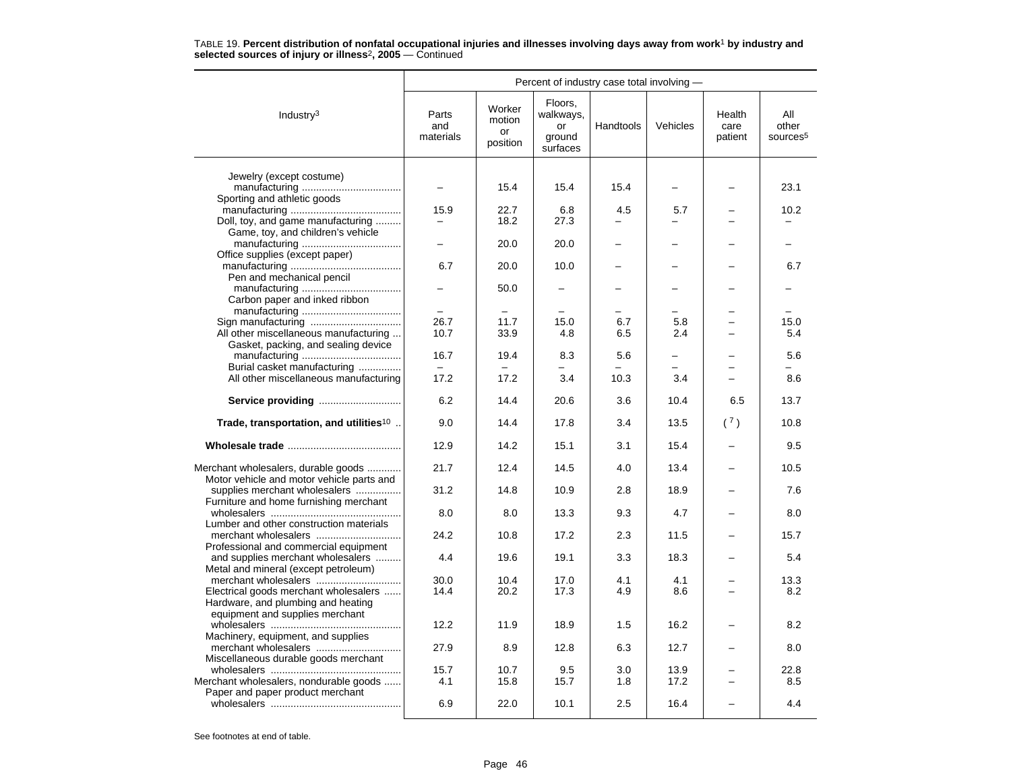|                                                                                  | Percent of industry case total involving - |                                    |                                                  |           |            |                           |                                      |  |  |
|----------------------------------------------------------------------------------|--------------------------------------------|------------------------------------|--------------------------------------------------|-----------|------------|---------------------------|--------------------------------------|--|--|
| Industry <sup>3</sup>                                                            | Parts<br>and<br>materials                  | Worker<br>motion<br>or<br>position | Floors,<br>walkways,<br>or<br>ground<br>surfaces | Handtools | Vehicles   | Health<br>care<br>patient | All<br>other<br>sources <sup>5</sup> |  |  |
|                                                                                  |                                            |                                    |                                                  |           |            |                           |                                      |  |  |
| Jewelry (except costume)                                                         |                                            | 15.4                               | 15.4                                             | 15.4      |            |                           | 23.1                                 |  |  |
| Sporting and athletic goods                                                      |                                            |                                    |                                                  |           |            |                           |                                      |  |  |
|                                                                                  | 15.9                                       | 22.7                               | 6.8                                              | 4.5       | 5.7        |                           | 10.2                                 |  |  |
| Doll, toy, and game manufacturing                                                |                                            | 18.2                               | 27.3                                             |           |            |                           |                                      |  |  |
| Game, toy, and children's vehicle                                                |                                            |                                    |                                                  |           |            |                           |                                      |  |  |
|                                                                                  |                                            | 20.0                               | 20.0                                             |           |            |                           |                                      |  |  |
| Office supplies (except paper)                                                   |                                            |                                    |                                                  |           |            |                           |                                      |  |  |
|                                                                                  | 6.7                                        | 20.0                               | 10.0                                             |           |            |                           | 6.7                                  |  |  |
| Pen and mechanical pencil                                                        |                                            |                                    |                                                  |           |            |                           |                                      |  |  |
|                                                                                  |                                            | 50.0                               |                                                  |           |            |                           |                                      |  |  |
| Carbon paper and inked ribbon                                                    |                                            |                                    |                                                  |           |            |                           |                                      |  |  |
|                                                                                  | 26.7                                       | 11.7                               |                                                  | 6.7       |            |                           | 15.0                                 |  |  |
| Sign manufacturing<br>All other miscellaneous manufacturing                      | 10.7                                       | 33.9                               | 15.0<br>4.8                                      | 6.5       | 5.8<br>2.4 |                           | 5.4                                  |  |  |
| Gasket, packing, and sealing device                                              |                                            |                                    |                                                  |           |            |                           |                                      |  |  |
|                                                                                  | 16.7                                       | 19.4                               | 8.3                                              | 5.6       |            |                           | 5.6                                  |  |  |
| Burial casket manufacturing                                                      |                                            |                                    |                                                  |           | L.         |                           |                                      |  |  |
| All other miscellaneous manufacturing                                            | 17.2                                       | 17.2                               | 3.4                                              | 10.3      | 3.4        | $\overline{\phantom{0}}$  | 8.6                                  |  |  |
|                                                                                  |                                            |                                    |                                                  |           |            |                           |                                      |  |  |
|                                                                                  | 6.2                                        | 14.4                               | 20.6                                             | 3.6       | 10.4       | 6.5                       | 13.7                                 |  |  |
| Trade, transportation, and utilities <sup>10</sup>                               | 9.0                                        | 14.4                               | 17.8                                             | 3.4       | 13.5       | (7)                       | 10.8                                 |  |  |
|                                                                                  | 12.9                                       | 14.2                               | 15.1                                             | 3.1       | 15.4       |                           | 9.5                                  |  |  |
| Merchant wholesalers, durable goods<br>Motor vehicle and motor vehicle parts and | 21.7                                       | 12.4                               | 14.5                                             | 4.0       | 13.4       |                           | 10.5                                 |  |  |
| supplies merchant wholesalers                                                    | 31.2                                       | 14.8                               | 10.9                                             | 2.8       | 18.9       |                           | 7.6                                  |  |  |
| Furniture and home furnishing merchant                                           |                                            |                                    |                                                  |           |            |                           |                                      |  |  |
|                                                                                  | 8.0                                        | 8.0                                | 13.3                                             | 9.3       | 4.7        |                           | 8.0                                  |  |  |
| Lumber and other construction materials                                          | 24.2                                       | 10.8                               | 17.2                                             | 2.3       | 11.5       |                           | 15.7                                 |  |  |
| Professional and commercial equipment                                            |                                            |                                    |                                                  |           |            |                           |                                      |  |  |
| and supplies merchant wholesalers                                                | 4.4                                        | 19.6                               | 19.1                                             | 3.3       | 18.3       |                           | 5.4                                  |  |  |
| Metal and mineral (except petroleum)                                             |                                            |                                    |                                                  |           |            |                           |                                      |  |  |
|                                                                                  | 30.0                                       | 10.4                               | 17.0                                             | 4.1       | 4.1        |                           | 13.3                                 |  |  |
| Electrical goods merchant wholesalers                                            | 14.4                                       | 20.2                               | 17.3                                             | 4.9       | 8.6        |                           | 8.2                                  |  |  |
| Hardware, and plumbing and heating                                               |                                            |                                    |                                                  |           |            |                           |                                      |  |  |
| equipment and supplies merchant                                                  |                                            |                                    |                                                  |           |            |                           |                                      |  |  |
|                                                                                  | 12.2                                       | 11.9                               | 18.9                                             | 1.5       | 16.2       |                           | 8.2                                  |  |  |
| Machinery, equipment, and supplies                                               |                                            |                                    |                                                  |           |            |                           |                                      |  |  |
| merchant wholesalers                                                             | 27.9                                       | 8.9                                | 12.8                                             | 6.3       | 12.7       |                           | 8.0                                  |  |  |
| Miscellaneous durable goods merchant                                             | 15.7                                       | 10.7                               | 9.5                                              | 3.0       | 13.9       |                           | 22.8                                 |  |  |
| Merchant wholesalers, nondurable goods                                           | 4.1                                        | 15.8                               | 15.7                                             | 1.8       | 17.2       |                           | 8.5                                  |  |  |
| Paper and paper product merchant                                                 |                                            |                                    |                                                  |           |            |                           |                                      |  |  |
|                                                                                  | 6.9                                        | 22.0                               | 10.1                                             | 2.5       | 16.4       |                           | 4.4                                  |  |  |
|                                                                                  |                                            |                                    |                                                  |           |            |                           |                                      |  |  |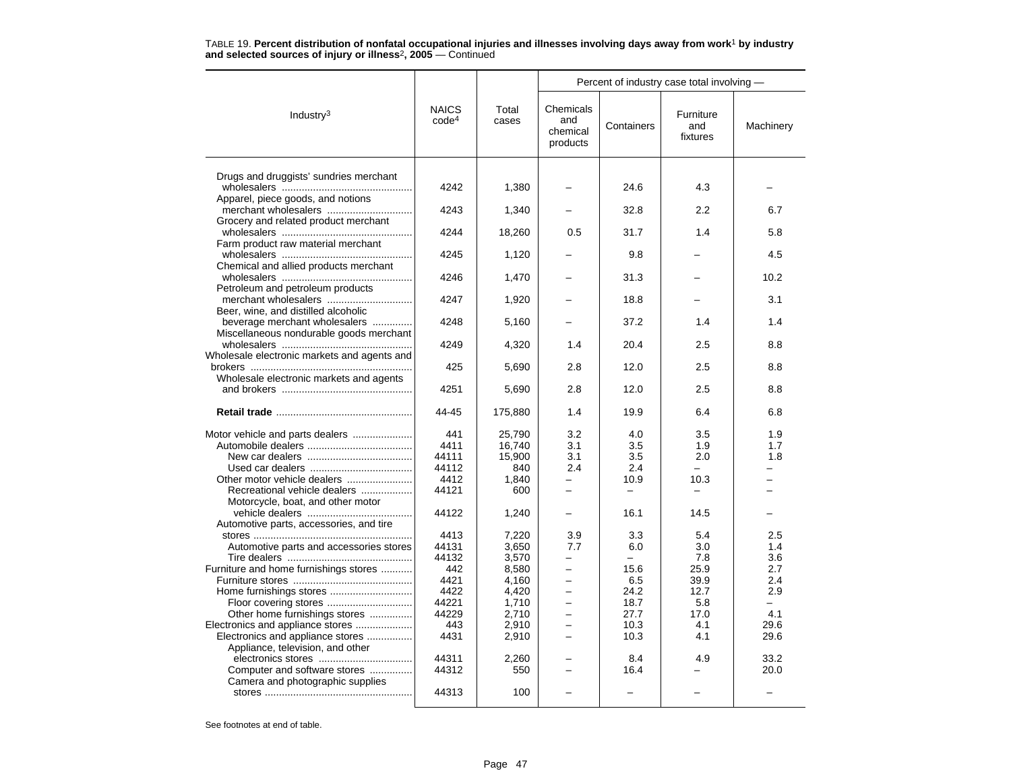|                                                                      |                                   |                |                                          |            | Percent of industry case total involving - |           |
|----------------------------------------------------------------------|-----------------------------------|----------------|------------------------------------------|------------|--------------------------------------------|-----------|
| Industry $3$                                                         | <b>NAICS</b><br>code <sup>4</sup> | Total<br>cases | Chemicals<br>and<br>chemical<br>products | Containers | Furniture<br>and<br>fixtures               | Machinery |
|                                                                      |                                   |                |                                          |            |                                            |           |
| Drugs and druggists' sundries merchant                               | 4242                              | 1,380          |                                          | 24.6       | 4.3                                        |           |
| Apparel, piece goods, and notions                                    | 4243                              | 1,340          |                                          | 32.8       | 2.2                                        | 6.7       |
| Grocery and related product merchant                                 | 4244                              | 18,260         | 0.5                                      | 31.7       | 1.4                                        | 5.8       |
| Farm product raw material merchant                                   | 4245                              | 1,120          |                                          | 9.8        |                                            | 4.5       |
| Chemical and allied products merchant                                | 4246                              | 1,470          |                                          | 31.3       |                                            | 10.2      |
| Petroleum and petroleum products<br>merchant wholesalers             | 4247                              | 1,920          |                                          | 18.8       |                                            | 3.1       |
| Beer, wine, and distilled alcoholic<br>beverage merchant wholesalers | 4248                              | 5,160          |                                          | 37.2       | 1.4                                        | 1.4       |
| Miscellaneous nondurable goods merchant                              | 4249                              | 4,320          | 1.4                                      | 20.4       | 2.5                                        | 8.8       |
| Wholesale electronic markets and agents and                          | 425                               | 5,690          | 2.8                                      | 12.0       | 2.5                                        | 8.8       |
| Wholesale electronic markets and agents                              | 4251                              | 5,690          | 2.8                                      | 12.0       | 2.5                                        | 8.8       |
|                                                                      | 44-45                             | 175,880        | 1.4                                      | 19.9       | 6.4                                        | 6.8       |
|                                                                      | 441                               | 25,790         | 3.2                                      | 4.0        | 3.5                                        | 1.9       |
|                                                                      | 4411                              | 16,740         | 3.1                                      | 3.5        | 1.9                                        | 1.7       |
|                                                                      | 44111                             | 15,900         | 3.1                                      | 3.5        | 2.0<br>-                                   | 1.8       |
|                                                                      | 44112<br>4412                     | 840            | 2.4<br>—                                 | 2.4        |                                            |           |
| Recreational vehicle dealers                                         | 44121                             | 1,840<br>600   | $=$                                      | 10.9       | 10.3                                       |           |
| Motorcycle, boat, and other motor                                    |                                   |                |                                          |            |                                            |           |
|                                                                      | 44122                             | 1,240          |                                          | 16.1       | 14.5                                       |           |
| Automotive parts, accessories, and tire                              |                                   |                |                                          |            |                                            |           |
|                                                                      | 4413                              | 7,220          | 3.9                                      | 3.3        | 5.4                                        | 2.5       |
| Automotive parts and accessories stores                              | 44131                             | 3,650          | 7.7                                      | 6.0        | 3.0                                        | 1.4       |
|                                                                      | 44132                             | 3,570          |                                          |            | 7.8                                        | 3.6       |
| Furniture and home furnishings stores                                | 442                               | 8,580          | $\overline{\phantom{0}}$                 | 15.6       | 25.9                                       | 2.7       |
|                                                                      | 4421                              | 4,160          | $\overline{\phantom{0}}$                 | 6.5        | 39.9                                       | 2.4       |
|                                                                      | 4422                              | 4,420          | $\overline{\phantom{0}}$                 | 24.2       | 12.7                                       | 2.9       |
| Floor covering stores                                                | 44221                             | 1,710          | $\overline{a}$                           | 18.7       | 5.8                                        | ÷         |
| Other home furnishings stores                                        | 44229                             | 2,710          |                                          | 27.7       | 17.0                                       | 4.1       |
| Electronics and appliance stores                                     | 443                               | 2,910          | $\overline{\phantom{0}}$                 | 10.3       | 4.1                                        | 29.6      |
| Electronics and appliance stores                                     | 4431                              | 2,910          | -                                        | 10.3       | 4.1                                        | 29.6      |
| Appliance, television, and other                                     |                                   |                |                                          |            |                                            |           |
|                                                                      | 44311                             | 2,260          |                                          | 8.4        | 4.9                                        | 33.2      |
| Computer and software stores                                         | 44312                             | 550            | -                                        | 16.4       |                                            | 20.0      |
| Camera and photographic supplies                                     |                                   |                |                                          |            |                                            |           |
|                                                                      | 44313                             | 100            |                                          |            |                                            |           |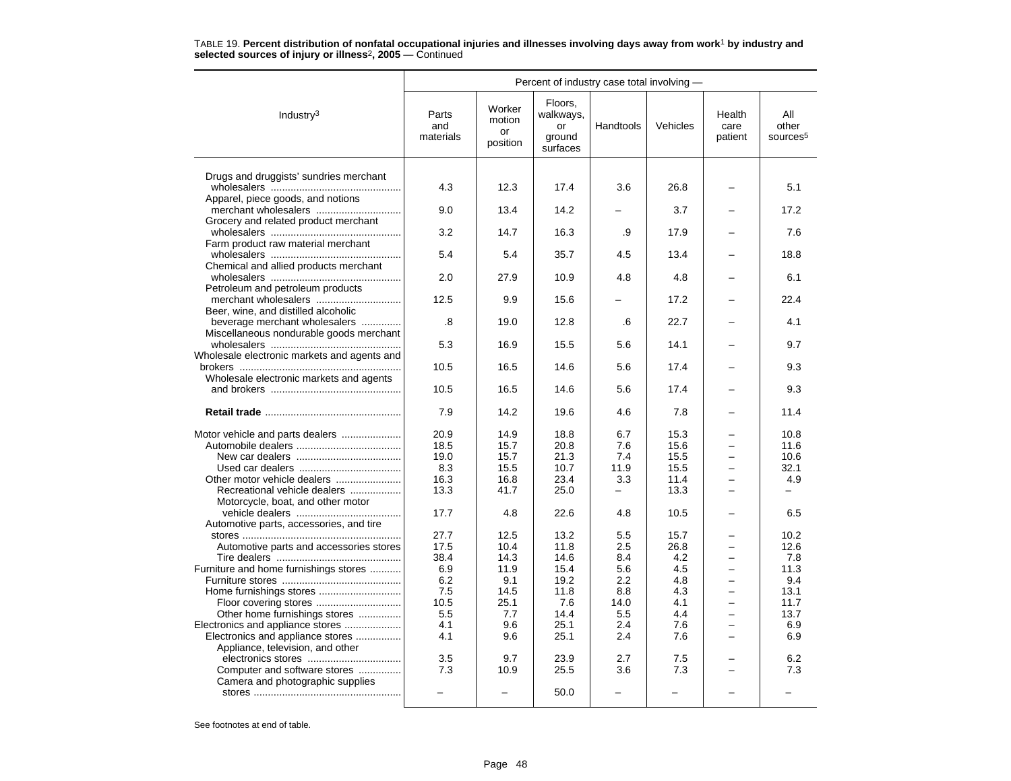|                                                                      |                           | Percent of industry case total involving - |                                                  |           |          |                           |                                      |
|----------------------------------------------------------------------|---------------------------|--------------------------------------------|--------------------------------------------------|-----------|----------|---------------------------|--------------------------------------|
| Industry $3$                                                         | Parts<br>and<br>materials | Worker<br>motion<br>or<br>position         | Floors,<br>walkways,<br>or<br>ground<br>surfaces | Handtools | Vehicles | Health<br>care<br>patient | All<br>other<br>sources <sup>5</sup> |
|                                                                      |                           |                                            |                                                  |           |          |                           |                                      |
| Drugs and druggists' sundries merchant                               |                           |                                            |                                                  |           |          |                           |                                      |
| Apparel, piece goods, and notions                                    | 4.3                       | 12.3                                       | 17.4                                             | 3.6       | 26.8     |                           | 5.1                                  |
|                                                                      | 9.0                       | 13.4                                       | 14.2                                             |           | 3.7      |                           | 17.2                                 |
| Grocery and related product merchant                                 |                           |                                            |                                                  |           |          |                           |                                      |
|                                                                      | 3.2                       | 14.7                                       | 16.3                                             | .9        | 17.9     |                           | 7.6                                  |
| Farm product raw material merchant                                   | 5.4                       | 5.4                                        | 35.7                                             | 4.5       | 13.4     |                           | 18.8                                 |
| Chemical and allied products merchant                                |                           |                                            |                                                  |           |          |                           |                                      |
|                                                                      | 2.0                       | 27.9                                       | 10.9                                             | 4.8       | 4.8      |                           | 6.1                                  |
| Petroleum and petroleum products                                     |                           |                                            |                                                  |           |          |                           |                                      |
|                                                                      | 12.5                      | 9.9                                        | 15.6                                             |           | 17.2     |                           | 22.4                                 |
| Beer, wine, and distilled alcoholic<br>beverage merchant wholesalers | .8                        | 19.0                                       | 12.8                                             | .6        | 22.7     |                           | 4.1                                  |
| Miscellaneous nondurable goods merchant                              |                           |                                            |                                                  |           |          |                           |                                      |
|                                                                      | 5.3                       | 16.9                                       | 15.5                                             | 5.6       | 14.1     |                           | 9.7                                  |
| Wholesale electronic markets and agents and                          |                           |                                            |                                                  |           |          |                           |                                      |
|                                                                      | 10.5                      | 16.5                                       | 14.6                                             | 5.6       | 17.4     |                           | 9.3                                  |
| Wholesale electronic markets and agents                              | 10.5                      | 16.5                                       | 14.6                                             | 5.6       | 17.4     |                           | 9.3                                  |
|                                                                      |                           |                                            |                                                  |           |          |                           |                                      |
|                                                                      | 7.9                       | 14.2                                       | 19.6                                             | 4.6       | 7.8      |                           | 11.4                                 |
|                                                                      | 20.9                      | 14.9                                       | 18.8                                             | 6.7       | 15.3     |                           | 10.8                                 |
|                                                                      | 18.5                      | 15.7                                       | 20.8                                             | 7.6       | 15.6     |                           | 11.6                                 |
|                                                                      | 19.0                      | 15.7                                       | 21.3                                             | 7.4       | 15.5     |                           | 10.6                                 |
|                                                                      | 8.3                       | 15.5                                       | 10.7                                             | 11.9      | 15.5     |                           | 32.1                                 |
| Other motor vehicle dealers                                          | 16.3                      | 16.8                                       | 23.4                                             | 3.3       | 11.4     |                           | 4.9                                  |
| Recreational vehicle dealers                                         | 13.3                      | 41.7                                       | 25.0                                             | ÷         | 13.3     |                           |                                      |
| Motorcycle, boat, and other motor                                    | 17.7                      | 4.8                                        | 22.6                                             | 4.8       | 10.5     |                           | 6.5                                  |
| Automotive parts, accessories, and tire                              |                           |                                            |                                                  |           |          |                           |                                      |
|                                                                      | 27.7                      | 12.5                                       | 13.2                                             | 5.5       | 15.7     |                           | 10.2                                 |
| Automotive parts and accessories stores                              | 17.5                      | 10.4                                       | 11.8                                             | 2.5       | 26.8     |                           | 12.6                                 |
|                                                                      | 38.4                      | 14.3                                       | 14.6                                             | 8.4       | 4.2      |                           | 7.8                                  |
| Furniture and home furnishings stores                                | 6.9                       | 11.9                                       | 15.4                                             | 5.6       | 4.5      |                           | 11.3                                 |
|                                                                      | 6.2                       | 9.1                                        | 19.2                                             | 2.2       | 4.8      |                           | 9.4                                  |
|                                                                      | 7.5                       | 14.5                                       | 11.8                                             | 8.8       | 4.3      | -                         | 13.1                                 |
|                                                                      | 10.5                      | 25.1                                       | 7.6                                              | 14.0      | 4.1      | $\overline{a}$            | 11.7                                 |
| Other home furnishings stores                                        | 5.5                       | 7.7                                        | 14.4                                             | 5.5       | 4.4      |                           | 13.7                                 |
| Electronics and appliance stores                                     | 4.1                       | 9.6                                        | 25.1                                             | 2.4       | 7.6      | $\overline{a}$            | 6.9                                  |
| Electronics and appliance stores                                     | 4.1                       | 9.6                                        | 25.1                                             | 2.4       | 7.6      | -                         | 6.9                                  |
| Appliance, television, and other                                     |                           |                                            |                                                  |           |          |                           |                                      |
|                                                                      | 3.5                       | 9.7                                        | 23.9                                             | 2.7       | 7.5      |                           | 6.2                                  |
| Computer and software stores                                         | 7.3                       | 10.9                                       | 25.5                                             | 3.6       | 7.3      |                           | 7.3                                  |
| Camera and photographic supplies                                     |                           |                                            |                                                  |           |          |                           |                                      |
|                                                                      |                           |                                            | 50.0                                             |           |          |                           |                                      |
|                                                                      |                           |                                            |                                                  |           |          |                           |                                      |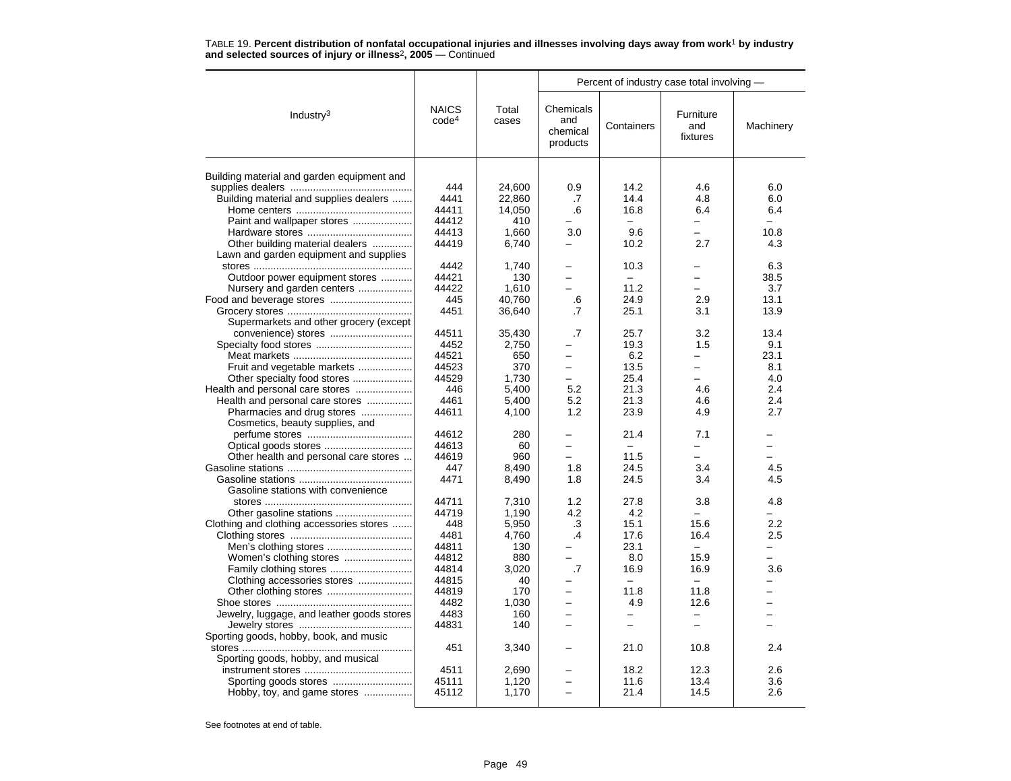|                                            |                                   |                | Percent of industry case total involving - |                          |                              |           |
|--------------------------------------------|-----------------------------------|----------------|--------------------------------------------|--------------------------|------------------------------|-----------|
| Industry <sup>3</sup>                      | <b>NAICS</b><br>code <sup>4</sup> | Total<br>cases | Chemicals<br>and<br>chemical<br>products   | Containers               | Furniture<br>and<br>fixtures | Machinery |
|                                            |                                   |                |                                            |                          |                              |           |
| Building material and garden equipment and |                                   |                |                                            |                          |                              |           |
|                                            | 444                               | 24,600         | 0.9                                        | 14.2                     | 4.6                          | 6.0       |
| Building material and supplies dealers     | 4441                              | 22,860         | .7                                         | 14.4                     | 4.8                          | 6.0       |
|                                            | 44411                             | 14,050         | .6                                         | 16.8                     | 6.4                          | 6.4       |
| Paint and wallpaper stores                 | 44412                             | 410            |                                            | $\overline{\phantom{0}}$ | $\overline{\phantom{0}}$     |           |
|                                            | 44413                             | 1.660          | 3.0                                        | 9.6                      |                              | 10.8      |
| Other building material dealers            | 44419                             | 6,740          |                                            | 10.2                     | 2.7                          | 4.3       |
| Lawn and garden equipment and supplies     |                                   |                |                                            |                          |                              |           |
|                                            | 4442                              | 1,740          |                                            | 10.3                     |                              | 6.3       |
| Outdoor power equipment stores             | 44421                             | 130            | $\overline{\phantom{0}}$                   | $\equiv$                 | ÷                            | 38.5      |
| Nursery and garden centers                 | 44422                             | 1,610          |                                            | 11.2                     |                              | 3.7       |
|                                            | 445                               | 40,760         | .6                                         | 24.9                     | 2.9                          | 13.1      |
|                                            | 4451                              | 36,640         | .7                                         | 25.1                     | 3.1                          | 13.9      |
| Supermarkets and other grocery (except     |                                   |                |                                            |                          |                              |           |
|                                            | 44511                             | 35.430         | $\cdot$ 7                                  | 25.7                     | 3.2                          | 13.4      |
|                                            | 4452                              | 2,750          |                                            | 19.3                     | 1.5                          | 9.1       |
|                                            | 44521                             | 650            |                                            | 6.2                      |                              | 23.1      |
| Fruit and vegetable markets                | 44523                             | 370            | $\overline{\phantom{0}}$                   | 13.5                     | $\overline{\phantom{0}}$     | 8.1       |
| Other specialty food stores                | 44529                             | 1,730          | $\overline{\phantom{0}}$                   | 25.4                     | -                            | 4.0       |
| Health and personal care stores            | 446                               | 5,400          | 5.2                                        | 21.3                     | 4.6                          | 2.4       |
| Health and personal care stores            | 4461                              | 5,400          | 5.2                                        | 21.3                     | 4.6                          | 2.4       |
| Pharmacies and drug stores                 | 44611                             | 4.100          | 1.2                                        | 23.9                     | 4.9                          | 2.7       |
| Cosmetics, beauty supplies, and            |                                   |                |                                            |                          |                              |           |
|                                            | 44612                             | 280            |                                            | 21.4                     | 7.1                          |           |
|                                            | 44613                             | 60             | $\overline{\phantom{0}}$                   | $\overline{\phantom{m}}$ | $\overline{\phantom{0}}$     | ÷.        |
| Other health and personal care stores      | 44619                             | 960            |                                            | 11.5                     |                              |           |
|                                            | 447                               | 8,490          | 1.8                                        | 24.5                     | 3.4                          | 4.5       |
|                                            | 4471                              | 8,490          | 1.8                                        | 24.5                     | 3.4                          | 4.5       |
| Gasoline stations with convenience         |                                   |                |                                            |                          |                              |           |
|                                            | 44711                             | 7,310          | 1.2                                        | 27.8                     | 3.8                          | 4.8       |
| Other gasoline stations                    | 44719                             | 1,190          | 4.2                                        | 4.2                      |                              |           |
| Clothing and clothing accessories stores   | 448                               | 5.950          | .3                                         | 15.1                     | 15.6                         | 2.2       |
|                                            | 4481                              | 4.760          | $\cdot$                                    | 17.6                     | 16.4                         | 2.5       |
|                                            | 44811                             | 130            |                                            | 23.1                     | $\equiv$                     |           |
|                                            | 44812                             | 880            | $\overline{\phantom{0}}$                   | 8.0                      | 15.9                         | $=$       |
|                                            | 44814                             | 3.020          | .7                                         | 16.9                     | 16.9                         | 3.6       |
| Clothing accessories stores                | 44815                             | 40             |                                            |                          | $\equiv$                     |           |
|                                            | 44819                             | 170            | $\equiv$                                   | 11.8                     | 11.8                         |           |
|                                            | 4482                              | 1.030          | $\equiv$                                   | 4.9                      | 12.6                         | ÷.        |
| Jewelry, luggage, and leather goods stores | 4483                              | 160            |                                            |                          | $\overline{\phantom{0}}$     |           |
|                                            | 44831                             | 140            | $\overline{\phantom{0}}$                   | $\overline{\phantom{0}}$ | $\equiv$                     |           |
| Sporting goods, hobby, book, and music     |                                   |                |                                            |                          |                              |           |
|                                            | 451                               | 3,340          |                                            | 21.0                     | 10.8                         | 2.4       |
| Sporting goods, hobby, and musical         |                                   |                |                                            |                          |                              |           |
|                                            | 4511                              | 2,690          |                                            | 18.2                     | 12.3                         | 2.6       |
|                                            | 45111                             | 1,120          |                                            | 11.6                     | 13.4                         | 3.6       |
| Hobby, toy, and game stores                | 45112                             | 1,170          |                                            | 21.4                     | 14.5                         | 2.6       |
|                                            |                                   |                |                                            |                          |                              |           |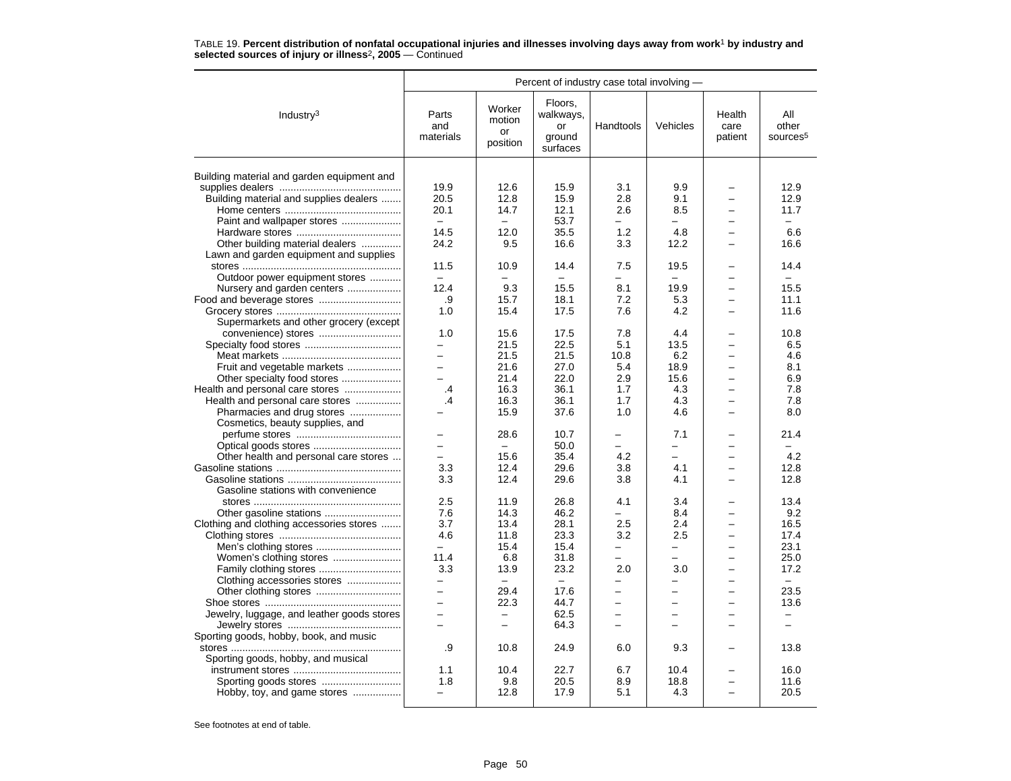|                                            |                                | Percent of industry case total involving —           |                                                  |                                      |                               |                                      |                                      |
|--------------------------------------------|--------------------------------|------------------------------------------------------|--------------------------------------------------|--------------------------------------|-------------------------------|--------------------------------------|--------------------------------------|
| Industry <sup>3</sup>                      | Parts<br>and<br>materials      | Worker<br>motion<br>or<br>position                   | Floors,<br>walkways,<br>or<br>ground<br>surfaces | Handtools                            | Vehicles                      | Health<br>care<br>patient            | All<br>other<br>sources <sup>5</sup> |
|                                            |                                |                                                      |                                                  |                                      |                               |                                      |                                      |
| Building material and garden equipment and |                                |                                                      |                                                  |                                      |                               |                                      |                                      |
|                                            | 19.9<br>20.5                   | 12.6<br>12.8                                         | 15.9<br>15.9                                     | 3.1<br>2.8                           | 9.9<br>9.1                    |                                      | 12.9<br>12.9                         |
| Building material and supplies dealers     |                                |                                                      |                                                  |                                      |                               |                                      |                                      |
|                                            | 20.1<br>$\sim$                 | 14.7                                                 | 12.1                                             | 2.6<br>$\equiv$                      | 8.5<br>-                      | $\equiv$                             | 11.7<br>$\equiv$                     |
| Paint and wallpaper stores                 |                                | $\overline{\phantom{0}}$                             | 53.7                                             |                                      |                               |                                      |                                      |
|                                            | 14.5                           | 12.0                                                 | 35.5                                             | 1.2                                  | 4.8                           |                                      | 6.6                                  |
| Other building material dealers            | 24.2                           | 9.5                                                  | 16.6                                             | 3.3                                  | 12.2                          |                                      | 16.6                                 |
| Lawn and garden equipment and supplies     |                                |                                                      |                                                  |                                      |                               |                                      |                                      |
|                                            | 11.5                           | 10.9                                                 | 14.4                                             | 7.5                                  | 19.5                          |                                      | 14.4<br>$\equiv$                     |
| Outdoor power equipment stores             | $\frac{1}{2}$                  | $\equiv$                                             | ÷                                                | $\equiv$                             | $\equiv$                      |                                      |                                      |
| Nursery and garden centers                 | 12.4                           | 9.3                                                  | 15.5                                             | 8.1                                  | 19.9                          | $\overline{\phantom{0}}$             | 15.5                                 |
|                                            | .9                             | 15.7                                                 | 18.1                                             | 7.2                                  | 5.3                           |                                      | 11.1                                 |
|                                            | 1.0                            | 15.4                                                 | 17.5                                             | 7.6                                  | 4.2                           |                                      | 11.6                                 |
| Supermarkets and other grocery (except     |                                |                                                      |                                                  |                                      |                               |                                      |                                      |
|                                            | 1.0                            | 15.6                                                 | 17.5                                             | 7.8                                  | 4.4                           |                                      | 10.8                                 |
|                                            | —                              | 21.5                                                 | 22.5                                             | 5.1                                  | 13.5                          |                                      | 6.5                                  |
|                                            | $\overline{a}$<br>$=$          | 21.5                                                 | 21.5                                             | 10.8                                 | 6.2                           |                                      | 4.6                                  |
| Fruit and vegetable markets                |                                | 21.6                                                 | 27.0                                             | 5.4                                  | 18.9                          | $\equiv$                             | 8.1                                  |
| Other specialty food stores                | $\overline{\phantom{0}}$       | 21.4                                                 | 22.0                                             | 2.9                                  | 15.6                          |                                      | 6.9                                  |
| Health and personal care stores            | .4                             | 16.3                                                 | 36.1                                             | 1.7                                  | 4.3                           |                                      | 7.8                                  |
| Health and personal care stores            | .4                             | 16.3                                                 | 36.1                                             | 1.7                                  | 4.3                           | $\equiv$                             | 7.8                                  |
| Pharmacies and drug stores                 |                                | 15.9                                                 | 37.6                                             | 1.0                                  | 4.6                           | $\equiv$                             | 8.0                                  |
| Cosmetics, beauty supplies, and            |                                |                                                      |                                                  |                                      |                               |                                      |                                      |
|                                            |                                | 28.6                                                 | 10.7                                             |                                      | 7.1                           |                                      | 21.4                                 |
|                                            | $\overline{\phantom{0}}$       | $\equiv$                                             | 50.0                                             |                                      | $\overline{\phantom{0}}$      |                                      | $\overline{\phantom{0}}$             |
| Other health and personal care stores      |                                | 15.6                                                 | 35.4                                             | 4.2                                  | $\overline{\phantom{0}}$      |                                      | 4.2                                  |
|                                            | 3.3                            | 12.4                                                 | 29.6                                             | 3.8                                  | 4.1                           |                                      | 12.8                                 |
|                                            | 3.3                            | 12.4                                                 | 29.6                                             | 3.8                                  | 4.1                           | $\overline{\phantom{0}}$             | 12.8                                 |
| Gasoline stations with convenience         |                                |                                                      |                                                  |                                      |                               |                                      |                                      |
|                                            | 2.5                            | 11.9                                                 | 26.8                                             | 4.1                                  | 3.4                           |                                      | 13.4                                 |
|                                            | 7.6                            | 14.3                                                 | 46.2                                             | $\overline{\phantom{0}}$             | 8.4                           | $\equiv$                             | 9.2                                  |
| Clothing and clothing accessories stores   | 3.7                            | 13.4                                                 | 28.1                                             | 2.5                                  | 2.4                           |                                      | 16.5                                 |
|                                            | 4.6                            | 11.8                                                 | 23.3                                             | 3.2                                  | 2.5                           |                                      | 17.4                                 |
|                                            | $\overline{\phantom{0}}$       | 15.4                                                 | 15.4                                             | $\overline{\phantom{0}}$             | —                             | $\overline{\phantom{0}}$             | 23.1                                 |
| Women's clothing stores                    | 11.4                           | 6.8                                                  | 31.8                                             |                                      | $\overline{\phantom{0}}$      |                                      | 25.0                                 |
|                                            | 3.3                            | 13.9                                                 | 23.2                                             | 2.0                                  | 3.0                           |                                      | 17.2                                 |
| Clothing accessories stores                | $\overline{\phantom{0}}$       | $\overline{\phantom{0}}$                             | $\overline{\phantom{m}}$                         | $\overline{\phantom{0}}$             | -                             | $\overline{\phantom{0}}$             | $\equiv$                             |
|                                            | $\overline{\phantom{0}}$       | 29.4                                                 | 17.6                                             |                                      | -                             |                                      | 23.5                                 |
|                                            |                                | 22.3                                                 | 44.7                                             |                                      |                               |                                      | 13.6                                 |
| Jewelry, luggage, and leather goods stores | $\overline{\phantom{0}}$<br>L. | $\overline{\phantom{0}}$<br>$\overline{\phantom{0}}$ | 62.5<br>64.3                                     | $\overline{\phantom{0}}$<br>$\equiv$ | $\overline{\phantom{0}}$<br>÷ | $\overline{\phantom{0}}$<br>$\equiv$ | $\overline{\phantom{0}}$<br>$\equiv$ |
| Sporting goods, hobby, book, and music     |                                |                                                      |                                                  |                                      |                               |                                      |                                      |
|                                            | .9                             | 10.8                                                 | 24.9                                             | 6.0                                  | 9.3                           |                                      | 13.8                                 |
| Sporting goods, hobby, and musical         |                                |                                                      |                                                  |                                      |                               |                                      |                                      |
|                                            | 1.1                            | 10.4                                                 | 22.7                                             | 6.7                                  | 10.4                          |                                      | 16.0                                 |
|                                            | 1.8                            | 9.8                                                  | 20.5                                             | 8.9                                  | 18.8                          |                                      | 11.6                                 |
| Hobby, toy, and game stores                | $\overline{\phantom{0}}$       | 12.8                                                 | 17.9                                             | 5.1                                  | 4.3                           | $\equiv$                             | 20.5                                 |
|                                            |                                |                                                      |                                                  |                                      |                               |                                      |                                      |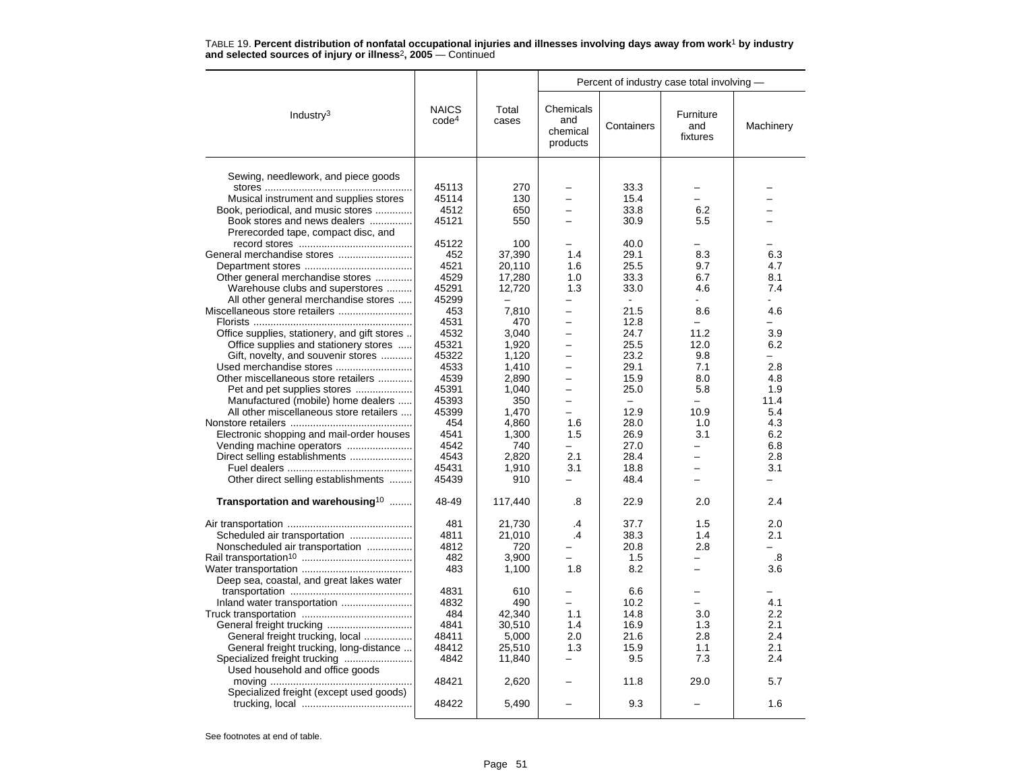|                                              |                                   |                | Percent of industry case total involving - |                          |                              |           |
|----------------------------------------------|-----------------------------------|----------------|--------------------------------------------|--------------------------|------------------------------|-----------|
| Industry <sup>3</sup>                        | <b>NAICS</b><br>code <sup>4</sup> | Total<br>cases | Chemicals<br>and<br>chemical<br>products   | Containers               | Furniture<br>and<br>fixtures | Machinery |
|                                              |                                   |                |                                            |                          |                              |           |
| Sewing, needlework, and piece goods          |                                   |                |                                            |                          |                              |           |
|                                              | 45113                             | 270            |                                            | 33.3                     |                              |           |
| Musical instrument and supplies stores       | 45114                             | 130            |                                            | 15.4                     | $\overline{\phantom{0}}$     |           |
| Book, periodical, and music stores           | 4512                              | 650            | -                                          | 33.8                     | 6.2                          |           |
| Book stores and news dealers                 | 45121                             | 550            |                                            | 30.9                     | 5.5                          |           |
| Prerecorded tape, compact disc, and          |                                   |                |                                            |                          |                              |           |
|                                              | 45122                             | 100            |                                            | 40.0                     |                              |           |
|                                              | 452                               | 37,390         | 1.4                                        | 29.1                     | 8.3                          | 6.3       |
|                                              | 4521                              | 20,110         | 1.6                                        | 25.5                     | 9.7                          | 4.7       |
| Other general merchandise stores             | 4529                              | 17,280         | 1.0                                        | 33.3                     | 6.7                          | 8.1       |
| Warehouse clubs and superstores              | 45291                             | 12,720         | 1.3                                        | 33.0                     | 4.6                          | 7.4       |
| All other general merchandise stores         | 45299                             |                | -                                          | $\sim$                   | $\sim$                       | ÷.        |
|                                              | 453                               | 7,810          |                                            | 21.5                     | 8.6                          | 4.6       |
|                                              | 4531                              | 470            | $\overline{\phantom{0}}$                   | 12.8                     | $\overline{\phantom{0}}$     |           |
| Office supplies, stationery, and gift stores | 4532                              | 3,040          | $\overline{\phantom{0}}$                   | 24.7                     | 11.2                         | 3.9       |
| Office supplies and stationery stores        | 45321                             | 1,920          |                                            | 25.5                     | 12.0                         | 6.2       |
| Gift, novelty, and souvenir stores           | 45322                             | 1,120          | $\overline{\phantom{0}}$                   | 23.2                     | 9.8                          |           |
| Used merchandise stores                      | 4533                              | 1,410          | $\overline{\phantom{0}}$                   | 29.1                     | 7.1                          | 2.8       |
| Other miscellaneous store retailers          | 4539                              | 2,890          |                                            | 15.9                     | 8.0                          | 4.8       |
| Pet and pet supplies stores                  | 45391                             | 1,040          | $\overline{\phantom{0}}$                   | 25.0                     | 5.8                          | 1.9       |
| Manufactured (mobile) home dealers           | 45393                             | 350            | $\overline{\phantom{0}}$                   | $\overline{\phantom{0}}$ | $\overline{\phantom{0}}$     | 11.4      |
| All other miscellaneous store retailers      | 45399                             | 1,470          | $\overline{\phantom{0}}$                   | 12.9                     | 10.9                         | 5.4       |
|                                              | 454                               | 4.860          | 1.6                                        | 28.0                     | 1.0                          | 4.3       |
| Electronic shopping and mail-order houses    | 4541                              | 1,300          | 1.5                                        | 26.9                     | 3.1                          | 6.2       |
|                                              | 4542                              | 740            | $=$                                        | 27.0                     | $\equiv$                     | 6.8       |
| Direct selling establishments                | 4543                              | 2,820          | 2.1                                        | 28.4                     | -                            | 2.8       |
|                                              | 45431                             | 1,910          | 3.1                                        | 18.8                     |                              | 3.1       |
| Other direct selling establishments          | 45439                             | 910            |                                            | 48.4                     | $\overline{\phantom{0}}$     |           |
| Transportation and warehousing <sup>10</sup> | 48-49                             | 117,440        | .8                                         | 22.9                     | 2.0                          | 2.4       |
|                                              | 481                               | 21,730         | .4                                         | 37.7                     | 1.5                          | 2.0       |
|                                              | 4811                              | 21,010         | $\overline{A}$                             | 38.3                     | 1.4                          | 2.1       |
| Nonscheduled air transportation              | 4812                              | 720            |                                            | 20.8                     | 2.8                          |           |
|                                              | 482                               | 3,900          |                                            | 1.5                      | -                            | .8        |
|                                              | 483                               | 1,100          | 1.8                                        | 8.2                      | -                            | 3.6       |
| Deep sea, coastal, and great lakes water     |                                   |                |                                            |                          |                              |           |
|                                              | 4831                              | 610            |                                            | 6.6                      |                              |           |
|                                              | 4832                              | 490            | $\equiv$                                   | 10.2                     | -                            | 4.1       |
|                                              | 484                               | 42,340         | 1.1                                        | 14.8                     | 3.0                          | 2.2       |
|                                              | 4841                              | 30,510         | 1.4                                        | 16.9                     | 1.3                          | 2.1       |
| General freight trucking, local              | 48411                             | 5,000          | 2.0                                        | 21.6                     | 2.8                          | 2.4       |
| General freight trucking, long-distance      | 48412                             | 25,510         | 1.3                                        | 15.9                     | 1.1                          | 2.1       |
| Specialized freight trucking                 | 4842                              | 11,840         |                                            | 9.5                      | 7.3                          | 2.4       |
| Used household and office goods              |                                   |                |                                            |                          |                              |           |
|                                              | 48421                             | 2,620          |                                            | 11.8                     | 29.0                         | 5.7       |
| Specialized freight (except used goods)      |                                   |                |                                            |                          |                              |           |
|                                              | 48422                             | 5.490          |                                            | 9.3                      |                              | 1.6       |

TABLE 19. **Percent distribution of nonfatal occupational injuries and illnesses involving days away from work**<sup>1</sup> **by industry and selected sources of injury or illness**<sup>2</sup>**, 2005** — Continued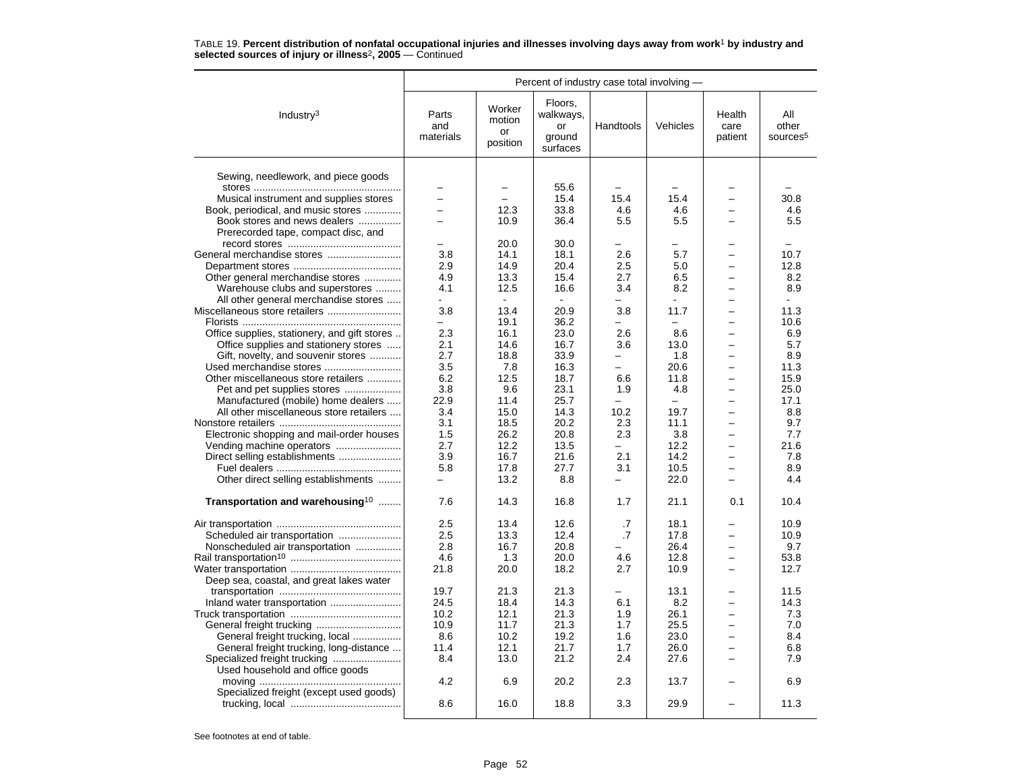|                                                                               |                           |                                    |                                                  | Percent of industry case total involving - |                                 |                           |                                      |  |  |
|-------------------------------------------------------------------------------|---------------------------|------------------------------------|--------------------------------------------------|--------------------------------------------|---------------------------------|---------------------------|--------------------------------------|--|--|
| Industry $3$                                                                  | Parts<br>and<br>materials | Worker<br>motion<br>or<br>position | Floors,<br>walkways,<br>or<br>ground<br>surfaces | Handtools                                  | Vehicles                        | Health<br>care<br>patient | All<br>other<br>sources <sup>5</sup> |  |  |
| Sewing, needlework, and piece goods                                           |                           |                                    |                                                  |                                            |                                 |                           |                                      |  |  |
|                                                                               |                           |                                    | 55.6                                             |                                            |                                 |                           |                                      |  |  |
| Musical instrument and supplies stores                                        | $\overline{\phantom{0}}$  | $\overline{\phantom{0}}$           | 15.4                                             | 15.4                                       | 15.4                            |                           | 30.8                                 |  |  |
| Book, periodical, and music stores                                            |                           | 12.3                               | 33.8                                             | 4.6                                        | 4.6                             |                           | 4.6                                  |  |  |
| Book stores and news dealers                                                  |                           | 10.9                               | 36.4                                             | 5.5                                        | 5.5                             |                           | 5.5                                  |  |  |
| Prerecorded tape, compact disc, and                                           |                           |                                    |                                                  |                                            |                                 |                           |                                      |  |  |
|                                                                               |                           | 20.0                               | 30.0                                             |                                            |                                 |                           |                                      |  |  |
| General merchandise stores                                                    | 3.8                       | 14.1                               | 18.1                                             | 2.6                                        | 5.7                             |                           | 10.7                                 |  |  |
|                                                                               | 2.9                       | 14.9                               | 20.4                                             | 2.5                                        | 5.0                             |                           | 12.8                                 |  |  |
| Other general merchandise stores                                              | 4.9                       | 13.3                               | 15.4                                             | 2.7                                        | 6.5                             |                           | 8.2                                  |  |  |
| Warehouse clubs and superstores                                               | 4.1                       | 12.5                               | 16.6                                             | 3.4                                        | 8.2                             | $\overline{\phantom{0}}$  | 8.9                                  |  |  |
| All other general merchandise stores                                          | $\mathbf{r}$              | $\sim$                             | ÷                                                |                                            |                                 |                           | $\sim$                               |  |  |
| Miscellaneous store retailers                                                 | 3.8                       | 13.4                               | 20.9                                             | 3.8                                        | 11.7                            |                           | 11.3                                 |  |  |
|                                                                               |                           | 19.1                               | 36.2                                             |                                            |                                 |                           | 10.6                                 |  |  |
| Office supplies, stationery, and gift stores                                  | 2.3                       | 16.1                               | 23.0                                             | 2.6                                        | 8.6                             | $\overline{\phantom{0}}$  | 6.9                                  |  |  |
| Office supplies and stationery stores                                         | 2.1                       | 14.6                               | 16.7                                             | 3.6                                        | 13.0                            | $\overline{\phantom{0}}$  | 5.7                                  |  |  |
| Gift, novelty, and souvenir stores                                            | 2.7                       | 18.8                               | 33.9                                             |                                            | 1.8                             |                           | 8.9                                  |  |  |
| Used merchandise stores                                                       | 3.5                       | 7.8                                | 16.3                                             | $\equiv$                                   | 20.6                            |                           | 11.3                                 |  |  |
| Other miscellaneous store retailers                                           | 6.2                       | 12.5                               | 18.7                                             | 6.6                                        | 11.8                            | $\overline{\phantom{0}}$  | 15.9                                 |  |  |
| Pet and pet supplies stores                                                   | 3.8<br>22.9               | 9.6                                | 23.1<br>25.7                                     | 1.9<br>$\equiv$                            | 4.8<br>$\overline{\phantom{0}}$ | $\overline{\phantom{0}}$  | 25.0<br>17.1                         |  |  |
| Manufactured (mobile) home dealers<br>All other miscellaneous store retailers | 3.4                       | 11.4<br>15.0                       | 14.3                                             | 10.2                                       | 19.7                            |                           | 8.8                                  |  |  |
|                                                                               | 3.1                       | 18.5                               | 20.2                                             | 2.3                                        | 11.1                            |                           | 9.7                                  |  |  |
| Electronic shopping and mail-order houses                                     | 1.5                       | 26.2                               | 20.8                                             | 2.3                                        | 3.8                             |                           | 7.7                                  |  |  |
|                                                                               | 2.7                       | 12.2                               | 13.5                                             | $\equiv$                                   | 12.2                            | $\equiv$                  | 21.6                                 |  |  |
| Direct selling establishments                                                 | 3.9                       | 16.7                               | 21.6                                             | 2.1                                        | 14.2                            | $\equiv$                  | 7.8                                  |  |  |
|                                                                               | 5.8                       | 17.8                               | 27.7                                             | 3.1                                        | 10.5                            |                           | 8.9                                  |  |  |
| Other direct selling establishments                                           | $\equiv$                  | 13.2                               | 8.8                                              | $\equiv$                                   | 22.0                            |                           | 4.4                                  |  |  |
|                                                                               |                           |                                    |                                                  |                                            |                                 |                           |                                      |  |  |
| Transportation and warehousing <sup>10</sup>                                  | 7.6                       | 14.3                               | 16.8                                             | 1.7                                        | 21.1                            | 0.1                       | 10.4                                 |  |  |
|                                                                               | 2.5                       | 13.4                               | 12.6                                             | .7                                         | 18.1                            |                           | 10.9                                 |  |  |
|                                                                               | 2.5                       | 13.3                               | 12.4                                             | .7                                         | 17.8                            |                           | 10.9                                 |  |  |
| Nonscheduled air transportation                                               | 2.8                       | 16.7                               | 20.8                                             |                                            | 26.4                            | $\equiv$                  | 9.7                                  |  |  |
|                                                                               | 4.6                       | 1.3                                | 20.0                                             | 4.6                                        | 12.8                            | $\overline{\phantom{0}}$  | 53.8                                 |  |  |
|                                                                               | 21.8                      | 20.0                               | 18.2                                             | 2.7                                        | 10.9                            |                           | 12.7                                 |  |  |
| Deep sea, coastal, and great lakes water                                      |                           |                                    |                                                  |                                            |                                 |                           |                                      |  |  |
|                                                                               | 19.7                      | 21.3                               | 21.3                                             |                                            | 13.1                            |                           | 11.5                                 |  |  |
| Inland water transportation                                                   | 24.5                      | 18.4                               | 14.3                                             | 6.1                                        | 8.2                             | $\equiv$                  | 14.3                                 |  |  |
|                                                                               | 10.2                      | 12.1                               | 21.3                                             | 1.9                                        | 26.1                            |                           | 7.3                                  |  |  |
|                                                                               | 10.9                      | 11.7                               | 21.3                                             | 1.7                                        | 25.5                            |                           | 7.0                                  |  |  |
| General freight trucking, local                                               | 8.6                       | 10.2                               | 19.2                                             | 1.6                                        | 23.0                            |                           | 8.4                                  |  |  |
| General freight trucking, long-distance                                       | 11.4<br>8.4               | 12.1                               | 21.7                                             | 1.7<br>2.4                                 | 26.0                            | $\equiv$                  | 6.8<br>7.9                           |  |  |
| Specialized freight trucking                                                  |                           | 13.0                               | 21.2                                             |                                            | 27.6                            |                           |                                      |  |  |
| Used household and office goods                                               | 4.2                       | 6.9                                | 20.2                                             | 2.3                                        | 13.7                            |                           | 6.9                                  |  |  |
| Specialized freight (except used goods)                                       |                           |                                    |                                                  |                                            |                                 |                           |                                      |  |  |
|                                                                               | 8.6                       | 16.0                               | 18.8                                             | 3.3                                        | 29.9                            |                           | 11.3                                 |  |  |
|                                                                               |                           |                                    |                                                  |                                            |                                 |                           |                                      |  |  |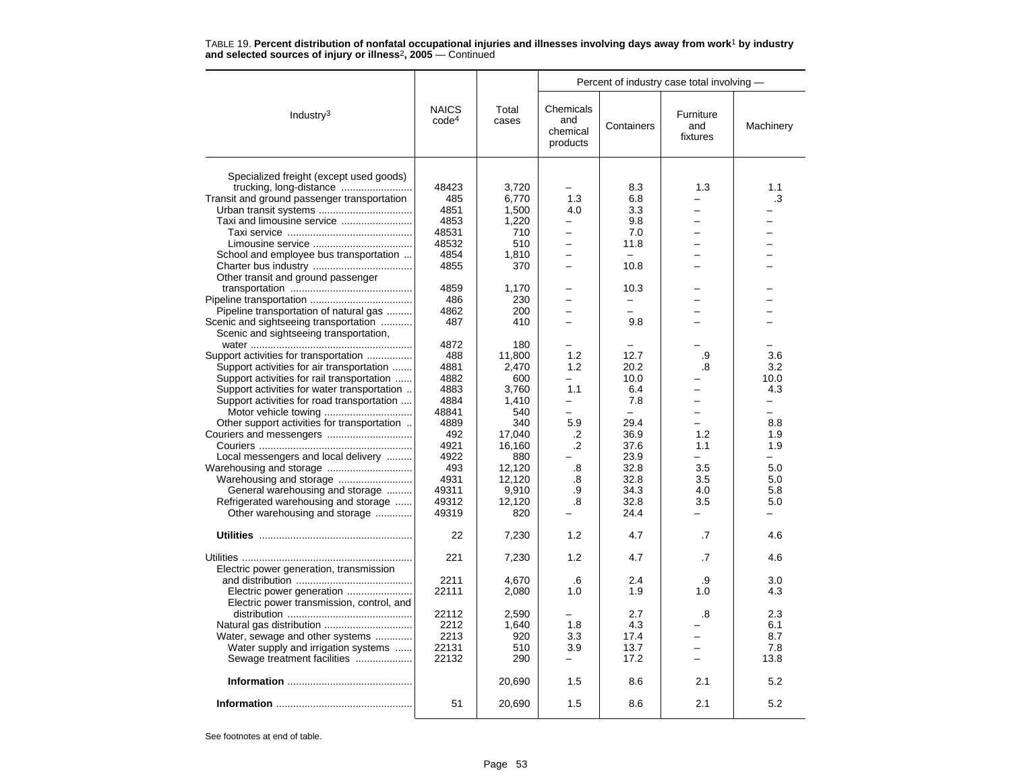|                                                                                           |                                   |                | Percent of industry case total involving - |                          |                              |           |  |
|-------------------------------------------------------------------------------------------|-----------------------------------|----------------|--------------------------------------------|--------------------------|------------------------------|-----------|--|
| Industry <sup>3</sup>                                                                     | <b>NAICS</b><br>code <sup>4</sup> | Total<br>cases | Chemicals<br>and<br>chemical<br>products   | Containers               | Furniture<br>and<br>fixtures | Machinery |  |
|                                                                                           |                                   |                |                                            |                          |                              |           |  |
| Specialized freight (except used goods)                                                   |                                   |                |                                            |                          |                              |           |  |
|                                                                                           | 48423                             | 3,720          |                                            | 8.3                      | 1.3                          | 1.1       |  |
| Transit and ground passenger transportation                                               | 485                               | 6,770          | 1.3                                        | 6.8                      |                              | .3        |  |
|                                                                                           | 4851                              | 1,500          | 4.0                                        | 3.3                      |                              |           |  |
|                                                                                           | 4853                              | 1,220          | $\overline{\phantom{0}}$                   | 9.8                      |                              |           |  |
|                                                                                           | 48531                             | 710            | —                                          | 7.0                      |                              |           |  |
|                                                                                           | 48532                             | 510            | ÷                                          | 11.8                     |                              |           |  |
| School and employee bus transportation                                                    | 4854                              | 1,810          | $\overline{\phantom{0}}$                   |                          |                              |           |  |
|                                                                                           | 4855                              | 370            |                                            | 10.8                     |                              |           |  |
| Other transit and ground passenger                                                        |                                   |                |                                            |                          |                              |           |  |
|                                                                                           | 4859                              | 1,170          |                                            | 10.3                     |                              |           |  |
|                                                                                           | 486                               | 230            |                                            |                          |                              |           |  |
| Pipeline transportation of natural gas                                                    | 4862                              | 200            |                                            | $\overline{\phantom{0}}$ |                              |           |  |
| Scenic and sightseeing transportation                                                     | 487                               | 410            |                                            | 9.8                      |                              |           |  |
| Scenic and sightseeing transportation,                                                    |                                   |                |                                            |                          |                              |           |  |
|                                                                                           | 4872                              | 180            |                                            |                          |                              |           |  |
| Support activities for transportation                                                     | 488                               | 11.800         | 1.2                                        | 12.7                     | .9                           | 3.6       |  |
| Support activities for air transportation                                                 | 4881                              | 2,470          | 1.2                                        | 20.2                     | .8                           | 3.2       |  |
|                                                                                           | 4882                              | 600            |                                            | 10.0                     |                              | 10.0      |  |
| Support activities for rail transportation<br>Support activities for water transportation | 4883                              | 3,760          | 1.1                                        | 6.4                      |                              | 4.3       |  |
|                                                                                           |                                   |                |                                            |                          | $\equiv$                     |           |  |
| Support activities for road transportation                                                | 4884                              | 1,410          | —<br>÷                                     | 7.8<br>$\sim$            | $\equiv$                     | -<br>-    |  |
|                                                                                           | 48841                             | 540            |                                            |                          |                              |           |  |
| Other support activities for transportation                                               | 4889                              | 340            | 5.9                                        | 29.4                     |                              | 8.8       |  |
|                                                                                           | 492                               | 17,040         | .2                                         | 36.9                     | 1.2                          | 1.9       |  |
|                                                                                           | 4921                              | 16,160         | .2                                         | 37.6                     | 1.1                          | 1.9       |  |
| Local messengers and local delivery                                                       | 4922                              | 880            |                                            | 23.9                     | $\overline{\phantom{0}}$     | ÷         |  |
|                                                                                           | 493                               | 12,120         | .8                                         | 32.8                     | 3.5                          | 5.0       |  |
|                                                                                           | 4931                              | 12,120         | .8                                         | 32.8                     | 3.5                          | 5.0       |  |
| General warehousing and storage                                                           | 49311                             | 9,910          | .9                                         | 34.3                     | 4.0                          | 5.8       |  |
| Refrigerated warehousing and storage                                                      | 49312                             | 12,120         | .8                                         | 32.8                     | 3.5                          | 5.0       |  |
| Other warehousing and storage                                                             | 49319                             | 820            |                                            | 24.4                     |                              |           |  |
|                                                                                           | 22                                | 7,230          | 1.2                                        | 4.7                      | .7                           | 4.6       |  |
|                                                                                           |                                   |                |                                            |                          |                              |           |  |
|                                                                                           | 221                               | 7,230          | 1.2                                        | 4.7                      | .7                           | 4.6       |  |
| Electric power generation, transmission                                                   |                                   |                |                                            |                          |                              |           |  |
|                                                                                           | 2211                              | 4.670          | .6                                         | 2.4                      | .9                           | 3.0       |  |
| Electric power transmission, control, and                                                 | 22111                             | 2,080          | 1.0                                        | 1.9                      | 1.0                          | 4.3       |  |
|                                                                                           | 22112                             | 2.590          |                                            | 2.7                      | .8                           | 2.3       |  |
|                                                                                           | 2212                              | 1,640          | 1.8                                        | 4.3                      |                              | 6.1       |  |
| Water, sewage and other systems                                                           | 2213                              | 920            | 3.3                                        | 17.4                     |                              | 8.7       |  |
| Water supply and irrigation systems                                                       | 22131                             | 510            | 3.9                                        | 13.7                     |                              | 7.8       |  |
| Sewage treatment facilities                                                               | 22132                             | 290            | $\overline{\phantom{0}}$                   | 17.2                     |                              | 13.8      |  |
|                                                                                           |                                   | 20,690         | 1.5                                        | 8.6                      | 2.1                          | 5.2       |  |
|                                                                                           | 51                                | 20,690         | 1.5                                        | 8.6                      | 2.1                          | 5.2       |  |
|                                                                                           |                                   |                |                                            |                          |                              |           |  |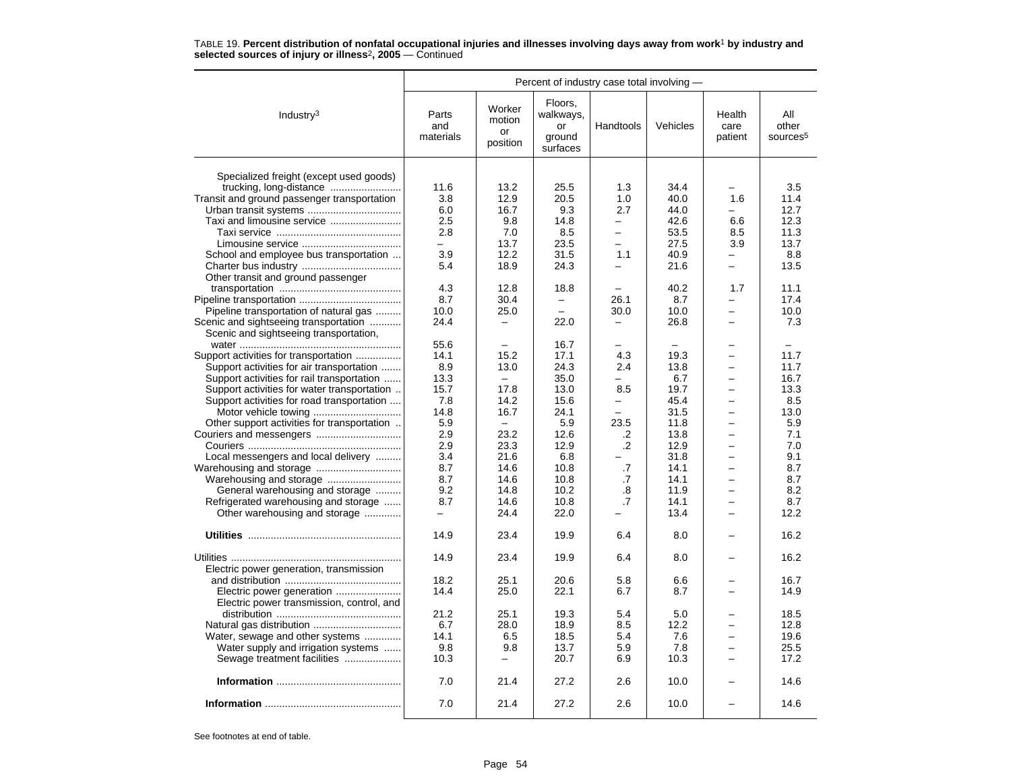|                                             | Percent of industry case total involving - |                                    |                                                  |                   |                          |                           |                                      |
|---------------------------------------------|--------------------------------------------|------------------------------------|--------------------------------------------------|-------------------|--------------------------|---------------------------|--------------------------------------|
| Industry <sup>3</sup>                       | Parts<br>and<br>materials                  | Worker<br>motion<br>or<br>position | Floors,<br>walkways,<br>or<br>ground<br>surfaces | Handtools         | Vehicles                 | Health<br>care<br>patient | All<br>other<br>sources <sup>5</sup> |
|                                             |                                            |                                    |                                                  |                   |                          |                           |                                      |
| Specialized freight (except used goods)     |                                            |                                    |                                                  |                   |                          |                           |                                      |
| trucking, long-distance                     | 11.6                                       | 13.2                               | 25.5                                             | 1.3               | 34.4                     |                           | 3.5                                  |
| Transit and ground passenger transportation | 3.8                                        | 12.9                               | 20.5                                             | 1.0<br>2.7        | 40.0                     | 1.6                       | 11.4<br>12.7                         |
| Urban transit systems                       | 6.0<br>2.5                                 | 16.7<br>9.8                        | 9.3<br>14.8                                      | $\equiv$          | 44.0<br>42.6             | 6.6                       | 12.3                                 |
|                                             | 2.8                                        | 7.0                                | 8.5                                              | $\equiv$          | 53.5                     | 8.5                       | 11.3                                 |
|                                             |                                            | 13.7                               | 23.5                                             |                   | 27.5                     | 3.9                       | 13.7                                 |
| School and employee bus transportation      | 3.9                                        | 12.2                               | 31.5                                             | 1.1               | 40.9                     |                           | 8.8                                  |
|                                             | 5.4                                        | 18.9                               | 24.3                                             |                   | 21.6                     |                           | 13.5                                 |
| Other transit and ground passenger          |                                            |                                    |                                                  |                   |                          |                           |                                      |
|                                             | 4.3                                        | 12.8                               | 18.8                                             |                   | 40.2                     | 1.7                       | 11.1                                 |
|                                             | 8.7                                        | 30.4                               | $\equiv$                                         | 26.1              | 8.7                      |                           | 17.4                                 |
| Pipeline transportation of natural gas      | 10.0                                       | 25.0                               |                                                  | 30.0              | 10.0                     |                           | 10.0                                 |
| Scenic and sightseeing transportation       | 24.4                                       | $\overline{\phantom{0}}$           | 22.0                                             |                   | 26.8                     |                           | 7.3                                  |
| Scenic and sightseeing transportation,      |                                            |                                    |                                                  |                   |                          |                           |                                      |
|                                             | 55.6                                       | $\overline{\phantom{m}}$           | 16.7                                             |                   | $\overline{\phantom{0}}$ |                           |                                      |
| Support activities for transportation       | 14.1                                       | 15.2                               | 17.1                                             | 4.3               | 19.3                     |                           | 11.7                                 |
| Support activities for air transportation   | 8.9                                        | 13.0                               | 24.3                                             | 2.4               | 13.8                     | $\overline{\phantom{0}}$  | 11.7                                 |
| Support activities for rail transportation  | 13.3                                       | $\equiv$                           | 35.0                                             |                   | 6.7                      | $\overline{\phantom{0}}$  | 16.7                                 |
| Support activities for water transportation | 15.7                                       | 17.8                               | 13.0                                             | 8.5               | 19.7                     | $\equiv$                  | 13.3                                 |
| Support activities for road transportation  | 7.8                                        | 14.2                               | 15.6                                             | $\qquad \qquad -$ | 45.4                     | $\overline{\phantom{0}}$  | 8.5                                  |
|                                             | 14.8                                       | 16.7                               | 24.1                                             |                   | 31.5                     |                           | 13.0                                 |
| Other support activities for transportation | 5.9                                        | $\overline{\phantom{0}}$           | 5.9                                              | 23.5              | 11.8                     |                           | 5.9                                  |
|                                             | 2.9                                        | 23.2                               | 12.6                                             | .2                | 13.8                     | $\overline{\phantom{0}}$  | 7.1                                  |
|                                             | 2.9                                        | 23.3                               | 12.9                                             | $\overline{2}$    | 12.9                     | $\equiv$                  | 7.0                                  |
| Local messengers and local delivery         | 3.4                                        | 21.6                               | 6.8                                              |                   | 31.8                     | $\overline{\phantom{0}}$  | 9.1                                  |
|                                             | 8.7                                        | 14.6                               | 10.8                                             | .7                | 14.1                     |                           | 8.7                                  |
|                                             | 8.7                                        | 14.6                               | 10.8                                             | .7                | 14.1                     | $\overline{\phantom{0}}$  | 8.7                                  |
| General warehousing and storage             | 9.2                                        | 14.8                               | 10.2                                             | .8                | 11.9                     | $\overline{\phantom{0}}$  | 8.2                                  |
| Refrigerated warehousing and storage        | 8.7                                        | 14.6                               | 10.8                                             | $\cdot$ 7         | 14.1                     |                           | 8.7                                  |
| Other warehousing and storage               | -                                          | 24.4                               | 22.0                                             |                   | 13.4                     | $\overline{\phantom{0}}$  | 12.2                                 |
|                                             |                                            |                                    |                                                  |                   |                          |                           |                                      |
|                                             | 14.9                                       | 23.4                               | 19.9                                             | 6.4               | 8.0                      |                           | 16.2                                 |
|                                             | 14.9                                       | 23.4                               | 19.9                                             | 6.4               | 8.0                      |                           | 16.2                                 |
| Electric power generation, transmission     |                                            |                                    |                                                  |                   |                          |                           |                                      |
|                                             | 18.2                                       | 25.1                               | 20.6                                             | 5.8               | 6.6                      |                           | 16.7                                 |
|                                             | 14.4                                       | 25.0                               | 22.1                                             | 6.7               | 8.7                      | $\overline{\phantom{0}}$  | 14.9                                 |
| Electric power transmission, control, and   |                                            |                                    |                                                  |                   |                          |                           |                                      |
|                                             | 21.2                                       | 25.1                               | 19.3                                             | 5.4               | 5.0                      |                           | 18.5                                 |
|                                             | 6.7                                        | 28.0                               | 18.9                                             | 8.5               | 12.2                     |                           | 12.8                                 |
| Water, sewage and other systems             | 14.1                                       | 6.5                                | 18.5                                             | 5.4               | 7.6                      |                           | 19.6                                 |
| Water supply and irrigation systems         | 9.8                                        | 9.8                                | 13.7                                             | 5.9               | 7.8                      | $\equiv$                  | 25.5                                 |
| Sewage treatment facilities                 | 10.3                                       | $\overline{\phantom{0}}$           | 20.7                                             | 6.9               | 10.3                     | $\equiv$                  | 17.2                                 |
|                                             | 7.0                                        | 21.4                               | 27.2                                             | 2.6               | 10.0                     |                           | 14.6                                 |
|                                             | 7.0                                        | 21.4                               | 27.2                                             | 2.6               | 10.0                     |                           | 14.6                                 |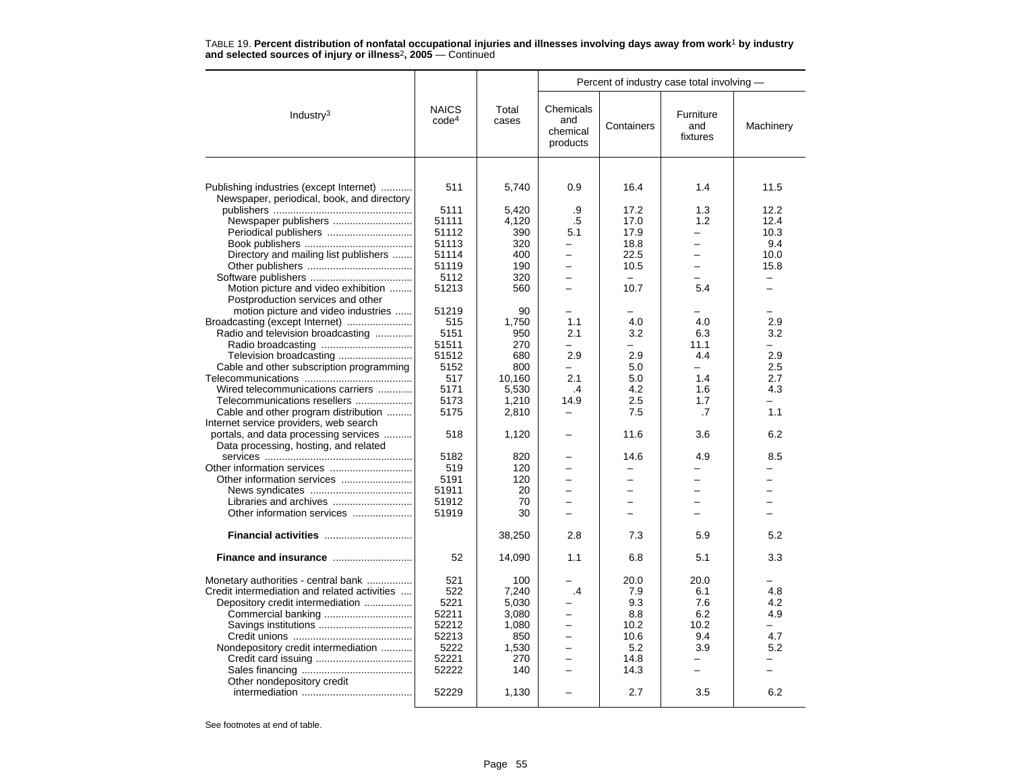| TABLE 19. Percent distribution of nonfatal occupational injuries and illnesses involving days away from work <sup>1</sup> by industry |  |  |
|---------------------------------------------------------------------------------------------------------------------------------------|--|--|
| and selected sources of injury or illness <sup>2</sup> , $2005 -$ Continued                                                           |  |  |

|                                                                                       |                                   |                | Percent of industry case total involving - |                          |                              |                          |
|---------------------------------------------------------------------------------------|-----------------------------------|----------------|--------------------------------------------|--------------------------|------------------------------|--------------------------|
| Industry <sup>3</sup>                                                                 | <b>NAICS</b><br>code <sup>4</sup> | Total<br>cases | Chemicals<br>and<br>chemical<br>products   | Containers               | Furniture<br>and<br>fixtures | Machinery                |
|                                                                                       |                                   |                |                                            |                          |                              |                          |
| Publishing industries (except Internet)<br>Newspaper, periodical, book, and directory | 511                               | 5,740          | 0.9                                        | 16.4                     | 1.4                          | 11.5                     |
|                                                                                       | 5111<br>51111                     | 5.420          | .9<br>$.5\,$                               | 17.2<br>17.0             | 1.3<br>1.2                   | 12.2<br>12.4             |
| Newspaper publishers                                                                  |                                   | 4,120          |                                            |                          |                              |                          |
| Periodical publishers                                                                 | 51112                             | 390            | 5.1                                        | 17.9                     | $\equiv$                     | 10.3                     |
|                                                                                       | 51113                             | 320            | -                                          | 18.8                     |                              | 9.4                      |
| Directory and mailing list publishers                                                 | 51114                             | 400            | -                                          | 22.5                     | $\overline{\phantom{0}}$     | 10.0                     |
|                                                                                       | 51119                             | 190            |                                            | 10.5                     |                              | 15.8                     |
|                                                                                       | 5112                              | 320            | ÷                                          | $\equiv$                 | $\equiv$                     | $\equiv$                 |
| Motion picture and video exhibition                                                   | 51213                             | 560            | $\overline{\phantom{0}}$                   | 10.7                     | 5.4                          | $\equiv$                 |
| Postproduction services and other                                                     |                                   |                |                                            |                          |                              |                          |
| motion picture and video industries                                                   | 51219                             | 90             | $\equiv$                                   |                          |                              |                          |
| Broadcasting (except Internet)                                                        | 515                               | 1,750          | 1.1                                        | 4.0                      | 4.0                          | 2.9                      |
| Radio and television broadcasting                                                     | 5151                              | 950            | 2.1                                        | 3.2                      | 6.3                          | 3.2                      |
|                                                                                       | 51511                             | 270            | $\overline{\phantom{0}}$                   |                          | 11.1                         | ÷.                       |
| Television broadcasting                                                               | 51512                             | 680            | 2.9                                        | 2.9                      | 4.4<br>$\equiv$              | 2.9                      |
| Cable and other subscription programming                                              | 5152                              | 800            |                                            | 5.0                      |                              | 2.5                      |
|                                                                                       | 517                               | 10,160         | 2.1                                        | 5.0                      | 1.4                          | 2.7                      |
| Wired telecommunications carriers                                                     | 5171                              | 5,530          | .4                                         | 4.2                      | 1.6                          | 4.3                      |
| Telecommunications resellers                                                          | 5173                              | 1,210          | 14.9                                       | 2.5                      | 1.7                          |                          |
| Cable and other program distribution                                                  | 5175                              | 2,810          | $\overline{\phantom{0}}$                   | 7.5                      | .7                           | 1.1                      |
| Internet service providers, web search                                                |                                   |                |                                            |                          |                              |                          |
| portals, and data processing services<br>Data processing, hosting, and related        | 518                               | 1,120          |                                            | 11.6                     | 3.6                          | 6.2                      |
|                                                                                       | 5182                              | 820            |                                            | 14.6                     | 4.9                          | 8.5                      |
|                                                                                       | 519                               | 120            | -                                          |                          |                              |                          |
|                                                                                       | 5191                              | 120            | -                                          | -                        | -                            | $\overline{\phantom{0}}$ |
|                                                                                       | 51911                             | 20             |                                            |                          |                              |                          |
| Libraries and archives                                                                | 51912                             | 70             |                                            | ÷                        |                              |                          |
| Other information services                                                            | 51919                             | 30             | $\overline{\phantom{0}}$                   | $\overline{\phantom{0}}$ | -                            | L.                       |
| Financial activities                                                                  |                                   | 38,250         | 2.8                                        | 7.3                      | 5.9                          | 5.2                      |
| Finance and insurance                                                                 | 52                                | 14,090         | 1.1                                        | 6.8                      | 5.1                          | 3.3                      |
| Monetary authorities - central bank                                                   | 521                               | 100            |                                            | 20.0                     | 20.0                         |                          |
| Credit intermediation and related activities                                          | 522                               | 7,240          | .4                                         | 7.9                      | 6.1                          | 4.8                      |
| Depository credit intermediation                                                      | 5221                              | 5,030          |                                            | 9.3                      | 7.6                          | 4.2                      |
|                                                                                       | 52211                             | 3,080          | -                                          | 8.8                      | 6.2                          | 4.9                      |
|                                                                                       | 52212                             | 1,080          | $\overline{a}$                             | 10.2                     | 10.2                         | $\overline{\phantom{a}}$ |
|                                                                                       | 52213                             | 850            | $\overline{\phantom{0}}$                   | 10.6                     | 9.4                          | 4.7                      |
| Nondepository credit intermediation                                                   | 5222                              | 1,530          | $\overline{\phantom{0}}$                   | 5.2                      | 3.9                          | 5.2                      |
|                                                                                       | 52221                             | 270            | $\overline{\phantom{0}}$                   | 14.8                     |                              |                          |
|                                                                                       | 52222                             | 140            |                                            | 14.3                     | $\overline{\phantom{0}}$     |                          |
| Other nondepository credit                                                            |                                   |                |                                            |                          |                              |                          |
|                                                                                       | 52229                             | 1,130          |                                            | 2.7                      | 3.5                          | 6.2                      |
|                                                                                       |                                   |                |                                            |                          |                              |                          |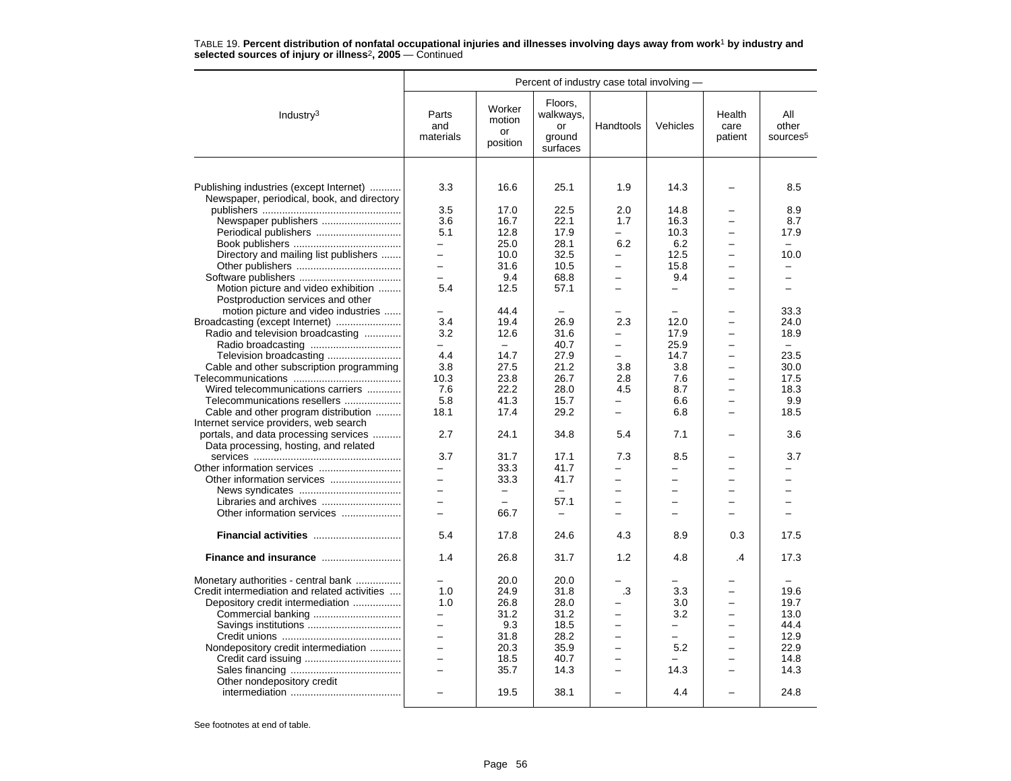|                                                                                       |                           |                                    |                                                  | Percent of industry case total involving - |                          |                           |                                      |  |  |
|---------------------------------------------------------------------------------------|---------------------------|------------------------------------|--------------------------------------------------|--------------------------------------------|--------------------------|---------------------------|--------------------------------------|--|--|
| Industry <sup>3</sup>                                                                 | Parts<br>and<br>materials | Worker<br>motion<br>or<br>position | Floors,<br>walkways,<br>or<br>ground<br>surfaces | Handtools                                  | Vehicles                 | Health<br>care<br>patient | All<br>other<br>sources <sup>5</sup> |  |  |
|                                                                                       |                           |                                    |                                                  |                                            |                          |                           |                                      |  |  |
| Publishing industries (except Internet)<br>Newspaper, periodical, book, and directory | 3.3                       | 16.6                               | 25.1                                             | 1.9                                        | 14.3                     |                           | 8.5                                  |  |  |
|                                                                                       | 3.5                       | 17.0                               | 22.5                                             | 2.0                                        | 14.8                     |                           | 8.9                                  |  |  |
| Newspaper publishers                                                                  | 3.6                       | 16.7                               | 22.1                                             | 1.7                                        | 16.3                     |                           | 8.7                                  |  |  |
| Periodical publishers                                                                 | 5.1                       | 12.8                               | 17.9                                             |                                            | 10.3                     |                           | 17.9                                 |  |  |
|                                                                                       | -                         | 25.0                               | 28.1                                             | 6.2                                        | 6.2                      |                           | $\equiv$                             |  |  |
| Directory and mailing list publishers                                                 | $\equiv$                  | 10.0                               | 32.5                                             | $\overline{\phantom{0}}$                   | 12.5                     | $\equiv$                  | 10.0                                 |  |  |
|                                                                                       | $\overline{a}$            | 31.6                               | 10.5                                             |                                            | 15.8                     |                           |                                      |  |  |
|                                                                                       | $\equiv$                  | 9.4                                | 68.8                                             | $\equiv$                                   | 9.4                      |                           | $\overline{\phantom{0}}$             |  |  |
| Motion picture and video exhibition                                                   | 5.4                       | 12.5                               | 57.1                                             | $\overline{\phantom{0}}$                   | $\overline{\phantom{0}}$ |                           | $\overline{\phantom{0}}$             |  |  |
| Postproduction services and other                                                     |                           |                                    |                                                  |                                            |                          |                           |                                      |  |  |
| motion picture and video industries                                                   |                           | 44.4                               |                                                  |                                            |                          |                           | 33.3                                 |  |  |
| Broadcasting (except Internet)                                                        | 3.4                       | 19.4                               | 26.9                                             | 2.3                                        | 12.0                     |                           | 24.0                                 |  |  |
| Radio and television broadcasting                                                     | 3.2                       | 12.6                               | 31.6                                             |                                            | 17.9                     |                           | 18.9                                 |  |  |
|                                                                                       | -                         | $\equiv$                           | 40.7                                             | $\overline{\phantom{0}}$                   | 25.9                     |                           | $\equiv$                             |  |  |
| Television broadcasting                                                               | 4.4                       | 14.7                               | 27.9                                             | $\overline{a}$                             | 14.7                     |                           | 23.5                                 |  |  |
| Cable and other subscription programming                                              | 3.8                       | 27.5                               | 21.2                                             | 3.8                                        | 3.8                      |                           | 30.0                                 |  |  |
|                                                                                       | 10.3                      | 23.8                               | 26.7                                             | 2.8                                        | 7.6                      |                           | 17.5                                 |  |  |
| Wired telecommunications carriers                                                     | 7.6                       | 22.2                               | 28.0                                             | 4.5                                        | 8.7                      |                           | 18.3                                 |  |  |
| Telecommunications resellers                                                          | 5.8                       | 41.3                               | 15.7                                             |                                            | 6.6                      | $\equiv$                  | 9.9                                  |  |  |
| Cable and other program distribution                                                  | 18.1                      | 17.4                               | 29.2                                             | $\equiv$                                   | 6.8                      | $\overline{a}$            | 18.5                                 |  |  |
| Internet service providers, web search                                                |                           |                                    |                                                  |                                            |                          |                           |                                      |  |  |
| portals, and data processing services                                                 | 2.7                       | 24.1                               | 34.8                                             | 5.4                                        | 7.1                      |                           | 3.6                                  |  |  |
| Data processing, hosting, and related                                                 |                           |                                    |                                                  |                                            |                          |                           |                                      |  |  |
|                                                                                       | 3.7                       | 31.7                               | 17.1                                             | 7.3                                        | 8.5                      |                           | 3.7                                  |  |  |
|                                                                                       | $\equiv$                  | 33.3                               | 41.7                                             |                                            | L.                       |                           |                                      |  |  |
|                                                                                       | $\overline{\phantom{0}}$  | 33.3                               | 41.7                                             | $\overline{\phantom{0}}$                   | $\overline{\phantom{0}}$ | $\equiv$                  | ÷                                    |  |  |
|                                                                                       | $\overline{\phantom{0}}$  |                                    | $\equiv$                                         |                                            | -                        |                           |                                      |  |  |
|                                                                                       | $\equiv$                  |                                    | 57.1                                             |                                            | L.                       |                           |                                      |  |  |
| Other information services                                                            | $\equiv$                  | 66.7                               | $\equiv$                                         |                                            | -                        |                           |                                      |  |  |
| Financial activities                                                                  | 5.4                       | 17.8                               | 24.6                                             | 4.3                                        | 8.9                      | 0.3                       | 17.5                                 |  |  |
| Finance and insurance                                                                 | 1.4                       | 26.8                               | 31.7                                             | 1.2                                        | 4.8                      | .4                        | 17.3                                 |  |  |
| Monetary authorities - central bank                                                   |                           | 20.0                               | 20.0                                             |                                            |                          |                           |                                      |  |  |
| Credit intermediation and related activities                                          | 1.0                       | 24.9                               | 31.8                                             | .3                                         | 3.3                      |                           | 19.6                                 |  |  |
| Depository credit intermediation                                                      | 1.0                       | 26.8                               | 28.0                                             |                                            | 3.0                      |                           | 19.7                                 |  |  |
|                                                                                       | $\overline{\phantom{0}}$  | 31.2                               | 31.2                                             | $\overline{\phantom{0}}$                   | 3.2                      | $\overline{\phantom{0}}$  | 13.0                                 |  |  |
|                                                                                       | $\overline{\phantom{0}}$  | 9.3                                | 18.5                                             | L.                                         | $\overline{\phantom{0}}$ | $\overline{\phantom{0}}$  | 44.4                                 |  |  |
|                                                                                       | $\overline{\phantom{0}}$  | 31.8                               | 28.2                                             | $\overline{\phantom{0}}$                   | -                        |                           | 12.9                                 |  |  |
| Nondepository credit intermediation                                                   | $\overline{a}$            | 20.3                               | 35.9                                             | $\overline{\phantom{0}}$                   | 5.2                      |                           | 22.9                                 |  |  |
|                                                                                       | $\equiv$                  | 18.5                               | 40.7                                             | $\equiv$                                   |                          | -                         | 14.8                                 |  |  |
|                                                                                       | $\overline{a}$            | 35.7                               | 14.3                                             | $\overline{\phantom{0}}$                   | 14.3                     |                           | 14.3                                 |  |  |
| Other nondepository credit                                                            |                           |                                    |                                                  |                                            |                          |                           |                                      |  |  |
|                                                                                       |                           | 19.5                               | 38.1                                             |                                            | 4.4                      |                           | 24.8                                 |  |  |
|                                                                                       |                           |                                    |                                                  |                                            |                          |                           |                                      |  |  |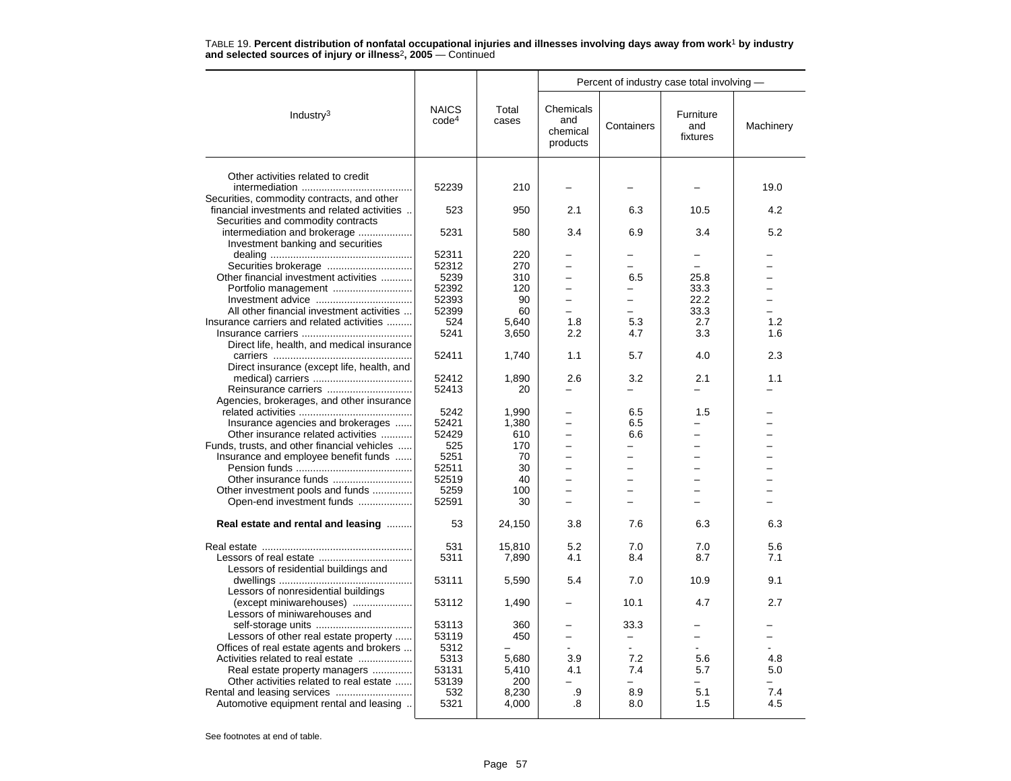|                                              |                                   |                | Percent of industry case total involving - |                          |                              |           |  |
|----------------------------------------------|-----------------------------------|----------------|--------------------------------------------|--------------------------|------------------------------|-----------|--|
| Industry <sup>3</sup>                        | <b>NAICS</b><br>code <sup>4</sup> | Total<br>cases | Chemicals<br>and<br>chemical<br>products   | Containers               | Furniture<br>and<br>fixtures | Machinery |  |
|                                              |                                   |                |                                            |                          |                              |           |  |
| Other activities related to credit           | 52239                             | 210            |                                            |                          |                              | 19.0      |  |
| Securities, commodity contracts, and other   |                                   |                |                                            |                          |                              |           |  |
| financial investments and related activities | 523                               | 950            | 2.1                                        | 6.3                      | 10.5                         | 4.2       |  |
| Securities and commodity contracts           |                                   |                |                                            |                          |                              |           |  |
| intermediation and brokerage                 | 5231                              | 580            | 3.4                                        | 6.9                      | 3.4                          | 5.2       |  |
| Investment banking and securities            |                                   |                |                                            |                          |                              |           |  |
|                                              | 52311                             | 220            |                                            |                          |                              |           |  |
|                                              | 52312                             | 270            |                                            |                          |                              |           |  |
| Other financial investment activities        | 5239                              | 310            |                                            | 6.5                      | 25.8                         |           |  |
|                                              | 52392                             | 120            | $=$                                        | $\overline{\phantom{0}}$ | 33.3                         |           |  |
|                                              | 52393                             | 90             |                                            |                          | 22.2                         |           |  |
| All other financial investment activities    | 52399                             | 60             |                                            |                          | 33.3                         |           |  |
| Insurance carriers and related activities    | 524                               | 5,640          | 1.8                                        | 5.3                      | 2.7                          | 1.2       |  |
|                                              | 5241                              | 3,650          | 2.2                                        | 4.7                      | 3.3                          | 1.6       |  |
| Direct life, health, and medical insurance   |                                   |                |                                            |                          |                              |           |  |
|                                              | 52411                             | 1,740          | 1.1                                        | 5.7                      | 4.0                          | 2.3       |  |
| Direct insurance (except life, health, and   |                                   |                |                                            |                          |                              |           |  |
|                                              | 52412                             | 1,890          | 2.6                                        | 3.2                      | 2.1                          | 1.1       |  |
| Reinsurance carriers                         | 52413                             | 20             |                                            |                          |                              |           |  |
| Agencies, brokerages, and other insurance    |                                   |                |                                            |                          |                              |           |  |
|                                              | 5242                              | 1,990          |                                            | 6.5                      | 1.5                          |           |  |
| Insurance agencies and brokerages            | 52421                             | 1,380          |                                            | 6.5                      |                              |           |  |
| Other insurance related activities           | 52429                             | 610            |                                            | 6.6                      |                              |           |  |
| Funds, trusts, and other financial vehicles  | 525<br>5251                       | 170            |                                            |                          |                              |           |  |
| Insurance and employee benefit funds         | 52511                             | 70<br>30       |                                            |                          |                              |           |  |
|                                              |                                   | 40             |                                            |                          | L.                           |           |  |
| Other investment pools and funds             | 52519<br>5259                     | 100            |                                            |                          |                              |           |  |
| Open-end investment funds                    | 52591                             | 30             |                                            |                          |                              |           |  |
|                                              |                                   |                |                                            |                          |                              |           |  |
| Real estate and rental and leasing           | 53                                | 24,150         | 3.8                                        | 7.6                      | 6.3                          | 6.3       |  |
|                                              | 531                               | 15.810         | 5.2                                        | 7.0                      | 7.0                          | 5.6       |  |
|                                              | 5311                              | 7,890          | 4.1                                        | 8.4                      | 8.7                          | 7.1       |  |
| Lessors of residential buildings and         |                                   |                |                                            |                          |                              |           |  |
|                                              | 53111                             | 5,590          | 5.4                                        | 7.0                      | 10.9                         | 9.1       |  |
| Lessors of nonresidential buildings          |                                   |                |                                            |                          |                              |           |  |
| (except miniwarehouses)                      | 53112                             | 1,490          |                                            | 10.1                     | 4.7                          | 2.7       |  |
| Lessors of miniwarehouses and                |                                   |                |                                            |                          |                              |           |  |
|                                              | 53113                             | 360            |                                            | 33.3                     |                              |           |  |
| Lessors of other real estate property        | 53119                             | 450            |                                            |                          |                              |           |  |
| Offices of real estate agents and brokers    | 5312                              |                |                                            |                          |                              |           |  |
| Activities related to real estate            | 5313                              | 5,680          | 3.9                                        | 7.2                      | 5.6                          | 4.8       |  |
| Real estate property managers                | 53131                             | 5.410          | 4.1                                        | 7.4                      | 5.7                          | 5.0       |  |
| Other activities related to real estate      | 53139                             | 200            |                                            |                          | -                            |           |  |
|                                              | 532                               | 8,230          | .9                                         | 8.9                      | 5.1                          | 7.4       |  |
| Automotive equipment rental and leasing      | 5321                              | 4,000          | .8                                         | 8.0                      | 1.5                          | 4.5       |  |
|                                              |                                   |                |                                            |                          |                              |           |  |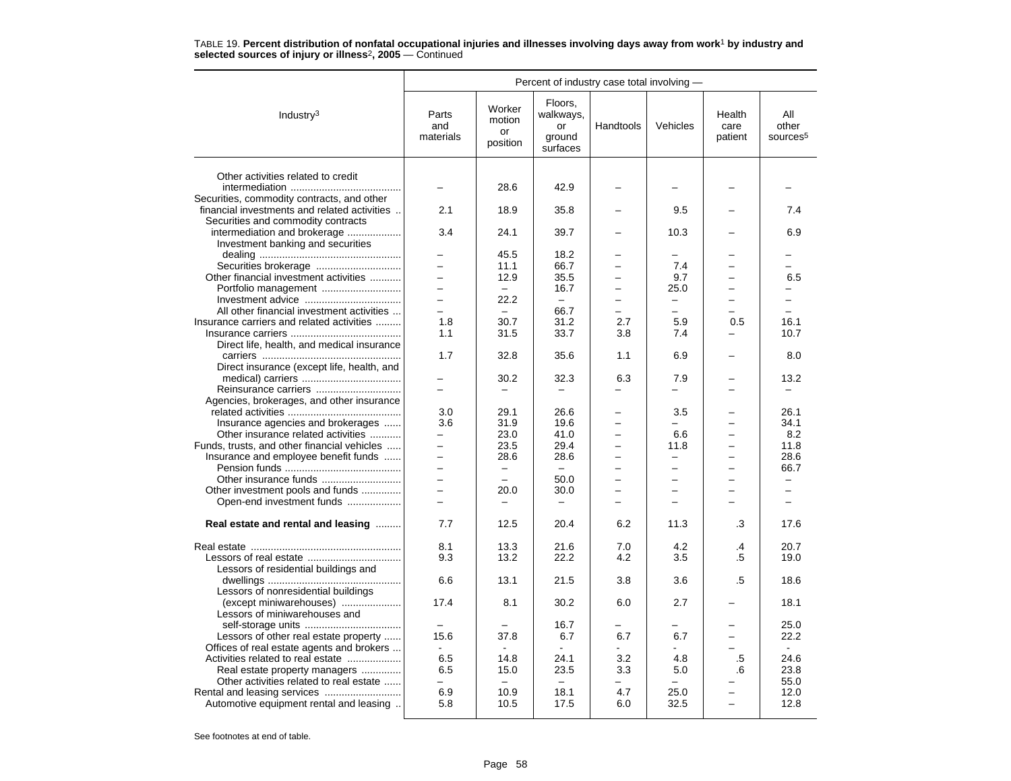|                                                                                     | Percent of industry case total involving -           |                                           |                                                  |           |                                  |                           |                                      |
|-------------------------------------------------------------------------------------|------------------------------------------------------|-------------------------------------------|--------------------------------------------------|-----------|----------------------------------|---------------------------|--------------------------------------|
| Industry <sup>3</sup>                                                               | Parts<br>and<br>materials                            | Worker<br>motion<br><b>or</b><br>position | Floors.<br>walkways,<br>or<br>ground<br>surfaces | Handtools | Vehicles                         | Health<br>care<br>patient | All<br>other<br>sources <sup>5</sup> |
|                                                                                     |                                                      |                                           |                                                  |           |                                  |                           |                                      |
| Other activities related to credit                                                  |                                                      | 28.6                                      | 42.9                                             |           |                                  |                           |                                      |
| Securities, commodity contracts, and other                                          |                                                      |                                           |                                                  |           |                                  |                           |                                      |
| financial investments and related activities                                        | 2.1                                                  | 18.9                                      | 35.8                                             |           | 9.5                              |                           | 7.4                                  |
| Securities and commodity contracts                                                  |                                                      |                                           |                                                  |           |                                  |                           |                                      |
| intermediation and brokerage                                                        | 3.4                                                  | 24.1                                      | 39.7                                             |           | 10.3                             |                           | 6.9                                  |
| Investment banking and securities                                                   |                                                      |                                           |                                                  |           |                                  |                           |                                      |
|                                                                                     |                                                      | 45.5                                      | 18.2                                             |           |                                  |                           |                                      |
|                                                                                     |                                                      | 11.1                                      | 66.7                                             |           | 7.4                              |                           |                                      |
| Other financial investment activities                                               |                                                      | 12.9                                      | 35.5                                             |           | 9.7                              |                           | 6.5                                  |
|                                                                                     | $\overline{\phantom{0}}$                             | $\equiv$                                  | 16.7                                             | $=$       | 25.0                             | $=$                       | $-$                                  |
|                                                                                     | -                                                    | 22.2                                      | $\overline{\phantom{0}}$                         |           | -                                |                           | ▃                                    |
| All other financial investment activities                                           | $\equiv$                                             | $\overline{\phantom{0}}$                  | 66.7                                             |           | $\overline{\phantom{0}}$         |                           | L.                                   |
| Insurance carriers and related activities                                           | 1.8                                                  | 30.7                                      | 31.2                                             | 2.7       | 5.9                              | 0.5                       | 16.1                                 |
|                                                                                     | 1.1                                                  | 31.5                                      | 33.7                                             | 3.8       | 7.4                              |                           | 10.7                                 |
| Direct life, health, and medical insurance                                          |                                                      |                                           |                                                  |           |                                  |                           |                                      |
|                                                                                     | 1.7                                                  | 32.8                                      | 35.6                                             | 1.1       | 6.9                              |                           | 8.0                                  |
| Direct insurance (except life, health, and                                          |                                                      |                                           |                                                  |           |                                  |                           |                                      |
|                                                                                     |                                                      | 30.2                                      | 32.3                                             | 6.3       | 7.9                              |                           | 13.2                                 |
| Reinsurance carriers                                                                |                                                      |                                           |                                                  |           |                                  |                           |                                      |
| Agencies, brokerages, and other insurance                                           |                                                      |                                           |                                                  |           |                                  |                           |                                      |
|                                                                                     | 3.0                                                  | 29.1                                      | 26.6                                             |           | 3.5                              |                           | 26.1                                 |
| Insurance agencies and brokerages                                                   | 3.6                                                  | 31.9                                      | 19.6                                             |           |                                  |                           | 34.1                                 |
| Other insurance related activities                                                  | —                                                    | 23.0                                      | 41.0<br>29.4                                     |           | 6.6                              |                           | 8.2<br>11.8                          |
| Funds, trusts, and other financial vehicles<br>Insurance and employee benefit funds | $\overline{\phantom{0}}$<br>$\overline{\phantom{0}}$ | 23.5<br>28.6                              | 28.6                                             |           | 11.8<br>$\overline{\phantom{0}}$ |                           | 28.6                                 |
|                                                                                     |                                                      | $\overline{\phantom{0}}$                  |                                                  |           |                                  |                           | 66.7                                 |
|                                                                                     | $\equiv$                                             | $\equiv$                                  | 50.0                                             | $\equiv$  | -                                | $\equiv$                  | L.                                   |
| Other investment pools and funds                                                    | $\overline{\phantom{0}}$                             | 20.0                                      | 30.0                                             | $\equiv$  | -                                | $\equiv$                  | $\overline{\phantom{0}}$             |
| Open-end investment funds                                                           |                                                      |                                           |                                                  |           |                                  |                           |                                      |
|                                                                                     |                                                      |                                           |                                                  |           |                                  |                           |                                      |
| Real estate and rental and leasing                                                  | 7.7                                                  | 12.5                                      | 20.4                                             | 6.2       | 11.3                             | .3                        | 17.6                                 |
|                                                                                     | 8.1                                                  | 13.3                                      | 21.6                                             | 7.0       | 4.2                              | $\mathbf{.4}$             | 20.7                                 |
|                                                                                     | 9.3                                                  | 13.2                                      | 22.2                                             | 4.2       | 3.5                              | .5                        | 19.0                                 |
| Lessors of residential buildings and                                                |                                                      |                                           |                                                  |           |                                  |                           |                                      |
|                                                                                     | 6.6                                                  | 13.1                                      | 21.5                                             | 3.8       | 3.6                              | .5                        | 18.6                                 |
| Lessors of nonresidential buildings                                                 |                                                      |                                           |                                                  |           |                                  |                           |                                      |
| (except miniwarehouses)                                                             | 17.4                                                 | 8.1                                       | 30.2                                             | 6.0       | 2.7                              |                           | 18.1                                 |
| Lessors of miniwarehouses and                                                       |                                                      |                                           |                                                  |           |                                  |                           |                                      |
|                                                                                     |                                                      |                                           | 16.7                                             |           |                                  |                           | 25.0                                 |
| Lessors of other real estate property                                               | 15.6                                                 | 37.8                                      | 6.7                                              | 6.7       | 6.7                              | -                         | 22.2                                 |
| Offices of real estate agents and brokers                                           |                                                      |                                           |                                                  |           |                                  |                           |                                      |
| Activities related to real estate                                                   | 6.5                                                  | 14.8                                      | 24.1                                             | 3.2       | 4.8                              | .5                        | 24.6                                 |
| Real estate property managers                                                       | 6.5                                                  | 15.0                                      | 23.5                                             | 3.3       | 5.0                              | .6                        | 23.8                                 |
| Other activities related to real estate                                             |                                                      |                                           |                                                  |           |                                  |                           | 55.0                                 |
|                                                                                     | 6.9                                                  | 10.9                                      | 18.1                                             | 4.7       | 25.0                             |                           | 12.0                                 |
| Automotive equipment rental and leasing                                             | 5.8                                                  | 10.5                                      | 17.5                                             | 6.0       | 32.5                             |                           | 12.8                                 |
|                                                                                     |                                                      |                                           |                                                  |           |                                  |                           |                                      |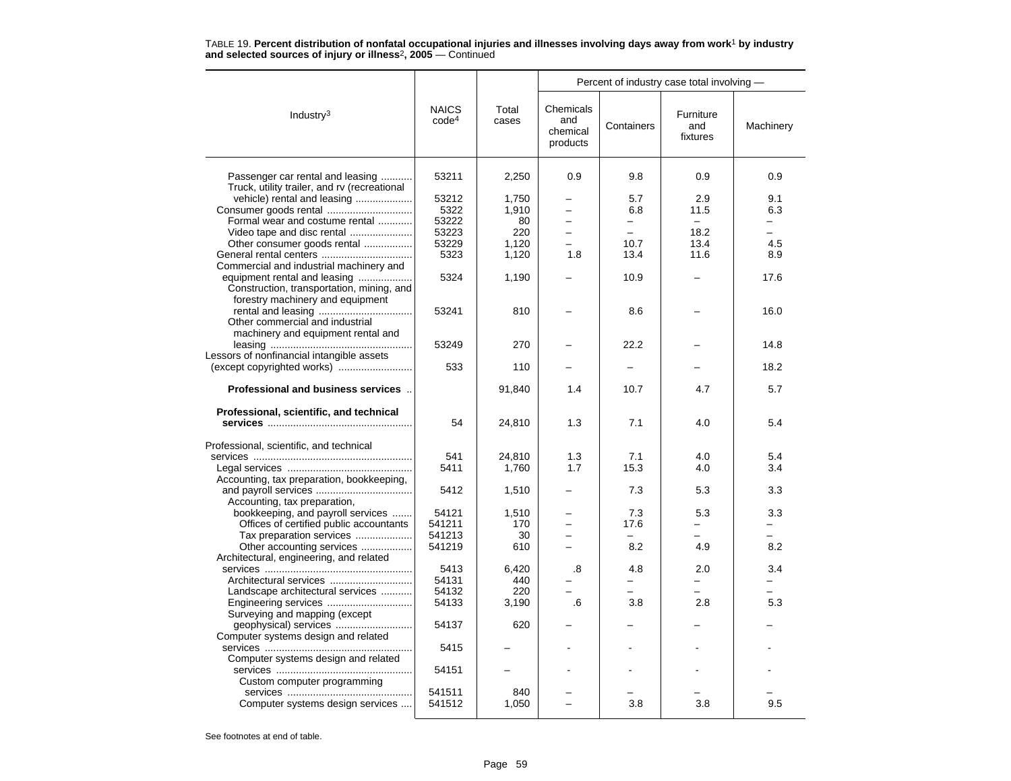|                                                                                  |                                   |                |                                          | Percent of industry case total involving - |                              |                |
|----------------------------------------------------------------------------------|-----------------------------------|----------------|------------------------------------------|--------------------------------------------|------------------------------|----------------|
| Industry $3$                                                                     | <b>NAICS</b><br>code <sup>4</sup> | Total<br>cases | Chemicals<br>and<br>chemical<br>products | Containers                                 | Furniture<br>and<br>fixtures | Machinery      |
| Passenger car rental and leasing<br>Truck, utility trailer, and rv (recreational | 53211                             | 2,250          | 0.9                                      | 9.8                                        | 0.9                          | 0.9            |
| vehicle) rental and leasing                                                      | 53212                             | 1,750          | $\overline{\phantom{0}}$                 | 5.7                                        | 2.9                          | 9.1            |
| Consumer goods rental                                                            | 5322                              | 1,910          |                                          | 6.8                                        | 11.5                         | 6.3            |
| Formal wear and costume rental                                                   | 53222                             | 80             | $\overline{\phantom{0}}$                 | $\overline{\phantom{0}}$                   | $\overline{\phantom{0}}$     | Ξ.             |
| Video tape and disc rental                                                       | 53223                             | 220            | $\overline{\phantom{0}}$                 | $\equiv$                                   | 18.2                         | -              |
| Other consumer goods rental                                                      | 53229                             | 1,120          |                                          | 10.7                                       | 13.4                         | 4.5            |
|                                                                                  | 5323                              | 1,120          | 1.8                                      | 13.4                                       | 11.6                         | 8.9            |
| Commercial and industrial machinery and                                          |                                   |                |                                          |                                            |                              |                |
| equipment rental and leasing                                                     | 5324                              | 1,190          |                                          | 10.9                                       |                              | 17.6           |
| Construction, transportation, mining, and                                        |                                   |                |                                          |                                            |                              |                |
| forestry machinery and equipment                                                 |                                   |                |                                          |                                            |                              |                |
|                                                                                  | 53241                             | 810            |                                          | 8.6                                        |                              | 16.0           |
| Other commercial and industrial                                                  |                                   |                |                                          |                                            |                              |                |
| machinery and equipment rental and                                               |                                   |                |                                          |                                            |                              |                |
|                                                                                  | 53249                             | 270            |                                          | 22.2                                       |                              | 14.8           |
| Lessors of nonfinancial intangible assets                                        |                                   |                |                                          |                                            |                              |                |
|                                                                                  | 533                               | 110            |                                          |                                            |                              | 18.2           |
| Professional and business services                                               |                                   | 91,840         | 1.4                                      | 10.7                                       | 4.7                          | 5.7            |
| Professional, scientific, and technical                                          |                                   |                |                                          |                                            |                              |                |
|                                                                                  | 54                                | 24,810         | 1.3                                      | 7.1                                        | 4.0                          | 5.4            |
|                                                                                  |                                   |                |                                          |                                            |                              |                |
| Professional, scientific, and technical                                          |                                   |                |                                          |                                            |                              |                |
|                                                                                  | 541<br>5411                       | 24,810         | 1.3<br>1.7                               | 7.1<br>15.3                                | 4.0                          | 5.4<br>3.4     |
|                                                                                  |                                   | 1,760          |                                          |                                            | 4.0                          |                |
| Accounting, tax preparation, bookkeeping,                                        | 5412                              |                |                                          | 7.3                                        | 5.3                          | 3.3            |
| Accounting, tax preparation,                                                     |                                   | 1,510          |                                          |                                            |                              |                |
| bookkeeping, and payroll services                                                | 54121                             | 1,510          |                                          | 7.3                                        | 5.3                          | 3.3            |
| Offices of certified public accountants                                          | 541211                            | 170            |                                          | 17.6                                       |                              |                |
| Tax preparation services                                                         | 541213                            | 30             |                                          | ÷                                          |                              | $\overline{a}$ |
| Other accounting services                                                        | 541219                            | 610            |                                          | 8.2                                        | 4.9                          | 8.2            |
| Architectural, engineering, and related                                          |                                   |                |                                          |                                            |                              |                |
|                                                                                  | 5413                              | 6,420          | .8                                       | 4.8                                        | 2.0                          | 3.4            |
| Architectural services                                                           | 54131                             | 440            |                                          |                                            |                              |                |
| Landscape architectural services                                                 | 54132                             | 220            |                                          | $\overline{\phantom{0}}$                   |                              |                |
| Engineering services                                                             | 54133                             | 3,190          | .6                                       | 3.8                                        | 2.8                          | 5.3            |
| Surveying and mapping (except                                                    |                                   |                |                                          |                                            |                              |                |
| geophysical) services                                                            | 54137                             | 620            |                                          |                                            |                              |                |
| Computer systems design and related                                              |                                   |                |                                          |                                            |                              |                |
|                                                                                  | 5415                              |                |                                          |                                            |                              |                |
| Computer systems design and related                                              |                                   |                |                                          |                                            |                              |                |
|                                                                                  | 54151                             |                |                                          |                                            |                              |                |
| Custom computer programming                                                      |                                   |                |                                          |                                            |                              |                |
|                                                                                  | 541511                            | 840            |                                          |                                            |                              |                |
| Computer systems design services                                                 | 541512                            | 1,050          |                                          | 3.8                                        | 3.8                          | 9.5            |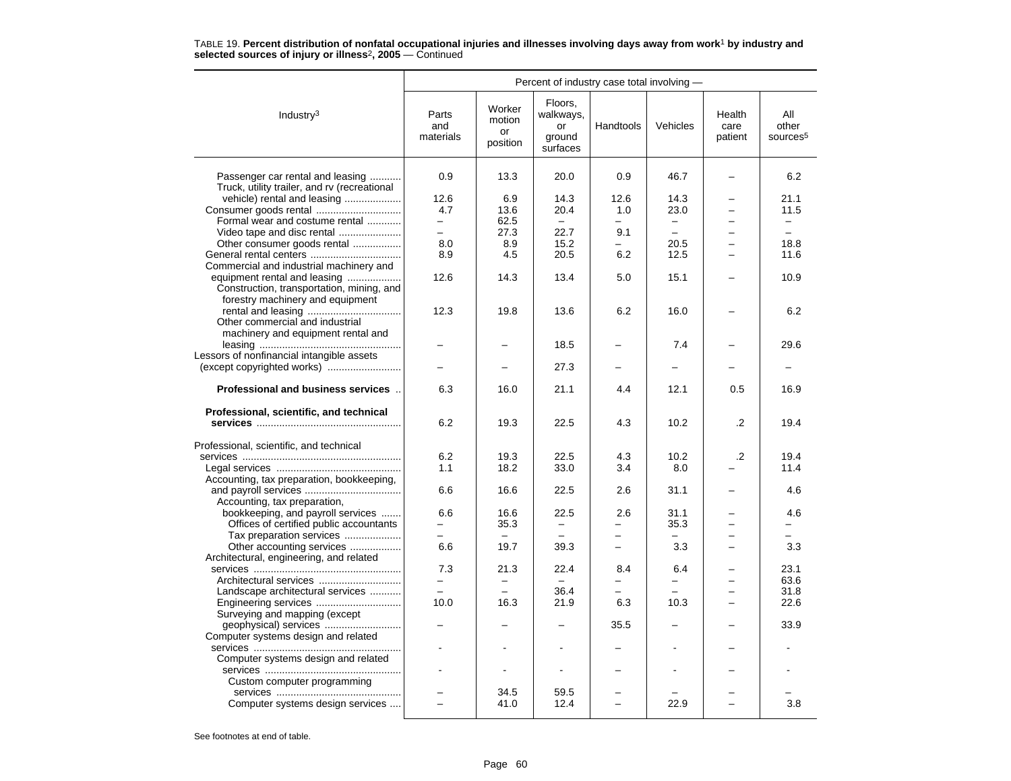|                                                                                  | Percent of industry case total involving - |                                    |                                                  |            |                          |                           |                                      |  |
|----------------------------------------------------------------------------------|--------------------------------------------|------------------------------------|--------------------------------------------------|------------|--------------------------|---------------------------|--------------------------------------|--|
| Industry <sup>3</sup>                                                            | Parts<br>and<br>materials                  | Worker<br>motion<br>or<br>position | Floors,<br>walkways,<br>or<br>ground<br>surfaces | Handtools  | Vehicles                 | Health<br>care<br>patient | All<br>other<br>sources <sup>5</sup> |  |
| Passenger car rental and leasing<br>Truck, utility trailer, and rv (recreational | 0.9                                        | 13.3                               | 20.0                                             | 0.9        | 46.7                     |                           | 6.2                                  |  |
| vehicle) rental and leasing                                                      | 12.6                                       | 6.9                                | 14.3                                             | 12.6       | 14.3                     |                           | 21.1                                 |  |
|                                                                                  | 4.7                                        | 13.6                               | 20.4                                             | 1.0        | 23.0                     |                           | 11.5                                 |  |
| Formal wear and costume rental                                                   | $-$                                        | 62.5                               | $\equiv$                                         |            | $\equiv$                 |                           | $\equiv$                             |  |
| Video tape and disc rental                                                       | $-$                                        | 27.3                               | 22.7                                             | 9.1        | $\overline{\phantom{0}}$ | $\overline{\phantom{0}}$  | $\equiv$                             |  |
| Other consumer goods rental                                                      | 8.0                                        | 8.9                                | 15.2                                             |            | 20.5                     |                           | 18.8                                 |  |
| General rental centers                                                           | 8.9                                        | 4.5                                | 20.5                                             | 6.2        | 12.5                     |                           | 11.6                                 |  |
| Commercial and industrial machinery and                                          |                                            |                                    |                                                  |            |                          |                           |                                      |  |
| equipment rental and leasing                                                     | 12.6                                       | 14.3                               | 13.4                                             | 5.0        | 15.1                     |                           | 10.9                                 |  |
| Construction, transportation, mining, and                                        |                                            |                                    |                                                  |            |                          |                           |                                      |  |
| forestry machinery and equipment                                                 |                                            |                                    |                                                  |            |                          |                           |                                      |  |
|                                                                                  | 12.3                                       | 19.8                               | 13.6                                             | 6.2        | 16.0                     |                           | 6.2                                  |  |
| Other commercial and industrial                                                  |                                            |                                    |                                                  |            |                          |                           |                                      |  |
| machinery and equipment rental and                                               |                                            |                                    |                                                  |            |                          |                           |                                      |  |
|                                                                                  |                                            |                                    | 18.5                                             |            | 7.4                      |                           | 29.6                                 |  |
| Lessors of nonfinancial intangible assets                                        |                                            |                                    |                                                  |            |                          |                           |                                      |  |
|                                                                                  |                                            |                                    | 27.3                                             |            |                          |                           |                                      |  |
|                                                                                  |                                            |                                    |                                                  |            |                          |                           |                                      |  |
| Professional and business services                                               | 6.3                                        | 16.0                               | 21.1                                             | 4.4        | 12.1                     | 0.5                       | 16.9                                 |  |
| Professional, scientific, and technical                                          |                                            |                                    |                                                  |            |                          |                           |                                      |  |
|                                                                                  | 6.2                                        | 19.3                               | 22.5                                             | 4.3        | 10.2                     | .2                        | 19.4                                 |  |
|                                                                                  |                                            |                                    |                                                  |            |                          |                           |                                      |  |
| Professional, scientific, and technical                                          |                                            |                                    |                                                  |            |                          | $\cdot$ .2                |                                      |  |
|                                                                                  | 6.2<br>1.1                                 | 19.3<br>18.2                       | 22.5<br>33.0                                     | 4.3<br>3.4 | 10.2<br>8.0              |                           | 19.4<br>11.4                         |  |
|                                                                                  |                                            |                                    |                                                  |            |                          |                           |                                      |  |
| Accounting, tax preparation, bookkeeping,                                        | 6.6                                        | 16.6                               | 22.5                                             | 2.6        | 31.1                     |                           | 4.6                                  |  |
| Accounting, tax preparation,                                                     |                                            |                                    |                                                  |            |                          |                           |                                      |  |
| bookkeeping, and payroll services                                                | 6.6                                        | 16.6                               | 22.5                                             | 2.6        | 31.1                     |                           | 4.6                                  |  |
| Offices of certified public accountants                                          |                                            | 35.3                               |                                                  |            | 35.3                     |                           |                                      |  |
| Tax preparation services                                                         | $\overline{\phantom{0}}$                   |                                    |                                                  |            | $\overline{a}$           |                           | $\overline{\phantom{0}}$             |  |
| Other accounting services                                                        | 6.6                                        | 19.7                               | 39.3                                             | -          | 3.3                      | -                         | 3.3                                  |  |
| Architectural, engineering, and related                                          |                                            |                                    |                                                  |            |                          |                           |                                      |  |
|                                                                                  | 7.3                                        | 21.3                               | 22.4                                             | 8.4        | 6.4                      |                           | 23.1                                 |  |
| Architectural services                                                           |                                            |                                    |                                                  |            |                          |                           | 63.6                                 |  |
| Landscape architectural services                                                 | $\overline{\phantom{0}}$                   | $\overline{\phantom{0}}$           | 36.4                                             |            |                          |                           | 31.8                                 |  |
| Engineering services                                                             | 10.0                                       | 16.3                               | 21.9                                             | 6.3        | 10.3                     | $\overline{\phantom{0}}$  | 22.6                                 |  |
| Surveying and mapping (except                                                    |                                            |                                    |                                                  |            |                          |                           |                                      |  |
|                                                                                  |                                            |                                    |                                                  | 35.5       |                          |                           | 33.9                                 |  |
| Computer systems design and related                                              |                                            |                                    |                                                  |            |                          |                           |                                      |  |
|                                                                                  |                                            |                                    |                                                  |            |                          |                           |                                      |  |
| Computer systems design and related                                              |                                            |                                    |                                                  |            |                          |                           |                                      |  |
|                                                                                  |                                            |                                    |                                                  |            |                          |                           |                                      |  |
| Custom computer programming                                                      |                                            |                                    |                                                  |            |                          |                           |                                      |  |
|                                                                                  |                                            | 34.5                               | 59.5                                             |            |                          |                           |                                      |  |
| Computer systems design services                                                 |                                            | 41.0                               | 12.4                                             |            | 22.9                     |                           | 3.8                                  |  |
|                                                                                  |                                            |                                    |                                                  |            |                          |                           |                                      |  |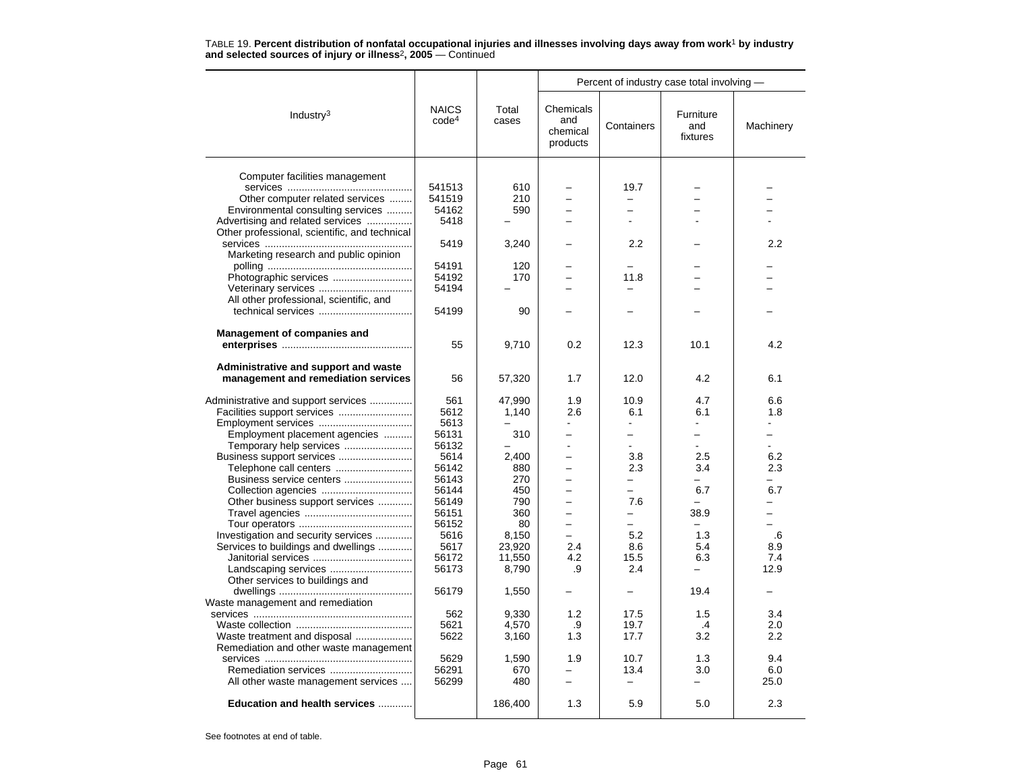|                                               |                                   |                | Percent of industry case total involving - |                          |                              |           |  |
|-----------------------------------------------|-----------------------------------|----------------|--------------------------------------------|--------------------------|------------------------------|-----------|--|
| Industry <sup>3</sup>                         | <b>NAICS</b><br>code <sup>4</sup> | Total<br>cases | Chemicals<br>and<br>chemical<br>products   | Containers               | Furniture<br>and<br>fixtures | Machinery |  |
|                                               |                                   |                |                                            |                          |                              |           |  |
| Computer facilities management                |                                   |                |                                            |                          |                              |           |  |
|                                               | 541513                            | 610            |                                            | 19.7                     |                              |           |  |
| Other computer related services               | 541519                            | 210            | ÷                                          | -                        |                              |           |  |
| Environmental consulting services             | 54162                             | 590            |                                            |                          |                              |           |  |
| Advertising and related services              | 5418                              |                |                                            |                          |                              |           |  |
| Other professional, scientific, and technical |                                   |                |                                            |                          |                              |           |  |
|                                               | 5419                              | 3,240          |                                            | 2.2                      |                              | 2.2       |  |
| Marketing research and public opinion         |                                   |                |                                            |                          |                              |           |  |
|                                               | 54191                             | 120            |                                            |                          |                              |           |  |
| Photographic services                         | 54192                             | 170            |                                            | 11.8                     |                              |           |  |
| Veterinary services                           | 54194                             |                |                                            |                          |                              |           |  |
| All other professional, scientific, and       |                                   |                |                                            |                          |                              |           |  |
|                                               | 54199                             | 90             |                                            |                          |                              |           |  |
| <b>Management of companies and</b>            |                                   |                |                                            |                          |                              |           |  |
|                                               | 55                                | 9,710          | 0.2                                        | 12.3                     | 10.1                         | 4.2       |  |
| Administrative and support and waste          |                                   |                |                                            |                          |                              |           |  |
| management and remediation services           | 56                                | 57,320         | 1.7                                        | 12.0                     | 4.2                          | 6.1       |  |
|                                               |                                   |                |                                            |                          |                              |           |  |
| Administrative and support services           | 561                               | 47,990         | 1.9                                        | 10.9                     | 4.7                          | 6.6       |  |
| Facilities support services                   | 5612                              | 1,140          | 2.6                                        | 6.1                      | 6.1                          | 1.8       |  |
|                                               | 5613                              |                | L.                                         | $\blacksquare$           | $\sim$                       |           |  |
| Employment placement agencies                 | 56131                             | 310            | ÷                                          | -                        |                              | -         |  |
| Temporary help services                       | 56132                             |                |                                            |                          |                              |           |  |
| Business support services                     | 5614                              | 2.400          |                                            | 3.8                      | 2.5                          | 6.2       |  |
| Telephone call centers                        | 56142                             | 880            |                                            | 2.3                      | 3.4                          | 2.3       |  |
| Business service centers                      | 56143                             | 270            | $\overline{\phantom{0}}$                   | $\overline{\phantom{0}}$ |                              | -         |  |
|                                               | 56144                             | 450            | $\overline{a}$                             | ÷.                       | 6.7                          | 6.7       |  |
| Other business support services               | 56149                             | 790            | $\overline{\phantom{0}}$                   | 7.6                      | $=$                          | $=$       |  |
|                                               | 56151                             | 360            |                                            |                          | 38.9                         |           |  |
|                                               | 56152                             | 80             | $\overline{\phantom{0}}$                   |                          |                              |           |  |
| Investigation and security services           | 5616                              | 8,150          | $\equiv$                                   | 5.2                      | 1.3                          | .6        |  |
| Services to buildings and dwellings           | 5617                              | 23,920         | 2.4                                        | 8.6                      | 5.4                          | 8.9       |  |
|                                               | 56172                             | 11,550         | 4.2                                        | 15.5                     | 6.3                          | 7.4       |  |
|                                               | 56173                             | 8,790          | .9                                         | 2.4                      |                              | 12.9      |  |
| Other services to buildings and               |                                   |                |                                            |                          |                              |           |  |
|                                               | 56179                             | 1,550          |                                            |                          | 19.4                         |           |  |
| Waste management and remediation              |                                   |                |                                            |                          |                              |           |  |
|                                               | 562                               | 9.330          | 1.2                                        | 17.5                     | 1.5                          | 3.4       |  |
|                                               | 5621                              | 4,570          | .9                                         | 19.7                     | .4                           | 2.0       |  |
| Waste treatment and disposal                  | 5622                              | 3,160          | 1.3                                        | 17.7                     | 3.2                          | 2.2       |  |
| Remediation and other waste management        |                                   |                |                                            |                          |                              |           |  |
|                                               | 5629                              | 1,590          | 1.9                                        | 10.7                     | 1.3                          | 9.4       |  |
|                                               | 56291                             | 670            |                                            | 13.4                     | 3.0                          | 6.0       |  |
| All other waste management services           | 56299                             | 480            | $\equiv$                                   |                          |                              | 25.0      |  |
| Education and health services                 |                                   | 186,400        | 1.3                                        | 5.9                      | 5.0                          | 2.3       |  |
|                                               |                                   |                |                                            |                          |                              |           |  |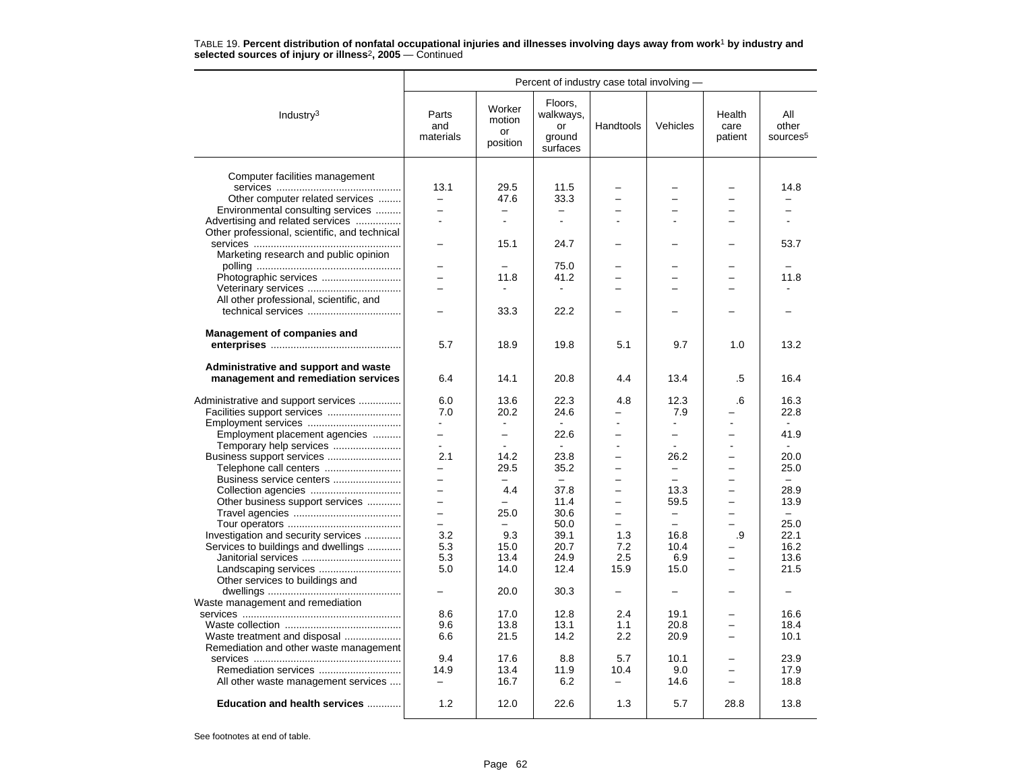|                                               | Percent of industry case total involving - |                                    |                                                  |                          |                          |                           |                                      |  |
|-----------------------------------------------|--------------------------------------------|------------------------------------|--------------------------------------------------|--------------------------|--------------------------|---------------------------|--------------------------------------|--|
| Industry <sup>3</sup>                         | Parts<br>and<br>materials                  | Worker<br>motion<br>or<br>position | Floors.<br>walkways,<br>or<br>ground<br>surfaces | Handtools                | Vehicles                 | Health<br>care<br>patient | All<br>other<br>sources <sup>5</sup> |  |
|                                               |                                            |                                    |                                                  |                          |                          |                           |                                      |  |
| Computer facilities management                |                                            |                                    |                                                  |                          |                          |                           |                                      |  |
|                                               | 13.1                                       | 29.5                               | 11.5                                             |                          |                          |                           | 14.8                                 |  |
| Other computer related services               | $\qquad \qquad -$                          | 47.6                               | 33.3                                             |                          |                          |                           |                                      |  |
| Environmental consulting services             |                                            |                                    |                                                  |                          |                          |                           |                                      |  |
| Advertising and related services              | $\overline{a}$                             | $\blacksquare$                     | $\mathbf{r}$                                     |                          |                          |                           |                                      |  |
| Other professional, scientific, and technical |                                            |                                    |                                                  |                          |                          |                           |                                      |  |
|                                               |                                            | 15.1                               | 24.7                                             |                          |                          |                           | 53.7                                 |  |
| Marketing research and public opinion         |                                            |                                    |                                                  |                          |                          |                           |                                      |  |
|                                               | $\overline{\phantom{0}}$                   |                                    | 75.0                                             |                          |                          |                           |                                      |  |
|                                               | $\overline{\phantom{0}}$                   | 11.8                               | 41.2                                             |                          |                          |                           | 11.8                                 |  |
|                                               | -                                          |                                    |                                                  |                          |                          |                           |                                      |  |
| All other professional, scientific, and       |                                            |                                    |                                                  |                          |                          |                           |                                      |  |
|                                               |                                            | 33.3                               | 22.2                                             |                          |                          |                           |                                      |  |
| <b>Management of companies and</b>            |                                            |                                    |                                                  |                          |                          |                           |                                      |  |
|                                               | 5.7                                        | 18.9                               | 19.8                                             | 5.1                      | 9.7                      | 1.0                       | 13.2                                 |  |
| Administrative and support and waste          |                                            |                                    |                                                  |                          |                          |                           |                                      |  |
| management and remediation services           | 6.4                                        | 14.1                               | 20.8                                             | 4.4                      | 13.4                     | .5                        | 16.4                                 |  |
|                                               |                                            |                                    |                                                  |                          |                          |                           |                                      |  |
| Administrative and support services           | 6.0                                        | 13.6                               | 22.3                                             | 4.8                      | 12.3                     | .6                        | 16.3                                 |  |
|                                               | 7.0                                        | 20.2                               | 24.6                                             |                          | 7.9                      |                           | 22.8                                 |  |
| Employment services                           | $\mathbf{r}$                               |                                    |                                                  |                          | $\mathbf{r}$             |                           |                                      |  |
| Employment placement agencies                 | -                                          | $\overline{\phantom{0}}$           | 22.6                                             |                          | -                        | $\overline{\phantom{0}}$  | 41.9                                 |  |
| Temporary help services                       | $\overline{a}$                             | $\overline{a}$                     |                                                  |                          | $\sim$                   | ÷                         |                                      |  |
| Business support services                     | 2.1                                        | 14.2                               | 23.8                                             | $\overline{a}$           | 26.2                     | $\overline{\phantom{0}}$  | 20.0                                 |  |
| Telephone call centers                        |                                            | 29.5                               | 35.2                                             |                          | -                        |                           | 25.0                                 |  |
| Business service centers                      | $\overline{\phantom{0}}$                   |                                    | $\equiv$                                         |                          | $\equiv$                 | $\overline{\phantom{0}}$  | $\equiv$                             |  |
|                                               | $\overline{\phantom{0}}$                   | 4.4                                | 37.8                                             | $\overline{\phantom{0}}$ | 13.3                     | $\overline{\phantom{0}}$  | 28.9                                 |  |
| Other business support services               | $\equiv$                                   |                                    | 11.4                                             |                          | 59.5                     | ÷                         | 13.9                                 |  |
|                                               | $\overline{\phantom{0}}$                   | 25.0                               | 30.6                                             |                          | $\qquad \qquad -$        | $\overline{\phantom{0}}$  | $\equiv$                             |  |
|                                               | $\equiv$                                   |                                    | 50.0                                             |                          | $\overline{\phantom{0}}$ |                           | 25.0                                 |  |
| Investigation and security services           | 3.2                                        | 9.3                                | 39.1                                             | 1.3                      | 16.8                     | .9                        | 22.1                                 |  |
| Services to buildings and dwellings           | 5.3                                        | 15.0                               | 20.7                                             | 7.2                      | 10.4                     |                           | 16.2                                 |  |
|                                               | 5.3                                        | 13.4                               | 24.9                                             | 2.5                      | 6.9                      |                           | 13.6                                 |  |
| Landscaping services                          | 5.0                                        | 14.0                               | 12.4                                             | 15.9                     | 15.0                     |                           | 21.5                                 |  |
| Other services to buildings and               |                                            |                                    |                                                  |                          |                          |                           |                                      |  |
|                                               |                                            | 20.0                               | 30.3                                             |                          | $\overline{\phantom{0}}$ |                           |                                      |  |
| Waste management and remediation              |                                            |                                    |                                                  |                          |                          |                           |                                      |  |
|                                               | 8.6                                        | 17.0                               | 12.8                                             | 2.4                      | 19.1                     |                           | 16.6                                 |  |
|                                               | 9.6                                        | 13.8                               | 13.1                                             | 1.1                      | 20.8                     |                           | 18.4                                 |  |
| Waste treatment and disposal                  | 6.6                                        | 21.5                               | 14.2                                             | 2.2                      | 20.9                     |                           | 10.1                                 |  |
| Remediation and other waste management        |                                            |                                    |                                                  |                          |                          |                           |                                      |  |
|                                               | 9.4                                        | 17.6                               | 8.8                                              | 5.7                      | 10.1                     |                           | 23.9                                 |  |
| Remediation services                          | 14.9                                       | 13.4                               | 11.9                                             | 10.4                     | 9.0                      |                           | 17.9                                 |  |
| All other waste management services           | $-$                                        | 16.7                               | 6.2                                              | $\overline{\phantom{0}}$ | 14.6                     |                           | 18.8                                 |  |
| Education and health services                 | 1.2                                        | 12.0                               | 22.6                                             | 1.3                      | 5.7                      | 28.8                      | 13.8                                 |  |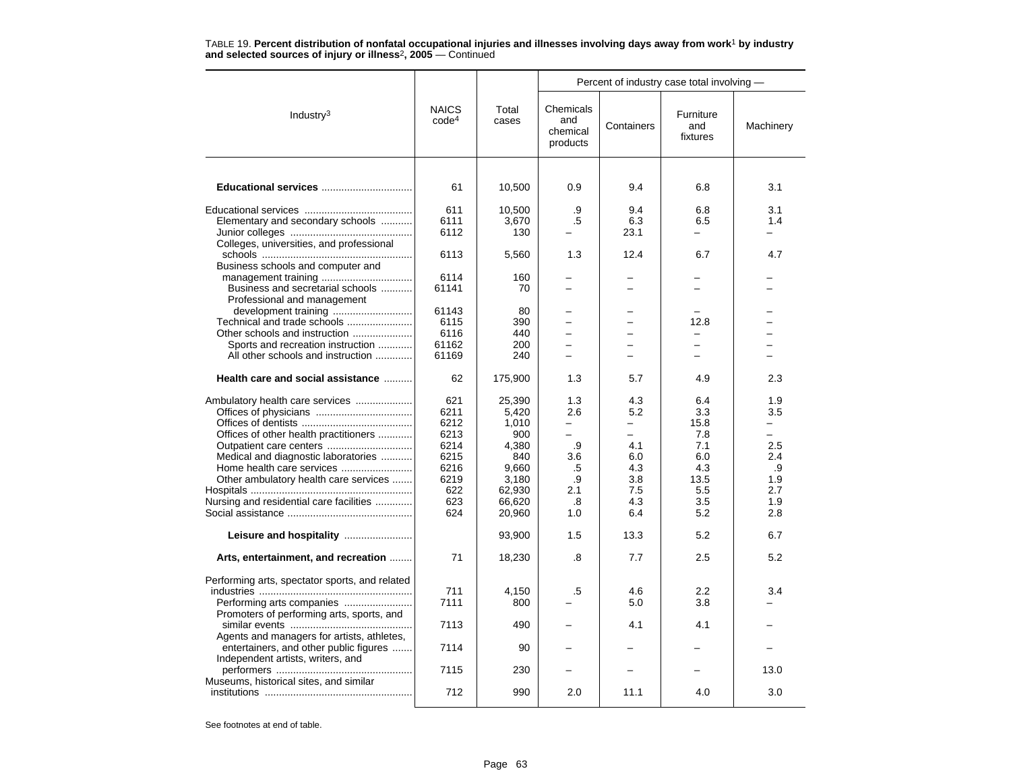|                                                |                                   |                | Percent of industry case total involving - |            |                              |           |  |
|------------------------------------------------|-----------------------------------|----------------|--------------------------------------------|------------|------------------------------|-----------|--|
| Industry <sup>3</sup>                          | <b>NAICS</b><br>code <sup>4</sup> | Total<br>cases | Chemicals<br>and<br>chemical<br>products   | Containers | Furniture<br>and<br>fixtures | Machinery |  |
|                                                | 61                                | 10,500         | 0.9                                        | 9.4        | 6.8                          | 3.1       |  |
|                                                | 611                               | 10,500         | .9                                         | 9.4        | 6.8                          | 3.1       |  |
| Elementary and secondary schools               | 6111                              | 3,670          | .5                                         | 6.3        | 6.5                          | 1.4       |  |
|                                                | 6112                              | 130            |                                            | 23.1       | $\equiv$                     | $-$       |  |
| Colleges, universities, and professional       |                                   |                |                                            |            |                              |           |  |
|                                                | 6113                              | 5,560          | 1.3                                        | 12.4       | 6.7                          | 4.7       |  |
| Business schools and computer and              |                                   |                |                                            |            |                              |           |  |
|                                                | 6114                              | 160            |                                            |            |                              |           |  |
| Business and secretarial schools               | 61141                             | 70             | $\overline{\phantom{0}}$                   |            |                              |           |  |
| Professional and management                    |                                   |                |                                            |            |                              |           |  |
| development training                           | 61143                             | 80             |                                            |            |                              | -         |  |
| Technical and trade schools                    | 6115                              | 390            |                                            |            | 12.8                         |           |  |
| Other schools and instruction                  | 6116                              | 440            | $\overline{\phantom{0}}$                   |            |                              |           |  |
| Sports and recreation instruction              | 61162                             | 200            | $\overline{\phantom{0}}$                   |            | -                            |           |  |
| All other schools and instruction              | 61169                             | 240            |                                            |            |                              |           |  |
| Health care and social assistance              | 62                                | 175,900        | 1.3                                        | 5.7        | 4.9                          | 2.3       |  |
|                                                | 621                               | 25,390         | 1.3                                        | 4.3        | 6.4                          | 1.9       |  |
|                                                | 6211                              | 5,420          | 2.6                                        | 5.2        | 3.3                          | 3.5       |  |
|                                                | 6212                              | 1,010          | $\overline{\phantom{0}}$                   | -          | 15.8                         | Ξ.        |  |
| Offices of other health practitioners          | 6213                              | 900            | $-$                                        | $\equiv$   | 7.8                          | ÷         |  |
|                                                | 6214                              | 4,380          | .9                                         | 4.1        | 7.1                          | 2.5       |  |
| Medical and diagnostic laboratories            | 6215                              | 840            | 3.6                                        | 6.0        | 6.0                          | 2.4       |  |
|                                                | 6216                              | 9,660          | .5                                         | 4.3        | 4.3                          | .9        |  |
| Other ambulatory health care services          | 6219                              | 3,180          | .9                                         | 3.8        | 13.5                         | 1.9       |  |
|                                                | 622                               | 62,930         | 2.1                                        | 7.5        | 5.5                          | 2.7       |  |
| Nursing and residential care facilities        | 623                               | 66,620         | .8                                         | 4.3        | 3.5                          | 1.9       |  |
|                                                | 624                               | 20,960         | 1.0                                        | 6.4        | 5.2                          | 2.8       |  |
|                                                |                                   |                |                                            |            |                              |           |  |
| Leisure and hospitality                        |                                   | 93,900         | 1.5                                        | 13.3       | 5.2                          | 6.7       |  |
| Arts, entertainment, and recreation            | 71                                | 18,230         | .8                                         | 7.7        | 2.5                          | 5.2       |  |
| Performing arts, spectator sports, and related |                                   |                |                                            |            |                              |           |  |
|                                                | 711                               | 4,150          | .5                                         | 4.6        | $2.2\phantom{0}$             | 3.4       |  |
|                                                | 7111                              | 800            |                                            | 5.0        | 3.8                          |           |  |
| Promoters of performing arts, sports, and      |                                   |                |                                            |            |                              |           |  |
|                                                | 7113                              | 490            |                                            | 4.1        | 4.1                          |           |  |
| Agents and managers for artists, athletes,     |                                   |                |                                            |            |                              |           |  |
| entertainers, and other public figures         | 7114                              | 90             |                                            |            |                              |           |  |
| Independent artists, writers, and              |                                   |                |                                            |            |                              |           |  |
|                                                | 7115                              | 230            |                                            |            |                              | 13.0      |  |
| Museums, historical sites, and similar         |                                   |                |                                            |            |                              |           |  |
|                                                | 712                               | 990            | 2.0                                        | 11.1       | 4.0                          | 3.0       |  |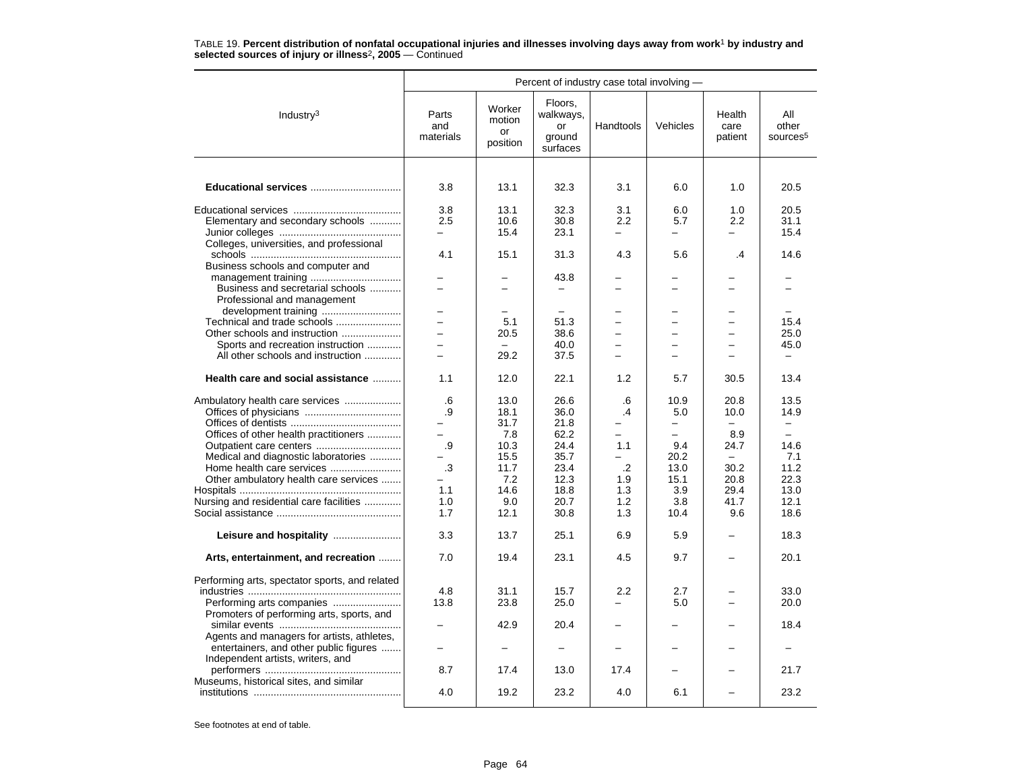|                                                | Percent of industry case total involving - |                                    |                                                  |            |                          |                           |                                      |  |
|------------------------------------------------|--------------------------------------------|------------------------------------|--------------------------------------------------|------------|--------------------------|---------------------------|--------------------------------------|--|
| Industry <sup>3</sup>                          | Parts<br>and<br>materials                  | Worker<br>motion<br>or<br>position | Floors,<br>walkways,<br>or<br>ground<br>surfaces | Handtools  | Vehicles                 | Health<br>care<br>patient | All<br>other<br>sources <sup>5</sup> |  |
|                                                |                                            |                                    |                                                  |            |                          |                           |                                      |  |
| Educational services                           | 3.8                                        | 13.1                               | 32.3                                             | 3.1        | 6.0                      | 1.0                       | 20.5                                 |  |
|                                                | 3.8                                        | 13.1                               | 32.3                                             | 3.1        | 6.0                      | 1.0                       | 20.5                                 |  |
| Elementary and secondary schools               | 2.5                                        | 10.6                               | 30.8                                             | 2.2        | 5.7                      | 2.2                       | 31.1                                 |  |
|                                                |                                            | 15.4                               | 23.1                                             |            |                          |                           | 15.4                                 |  |
| Colleges, universities, and professional       |                                            |                                    |                                                  |            |                          |                           |                                      |  |
| Business schools and computer and              | 4.1                                        | 15.1                               | 31.3                                             | 4.3        | 5.6                      | .4                        | 14.6                                 |  |
|                                                |                                            |                                    | 43.8                                             |            |                          |                           |                                      |  |
| Business and secretarial schools               | $\overline{a}$                             | $\overline{\phantom{0}}$           | $\equiv$                                         | $\equiv$   | ÷                        | $\equiv$                  | ÷                                    |  |
| Professional and management                    |                                            |                                    |                                                  |            |                          |                           |                                      |  |
| development training                           | $\overline{a}$                             |                                    |                                                  |            |                          |                           | $\sim$                               |  |
| Technical and trade schools                    | L.                                         | 5.1                                | 51.3                                             |            | -                        | -                         | 15.4                                 |  |
| Other schools and instruction                  |                                            | 20.5                               | 38.6                                             |            |                          |                           | 25.0                                 |  |
| Sports and recreation instruction              | $-$                                        | $\equiv$                           | 40.0                                             |            | $\overline{a}$           |                           | 45.0                                 |  |
| All other schools and instruction              | $\equiv$                                   | 29.2                               | 37.5                                             | $\equiv$   | $\overline{\phantom{0}}$ | -                         | $\overline{\phantom{0}}$             |  |
| Health care and social assistance              | 1.1                                        | 12.0                               | 22.1                                             | 1.2        | 5.7                      | 30.5                      | 13.4                                 |  |
| Ambulatory health care services                | .6                                         | 13.0                               | 26.6                                             | .6         | 10.9                     | 20.8                      | 13.5                                 |  |
|                                                | .9                                         | 18.1                               | 36.0                                             | .4         | 5.0                      | 10.0                      | 14.9                                 |  |
|                                                | -                                          | 31.7                               | 21.8                                             |            | $\overline{\phantom{0}}$ |                           | $-$                                  |  |
| Offices of other health practitioners          | $-$                                        | 7.8                                | 62.2                                             |            | ÷                        | 8.9                       | $\overline{\phantom{0}}$             |  |
| Outpatient care centers                        | .9                                         | 10.3                               | 24.4                                             | 1.1        | 9.4                      | 24.7                      | 14.6                                 |  |
| Medical and diagnostic laboratories            |                                            | 15.5                               | 35.7                                             | $\cdot$ .2 | 20.2                     |                           | 7.1                                  |  |
| Other ambulatory health care services          | $\cdot$ 3<br>$\overline{\phantom{0}}$      | 11.7<br>7.2                        | 23.4<br>12.3                                     | 1.9        | 13.0<br>15.1             | 30.2<br>20.8              | 11.2<br>22.3                         |  |
|                                                | 1.1                                        | 14.6                               | 18.8                                             | 1.3        | 3.9                      | 29.4                      | 13.0                                 |  |
| Nursing and residential care facilities        | 1.0                                        | 9.0                                | 20.7                                             | 1.2        | 3.8                      | 41.7                      | 12.1                                 |  |
|                                                | 1.7                                        | 12.1                               | 30.8                                             | 1.3        | 10.4                     | 9.6                       | 18.6                                 |  |
|                                                | 3.3                                        | 13.7                               | 25.1                                             | 6.9        | 5.9                      |                           | 18.3                                 |  |
| Arts, entertainment, and recreation            | 7.0                                        | 19.4                               | 23.1                                             | 4.5        | 9.7                      |                           | 20.1                                 |  |
| Performing arts, spectator sports, and related |                                            |                                    |                                                  |            |                          |                           |                                      |  |
|                                                | 4.8                                        | 31.1                               | 15.7                                             | 2.2        | 2.7                      |                           | 33.0                                 |  |
|                                                | 13.8                                       | 23.8                               | 25.0                                             |            | 5.0                      |                           | 20.0                                 |  |
| Promoters of performing arts, sports, and      |                                            |                                    |                                                  |            |                          |                           |                                      |  |
|                                                |                                            | 42.9                               | 20.4                                             |            |                          |                           | 18.4                                 |  |
| Agents and managers for artists, athletes,     |                                            |                                    |                                                  |            |                          |                           |                                      |  |
| entertainers, and other public figures         |                                            |                                    |                                                  |            |                          |                           |                                      |  |
| Independent artists, writers, and              | 8.7                                        | 17.4                               | 13.0                                             | 17.4       |                          |                           | 21.7                                 |  |
| Museums, historical sites, and similar         |                                            |                                    |                                                  |            |                          |                           |                                      |  |
|                                                | 4.0                                        | 19.2                               | 23.2                                             | 4.0        | 6.1                      |                           | 23.2                                 |  |
|                                                |                                            |                                    |                                                  |            |                          |                           |                                      |  |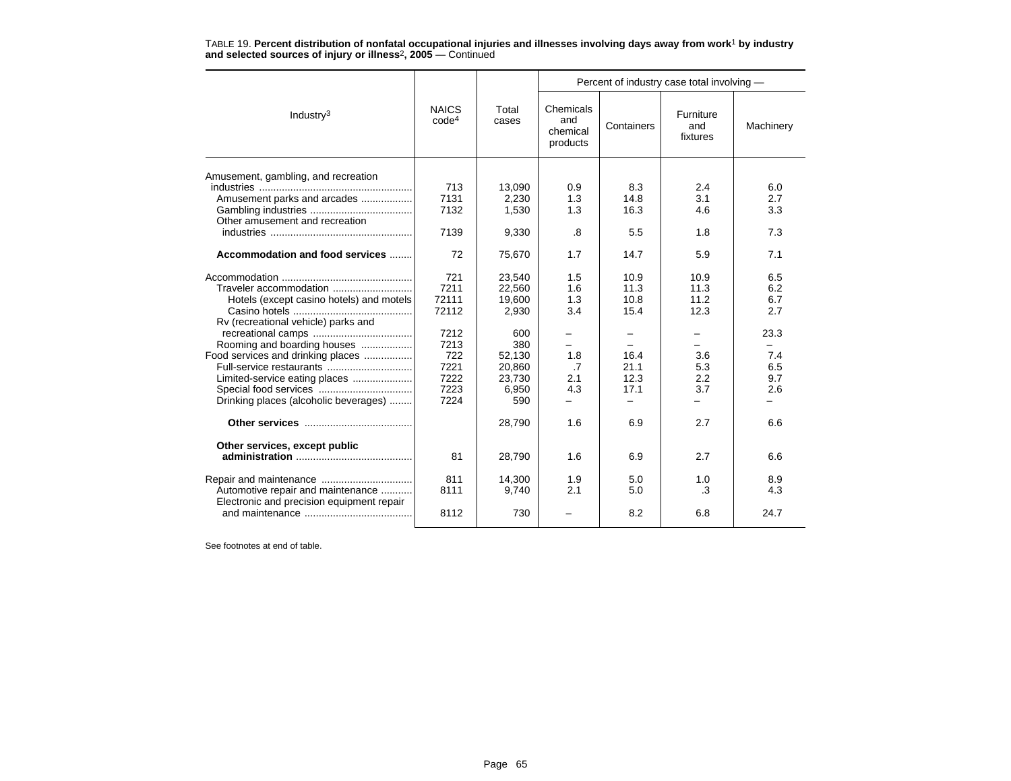|                                                                                                                                                                                                                               |                                                                                      |                                                                                                 | Percent of industry case total involving -                |                                                                                                                      |                                                                |                                                                     |  |  |  |  |
|-------------------------------------------------------------------------------------------------------------------------------------------------------------------------------------------------------------------------------|--------------------------------------------------------------------------------------|-------------------------------------------------------------------------------------------------|-----------------------------------------------------------|----------------------------------------------------------------------------------------------------------------------|----------------------------------------------------------------|---------------------------------------------------------------------|--|--|--|--|
| Industry $3$                                                                                                                                                                                                                  | <b>NAICS</b><br>code <sup>4</sup>                                                    | Total<br>cases                                                                                  | Chemicals<br>and<br>chemical<br>products                  | Containers                                                                                                           | Furniture<br>and<br>fixtures                                   | Machinery                                                           |  |  |  |  |
| Amusement, gambling, and recreation                                                                                                                                                                                           | 713                                                                                  | 13,090                                                                                          | 0.9                                                       | 8.3                                                                                                                  | 2.4                                                            | 6.0                                                                 |  |  |  |  |
| Amusement parks and arcades                                                                                                                                                                                                   | 7131                                                                                 | 2,230                                                                                           | 1.3                                                       | 14.8                                                                                                                 | 3.1                                                            | 2.7                                                                 |  |  |  |  |
| Other amusement and recreation                                                                                                                                                                                                | 7132                                                                                 | 1,530                                                                                           | 1.3                                                       | 16.3                                                                                                                 | 4.6                                                            | 3.3                                                                 |  |  |  |  |
|                                                                                                                                                                                                                               | 7139                                                                                 | 9,330                                                                                           | .8                                                        | 5.5                                                                                                                  | 1.8                                                            | 7.3                                                                 |  |  |  |  |
| Accommodation and food services                                                                                                                                                                                               | 72                                                                                   | 75,670                                                                                          | 1.7                                                       | 14.7                                                                                                                 | 5.9                                                            | 7.1                                                                 |  |  |  |  |
| Hotels (except casino hotels) and motels<br>Rv (recreational vehicle) parks and<br>Rooming and boarding houses<br>Food services and drinking places<br>Limited-service eating places<br>Drinking places (alcoholic beverages) | 721<br>7211<br>72111<br>72112<br>7212<br>7213<br>722<br>7221<br>7222<br>7223<br>7224 | 23,540<br>22,560<br>19,600<br>2,930<br>600<br>380<br>52,130<br>20,860<br>23,730<br>6,950<br>590 | 1.5<br>1.6<br>1.3<br>3.4<br>Ξ.<br>1.8<br>.7<br>2.1<br>4.3 | 10.9<br>11.3<br>10.8<br>15.4<br>$\overline{\phantom{0}}$<br>16.4<br>21.1<br>12.3<br>17.1<br>$\overline{\phantom{0}}$ | 10.9<br>11.3<br>11.2<br>12.3<br>۰.<br>3.6<br>5.3<br>2.2<br>3.7 | 6.5<br>6.2<br>6.7<br>2.7<br>23.3<br>$-$<br>7.4<br>6.5<br>9.7<br>2.6 |  |  |  |  |
|                                                                                                                                                                                                                               |                                                                                      | 28,790                                                                                          | 1.6                                                       | 6.9                                                                                                                  | 2.7                                                            | 6.6                                                                 |  |  |  |  |
| Other services, except public                                                                                                                                                                                                 | 81                                                                                   | 28,790                                                                                          | 1.6                                                       | 6.9                                                                                                                  | 2.7                                                            | 6.6                                                                 |  |  |  |  |
| Automotive repair and maintenance<br>Electronic and precision equipment repair                                                                                                                                                | 811<br>8111                                                                          | 14,300<br>9,740                                                                                 | 1.9<br>2.1                                                | 5.0<br>5.0                                                                                                           | 1.0<br>.3                                                      | 8.9<br>4.3                                                          |  |  |  |  |
|                                                                                                                                                                                                                               | 8112                                                                                 | 730                                                                                             |                                                           | 8.2                                                                                                                  | 6.8                                                            | 24.7                                                                |  |  |  |  |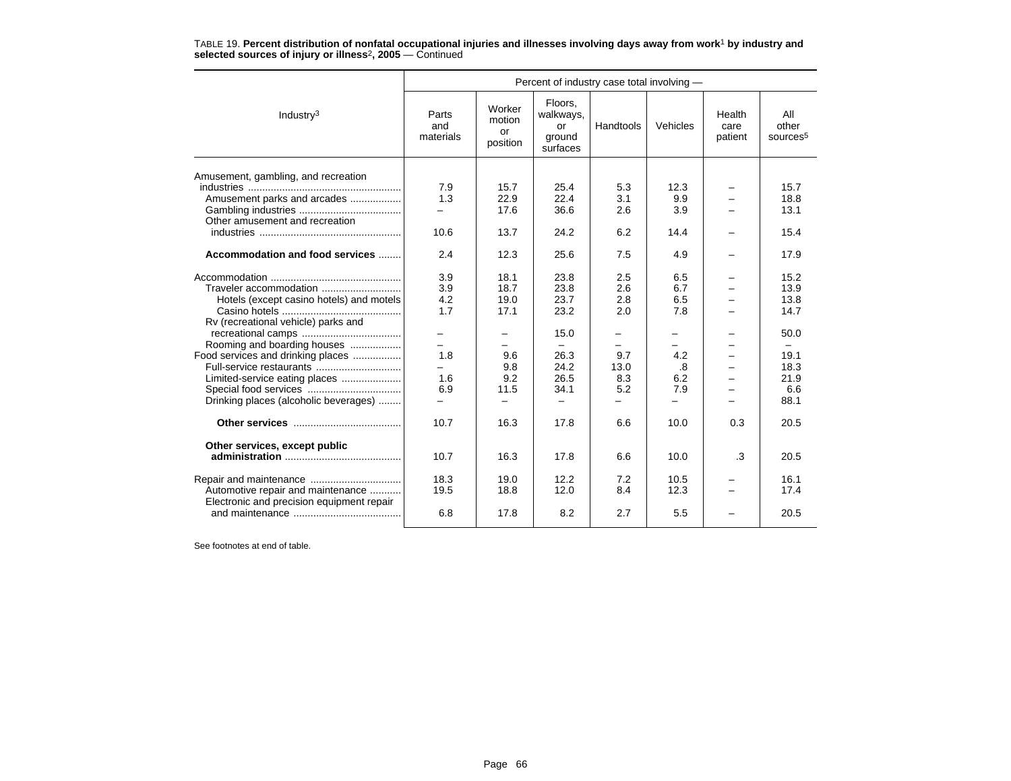|                                           | Percent of industry case total involving - |                                    |                                                  |           |            |                           |                                      |  |
|-------------------------------------------|--------------------------------------------|------------------------------------|--------------------------------------------------|-----------|------------|---------------------------|--------------------------------------|--|
| Industry $3$                              | Parts<br>and<br>materials                  | Worker<br>motion<br>or<br>position | Floors.<br>walkways,<br>or<br>ground<br>surfaces | Handtools | Vehicles   | Health<br>care<br>patient | All<br>other<br>sources <sup>5</sup> |  |
| Amusement, gambling, and recreation       | 7.9                                        | 15.7                               | 25.4                                             | 5.3       | 12.3       |                           | 15.7                                 |  |
| Amusement parks and arcades               | 1.3                                        | 22.9                               | 22.4                                             | 3.1       | 9.9        |                           | 18.8                                 |  |
| Other amusement and recreation            | $-$                                        | 17.6                               | 36.6                                             | 2.6       | 3.9        |                           | 13.1                                 |  |
|                                           | 10.6                                       | 13.7                               | 24.2                                             | 6.2       | 14.4       |                           | 15.4                                 |  |
| Accommodation and food services           | 2.4                                        | 12.3                               | 25.6                                             | 7.5       | 4.9        | -                         | 17.9                                 |  |
| Traveler accommodation                    | 3.9                                        | 18.1<br>18.7                       | 23.8<br>23.8                                     | 2.5       | 6.5<br>6.7 |                           | 15.2<br>13.9                         |  |
|                                           | 3.9                                        |                                    |                                                  | 2.6       |            |                           |                                      |  |
| Hotels (except casino hotels) and motels  | 4.2                                        | 19.0                               | 23.7                                             | 2.8       | 6.5        |                           | 13.8                                 |  |
| Rv (recreational vehicle) parks and       | 1.7                                        | 17.1                               | 23.2                                             | 2.0       | 7.8        |                           | 14.7                                 |  |
|                                           | -                                          | -                                  | 15.0                                             |           | -          |                           | 50.0                                 |  |
| Rooming and boarding houses               |                                            |                                    |                                                  |           |            |                           |                                      |  |
| Food services and drinking places         | 1.8                                        | 9.6                                | 26.3                                             | 9.7       | 4.2        | $\equiv$                  | 19.1                                 |  |
| Full-service restaurants                  |                                            | 9.8                                | 24.2                                             | 13.0      | .8         |                           | 18.3                                 |  |
| Limited-service eating places             | 1.6                                        | 9.2                                | 26.5                                             | 8.3       | 6.2        |                           | 21.9                                 |  |
|                                           | 6.9                                        | 11.5                               | 34.1                                             | 5.2       | 7.9        |                           | 6.6                                  |  |
| Drinking places (alcoholic beverages)     |                                            |                                    |                                                  |           |            |                           | 88.1                                 |  |
|                                           | 10.7                                       | 16.3                               | 17.8                                             | 6.6       | 10.0       | 0.3                       | 20.5                                 |  |
| Other services, except public             | 10.7                                       | 16.3                               | 17.8                                             | 6.6       | 10.0       | .3                        | 20.5                                 |  |
|                                           |                                            |                                    |                                                  |           |            |                           |                                      |  |
|                                           | 18.3                                       | 19.0                               | 12.2                                             | 7.2       | 10.5       |                           | 16.1                                 |  |
| Automotive repair and maintenance         | 19.5                                       | 18.8                               | 12.0                                             | 8.4       | 12.3       |                           | 17.4                                 |  |
| Electronic and precision equipment repair |                                            | 17.8                               | 8.2                                              | 2.7       |            |                           |                                      |  |
|                                           | 6.8                                        |                                    |                                                  |           | 5.5        |                           | 20.5                                 |  |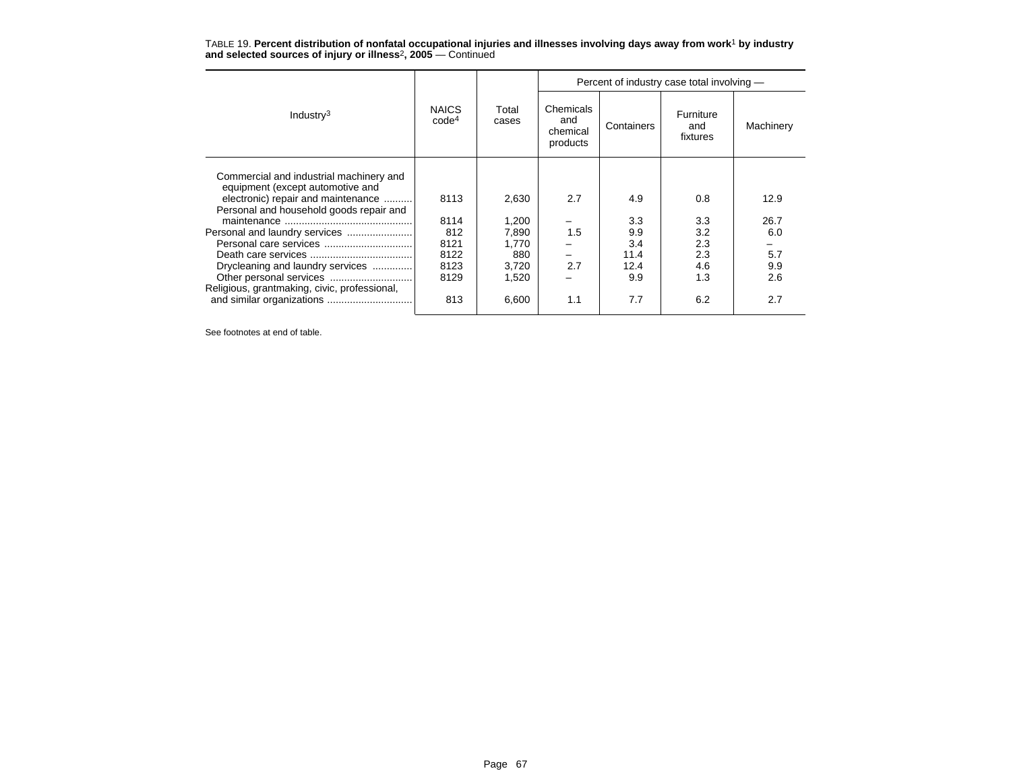|                                                                                                                   |                                   |                |                                          |            | Percent of industry case total involving - |           |
|-------------------------------------------------------------------------------------------------------------------|-----------------------------------|----------------|------------------------------------------|------------|--------------------------------------------|-----------|
| Industry <sup>3</sup>                                                                                             | <b>NAICS</b><br>code <sup>4</sup> | Total<br>cases | Chemicals<br>and<br>chemical<br>products | Containers | Furniture<br>and<br>fixtures               | Machinery |
| Commercial and industrial machinery and<br>equipment (except automotive and<br>electronic) repair and maintenance | 8113                              | 2,630          | 2.7                                      | 4.9        | 0.8                                        | 12.9      |
| Personal and household goods repair and                                                                           |                                   |                |                                          |            | 3.3                                        |           |
|                                                                                                                   | 8114                              | 1,200          |                                          | 3.3        |                                            | 26.7      |
|                                                                                                                   | 812                               | 7,890          | 1.5                                      | 9.9        | 3.2                                        | 6.0       |
|                                                                                                                   | 8121                              | 1,770          |                                          | 3.4        | 2.3                                        |           |
|                                                                                                                   | 8122                              | 880            |                                          | 11.4       | 2.3                                        | 5.7       |
| Drycleaning and laundry services                                                                                  | 8123                              | 3,720          | 2.7                                      | 12.4       | 4.6                                        | 9.9       |
|                                                                                                                   | 8129                              | 1,520          |                                          | 9.9        | 1.3                                        | 2.6       |
| Religious, grantmaking, civic, professional,                                                                      |                                   |                |                                          |            |                                            |           |
| and similar organizations                                                                                         | 813                               | 6,600          | 1.1                                      | 7.7        | 6.2                                        | 2.7       |